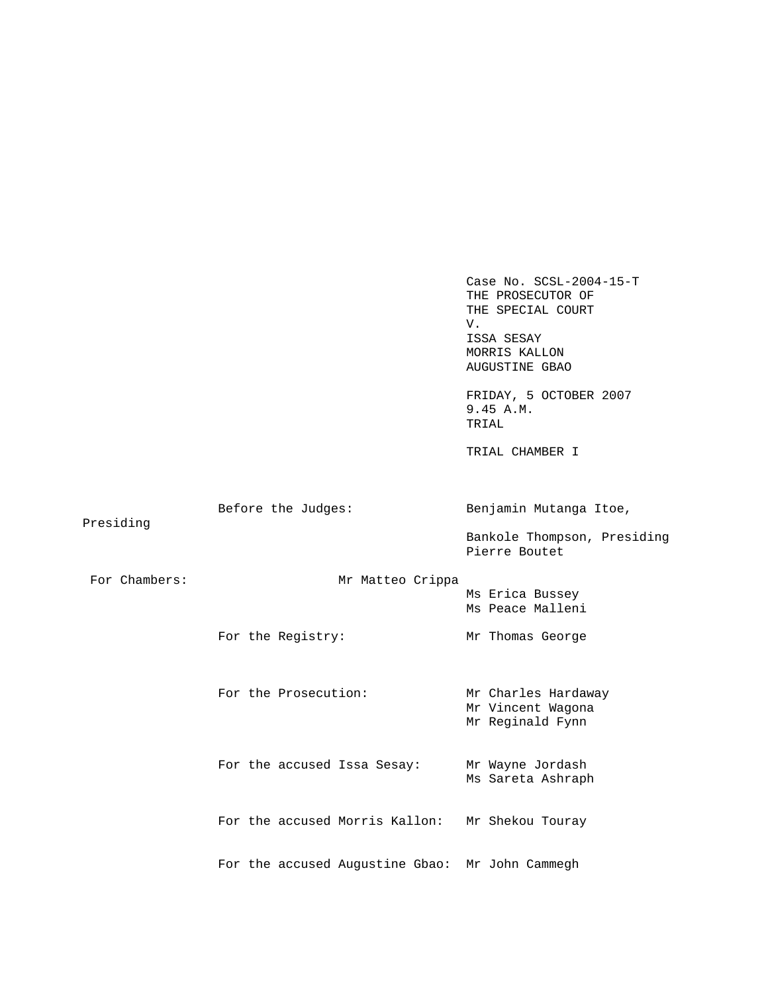Case No. SCSL-2004-15-T THE PROSECUTOR OF THE SPECIAL COURT V. ISSA SESAY MORRIS KALLON AUGUSTINE GBAO FRIDAY, 5 OCTOBER 2007 9.45 A.M. TRIAL TRIAL CHAMBER I Before the Judges: Benjamin Mutanga Itoe, Presiding Bankole Thompson, Presiding Pierre Boutet For Chambers: Mr Matteo Crippa Ms Erica Bussey Ms Peace Malleni For the Registry: Mr Thomas George For the Prosecution: Mr Charles Hardaway Mr Vincent Wagona Mr Reginald Fynn For the accused Issa Sesay: Mr Wayne Jordash Ms Sareta Ashraph For the accused Morris Kallon: Mr Shekou Touray For the accused Augustine Gbao: Mr John Cammegh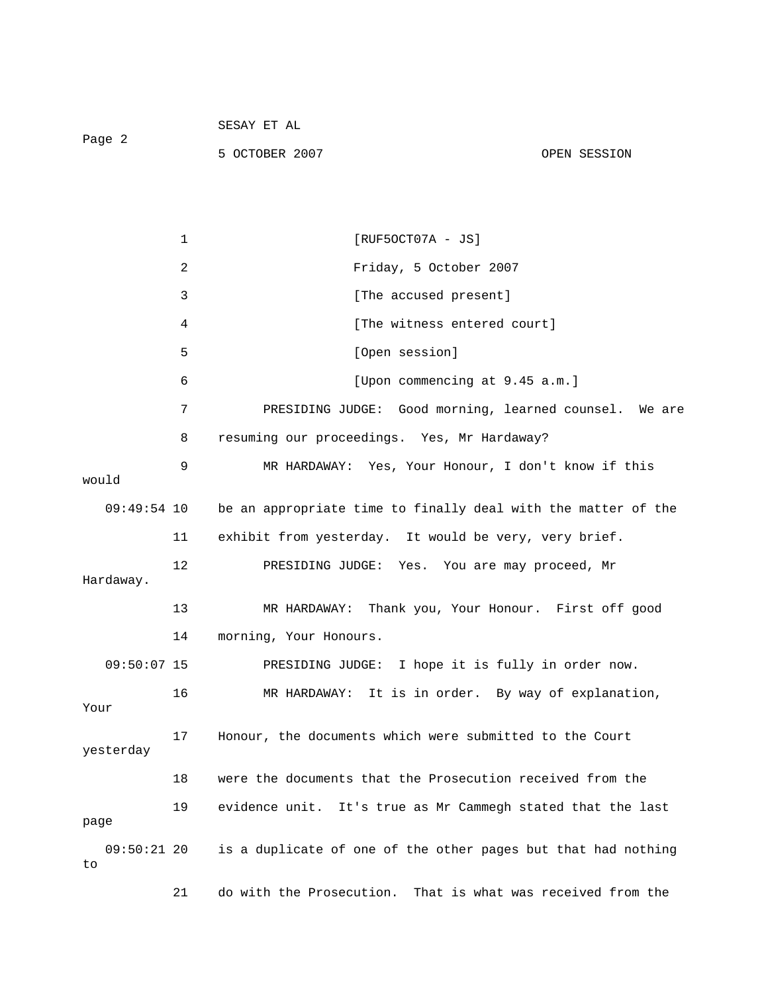| Paqe 2 | SESAY ET AL    |              |
|--------|----------------|--------------|
|        | 5 OCTOBER 2007 | OPEN SESSION |

1 [RUF5OCT07A - JS] 2 Friday, 5 October 2007 3 [The accused present] 4 [The witness entered court] 5 [Open session] 6 [Upon commencing at 9.45 a.m.] 7 PRESIDING JUDGE: Good morning, learned counsel. We are 8 resuming our proceedings. Yes, Mr Hardaway? 9 MR HARDAWAY: Yes, Your Honour, I don't know if this would 09:49:54 10 be an appropriate time to finally deal with the matter of the 11 exhibit from yesterday. It would be very, very brief. 12 PRESIDING JUDGE: Yes. You are may proceed, Mr Hardaway. 13 MR HARDAWAY: Thank you, Your Honour. First off good 14 morning, Your Honours. 09:50:07 15 PRESIDING JUDGE: I hope it is fully in order now. 16 MR HARDAWAY: It is in order. By way of explanation, Your 17 Honour, the documents which were submitted to the Court yesterday 18 were the documents that the Prosecution received from the 19 evidence unit. It's true as Mr Cammegh stated that the last page 09:50:21 20 is a duplicate of one of the other pages but that had nothing to 21 do with the Prosecution. That is what was received from the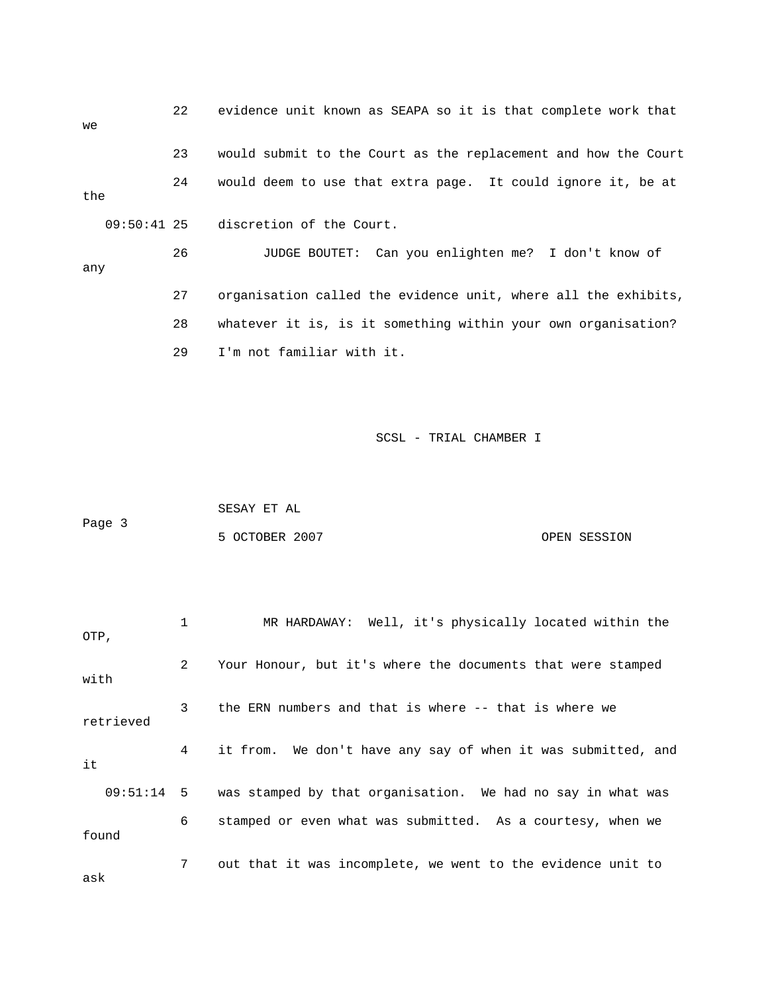22 evidence unit known as SEAPA so it is that complete work that we 23 would submit to the Court as the replacement and how the Court 24 would deem to use that extra page. It could ignore it, be at the 09:50:41 25 discretion of the Court. 26 JUDGE BOUTET: Can you enlighten me? I don't know of any 27 organisation called the evidence unit, where all the exhibits, 28 whatever it is, is it something within your own organisation? 29 I'm not familiar with it.

|        | SESAY ET AL    |              |
|--------|----------------|--------------|
| Page 3 |                |              |
|        | 5 OCTOBER 2007 | OPEN SESSION |

| OTP,      |                | MR HARDAWAY: Well, it's physically located within the                  |
|-----------|----------------|------------------------------------------------------------------------|
| with      | $\overline{2}$ | Your Honour, but it's where the documents that were stamped            |
| retrieved | 3 <sup>7</sup> | the ERN numbers and that is where -- that is where we                  |
| it        | 4              | it from. We don't have any say of when it was submitted, and           |
|           |                | 09:51:14 5 was stamped by that organisation. We had no say in what was |
| found     | 6              | stamped or even what was submitted. As a courtesy, when we             |
| ask       | 7 <sup>7</sup> | out that it was incomplete, we went to the evidence unit to            |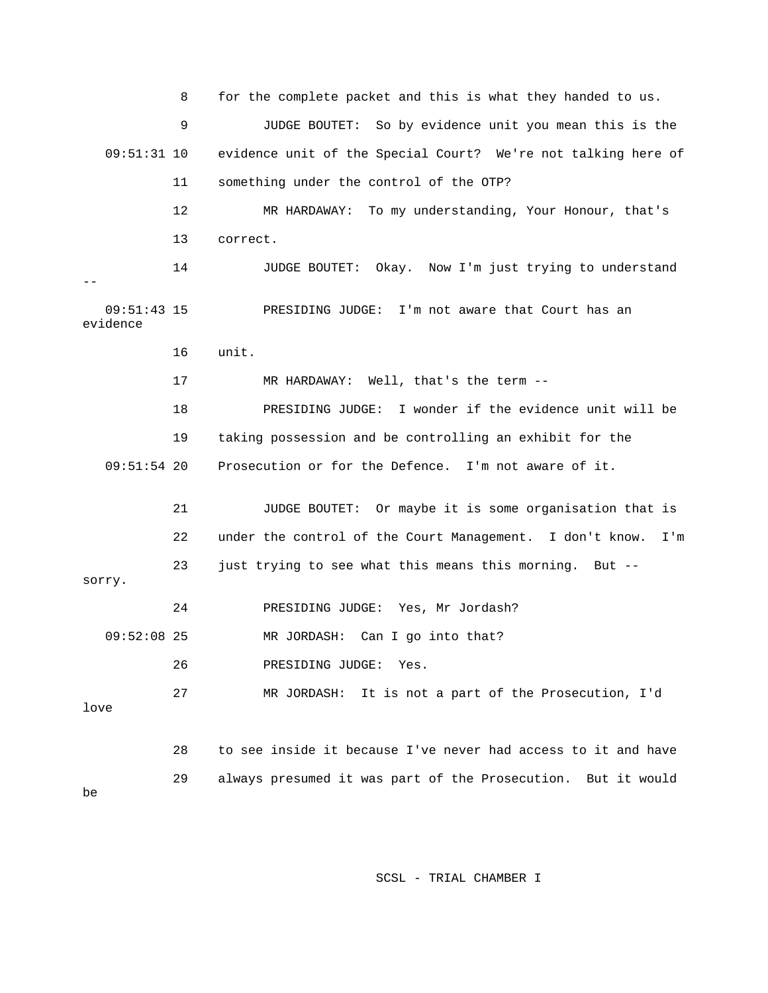8 for the complete packet and this is what they handed to us. 9 JUDGE BOUTET: So by evidence unit you mean this is the 09:51:31 10 evidence unit of the Special Court? We're not talking here of 11 something under the control of the OTP? 12 MR HARDAWAY: To my understanding, Your Honour, that's 13 correct. 14 JUDGE BOUTET: Okay. Now I'm just trying to understand 09:51:43 15 PRESIDING JUDGE: I'm not aware that Court has an 16 unit. 17 MR HARDAWAY: Well, that's the term -- 19 taking possession and be controlling an exhibit for the 09:51:54 20 Prosecution or for the Defence. I'm not aware of it. 21 JUDGE BOUTET: Or maybe it is some organisation that is 23 just trying to see what this means this morning. But -- 24 PRESIDING JUDGE: Yes, Mr Jordash? 09:52:08 25 MR JORDASH: Can I go into that? 27 MR JORDASH: It is not a part of the Prosecution, I'd 28 to see inside it because I've never had access to it and have 29 always presumed it was part of the Prosecution. But it would - evidence 18 PRESIDING JUDGE: I wonder if the evidence unit will be 22 under the control of the Court Management. I don't know. I'm sorry. 26 PRESIDING JUDGE: Yes. love be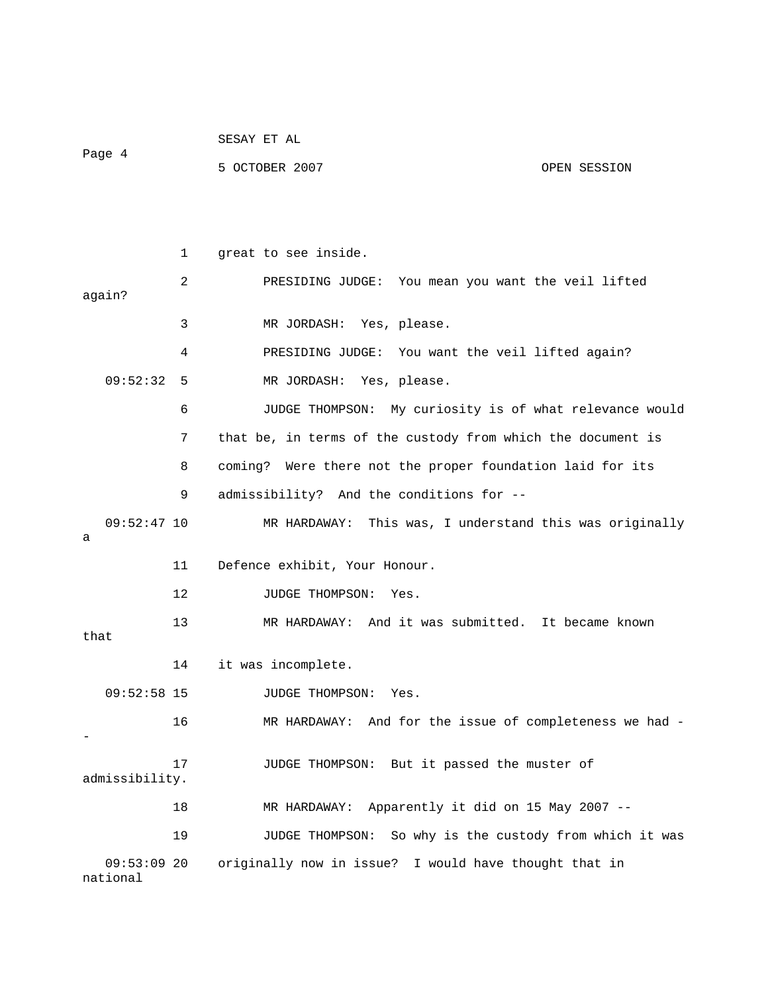| Page 4                    |    | 5 OCTOBER 2007<br>OPEN SESSION                              |
|---------------------------|----|-------------------------------------------------------------|
|                           |    |                                                             |
|                           | 1  | great to see inside.                                        |
| again?                    | 2  | PRESIDING JUDGE: You mean you want the veil lifted          |
|                           | 3  | MR JORDASH: Yes, please.                                    |
|                           | 4  | PRESIDING JUDGE: You want the veil lifted again?            |
| 09:52:32 5                |    | MR JORDASH: Yes, please.                                    |
|                           | 6  | JUDGE THOMPSON: My curiosity is of what relevance would     |
|                           | 7  | that be, in terms of the custody from which the document is |
|                           | 8  | coming? Were there not the proper foundation laid for its   |
|                           | 9  | admissibility? And the conditions for --                    |
| $09:52:47$ 10<br>а        |    | MR HARDAWAY: This was, I understand this was originally     |
|                           | 11 | Defence exhibit, Your Honour.                               |
|                           | 12 | JUDGE THOMPSON:<br>Yes.                                     |
| that                      | 13 | MR HARDAWAY: And it was submitted. It became known          |
|                           | 14 | it was incomplete.                                          |
| $09:52:58$ 15             |    | JUDGE THOMPSON: Yes.                                        |
|                           | 16 | MR HARDAWAY: And for the issue of completeness we had -     |
| admissibility.            | 17 | JUDGE THOMPSON: But it passed the muster of                 |
|                           | 18 | MR HARDAWAY: Apparently it did on 15 May 2007 --            |
|                           | 19 | So why is the custody from which it was<br>JUDGE THOMPSON:  |
| $09:53:09$ 20<br>national |    | originally now in issue? I would have thought that in       |

SESAY ET AL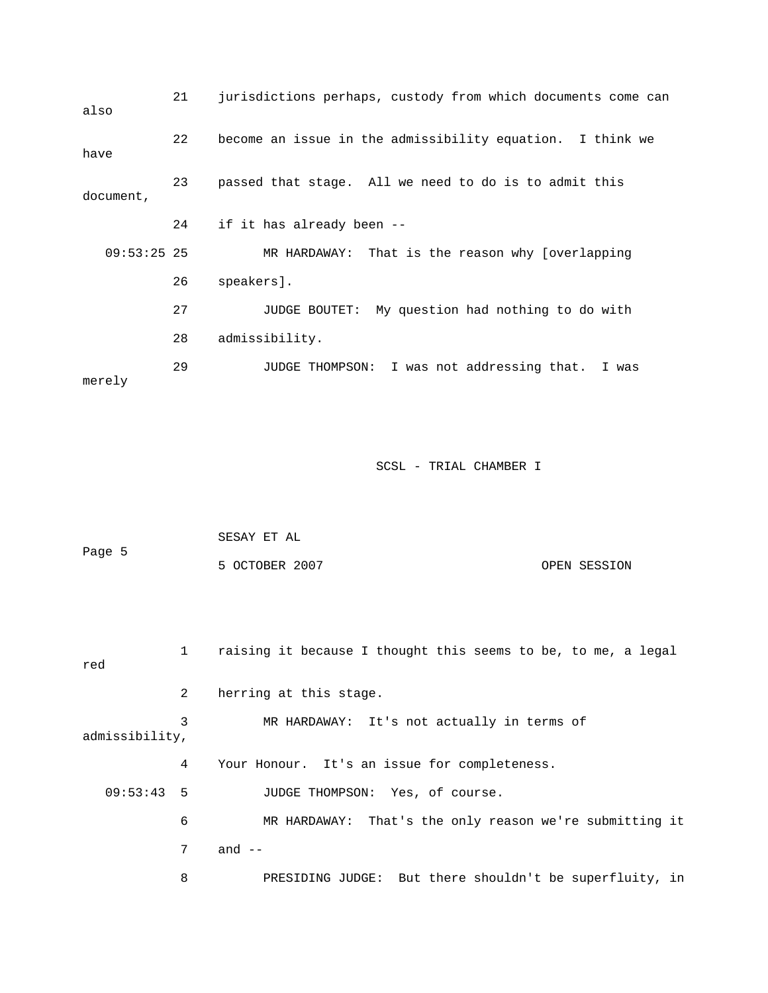| also          | 21 | jurisdictions perhaps, custody from which documents come can |
|---------------|----|--------------------------------------------------------------|
| have          | 22 | become an issue in the admissibility equation. I think we    |
| document,     | 23 | passed that stage. All we need to do is to admit this        |
|               | 24 | if it has already been --                                    |
| $09:53:25$ 25 |    | MR HARDAWAY: That is the reason why [overlapping             |
|               | 26 | speakers].                                                   |
|               | 27 | JUDGE BOUTET: My question had nothing to do with             |
|               | 28 | admissibility.                                               |
| merely        | 29 | JUDGE THOMPSON: I was not addressing that.<br>I was          |

| Page 5 | SESAY ET AL    |              |
|--------|----------------|--------------|
|        | 5 OCTOBER 2007 | OPEN SESSION |

| red            | $\mathbf{1}$ | raising it because I thought this seems to be, to me, a legal |
|----------------|--------------|---------------------------------------------------------------|
|                | 2            | herring at this stage.                                        |
| admissibility, | 3            | MR HARDAWAY: It's not actually in terms of                    |
|                | 4            | Your Honour. It's an issue for completeness.                  |
| $09:53:43$ 5   |              | JUDGE THOMPSON: Yes, of course.                               |
|                | 6            | MR HARDAWAY: That's the only reason we're submitting it       |
|                | 7            | and $-$                                                       |
|                | 8            | PRESIDING JUDGE: But there shouldn't be superfluity, in       |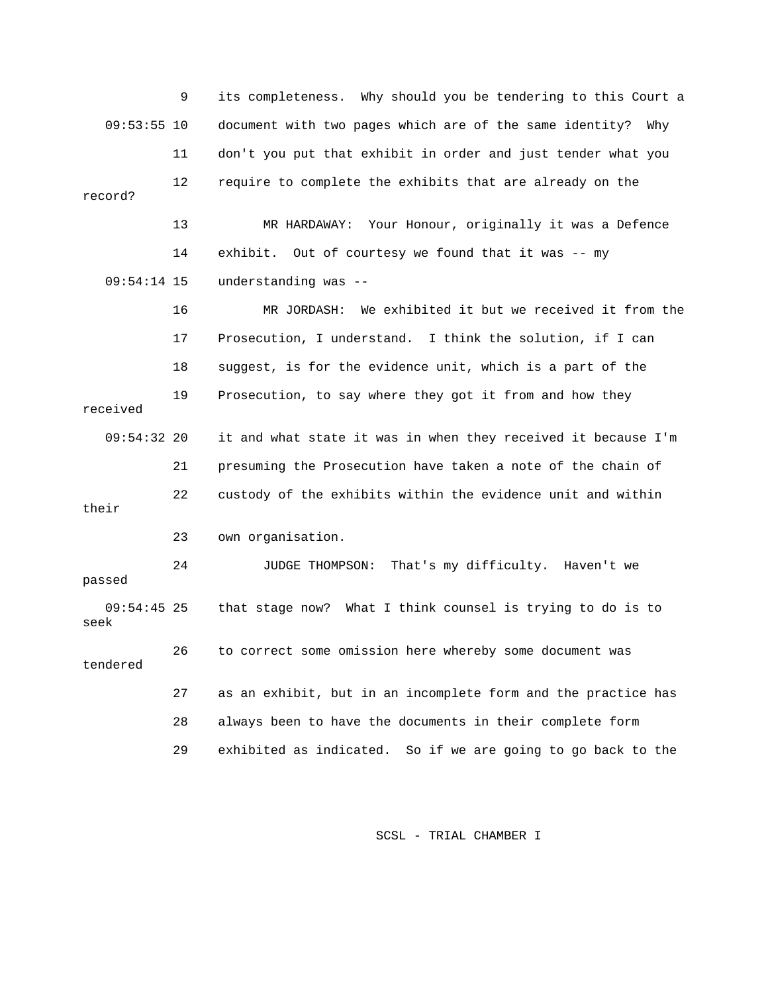9 its completeness. Why should you be tendering to this Court a 09:53:55 10 document with two pages which are of the same identity? Why 12 require to complete the exhibits that are already on the 13 MR HARDAWAY: Your Honour, originally it was a Defence 14 exhibit. Out of courtesy we found that it was -- my 16 MR JORDASH: We exhibited it but we received it from the 17 Prosecution, I understand. I think the solution, if I can 19 Prosecution, to say where they got it from and how they 09:54:32 20 it and what state it was in when they received it because I'm 21 presuming the Prosecution have taken a note of the chain of 23 own organisation. 24 JUDGE THOMPSON: That's my difficulty. Haven't we 09:54:45 25 that stage now? What I think counsel is trying to do is to 26 to correct some omission here whereby some document was 27 as an exhibit, but in an incomplete form and the practice has 28 always been to have the documents in their complete form 29 exhibited as indicated. So if we are going to go back to the 11 don't you put that exhibit in order and just tender what you record? 09:54:14 15 understanding was -- 18 suggest, is for the evidence unit, which is a part of the received 22 custody of the exhibits within the evidence unit and within their passed seek tendered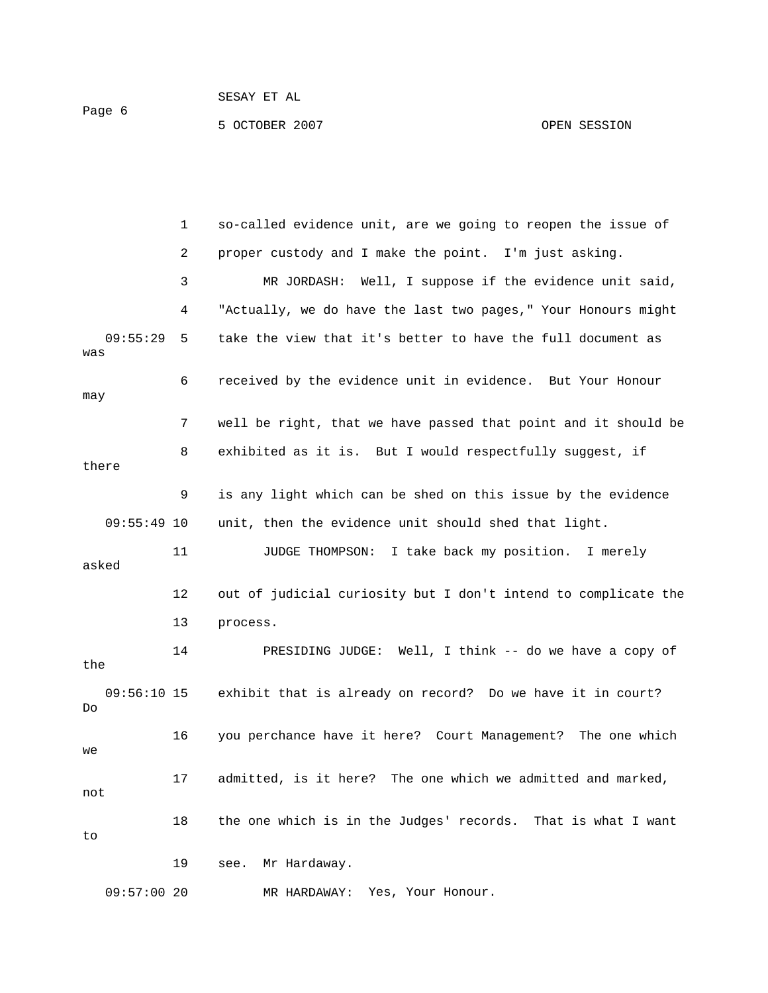Page 6

5 OCTOBER 2007 OPEN SESSION

 1 so-called evidence unit, are we going to reopen the issue of 3 MR JORDASH: Well, I suppose if the evidence unit said, was 6 received by the evidence unit in evidence. But Your Honour may 7 well be right, that we have passed that point and it should be there 9 is any light which can be shed on this issue by the evidence 11 JUDGE THOMPSON: I take back my position. I merely asked 12 out of judicial curiosity but I don't intend to complicate the 14 PRESIDING JUDGE: Well, I think -- do we have a copy of exhibit that is already on record? Do we have it in court? 16 you perchance have it here? Court Management? The one which 17 admitted, is it here? The one which we admitted and marked, 18 the one which is in the Judges' records. That is what I want 19 see. Mr Hardaway. 09:57:00 20 MR HARDAWAY: Yes, Your Honour. 2 proper custody and I make the point. I'm just asking. 4 "Actually, we do have the last two pages," Your Honours might 09:55:29 5 take the view that it's better to have the full document as 8 exhibited as it is. But I would respectfully suggest, if 09:55:49 10 unit, then the evidence unit should shed that light. 13 process. the  $09:56:10$  15 Do we not to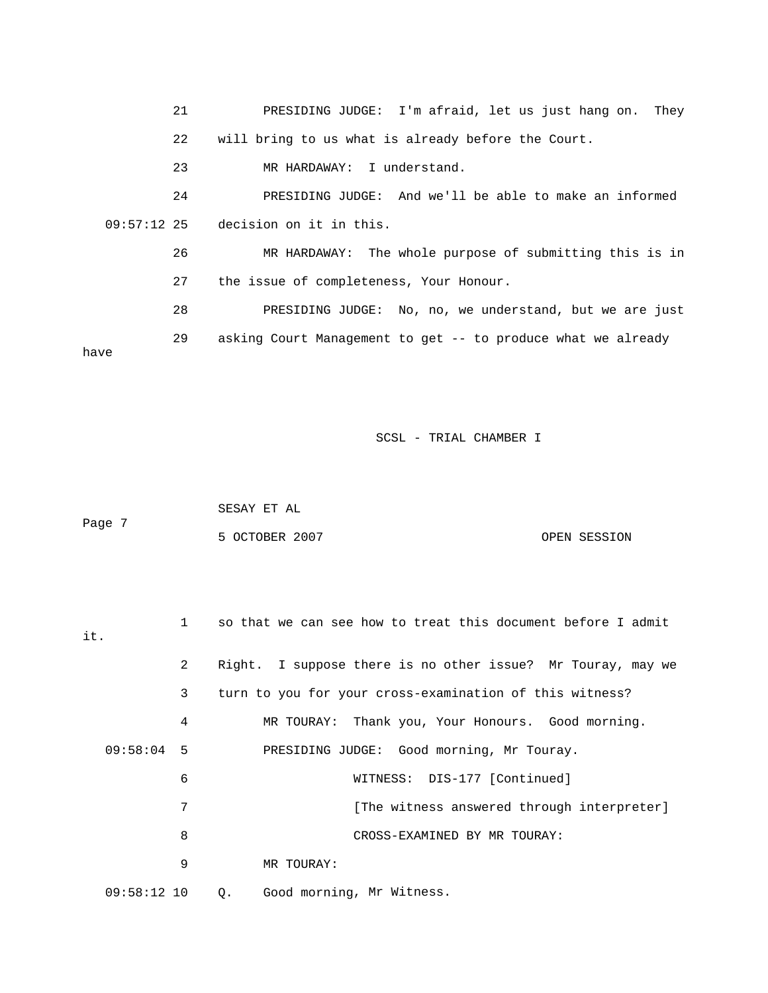| 21         | PRESIDING JUDGE: I'm afraid, let us just hang on. They       |
|------------|--------------------------------------------------------------|
| 22         | will bring to us what is already before the Court.           |
| 23         | MR HARDAWAY: I understand.                                   |
| 24         | PRESIDING JUDGE: And we'll be able to make an informed       |
|            | $09:57:12$ 25 decision on it in this.                        |
| 26         | MR HARDAWAY: The whole purpose of submitting this is in      |
| 27         | the issue of completeness, Your Honour.                      |
| 28         | PRESIDING JUDGE: No, no, we understand, but we are just      |
| 29<br>have | asking Court Management to get -- to produce what we already |

| Page 7 | SESAY ET AL    |              |
|--------|----------------|--------------|
|        | 5 OCTOBER 2007 | OPEN SESSION |

| it.           | $\mathbf{1}$   | so that we can see how to treat this document before I admit |
|---------------|----------------|--------------------------------------------------------------|
|               | $\overline{a}$ | Right. I suppose there is no other issue? Mr Touray, may we  |
|               | 3              | turn to you for your cross-examination of this witness?      |
|               | 4              | MR TOURAY: Thank you, Your Honours. Good morning.            |
| $09:58:04$ 5  |                | PRESIDING JUDGE: Good morning, Mr Touray.                    |
|               | 6              | WITNESS: DIS-177 [Continued]                                 |
|               | 7              | [The witness answered through interpreter]                   |
|               | 8              | CROSS-EXAMINED BY MR TOURAY:                                 |
|               | 9              | MR TOURAY:                                                   |
| $09:58:12$ 10 |                | Good morning, Mr Witness.<br>Q.                              |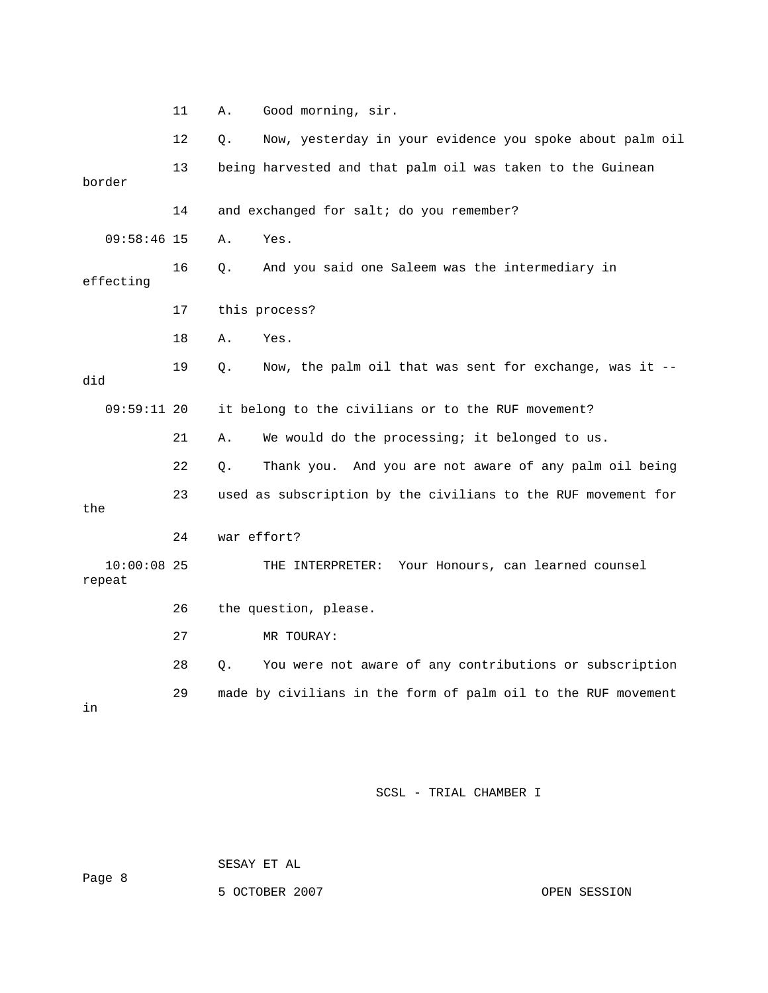|                         | 11 | Good morning, sir.<br>Α.                                       |
|-------------------------|----|----------------------------------------------------------------|
|                         | 12 | Now, yesterday in your evidence you spoke about palm oil<br>О. |
| border                  | 13 | being harvested and that palm oil was taken to the Guinean     |
|                         | 14 | and exchanged for salt; do you remember?                       |
| $09:58:46$ 15           |    | Yes.<br>Α.                                                     |
| effecting               | 16 | And you said one Saleem was the intermediary in<br>Q.          |
|                         | 17 | this process?                                                  |
|                         | 18 | Yes.<br>Α.                                                     |
| did                     | 19 | Now, the palm oil that was sent for exchange, was it --<br>О.  |
| $09:59:11$ 20           |    | it belong to the civilians or to the RUF movement?             |
|                         | 21 | We would do the processing; it belonged to us.<br>Α.           |
|                         | 22 | Q.<br>Thank you. And you are not aware of any palm oil being   |
| the                     | 23 | used as subscription by the civilians to the RUF movement for  |
|                         | 24 | war effort?                                                    |
| $10:00:08$ 25<br>repeat |    | THE INTERPRETER: Your Honours, can learned counsel             |
|                         | 26 | the question, please.                                          |
|                         | 27 | MR TOURAY:                                                     |
|                         | 28 | You were not aware of any contributions or subscription<br>Q.  |
| in                      | 29 | made by civilians in the form of palm oil to the RUF movement  |

SESAY ET AL

5 OCTOBER 2007 CPEN SESSION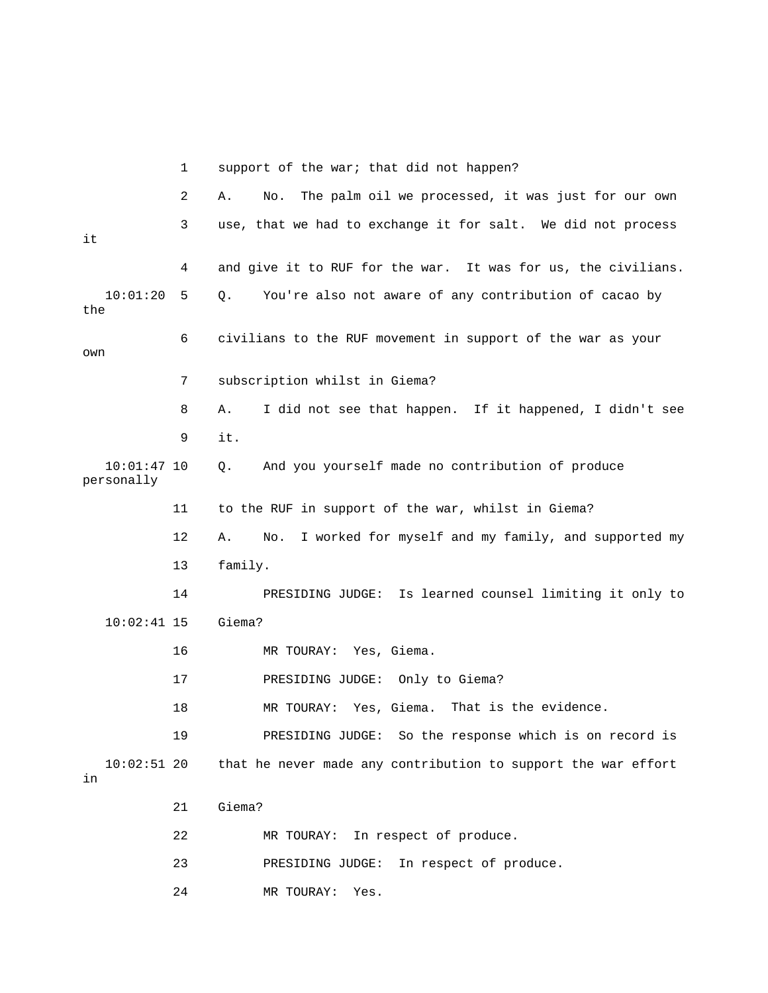|                             | 1  | support of the war; that did not happen?                         |
|-----------------------------|----|------------------------------------------------------------------|
|                             | 2  | The palm oil we processed, it was just for our own<br>Α.<br>No.  |
| it                          | 3  | use, that we had to exchange it for salt. We did not process     |
|                             | 4  | and give it to RUF for the war. It was for us, the civilians.    |
| 10:01:20<br>the             | 5  | You're also not aware of any contribution of cacao by<br>Q.      |
| own                         | 6  | civilians to the RUF movement in support of the war as your      |
|                             | 7  | subscription whilst in Giema?                                    |
|                             | 8  | I did not see that happen. If it happened, I didn't see<br>Α.    |
|                             | 9  | it.                                                              |
| $10:01:47$ 10<br>personally |    | And you yourself made no contribution of produce<br>$Q$ .        |
|                             | 11 | to the RUF in support of the war, whilst in Giema?               |
|                             | 12 | I worked for myself and my family, and supported my<br>Α.<br>No. |
|                             | 13 | family.                                                          |
|                             | 14 | PRESIDING JUDGE: Is learned counsel limiting it only to          |
| $10:02:41$ 15               |    | Giema?                                                           |
|                             | 16 | MR TOURAY: Yes, Giema.                                           |
|                             | 17 | PRESIDING JUDGE: Only to Giema?                                  |
|                             | 18 | Yes, Giema. That is the evidence.<br>MR TOURAY:                  |
|                             | 19 | So the response which is on record is<br>PRESIDING JUDGE:        |
| $10:02:51$ 20<br>in         |    | that he never made any contribution to support the war effort    |
|                             | 21 | Giema?                                                           |
|                             | 22 | In respect of produce.<br>MR TOURAY:                             |
|                             | 23 | PRESIDING JUDGE:<br>In respect of produce.                       |
|                             |    |                                                                  |

24 MR TOURAY: Yes.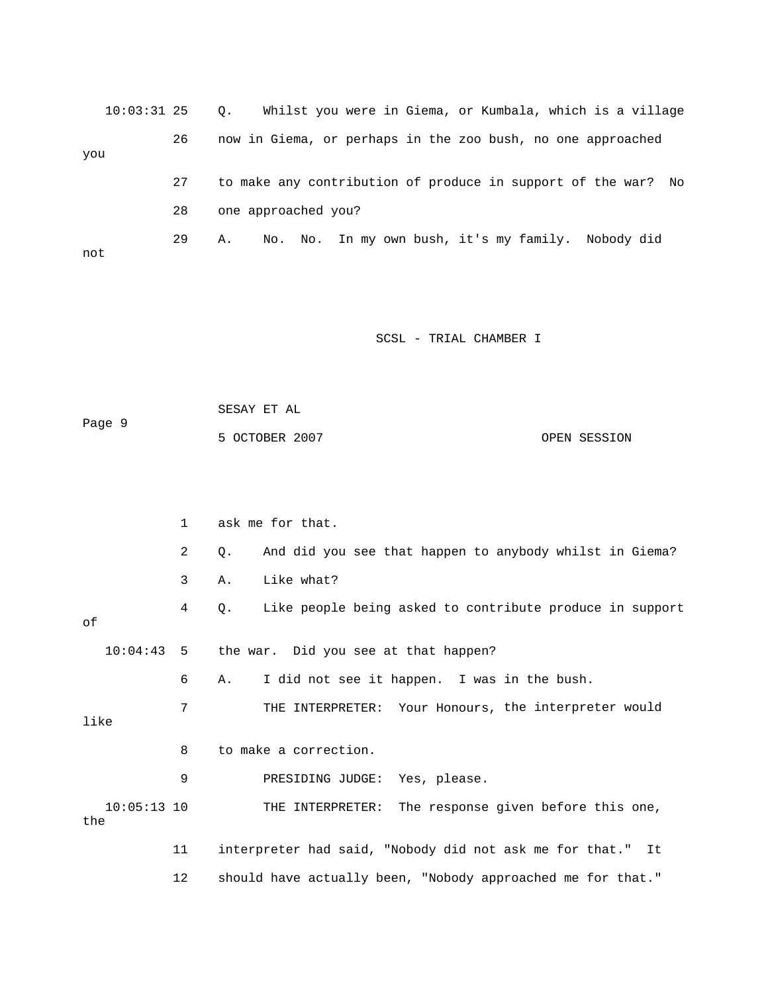| $10:03:31$ 25 |    | Whilst you were in Giema, or Kumbala, which is a village<br>$\circ$ . |
|---------------|----|-----------------------------------------------------------------------|
| you           | 26 | now in Giema, or perhaps in the zoo bush, no one approached           |
|               | 27 | to make any contribution of produce in support of the war? No         |
|               | 28 | one approached you?                                                   |
| not           | 29 | No. No. In my own bush, it's my family. Nobody did<br>Α.              |

|                      |              | SESAY ET AL                                                    |    |
|----------------------|--------------|----------------------------------------------------------------|----|
| Page 9               |              | 5 OCTOBER 2007<br>OPEN SESSION                                 |    |
|                      |              |                                                                |    |
|                      |              |                                                                |    |
|                      | $\mathbf{1}$ | ask me for that.                                               |    |
|                      | 2            | And did you see that happen to anybody whilst in Giema?<br>Q.  |    |
|                      | 3            | Like what?<br>Α.                                               |    |
| οf                   | 4            | Like people being asked to contribute produce in support<br>Q. |    |
|                      |              |                                                                |    |
| 10:04:43             | -5           | the war. Did you see at that happen?                           |    |
|                      | 6            | I did not see it happen. I was in the bush.<br>Α.              |    |
| like                 | 7            | THE INTERPRETER: Your Honours, the interpreter would           |    |
|                      | 8            | to make a correction.                                          |    |
|                      | 9            | PRESIDING JUDGE: Yes, please.                                  |    |
| $10:05:13$ 10<br>the |              | THE INTERPRETER: The response given before this one,           |    |
|                      | 11           | interpreter had said, "Nobody did not ask me for that."        | It |
|                      | 12           | should have actually been, "Nobody approached me for that."    |    |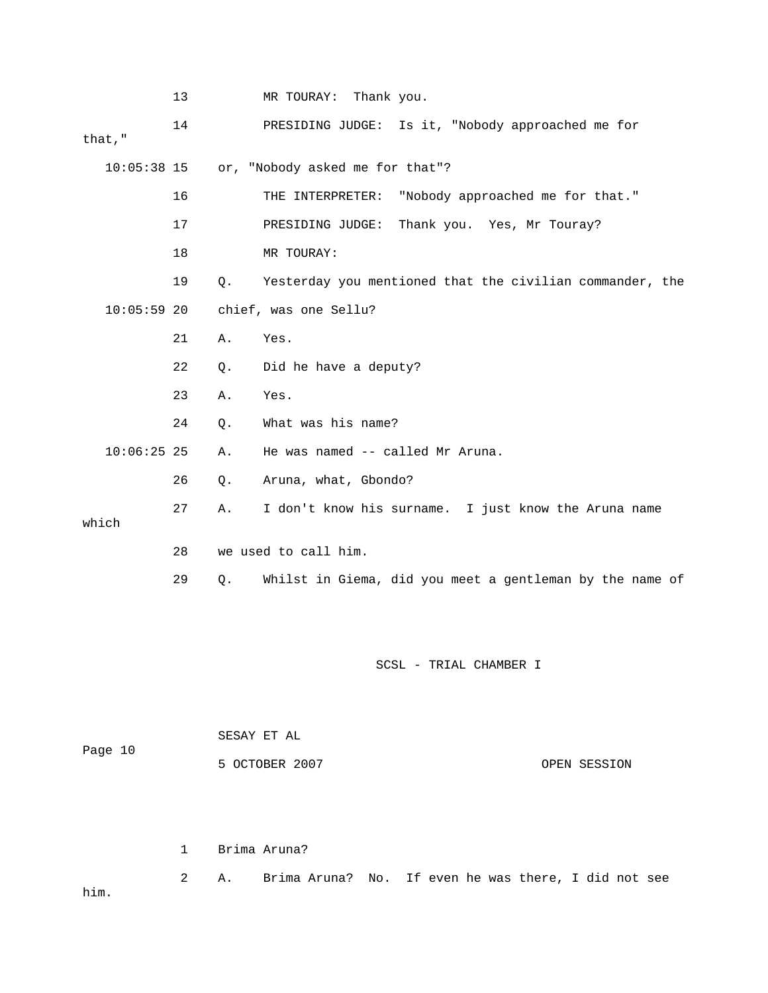|               | 13 |    | MR TOURAY: Thank you.                                    |              |
|---------------|----|----|----------------------------------------------------------|--------------|
| that, $"$     | 14 |    | PRESIDING JUDGE: Is it, "Nobody approached me for        |              |
| $10:05:38$ 15 |    |    | or, "Nobody asked me for that"?                          |              |
|               | 16 |    | THE INTERPRETER: "Nobody approached me for that."        |              |
|               | 17 |    | PRESIDING JUDGE: Thank you. Yes, Mr Touray?              |              |
|               | 18 |    | MR TOURAY:                                               |              |
|               | 19 | Q. | Yesterday you mentioned that the civilian commander, the |              |
| $10:05:59$ 20 |    |    | chief, was one Sellu?                                    |              |
|               | 21 | Α. | Yes.                                                     |              |
|               | 22 | Q. | Did he have a deputy?                                    |              |
|               | 23 | Α. | Yes.                                                     |              |
|               | 24 | Q. | What was his name?                                       |              |
| $10:06:25$ 25 |    | Α. | He was named -- called Mr Aruna.                         |              |
|               | 26 | Q. | Aruna, what, Gbondo?                                     |              |
| which         | 27 | Α. | I don't know his surname. I just know the Aruna name     |              |
|               | 28 |    | we used to call him.                                     |              |
|               | 29 | Q. | Whilst in Giema, did you meet a gentleman by the name of |              |
|               |    |    |                                                          |              |
|               |    |    | SCSL - TRIAL CHAMBER I                                   |              |
|               |    |    | SESAY ET AL                                              |              |
| Page 10       |    |    | 5 OCTOBER 2007                                           | OPEN SESSION |

1 Brima Aruna?

 2 A. Brima Aruna? No. If even he was there, I did not see him.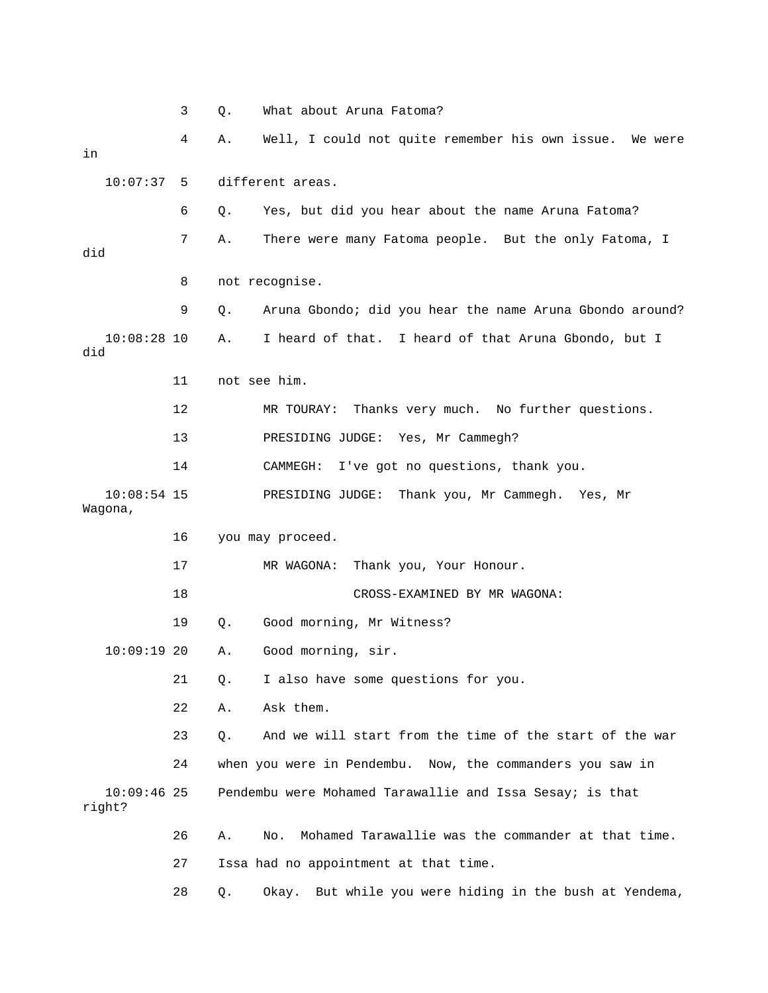|                          | 3  | Q.           | What about Aruna Fatoma?                                  |
|--------------------------|----|--------------|-----------------------------------------------------------|
| in                       | 4  | Α.           | Well, I could not quite remember his own issue. We were   |
| 10:07:37                 | 5  |              | different areas.                                          |
|                          | 6  | Q.           | Yes, but did you hear about the name Aruna Fatoma?        |
| did                      | 7  | Α.           | There were many Fatoma people. But the only Fatoma, I     |
|                          | 8  |              | not recognise.                                            |
|                          | 9  | Q.           | Aruna Gbondo; did you hear the name Aruna Gbondo around?  |
| $10:08:28$ 10<br>did     |    | Α.           | I heard of that. I heard of that Aruna Gbondo, but I      |
|                          | 11 | not see him. |                                                           |
|                          | 12 |              | Thanks very much. No further questions.<br>MR TOURAY:     |
|                          | 13 |              | PRESIDING JUDGE: Yes, Mr Cammegh?                         |
|                          | 14 |              | I've got no questions, thank you.<br>CAMMEGH:             |
| $10:08:54$ 15<br>Wagona, |    |              | Thank you, Mr Cammegh. Yes, Mr<br>PRESIDING JUDGE:        |
|                          | 16 |              | you may proceed.                                          |
|                          | 17 |              | MR WAGONA:<br>Thank you, Your Honour.                     |
|                          | 18 |              | CROSS-EXAMINED BY MR WAGONA:                              |
|                          | 19 | $Q$ .        | Good morning, Mr Witness?                                 |
| $10:09:19$ 20            |    | Α.           | Good morning, sir.                                        |
|                          | 21 | Q.           | I also have some questions for you.                       |
|                          | 22 | Α.           | Ask them.                                                 |
|                          | 23 | $Q$ .        | And we will start from the time of the start of the war   |
|                          | 24 |              | when you were in Pendembu. Now, the commanders you saw in |
| $10:09:46$ 25<br>right?  |    |              | Pendembu were Mohamed Tarawallie and Issa Sesay; is that  |
|                          | 26 | Α.           | Mohamed Tarawallie was the commander at that time.<br>No. |
|                          | 27 |              | Issa had no appointment at that time.                     |
|                          | 28 | Q.           | Okay. But while you were hiding in the bush at Yendema,   |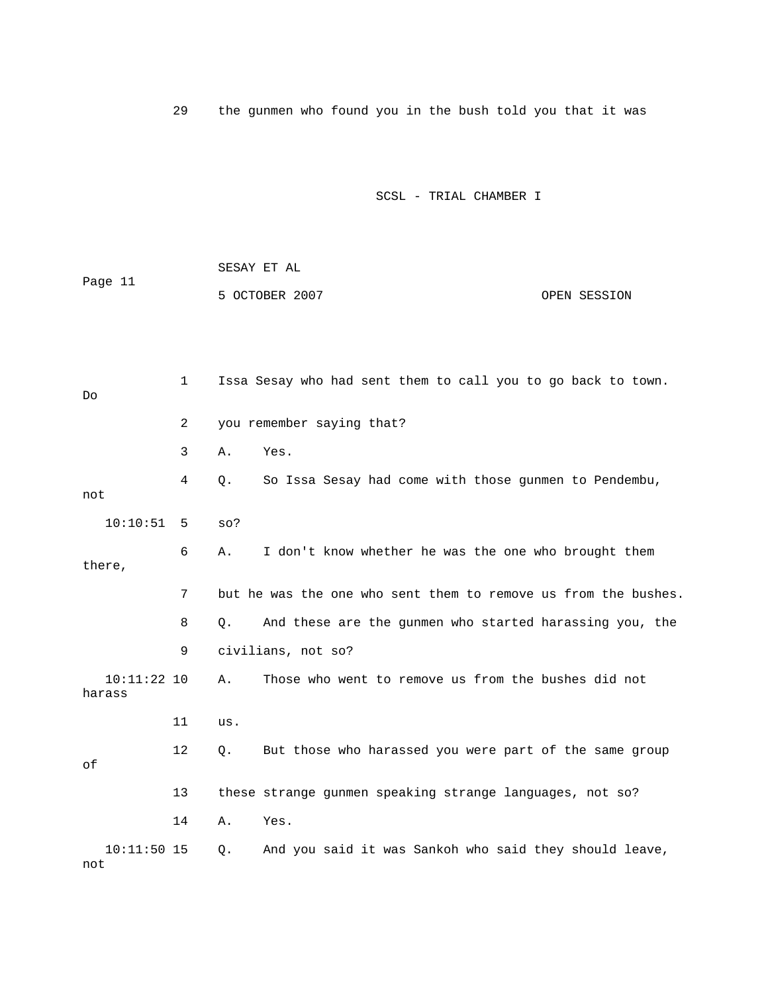29 the gunmen who found you in the bush told you that it was

|         | SESAY ET AL    |              |
|---------|----------------|--------------|
| Page 11 |                |              |
|         | 5 OCTOBER 2007 | OPEN SESSION |

| Do                      | 1  | Issa Sesay who had sent them to call you to go back to town.        |
|-------------------------|----|---------------------------------------------------------------------|
|                         | 2  | you remember saying that?                                           |
|                         | 3  | Yes.<br>Α.                                                          |
| not                     | 4  | So Issa Sesay had come with those gunmen to Pendembu,<br>Q.         |
| 10:10:51                | 5  | $SO$ ?                                                              |
| there,                  | 6  | I don't know whether he was the one who brought them<br>Α.          |
|                         | 7  | but he was the one who sent them to remove us from the bushes.      |
|                         | 8  | And these are the gunmen who started harassing you, the<br>О.       |
|                         | 9  | civilians, not so?                                                  |
| $10:11:22$ 10<br>harass |    | Those who went to remove us from the bushes did not<br>Α.           |
|                         | 11 | us.                                                                 |
| оf                      | 12 | But those who harassed you were part of the same group<br>$\circ$ . |
|                         | 13 | these strange gunmen speaking strange languages, not so?            |
|                         | 14 | Yes.<br>Α.                                                          |
| $10:11:50$ 15<br>not    |    | And you said it was Sankoh who said they should leave,<br>Q.        |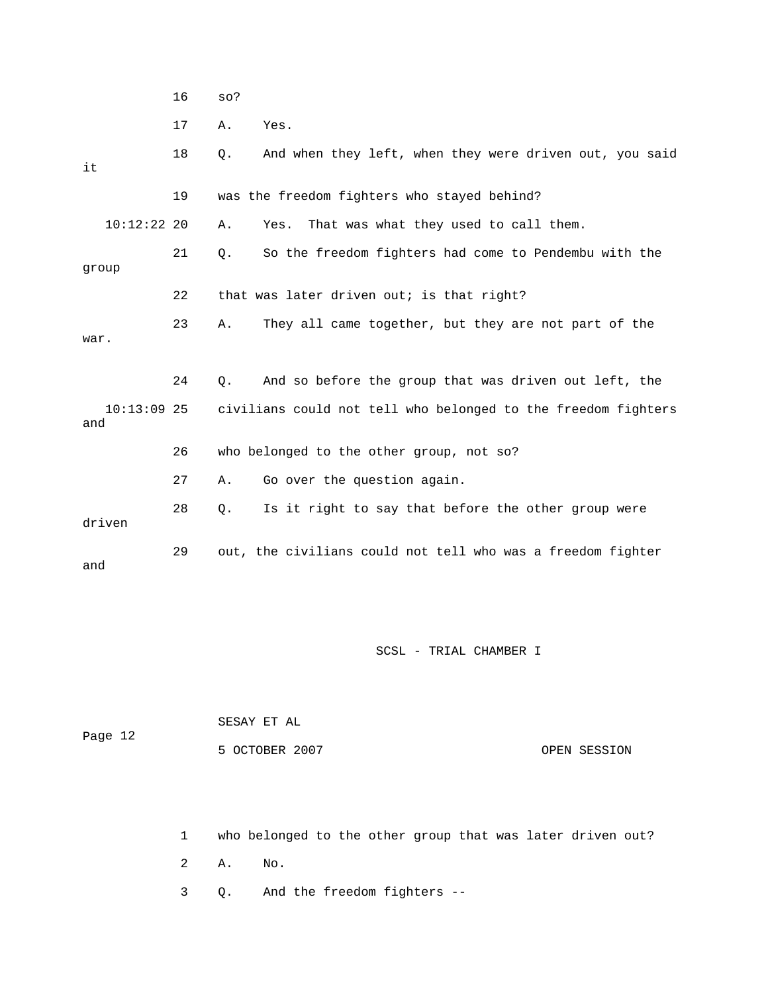16 so?

17 A. Yes.

| it                   | 18 | Q.<br>And when they left, when they were driven out, you said      |
|----------------------|----|--------------------------------------------------------------------|
|                      | 19 | was the freedom fighters who stayed behind?                        |
| $10:12:22$ 20        |    | That was what they used to call them.<br>Α.<br>Yes.                |
| qroup                | 21 | So the freedom fighters had come to Pendembu with the<br>$\circ$ . |
|                      | 22 | that was later driven out; is that right?                          |
| war.                 | 23 | They all came together, but they are not part of the<br>Α.         |
|                      | 24 | Ο.<br>And so before the group that was driven out left, the        |
| $10:13:09$ 25<br>and |    | civilians could not tell who belonged to the freedom fighters      |
|                      | 26 | who belonged to the other group, not so?                           |
|                      | 27 | Go over the question again.<br>Α.                                  |
| driven               | 28 | Is it right to say that before the other group were<br>$\circ$ .   |
| and                  | 29 | out, the civilians could not tell who was a freedom fighter        |

SCSL - TRIAL CHAMBER I

|         | SESAY ET AL    |              |
|---------|----------------|--------------|
| Page 12 |                |              |
|         | 5 OCTOBER 2007 | OPEN SESSION |

1 who belonged to the other group that was later driven out?

2 A. No.

3 Q. And the freedom fighters --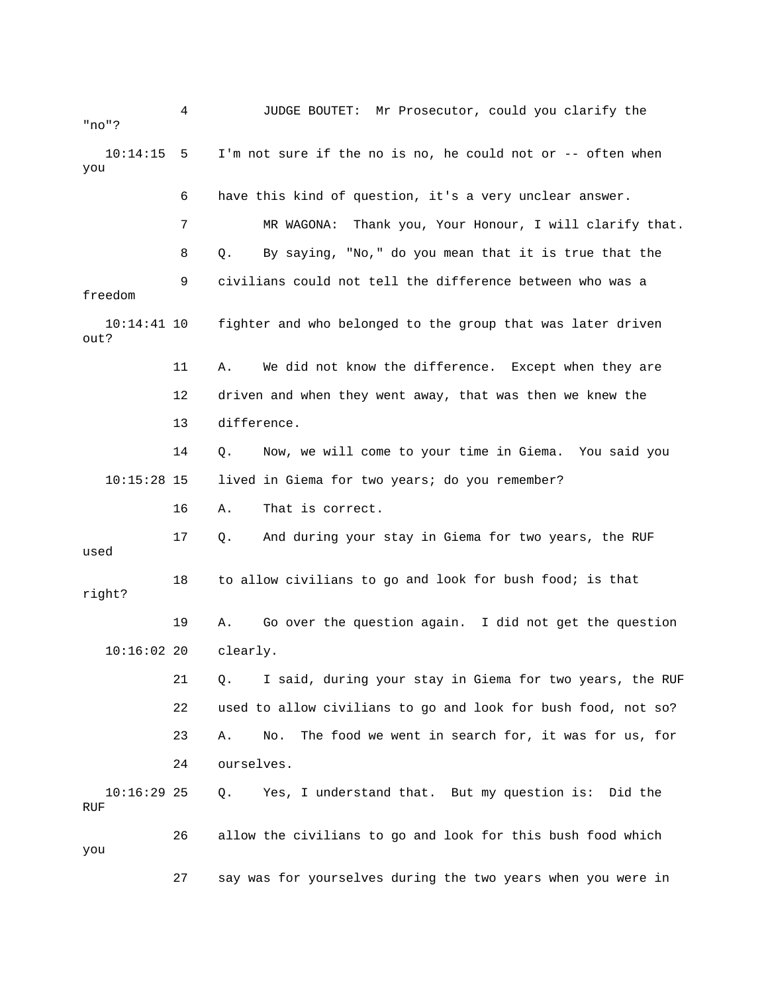| "no"?                 | 4  | JUDGE BOUTET: Mr Prosecutor, could you clarify the              |
|-----------------------|----|-----------------------------------------------------------------|
| 10:14:15<br>you       | -5 | I'm not sure if the no is no, he could not or -- often when     |
|                       | 6  | have this kind of question, it's a very unclear answer.         |
|                       | 7  | MR WAGONA:<br>Thank you, Your Honour, I will clarify that.      |
|                       | 8  | By saying, "No," do you mean that it is true that the<br>Q.     |
| freedom               | 9  | civilians could not tell the difference between who was a       |
| $10:14:41$ 10<br>out? |    | fighter and who belonged to the group that was later driven     |
|                       | 11 | We did not know the difference. Except when they are<br>Α.      |
|                       | 12 | driven and when they went away, that was then we knew the       |
|                       | 13 | difference.                                                     |
|                       | 14 | Now, we will come to your time in Giema. You said you<br>Q.     |
| $10:15:28$ 15         |    | lived in Giema for two years; do you remember?                  |
|                       | 16 | That is correct.<br>Α.                                          |
| used                  | 17 | And during your stay in Giema for two years, the RUF<br>Q.      |
| right?                | 18 | to allow civilians to go and look for bush food; is that        |
|                       | 19 | Go over the question again. I did not get the question<br>Α.    |
| 10:16:0220            |    | clearly.                                                        |
|                       | 21 | I said, during your stay in Giema for two years, the RUF<br>Q.  |
|                       | 22 | used to allow civilians to go and look for bush food, not so?   |
|                       | 23 | The food we went in search for, it was for us, for<br>Α.<br>No. |
|                       | 24 | ourselves.                                                      |
| $10:16:29$ 25<br>RUF  |    | Yes, I understand that. But my question is: Did the<br>Q.       |
| you                   | 26 | allow the civilians to go and look for this bush food which     |
|                       | 27 | say was for yourselves during the two years when you were in    |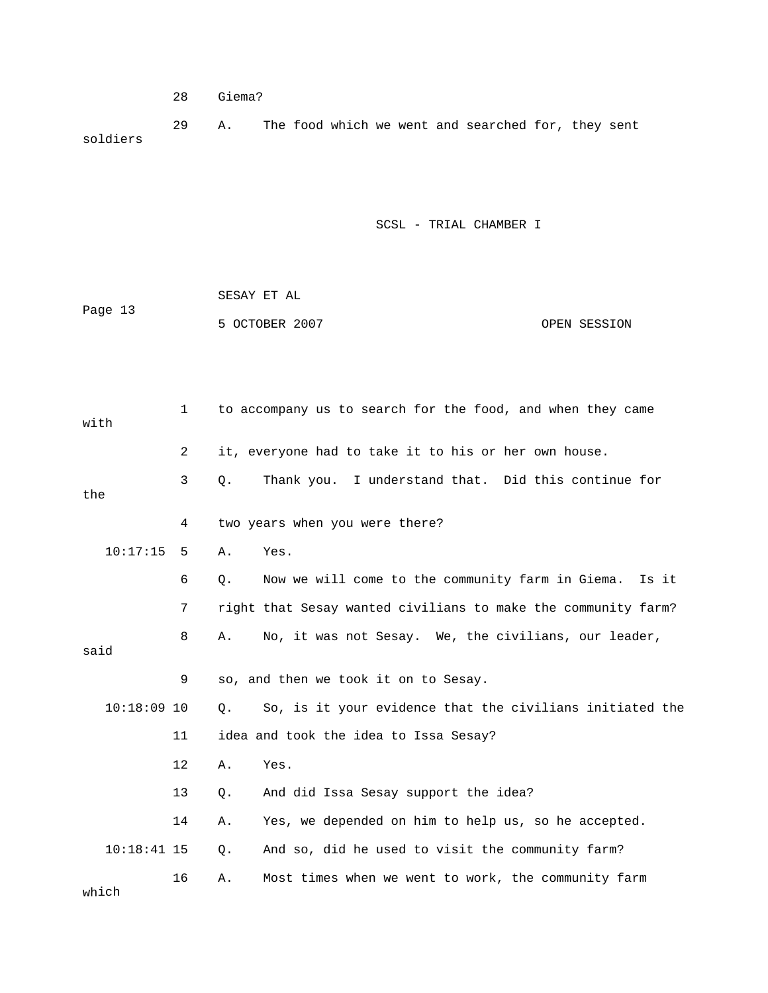28 Giema?

 29 A. The food which we went and searched for, they sent soldiers

| Page 13 | SESAY ET AL    |              |
|---------|----------------|--------------|
|         | 5 OCTOBER 2007 | OPEN SESSION |

| with          | $\mathbf{1}$ | to accompany us to search for the food, and when they came      |
|---------------|--------------|-----------------------------------------------------------------|
|               | 2            | it, everyone had to take it to his or her own house.            |
| the           | 3            | Thank you. I understand that. Did this continue for<br>Q.       |
|               | 4            | two years when you were there?                                  |
| 10:17:15      | 5            | Yes.<br>Α.                                                      |
|               | 6            | Now we will come to the community farm in Giema. Is it<br>$Q$ . |
|               | 7            | right that Sesay wanted civilians to make the community farm?   |
| said          | 8            | No, it was not Sesay. We, the civilians, our leader,<br>Α.      |
|               | 9            | so, and then we took it on to Sesay.                            |
| $10:18:09$ 10 |              | So, is it your evidence that the civilians initiated the<br>0.  |
|               | 11           | idea and took the idea to Issa Sesay?                           |
|               | 12           | Α.<br>Yes.                                                      |
|               | 13           | And did Issa Sesay support the idea?<br>$Q$ .                   |
|               | 14           | Yes, we depended on him to help us, so he accepted.<br>Α.       |
| $10:18:41$ 15 |              | And so, did he used to visit the community farm?<br>$Q$ .       |
| which         | 16           | Most times when we went to work, the community farm<br>Α.       |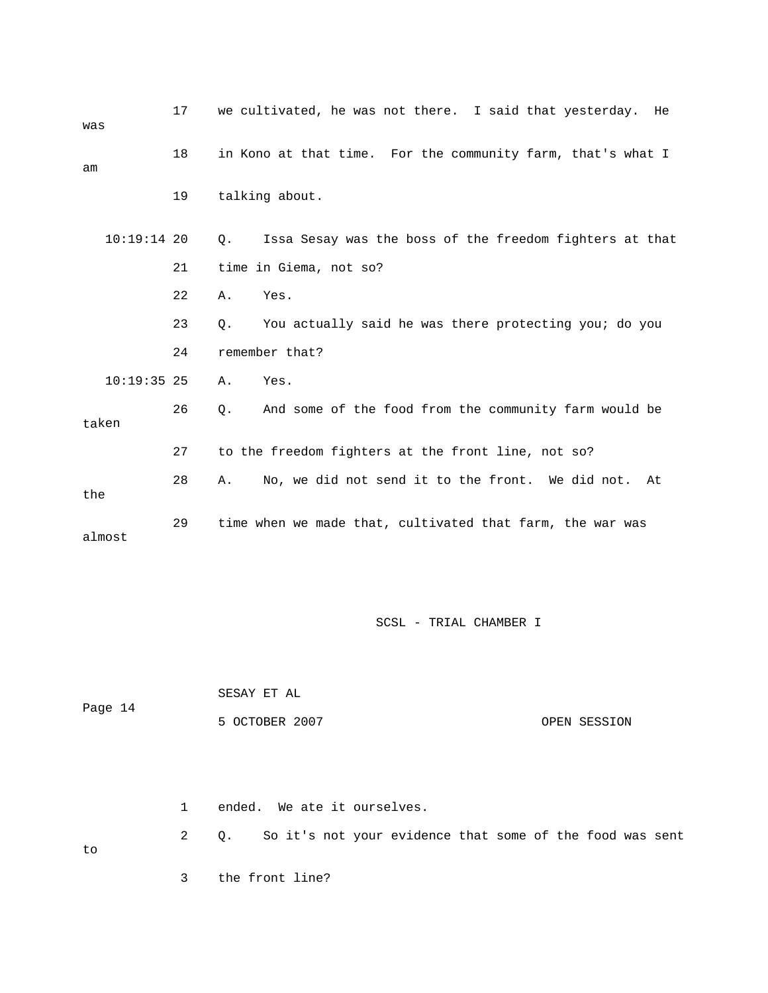| was           | 17 | we cultivated, he was not there. I said that yesterday.<br>He    |
|---------------|----|------------------------------------------------------------------|
| am            | 18 | in Kono at that time. For the community farm, that's what I      |
|               | 19 | talking about.                                                   |
| $10:19:14$ 20 |    | $Q$ .<br>Issa Sesay was the boss of the freedom fighters at that |
|               | 21 | time in Giema, not so?                                           |
|               | 22 | Yes.<br>Α.                                                       |
|               | 23 | You actually said he was there protecting you; do you<br>О.      |
|               | 24 | remember that?                                                   |
| $10:19:35$ 25 |    | Yes.<br>Α.                                                       |
| taken         | 26 | And some of the food from the community farm would be<br>Q.      |
|               | 27 | to the freedom fighters at the front line, not so?               |
| the           | 28 | No, we did not send it to the front. We did not.<br>Α.<br>At     |
| almost        | 29 | time when we made that, cultivated that farm, the war was        |

|         | SESAY ET AL    |              |
|---------|----------------|--------------|
| Page 14 |                |              |
|         | 5 OCTOBER 2007 | OPEN SESSION |

 2 Q. So it's not your evidence that some of the food was sent 3 the front line? 1 ended. We ate it ourselves. to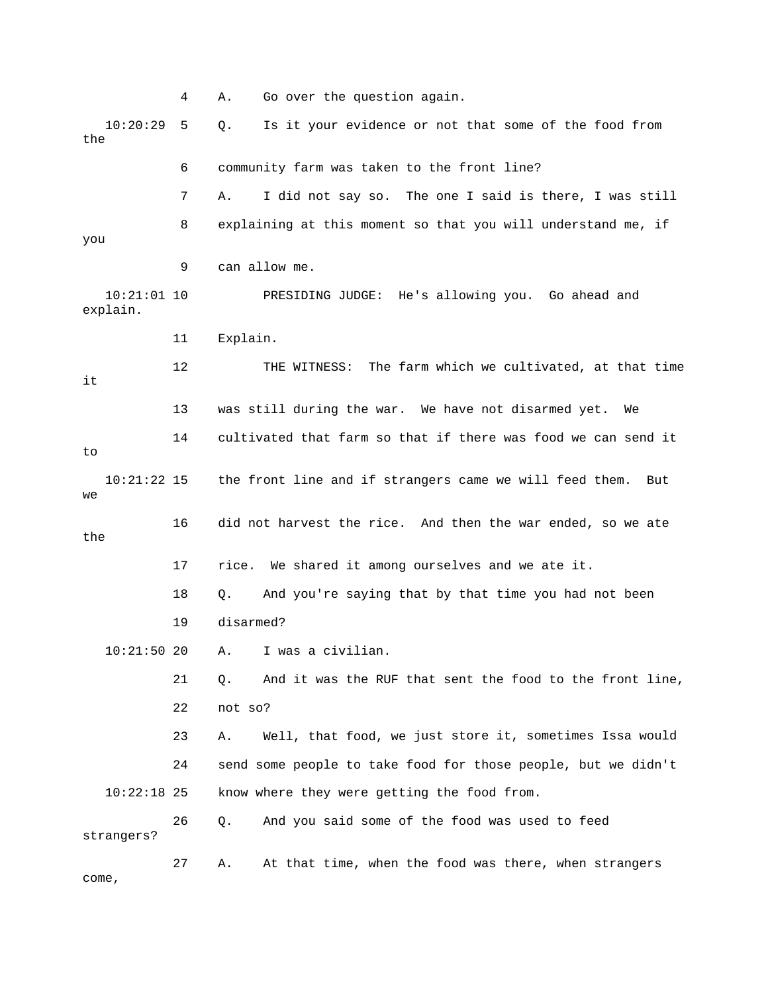4 A. Go over the question again. 5 Q. Is it your evidence or not that some of the food from 6 community farm was taken to the front line? 7 A. I did not say so. The one I said is there, I was still 8 explaining at this moment so that you will understand me, if 9 can allow me. 10:21:01 10 PRESIDING JUDGE: He's allowing you. Go ahead and 11 Explain. 12 THE WITNESS: The farm which we cultivated, at that time 13 was still during the war. We have not disarmed yet. We 14 cultivated that farm so that if there was food we can send it 10:21:22 15 the front line and if strangers came we will feed them. But 18 Q. And you're saying that by that time you had not been 21 Q. And it was the RUF that sent the food to the front line, 23 A. Well, that food, we just store it, sometimes Issa would know where they were getting the food from. 27 A. At that time, when the food was there, when strangers  $10:20:29$ the you explain. it to  $M\Omega$  16 did not harvest the rice. And then the war ended, so we ate the 17 rice. We shared it among ourselves and we ate it. 19 disarmed? 10:21:50 20 A. I was a civilian. 22 not so? 24 send some people to take food for those people, but we didn't  $10:22:18$  25 26 Q. And you said some of the food was used to feed strangers? come,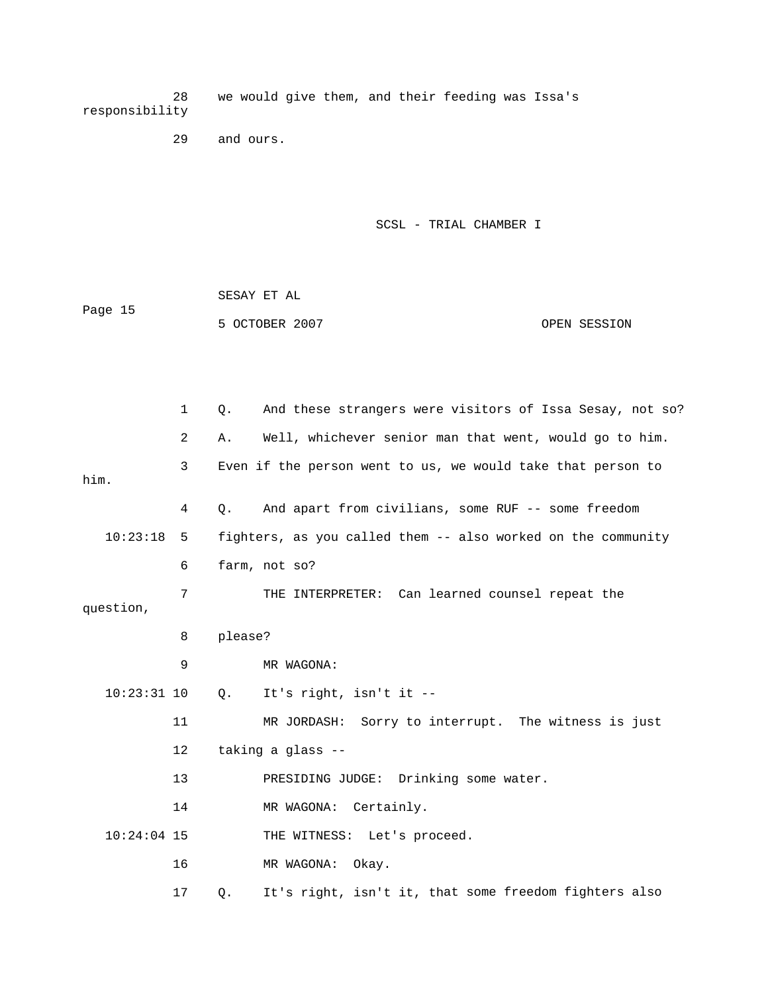28 we would give them, and their feeding was Issa's responsibility

29 and ours.

SCSL - TRIAL CHAMBER I

 SESAY ET AL 5 OCTOBER 2007 CPEN SESSION Page 15

1 Q. And these strangers were visitors of Issa Sesay, not so? 2 A. Well, whichever senior man that went, would go to him. 3 Even if the person went to us, we would take that person to him. 4 Q. And apart from civilians, some RUF -- some freedom 6 farm, not so? question, 8 please? 9 MR WAGONA: 10 Q. It's right, isn't it -- 11 MR JORDASH: Sorry to interrupt. The witness is just 13 PRESIDING JUDGE: Drinking some water. 10:24:04 15 THE WITNESS: Let's proceed. 17 Q. It's right, isn't it, that some freedom fighters also 10:23:18 5 fighters, as you called them -- also worked on the community 7 THE INTERPRETER: Can learned counsel repeat the 10:23:31 12 taking a glass -- 14 MR WAGONA: Certainly. 16 MR WAGONA: Okay.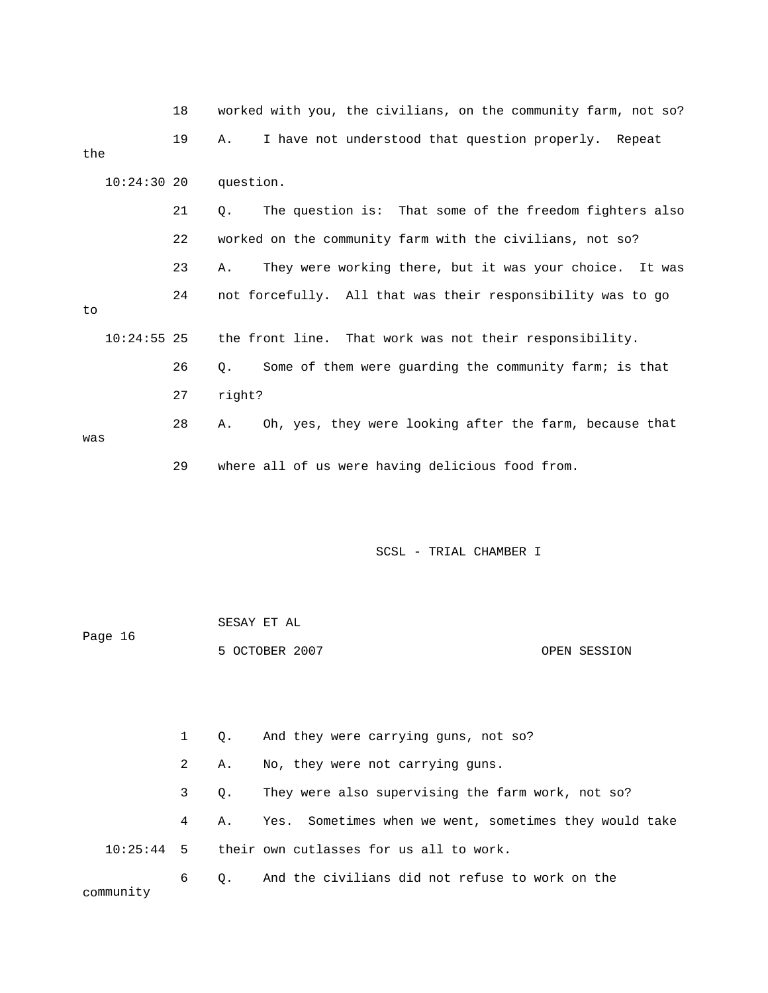|     |               | 18 | worked with you, the civilians, on the community farm, not so? |
|-----|---------------|----|----------------------------------------------------------------|
| the |               | 19 | I have not understood that question properly. Repeat<br>Α.     |
|     | $10:24:30$ 20 |    | question.                                                      |
|     |               | 21 | The question is: That some of the freedom fighters also<br>О.  |
|     |               | 22 | worked on the community farm with the civilians, not so?       |
|     |               | 23 | They were working there, but it was your choice. It was<br>Α.  |
| to  |               | 24 | not forcefully. All that was their responsibility was to go    |
|     | $10:24:55$ 25 |    | the front line. That work was not their responsibility.        |
|     |               | 26 | Some of them were guarding the community farm; is that<br>О.   |
|     |               | 27 | right?                                                         |
| was |               | 28 | Oh, yes, they were looking after the farm, because that<br>Α.  |
|     |               | 29 | where all of us were having delicious food from.               |

| Page 16 | SESAY ET AL    |              |
|---------|----------------|--------------|
|         | 5 OCTOBER 2007 | OPEN SESSION |

 2 A. No, they were not carrying guns. 3 Q. They were also supervising the farm work, not so? 4 A. Yes. Sometimes when we went, sometimes they would take community 1 Q. And they were carrying guns, not so? 10:25:44 5 their own cutlasses for us all to work. 6 Q. And the civilians did not refuse to work on the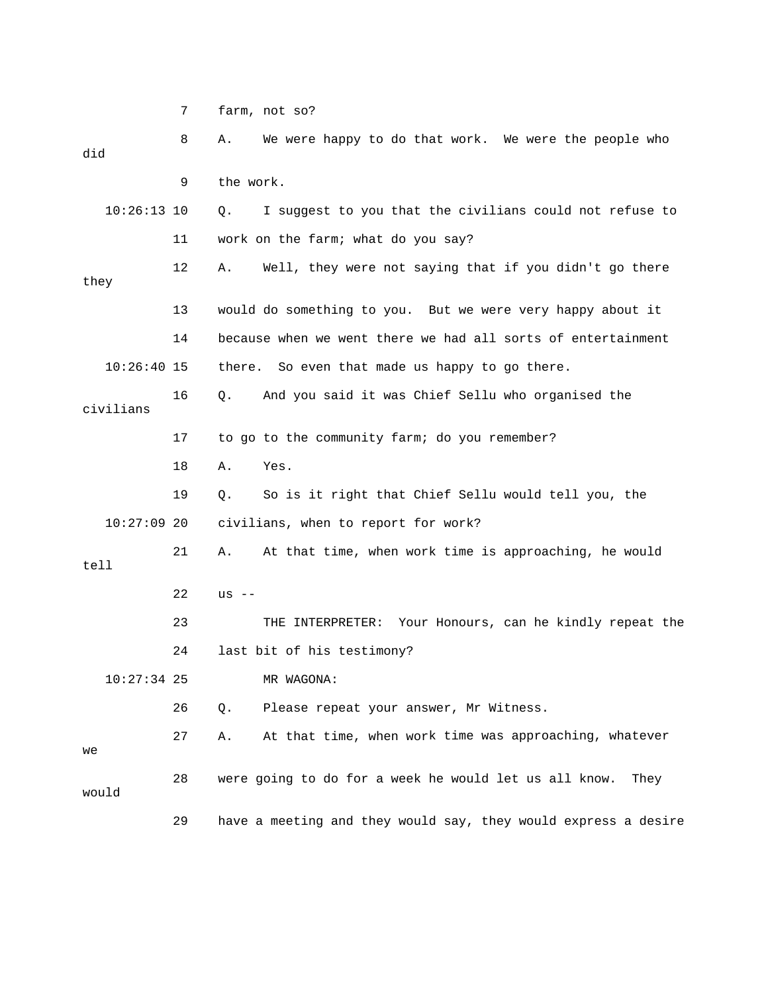7 farm, not so?

 8 A. We were happy to do that work. We were the people who 9 the work. 10:26:13 10 Q. I suggest to you that the civilians could not refuse to 11 work on the farm; what do you say? 12 A. Well, they were not saying that if you didn't go there 13 would do something to you. But we were very happy about it 14 because when we went there we had all sorts of entertainment there. So even that made us happy to go there. 17 to go to the community farm; do you remember? 18 A. Yes. e 19 Q. So is it right that Chief Sellu would tell you, th 21 A. At that time, when work time is approaching, he would tell 22 us -- 23 THE INTERPRETER: Your Honours, can he kindly repeat the 24 last bit of his testimony? R WAGONA: 27 A. At that time, when work time was approaching, whatever 28 were going to do for a week he would let us all know. They did they  $10:26:40$  15 16 Q. And you said it was Chief Sellu who organised the civilians 10:27:09 20 civilians, when to report for work?  $10:27:34$  25 26 Q. Please repeat your answer, Mr Witness. we would 29 have a meeting and they would say, they would express a desire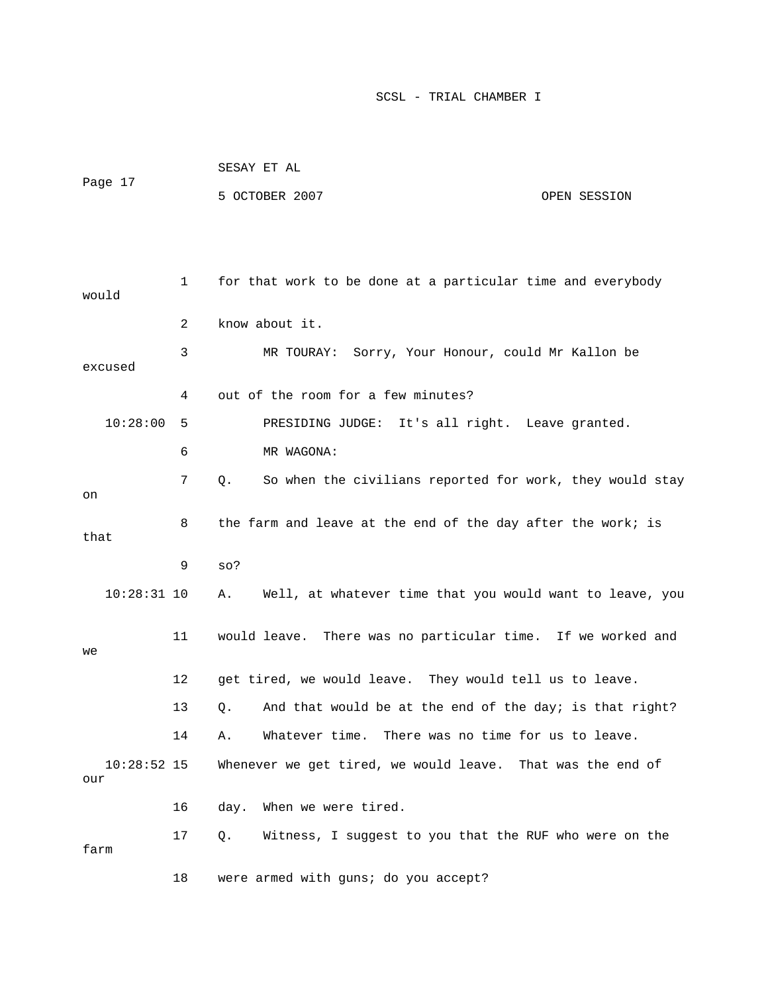|                      |    | SESAY ET AL                                                    |              |  |  |
|----------------------|----|----------------------------------------------------------------|--------------|--|--|
| Page 17              |    | 5 OCTOBER 2007                                                 | OPEN SESSION |  |  |
|                      |    |                                                                |              |  |  |
|                      |    |                                                                |              |  |  |
| would                | 1  | for that work to be done at a particular time and everybody    |              |  |  |
|                      | 2  | know about it.                                                 |              |  |  |
| excused              | 3  | MR TOURAY: Sorry, Your Honour, could Mr Kallon be              |              |  |  |
|                      | 4  | out of the room for a few minutes?                             |              |  |  |
| 10:28:00             | 5  | PRESIDING JUDGE: It's all right. Leave granted.                |              |  |  |
|                      | 6  | MR WAGONA:                                                     |              |  |  |
| on                   | 7  | So when the civilians reported for work, they would stay<br>Q. |              |  |  |
| that                 | 8  | the farm and leave at the end of the day after the work; is    |              |  |  |
|                      | 9  | $SO$ ?                                                         |              |  |  |
| $10:28:31$ 10        |    | Well, at whatever time that you would want to leave, you<br>Α. |              |  |  |
| we                   | 11 | would leave. There was no particular time. If we worked and    |              |  |  |
|                      | 12 | get tired, we would leave. They would tell us to leave.        |              |  |  |
|                      | 13 | And that would be at the end of the day; is that right?<br>Q.  |              |  |  |
|                      | 14 | There was no time for us to leave.<br>Whatever time.<br>Α.     |              |  |  |
| $10:28:52$ 15<br>our |    | Whenever we get tired, we would leave. That was the end of     |              |  |  |
|                      | 16 | When we were tired.<br>day.                                    |              |  |  |
| farm                 | 17 | Witness, I suggest to you that the RUF who were on the<br>Q.   |              |  |  |
|                      | 18 | were armed with guns; do you accept?                           |              |  |  |

SESAY ET AL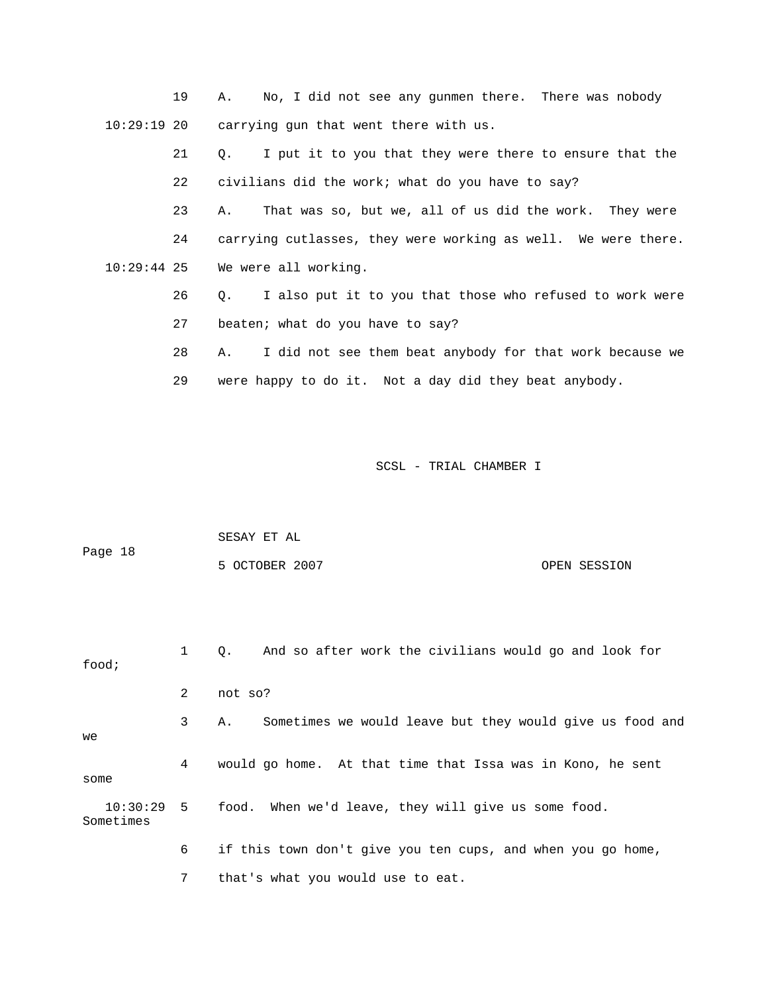19 A. No, I did not see any gunmen there. There was nobody carrying gun that went there with us.  $10:29:19$  20

21 Q. I put it to you that they were there to ensure that the 22 civilians did the work; what do you have to say?

23 A. That was so, but we, all of us did the work. They were 24 carrying cutlasses, they were working as well. We were there. 10:29:44 25 We were all working.

> 26 Q. I also put it to you that those who refused to work were 27 beaten; what do you have to say?

28 A. I did not see them beat anybody for that work because we 29 were happy to do it. Not a day did they beat anybody.

SCSL - TRIAL CHAMBER I

```
 SESAY ET AL 
            5 OCTOBER 2007 CPEN SESSION
Page 18
```
1 Q. And so after work the civilians would go and look for 2 not so? 3 A. Sometimes we would leave but they would give us food and 4 would go home. At that time that Issa was in Kono, he sent Sometimes food; we some 10:30:29 5 food. When we'd leave, they will give us some food. 6 if this town don't give you ten cups, and when you go home,

7 that's what you would use to eat.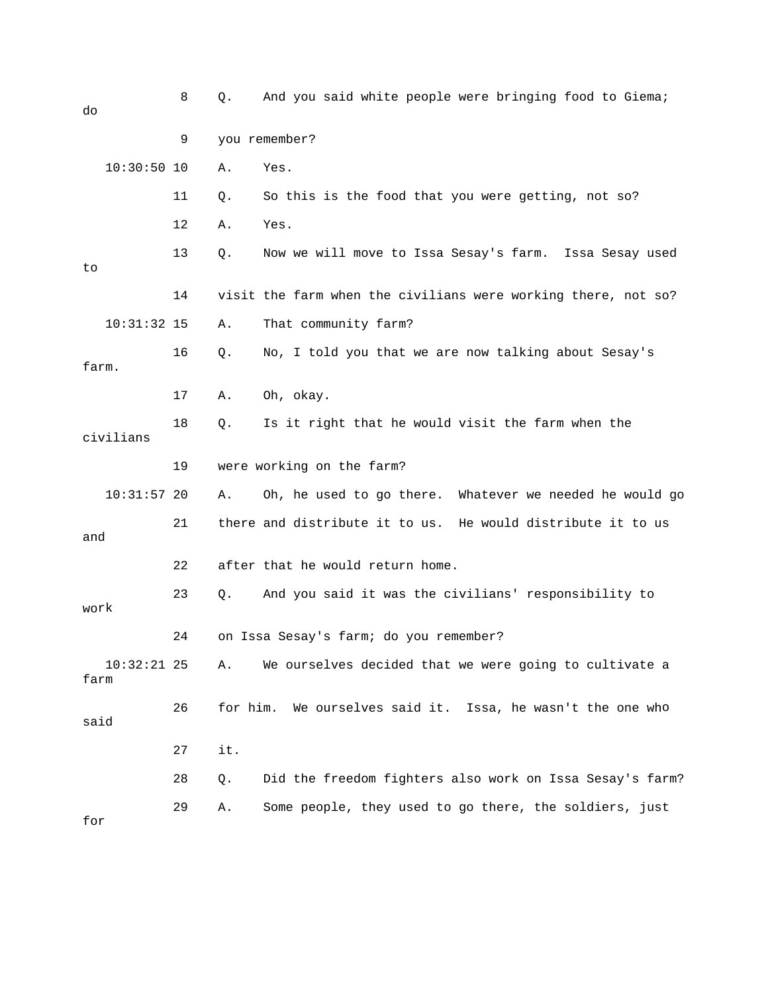| do                    | 8  | Q.       | And you said white people were bringing food to Giema;        |
|-----------------------|----|----------|---------------------------------------------------------------|
|                       | 9  |          | you remember?                                                 |
| $10:30:50$ 10         |    | Α.       | Yes.                                                          |
|                       | 11 | Q.       | So this is the food that you were getting, not so?            |
|                       | 12 | Α.       | Yes.                                                          |
| to                    | 13 | Q.       | Now we will move to Issa Sesay's farm. Issa Sesay used        |
|                       | 14 |          | visit the farm when the civilians were working there, not so? |
| $10:31:32$ 15         |    | Α.       | That community farm?                                          |
| farm.                 | 16 | $Q$ .    | No, I told you that we are now talking about Sesay's          |
|                       | 17 | Α.       | Oh, okay.                                                     |
| civilians             | 18 | Q.       | Is it right that he would visit the farm when the             |
|                       | 19 |          | were working on the farm?                                     |
| $10:31:57$ 20         |    | Α.       | Oh, he used to go there. Whatever we needed he would go       |
| and                   | 21 |          | there and distribute it to us. He would distribute it to us   |
|                       | 22 |          | after that he would return home.                              |
| work                  | 23 | Q.       | And you said it was the civilians' responsibility to          |
|                       | 24 |          | on Issa Sesay's farm; do you remember?                        |
| $10:32:21$ 25<br>farm |    | Α.       | We ourselves decided that we were going to cultivate a        |
| said                  | 26 | for him. | We ourselves said it. Issa, he wasn't the one who             |
|                       | 27 | it.      |                                                               |
|                       | 28 | Q.       | Did the freedom fighters also work on Issa Sesay's farm?      |
| for                   | 29 | Α.       | Some people, they used to go there, the soldiers, just        |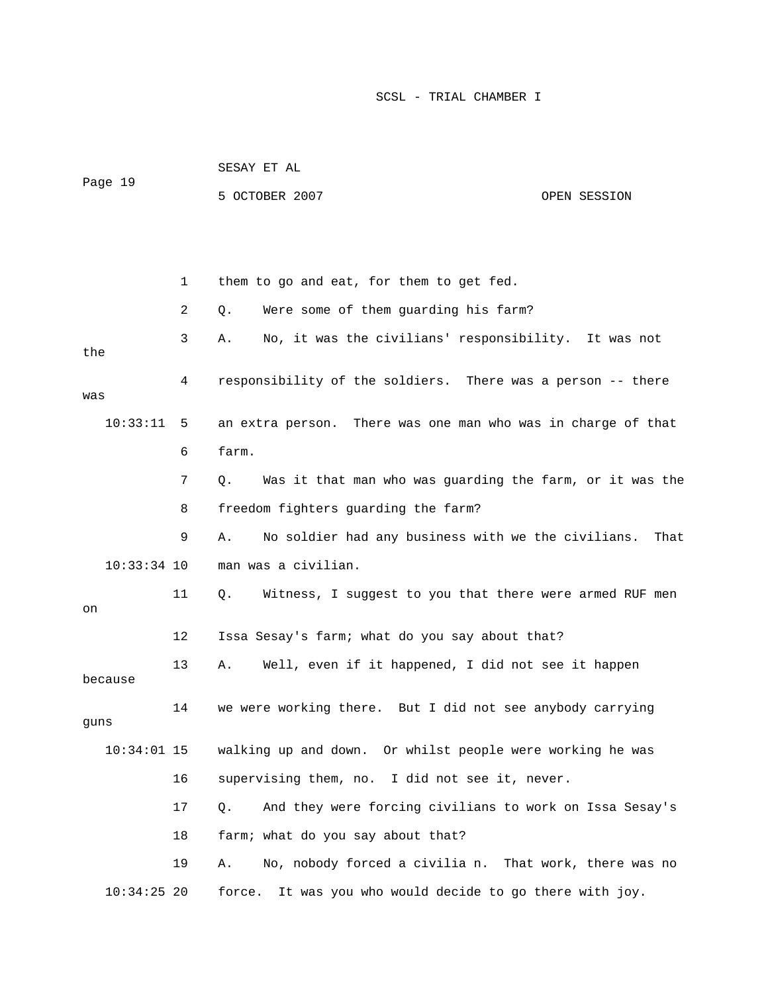| Page 19       |    | 5 OCTOBER 2007                                                   | OPEN SESSION |
|---------------|----|------------------------------------------------------------------|--------------|
|               |    |                                                                  |              |
|               | 1  | them to go and eat, for them to get fed.                         |              |
|               | 2  | Were some of them guarding his farm?<br>Q.                       |              |
| the           | 3  | No, it was the civilians' responsibility. It was not<br>Α.       |              |
| was           | 4  | responsibility of the soldiers. There was a person -- there      |              |
| 10:33:11      | 5  | There was one man who was in charge of that<br>an extra person.  |              |
|               | 6  | farm.                                                            |              |
|               | 7  | Was it that man who was guarding the farm, or it was the<br>Q.   |              |
|               | 8  | freedom fighters guarding the farm?                              |              |
|               | 9  | No soldier had any business with we the civilians.<br>Α.         | That         |
| $10:33:34$ 10 |    | man was a civilian.                                              |              |
| on            | 11 | Witness, I suggest to you that there were armed RUF men<br>Q.    |              |
|               | 12 | Issa Sesay's farm; what do you say about that?                   |              |
| because       | 13 | Well, even if it happened, I did not see it happen<br>Α.         |              |
| quns          | 14 | we were working there. But I did not see anybody carrying        |              |
| $10:34:01$ 15 |    | walking up and down. Or whilst people were working he was        |              |
|               | 16 | supervising them, no. I did not see it, never.                   |              |
|               | 17 | And they were forcing civilians to work on Issa Sesay's<br>$Q$ . |              |
|               | 18 | farm; what do you say about that?                                |              |
|               | 19 | No, nobody forced a civilia n. That work, there was no<br>Α.     |              |
| $10:34:25$ 20 |    | It was you who would decide to go there with joy.<br>force.      |              |

SESAY ET AL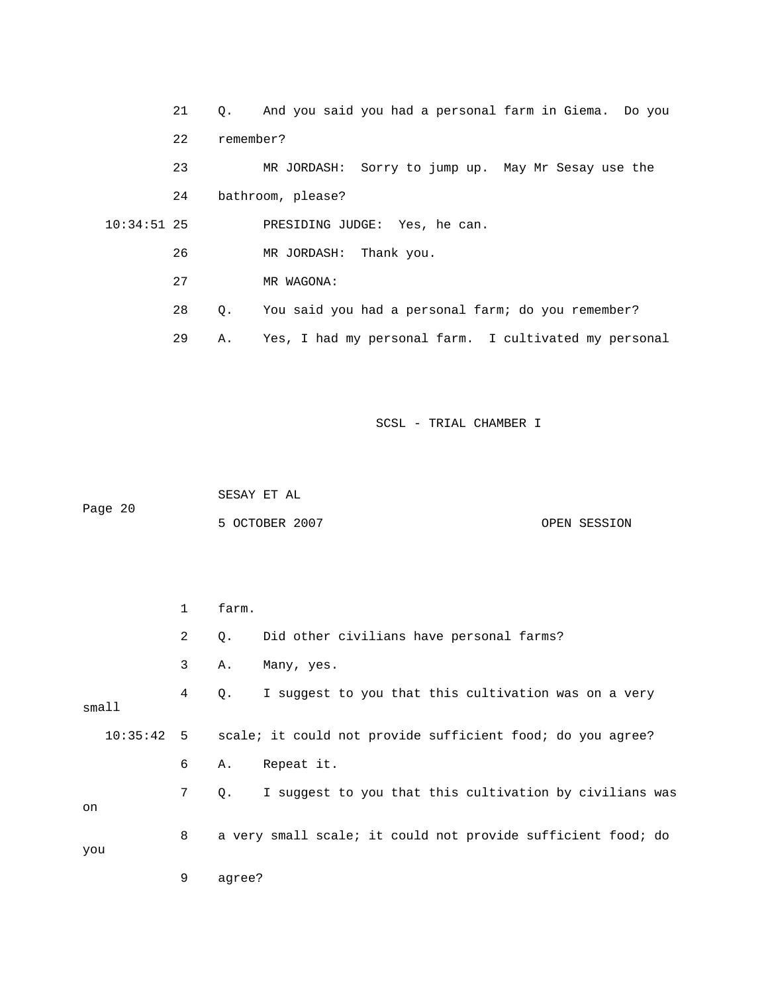|               | 21 | $\circ$ . | And you said you had a personal farm in Giema. Do you |
|---------------|----|-----------|-------------------------------------------------------|
|               | 22 | remember? |                                                       |
|               | 23 |           | MR JORDASH: Sorry to jump up. May Mr Sesay use the    |
|               | 24 |           | bathroom, please?                                     |
| $10:34:51$ 25 |    |           | PRESIDING JUDGE: Yes, he can.                         |
|               | 26 |           | MR JORDASH: Thank you.                                |
|               | 27 |           | MR WAGONA:                                            |
|               | 28 | О.        | You said you had a personal farm; do you remember?    |
|               | 29 | Α.        | Yes, I had my personal farm. I cultivated my personal |

 SESAY ET AL ge 20 5 OCTOBER 2007 CPEN SESSION Pa

|        | $\mathbf{1}$   | farm.                                                                 |
|--------|----------------|-----------------------------------------------------------------------|
|        | 2              | Did other civilians have personal farms?<br>Q.                        |
|        | 3              | Many, yes.<br>Α.                                                      |
| small1 | 4              | I suggest to you that this cultivation was on a very<br>Q.            |
|        |                | 10:35:42 5 scale; it could not provide sufficient food; do you agree? |
|        | 6              | Repeat it.<br>Α.                                                      |
| on     | 7 <sup>7</sup> | I suggest to you that this cultivation by civilians was<br>Q.         |
| you    | 8              | a very small scale; it could not provide sufficient food; do          |
|        | 9              | agree?                                                                |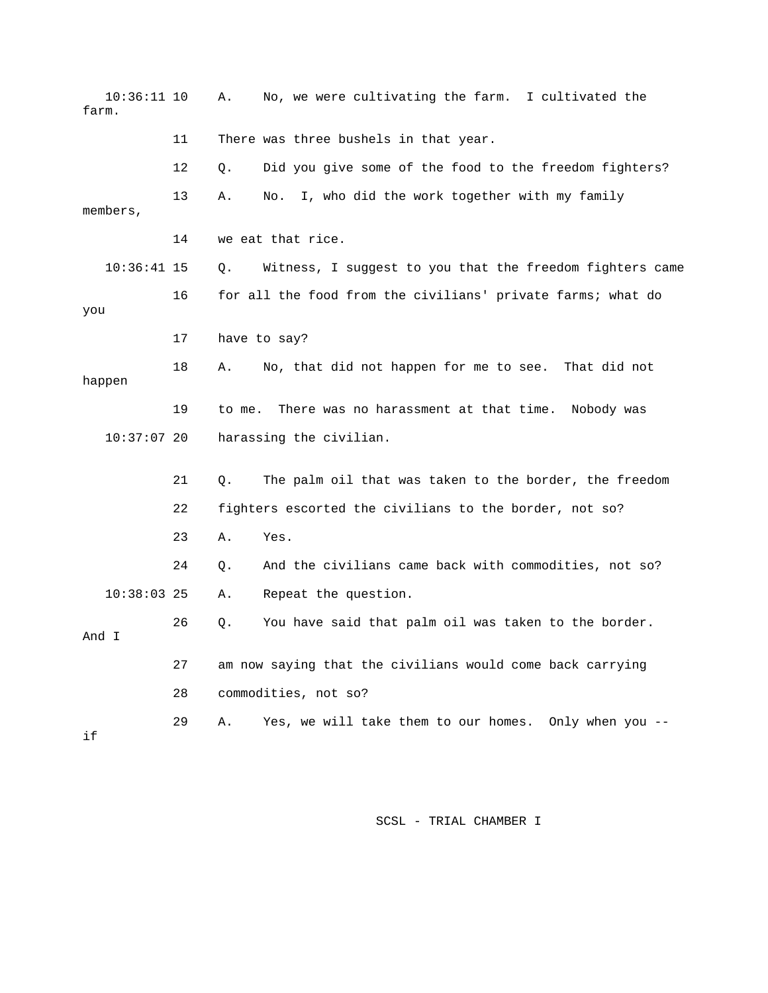| $10:36:11$ 10<br>farm. |    | No, we were cultivating the farm. I cultivated the<br>Α.       |
|------------------------|----|----------------------------------------------------------------|
|                        | 11 | There was three bushels in that year.                          |
|                        | 12 | Did you give some of the food to the freedom fighters?<br>Q.   |
| members,               | 13 | I, who did the work together with my family<br>Α.<br>No.       |
|                        | 14 | we eat that rice.                                              |
| $10:36:41$ 15          |    | Witness, I suggest to you that the freedom fighters came<br>Q. |
| you                    | 16 | for all the food from the civilians' private farms; what do    |
|                        | 17 | have to say?                                                   |
| happen                 | 18 | No, that did not happen for me to see. That did not<br>Α.      |
|                        | 19 | There was no harassment at that time.<br>to me.<br>Nobody was  |
| $10:37:07$ 20          |    | harassing the civilian.                                        |
|                        | 21 | The palm oil that was taken to the border, the freedom<br>Q.   |
|                        | 22 | fighters escorted the civilians to the border, not so?         |
|                        | 23 | Α.<br>Yes.                                                     |
|                        | 24 | And the civilians came back with commodities, not so?<br>Q.    |
| $10:38:03$ 25          |    | Repeat the question.<br>Α.                                     |
| And I                  | 26 | You have said that palm oil was taken to the border.<br>Q.     |
|                        | 27 | am now saying that the civilians would come back carrying      |
|                        | 28 | commodities, not so?                                           |
| if                     | 29 | Yes, we will take them to our homes. Only when you --<br>Α.    |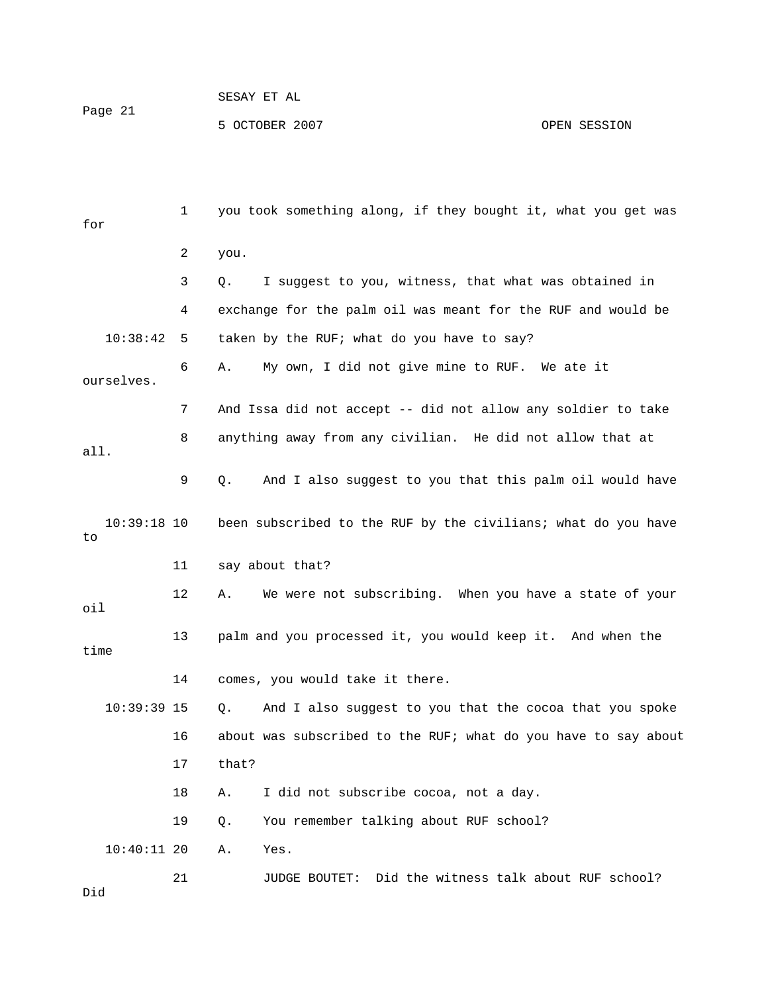## SESAY ET AL OPEN SESSION Page 21 5 OCTOBER 2007

 1 you took something along, if they bought it, what you get was 2 you. 3 Q. I suggest to you, witness, that what was obtained in 10:38:42 5 taken by the RUF; what do you have to say? 8 anything away from any civilian. He did not allow that at 9 Q. And I also suggest to you that this palm oil would have 10:39:18 10 been subscribed to the RUF by the civilians; what do you have 11 say about that? 12 A. We were not subscribing. When you have a state of your oil 13 palm and you processed it, you would keep it. And when the time 14 comes, you would take it there. 16 about was subscribed to the RUF; what do you have to say about 17 that? 18 A. I did not subscribe cocoa, not a day. 19 Q. You remember talking about RUF school? Yes. JUDGE BOUTET: Did the witness talk about RUF school? for 4 exchange for the palm oil was meant for the RUF and would be 6 A. My own, I did not give mine to RUF. We ate it ourselves. 7 And Issa did not accept -- did not allow any soldier to take all. to 10:39:39 15 Q. And I also suggest to you that the cocoa that you spoke 10:40:11 20 A. 21 Did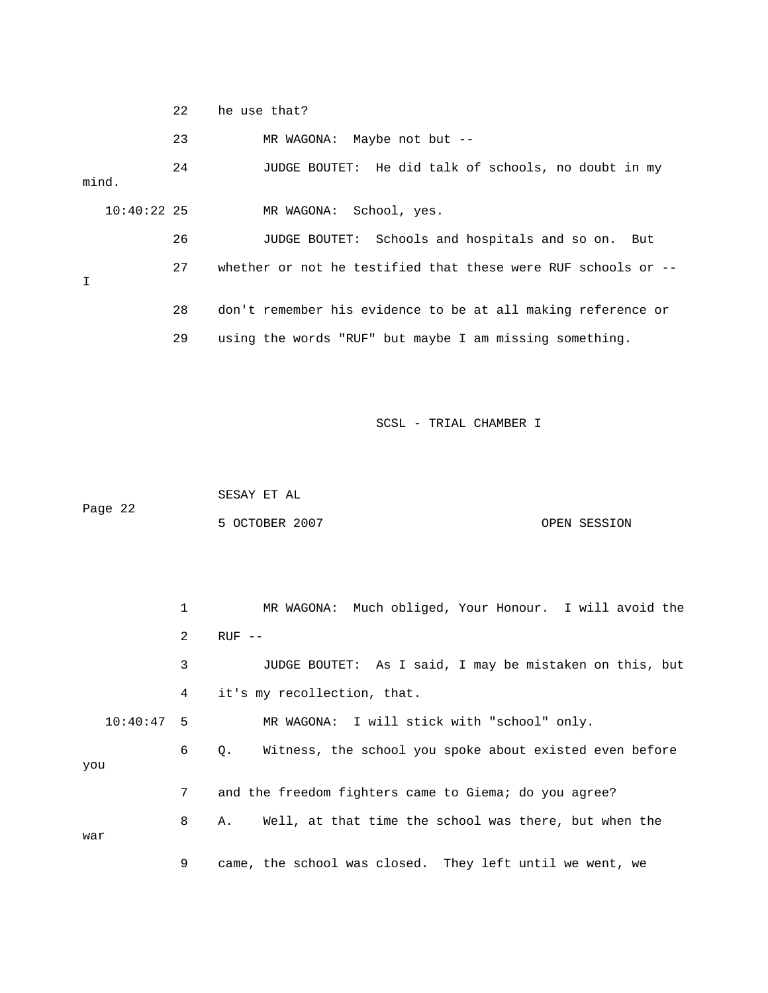|   |               | 22 | he use that?                                                   |
|---|---------------|----|----------------------------------------------------------------|
|   |               | 23 | MR WAGONA: Maybe not but --                                    |
|   | mind.         | 24 | JUDGE BOUTET: He did talk of schools, no doubt in my           |
|   | $10:40:22$ 25 |    | MR WAGONA: School, yes.                                        |
|   |               | 26 | JUDGE BOUTET: Schools and hospitals and so on. But             |
| I |               | 27 | whether or not he testified that these were RUF schools or $-$ |
|   |               | 28 | don't remember his evidence to be at all making reference or   |
|   |               | 29 | using the words "RUF" but maybe I am missing something.        |

 SESAY ET AL Page 22 OPEN SESSION 5 OCTOBER 2007

 1 MR WAGONA: Much obliged, Your Honour. I will avoid the 2 RUF -- 3 JUDGE BOUTET: As I said, I may be mistaken on this, but 4 it's my recollection, that. 10:40:47 5 MR WAGONA: I will stick with "school" only. Witness, the school you spoke about existed even before 7 and the freedom fighters came to Giema; do you agree? 8 A. Well, at that time the school was there, but when the 9 came, the school was closed. They left until we went, we  $6Q.$ you war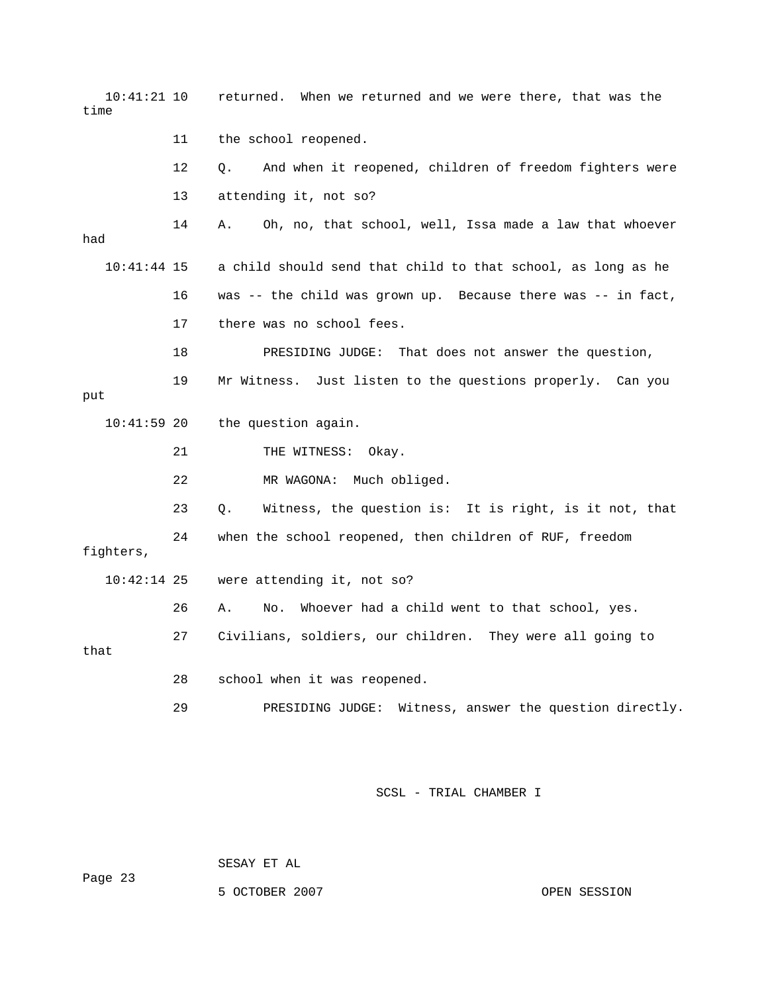10:41:21 10 returned. When we returned and we were there, that was the 11 the school reopened. 12 Q. And when it reopened, children of freedom fighters were 13 attending it, not so? 14 A. Oh, no, that school, well, Issa made a law that whoever 10:41:44 15 a child should send that child to that school, as long as he 16 was -- the child was grown up. Because there was -- in fact, 17 there was no school fees. put 10:41:59 20 the question again. 22 MR WAGONA: Much obliged. 23 Q. Witness, the question is: It is right, is it not, that 24 when the school reopened, then children of RUF, freedom fighters, 26 A. No. Whoever had a child went to that school, yes. 27 Civilians, soldiers, our children. They were all going to that 28 school when it was reopened. 29 PRESIDING JUDGE: Witness, answer the question directly. time had 18 PRESIDING JUDGE: That does not answer the question, 19 Mr Witness. Just listen to the questions properly. Can you 21 THE WITNESS: Okay. 10:42:14 25 were attending it, not so?

SCSL - TRIAL CHAMBER I

SESAY ET AL

Page 23

5 OCTOBER 2007 OPEN SESSION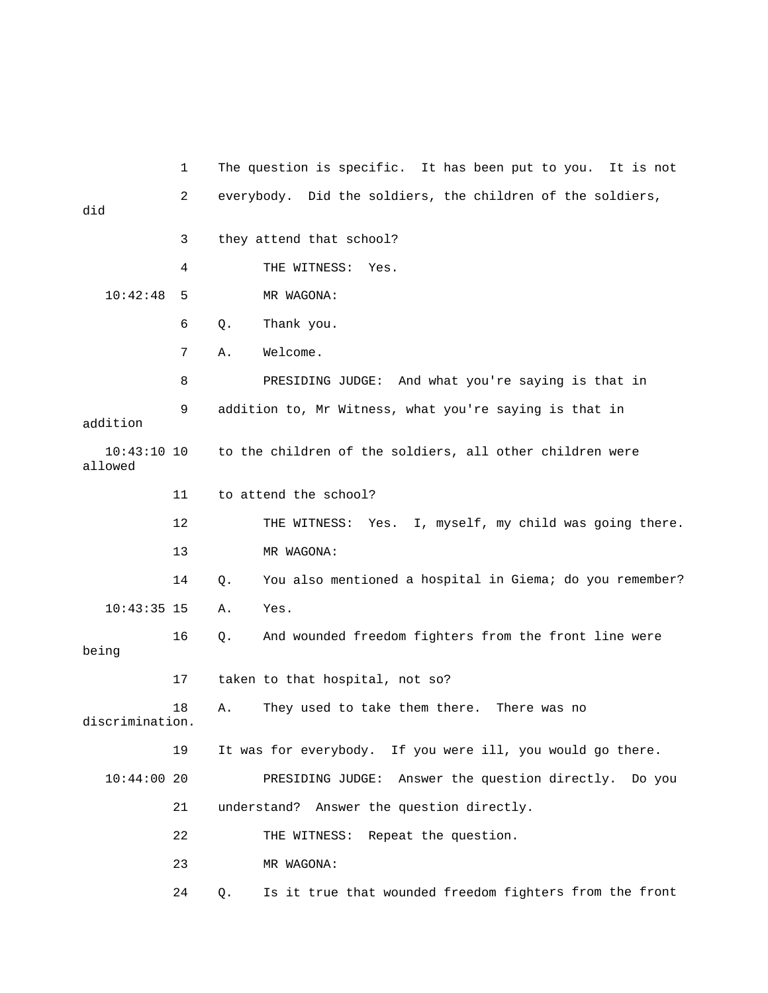1 The question is specific. It has been put to you. It is not 2 everybody. Did the soldiers, the children of the soldiers, did 4 THE WITNESS: Yes. MR WAGONA: DGE: And what you're saying is that in 8 PRESIDING JU 9 addition to, Mr Witness, what you're saying is that in addition 12 THE WITNESS: Yes. I, myself, my child was going there. 13 MR WAGONA: 14 Q. You also mentioned a hospital in Giema; do you remember? 16 Q. And wounded freedom fighters from the front line were being 17 taken to that hospital, not so? 18 A. They used to take them there. There was no 19 It was for everybody. If you were ill, you would go there. 10:44:00 20 PRESIDING JUDGE: Answer the question directly. Do you understand? Answer the question directly. 24 Q. Is it true that wounded freedom fighters from the front 3 they attend that school?  $10:42:48$  5 6 Q. Thank you. 7 A. Welcome. 10:43:10 10 to the children of the soldiers, all other children were allowed 11 to attend the school? 10:43:35 15 A. Yes. discrimination. 21 22 THE WITNESS: Repeat the question. 23 MR WAGONA: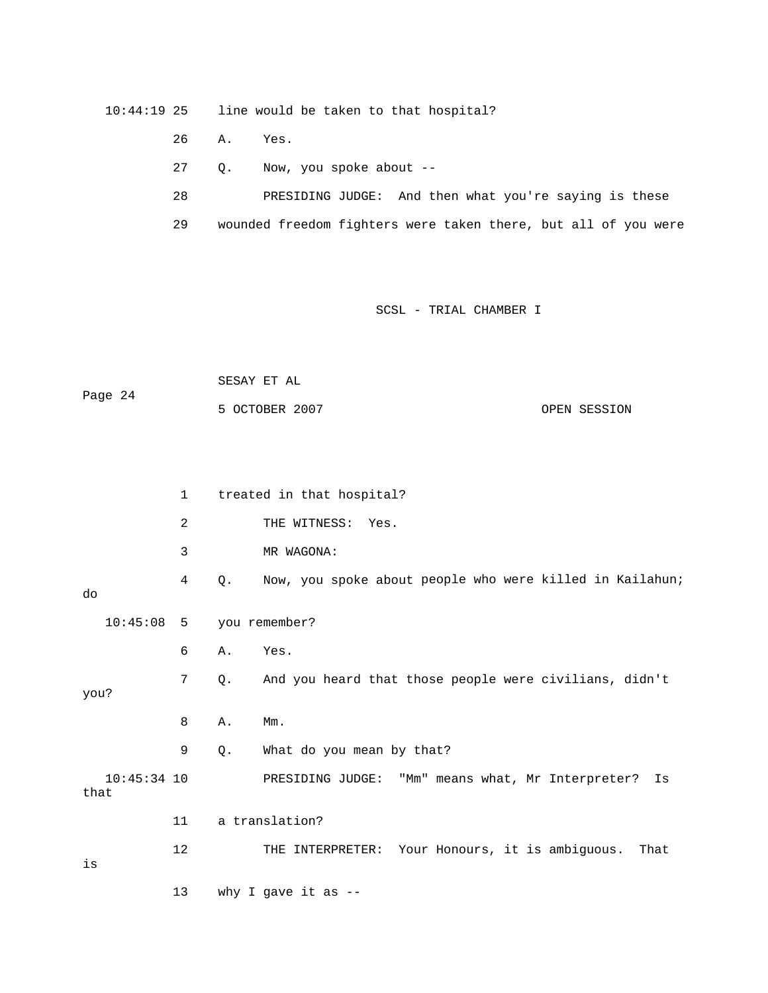10:44:19 25 line would be taken to that hospital?

26 A. Yes.

- 27 Q. Now, you spoke about --
- 28 PRESIDING JUDGE: And then what you're saying is these
- 29 wounded freedom fighters were taken there, but all of you were

## SCSL - TRIAL CHAMBER I

 SESAY ET AL 5 OCTOBER 2007 CPEN SESSION Page 24

|                       | $\mathbf 1$ |       | treated in that hospital?                                  |
|-----------------------|-------------|-------|------------------------------------------------------------|
|                       | 2           |       | THE WITNESS:<br>Yes.                                       |
|                       | 3           |       | MR WAGONA:                                                 |
| do                    | 4           | Q.    | Now, you spoke about people who were killed in Kailahun;   |
| $10:45:08$ 5          |             |       | you remember?                                              |
|                       | 6           | Α.    | Yes.                                                       |
| you?                  | 7           | $Q$ . | And you heard that those people were civilians, didn't     |
|                       | 8           | Α.    | $Mm$ .                                                     |
|                       | 9           | Q.    | What do you mean by that?                                  |
| $10:45:34$ 10<br>that |             |       | PRESIDING JUDGE: "Mm" means what, Mr Interpreter?<br>Is    |
|                       | 11          |       | a translation?                                             |
| is                    | 12          |       | Your Honours, it is ambiguous.<br>THE INTERPRETER:<br>That |
|                       | 13          |       | why I gave it as $-$ -                                     |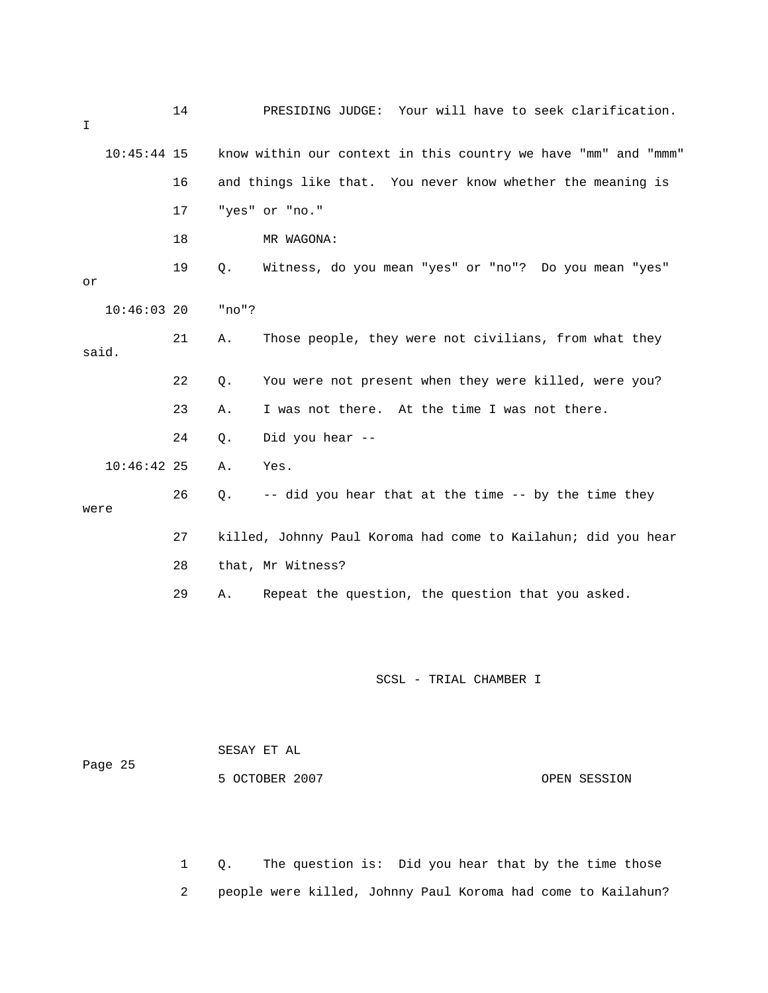| I             | 14 | PRESIDING JUDGE: Your will have to seek clarification.         |
|---------------|----|----------------------------------------------------------------|
| $10:45:44$ 15 |    | know within our context in this country we have "mm" and "mmm" |
|               | 16 | and things like that. You never know whether the meaning is    |
|               | 17 | "yes" or "no."                                                 |
|               | 18 | MR WAGONA:                                                     |
| or            | 19 | Witness, do you mean "yes" or "no"? Do you mean "yes"<br>Q.    |
| $10:46:03$ 20 |    | "no"?                                                          |
| said.         | 21 | Those people, they were not civilians, from what they<br>Α.    |
|               | 22 | Q.<br>You were not present when they were killed, were you?    |
|               | 23 | I was not there. At the time I was not there.<br>Α.            |
|               | 24 | Did you hear --<br>Q.                                          |
| $10:46:42$ 25 |    | Yes.<br>Α.                                                     |
| were          | 26 | -- did you hear that at the time -- by the time they<br>Q.     |
|               | 27 | killed, Johnny Paul Koroma had come to Kailahun; did you hear  |
|               | 28 | that, Mr Witness?                                              |
|               | 29 | Repeat the question, the question that you asked.<br>Α.        |

| Page 25 | SESAY ET AL    |              |
|---------|----------------|--------------|
|         | 5 OCTOBER 2007 | OPEN SESSION |

1 Q. The question is: Did you hear that by the time those 2 people were killed, Johnny Paul Koroma had come to Kailahun?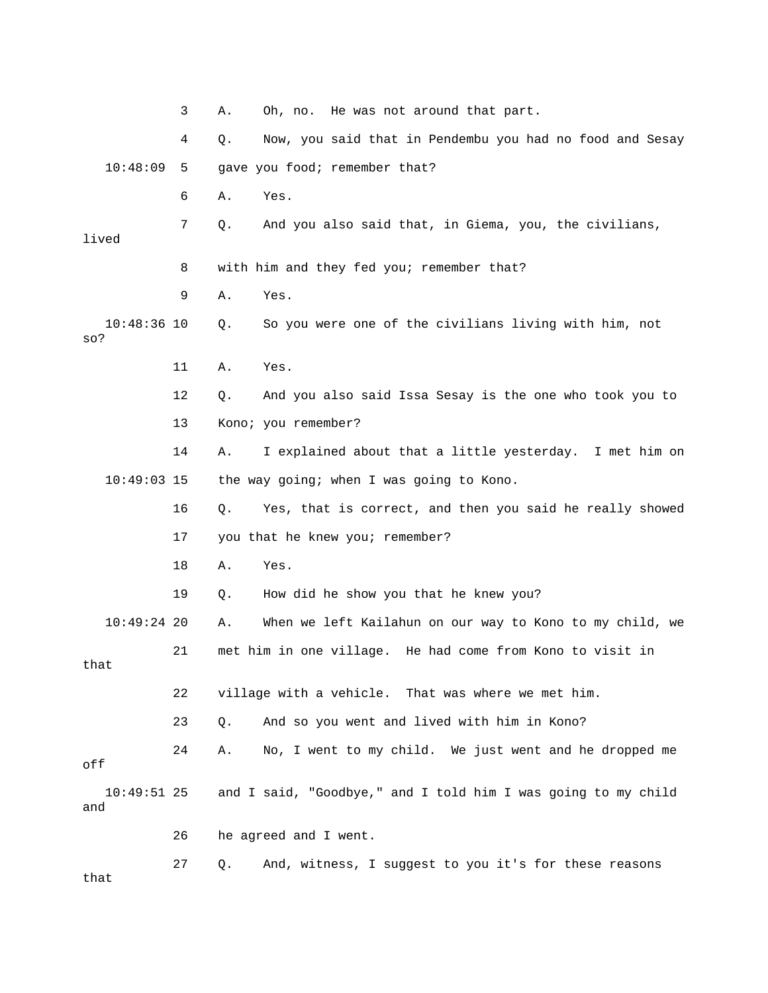|                      | 3  | Oh, no. He was not around that part.<br>Α.                        |  |
|----------------------|----|-------------------------------------------------------------------|--|
|                      | 4  | Now, you said that in Pendembu you had no food and Sesay<br>Q.    |  |
| 10:48:09             | 5  | gave you food; remember that?                                     |  |
|                      | 6  | Yes.<br>Α.                                                        |  |
| lived                | 7  | Q.<br>And you also said that, in Giema, you, the civilians,       |  |
|                      | 8  | with him and they fed you; remember that?                         |  |
|                      | 9  | Α.<br>Yes.                                                        |  |
| $10:48:36$ 10<br>so? |    | So you were one of the civilians living with him, not<br>Q.       |  |
|                      | 11 | Α.<br>Yes.                                                        |  |
|                      | 12 | And you also said Issa Sesay is the one who took you to<br>Q.     |  |
|                      | 13 | Kono; you remember?                                               |  |
|                      | 14 | I explained about that a little yesterday. I met him on<br>Α.     |  |
| $10:49:03$ 15        |    | the way going; when I was going to Kono.                          |  |
|                      | 16 | Yes, that is correct, and then you said he really showed<br>$Q$ . |  |
|                      | 17 | you that he knew you; remember?                                   |  |
|                      | 18 | Yes.<br>Α.                                                        |  |
|                      | 19 | How did he show you that he knew you?<br>Q.                       |  |
| $10:49:24$ 20        |    | When we left Kailahun on our way to Kono to my child, we<br>Α.    |  |
| that                 | 21 | met him in one village.<br>He had come from Kono to visit in      |  |
|                      | 22 | village with a vehicle. That was where we met him.                |  |
|                      | 23 | And so you went and lived with him in Kono?<br>Q.                 |  |
| off                  | 24 | No, I went to my child. We just went and he dropped me<br>Α.      |  |
| $10:49:51$ 25<br>and |    | and I said, "Goodbye," and I told him I was going to my child     |  |
|                      | 26 | he agreed and I went.                                             |  |
| that                 | 27 | And, witness, I suggest to you it's for these reasons<br>Q.       |  |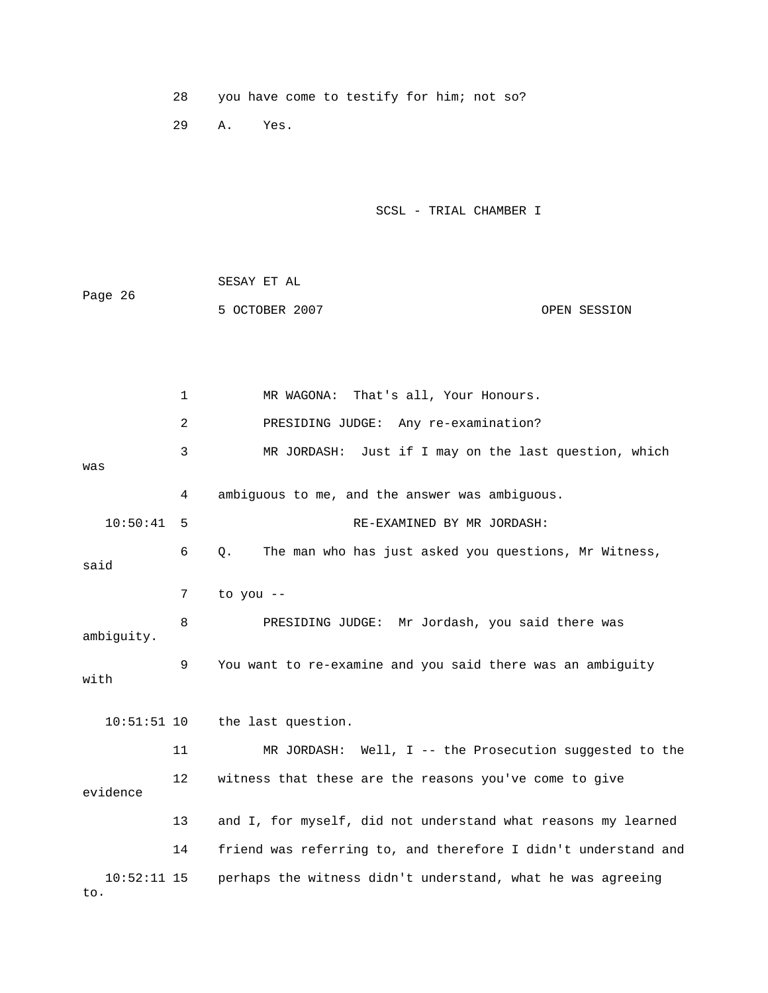28 you have come to testify for him; not so?

29 A. Yes.

SCSL - TRIAL CHAMBER I

|         | SESAY ET AL    |              |
|---------|----------------|--------------|
| Page 26 |                |              |
|         | 5 OCTOBER 2007 | OPEN SESSION |

 2 PRESIDING JUDGE: Any re-examination? 3 MR JORDASH: Just if I may on the last question, which was 4 ambiguous to me, and the answer was ambiguous. 10:50:41 5 RE-EXAMINED BY MR JORDASH: 6 Q. The man who has just asked you questions, Mr Witness, said 7 to you -- 8 BRESIDING JUDGE: Mr Jordash, you said there was 9 You want to re-examine and you said there was an ambiguity the last question. 11 MR JORDASH: Well, I -- the Prosecution suggested to the 12 witness that these are the reasons you've come to give evidence 13 and I, for myself, did not understand what reasons my learned 14 friend was referring to, and therefore I didn't understand and 10:52:11 15 perhaps the witness didn't understand, what he was agreeing . to 1 MR WAGONA: That's all, Your Honours. ambiguity. with 10:51:51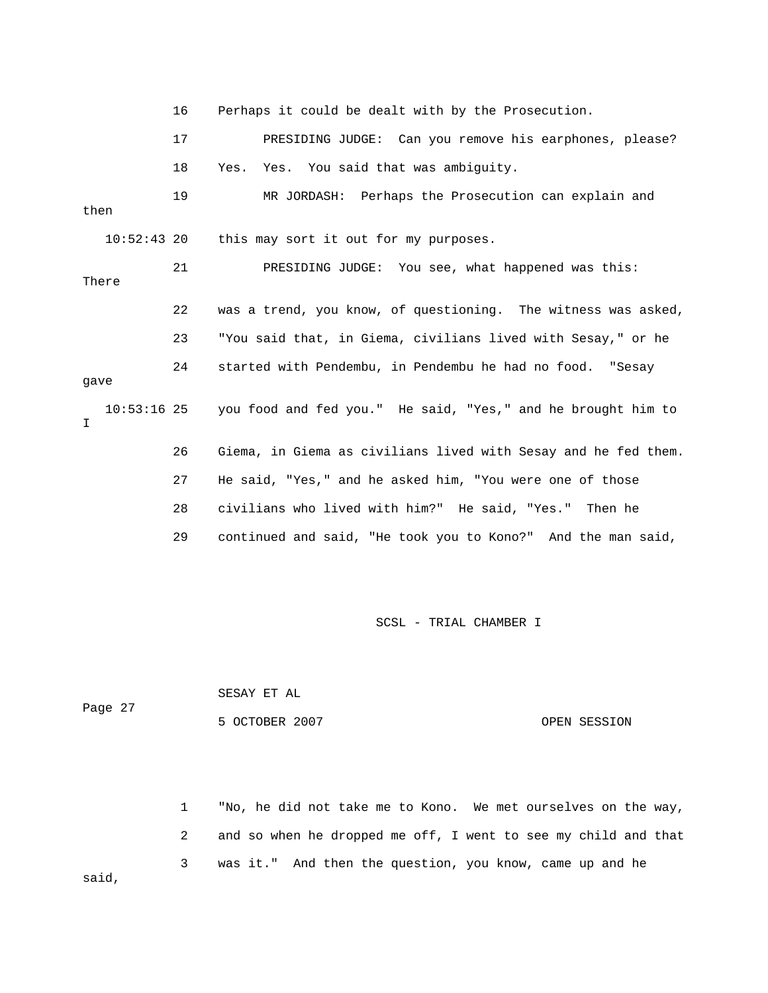16 Perhaps it could be dealt with by the Prosecution. 17 PRESIDING JUDGE: Can you remove his earphones, please? 18 Yes. Yes. You said that was ambiguity. 19 MR JORDASH: Perhaps the Prosecution can explain and then 21 PRESIDING JUDGE: You see, what happened was this: 22 was a trend, you know, of questioning. The witness was asked, 23 "You said that, in Giema, civilians lived with Sesay," or he 24 started with Pendembu, in Pendembu he had no food. "Sesay gave m. 26 Giema, in Giema as civilians lived with Sesay and he fed the 27 He said, "Yes," and he asked him, "You were one of those 28 civilians who lived with him?" He said, "Yes." Then he 10:52:43 20 this may sort it out for my purposes. There 10:53:16 25 you food and fed you." He said, "Yes," and he brought him to I 29 continued and said, "He took you to Kono?" And the man said,

SCSL - TRIAL CHAMBER I

|         | SESAY ET AL    |              |
|---------|----------------|--------------|
| Page 27 |                |              |
|         | 5 OCTOBER 2007 | OPEN SESSION |

1 "No, he did not take me to Kono. We met ourselves on the way, 2 and so when he dropped me off, I went to see my child and that 3 was it." And then the question, you know, came up and he said,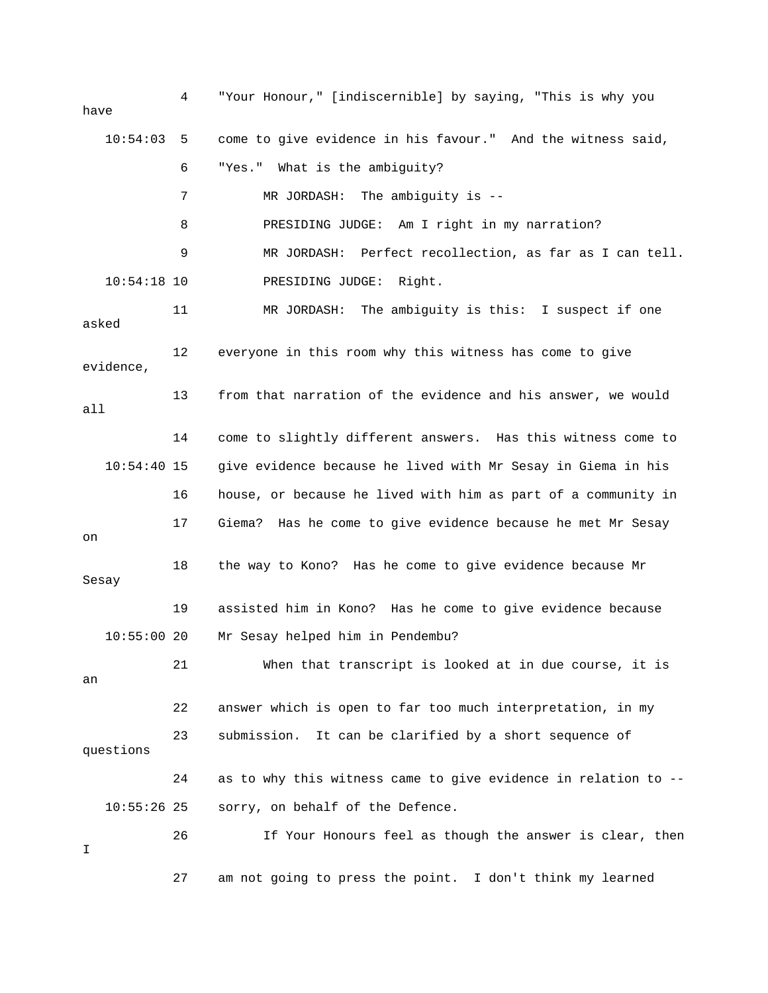4 "Your Honour," [indiscernible] by saying, "This is why you 10:54:03 5 come to give evidence in his favour." And the witness said, 6 "Yes." What is the ambiguity? 7 MR JORDASH: The ambiguity is -- 9 MR JORDASH: Perfect recollection, as far as I can tell. 11 MR JORDASH: The ambiguity is this: I suspect if one 12 everyone in this room why this witness has come to give 14 come to slightly different answers. Has this witness come to 10:54:40 15 give evidence because he lived with Mr Sesay in Giema in his 18 the way to Kono? Has he come to give evidence because Mr 10:55:00 20 Mr Sesay helped him in Pendembu? 21 When that transcript is looked at in due course, it is 23 submission. It can be clarified by a short sequence of 24 as to why this witness came to give evidence in relation to -- 10:55:26 25 sorry, on behalf of the Defence. 26 The Your Honours feel as though the answer is clear, then have 8 PRESIDING JUDGE: Am I right in my narration? 10:54:18 10 PRESIDING JUDGE: Right. asked evidence, 13 from that narration of the evidence and his answer, we would all 16 house, or because he lived with him as part of a community in 17 Giema? Has he come to give evidence because he met Mr Sesay on Sesay 19 assisted him in Kono? Has he come to give evidence because an 22 answer which is open to far too much interpretation, in my questions I 27 am not going to press the point. I don't think my learned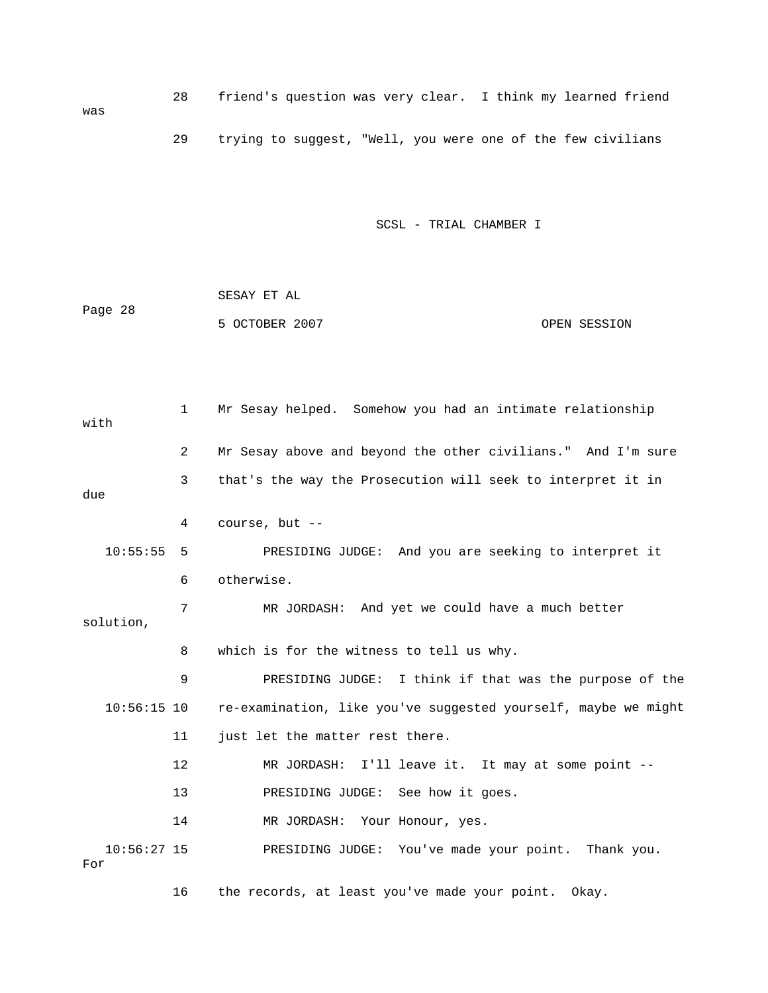| was |  | friend's question was very clear. I think my learned friend |  |  |  |  |  |  |
|-----|--|-------------------------------------------------------------|--|--|--|--|--|--|
|     |  | trying to suggest, "Well, you were one of the few civilians |  |  |  |  |  |  |

| Page 28 | SESAY ET AL    |              |
|---------|----------------|--------------|
|         | 5 OCTOBER 2007 | OPEN SESSION |

p 1 Mr Sesay helped. Somehow you had an intimate relationshi with 2 Mr Sesay above and beyond the other civilians." And I'm sure 3 that's the way the Prosecution will seek to interpret it in 4 course, but -- 10:55:55 5 PRESIDING JUDGE: And you are seeking to interpret it 7 MR JORDASH: And yet we could have a much better 8 which is for the witness to tell us why. 9 PRESIDING JUDGE: I think if that was the purpose of the 10:56:15 10 re-examination, like you've suggested yourself, maybe we might 14 MR JORDASH: Your Honour, yes. r Fo due 6 otherwise. solution, 11 just let the matter rest there. 12 MR JORDASH: I'll leave it. It may at some point -- 13 PRESIDING JUDGE: See how it goes. 10:56:27 15 PRESIDING JUDGE: You've made your point. Thank you.

16 the records, at least you've made your point. Okay.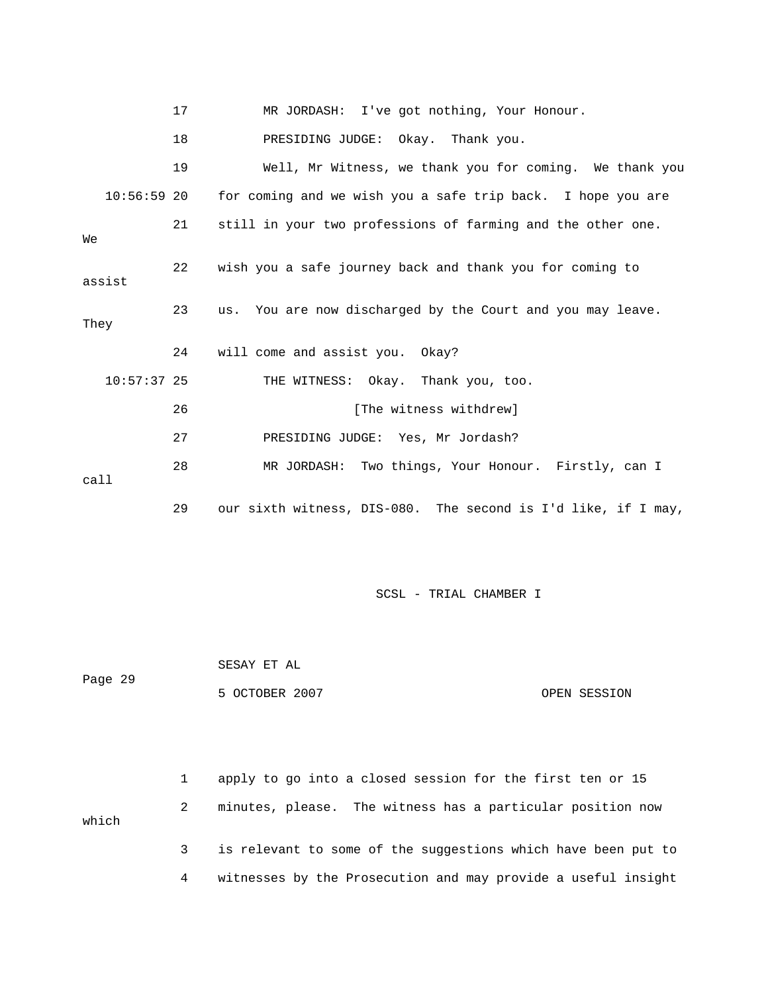|        |               | 17 | MR JORDASH: I've got nothing, Your Honour.                    |
|--------|---------------|----|---------------------------------------------------------------|
|        |               | 18 | PRESIDING JUDGE: Okay. Thank you.                             |
|        |               | 19 | Well, Mr Witness, we thank you for coming. We thank you       |
|        | $10:56:59$ 20 |    | for coming and we wish you a safe trip back. I hope you are   |
| Wе     |               | 21 | still in your two professions of farming and the other one.   |
| assist |               | 22 | wish you a safe journey back and thank you for coming to      |
| They   |               | 23 | us. You are now discharged by the Court and you may leave.    |
|        |               | 24 | will come and assist you. Okay?                               |
|        | $10:57:37$ 25 |    | THE WITNESS: Okay. Thank you, too.                            |
|        |               | 26 | [The witness withdrew]                                        |
|        |               | 27 | PRESIDING JUDGE: Yes, Mr Jordash?                             |
| call   |               | 28 | MR JORDASH: Two things, Your Honour. Firstly, can I           |
|        |               | 29 | our sixth witness, DIS-080. The second is I'd like, if I may, |

 SESAY ET AL 5 OCTOBER 2007 CPEN SESSION Page 29

 2 minutes, please. The witness has a particular position now which 3 is relevant to some of the suggestions which have been put to 1 apply to go into a closed session for the first ten or 15

4 witnesses by the Prosecution and may provide a useful insight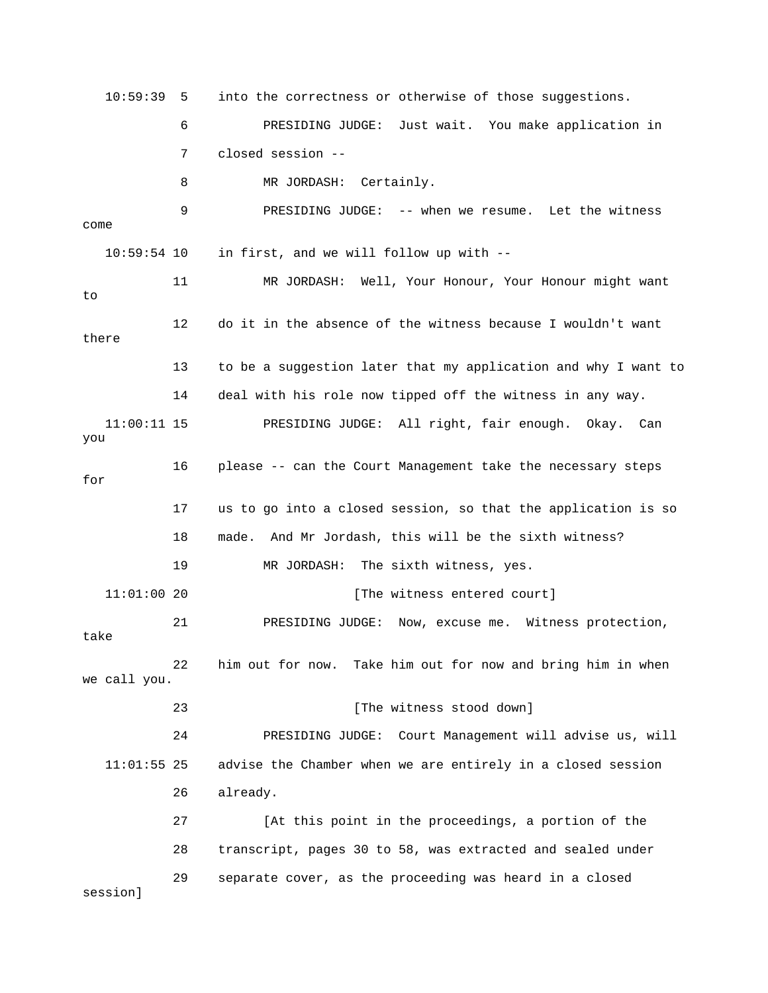10:59:39 5 into the correctness or otherwise of those suggestions. 6 PRESIDING JUDGE: Just wait. You make application in 8 MR JORDASH: Certainly. 9 PRESIDING JUDGE: -- when we resume. Let the witness  $10:59:54$  10 in first, and we will follow up with  $--$ 11 MR JORDASH: Well, Your Honour, Your Honour might want 12 do it in the absence of the witness because I wouldn't want there 13 to be a suggestion later that my application and why I want to 14 deal with his role now tipped off the witness in any way. for 17 us to go into a closed session, so that the application is so 11:01:00 20 [The witness entered court] 22 him out for now. Take him out for now and bring him in when we call you. 24 PRESIDING JUDGE: Court Management will advise us, will 26 already. 27 [At this point in the proceedings, a portion of the 7 closed session - come to 11:00:11 15 PRESIDING JUDGE: All right, fair enough. Okay. Can you 16 please -- can the Court Management take the necessary steps 18 made. And Mr Jordash, this will be the sixth witness? 19 MR JORDASH: The sixth witness, yes. 21 PRESIDING JUDGE: Now, excuse me. Witness protection, take 23 [The witness stood down] 11:01:55 25 advise the Chamber when we are entirely in a closed session 2 28 transcript, pages 30 to 58, was extracted and sealed under 29 separate cover, as the proceeding was heard in a closed session]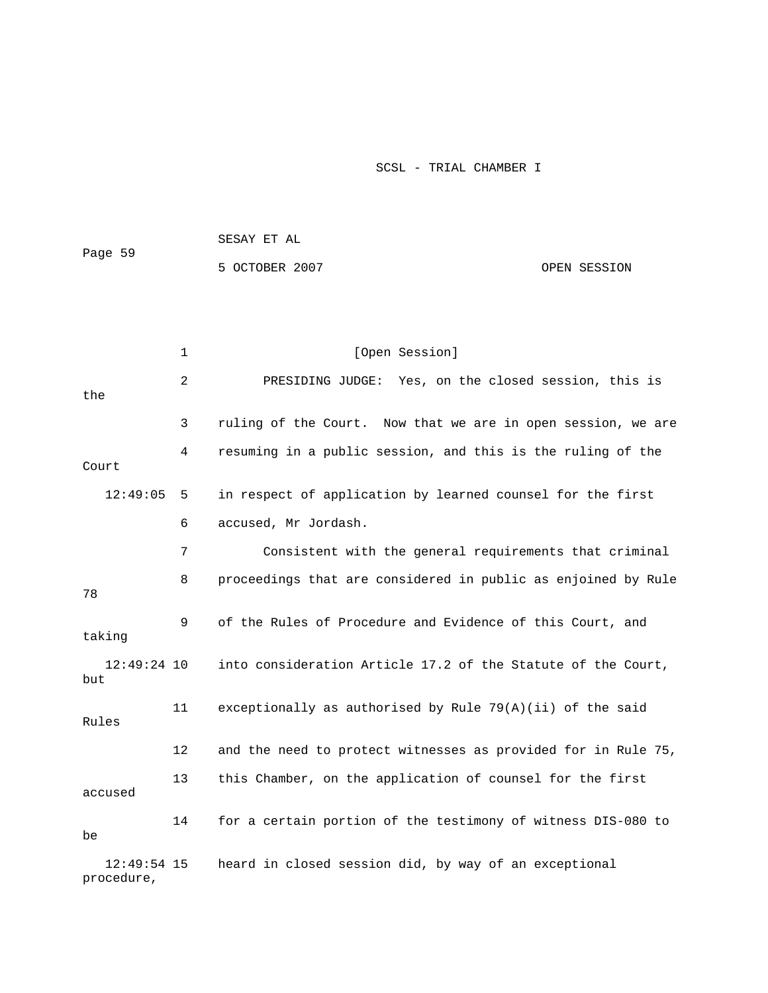| Page 59 | SESAY ET AL    |              |
|---------|----------------|--------------|
|         | 5 OCTOBER 2007 | OPEN SESSION |

|                             | $\mathbf{1}$ | [Open Session]                                                |
|-----------------------------|--------------|---------------------------------------------------------------|
| the                         | 2            | PRESIDING JUDGE: Yes, on the closed session, this is          |
|                             | 3            | ruling of the Court. Now that we are in open session, we are  |
| Court                       | 4            | resuming in a public session, and this is the ruling of the   |
| 12:49:05                    | 5            | in respect of application by learned counsel for the first    |
|                             | 6            | accused, Mr Jordash.                                          |
|                             | 7            | Consistent with the general requirements that criminal        |
| 78                          | 8            | proceedings that are considered in public as enjoined by Rule |
| taking                      | 9            | of the Rules of Procedure and Evidence of this Court, and     |
| $12:49:24$ 10<br>but        |              | into consideration Article 17.2 of the Statute of the Court,  |
| Rules                       | 11           | exceptionally as authorised by Rule $79(A)(ii)$ of the said   |
|                             | 12           | and the need to protect witnesses as provided for in Rule 75, |
| accused                     | 13           | this Chamber, on the application of counsel for the first     |
| be                          | 14           | for a certain portion of the testimony of witness DIS-080 to  |
| $12:49:54$ 15<br>procedure, |              | heard in closed session did, by way of an exceptional         |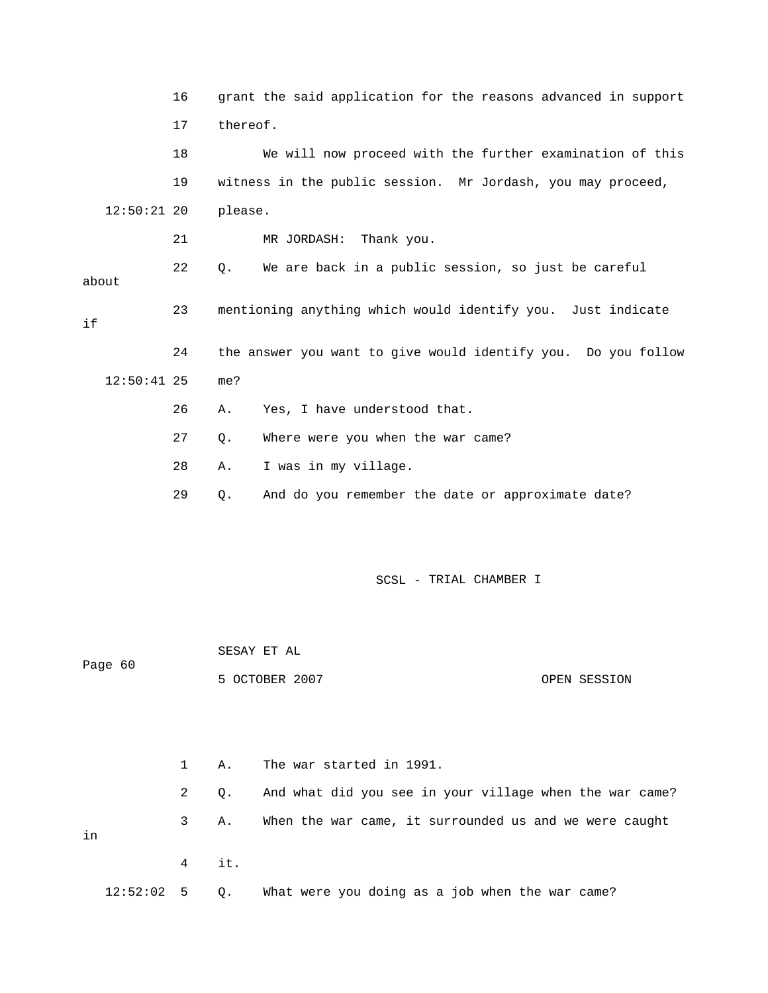|     |               | 16 | grant the said application for the reasons advanced in support |
|-----|---------------|----|----------------------------------------------------------------|
|     |               | 17 | thereof.                                                       |
|     |               | 18 | We will now proceed with the further examination of this       |
|     |               | 19 | witness in the public session. Mr Jordash, you may proceed,    |
|     | $12:50:21$ 20 |    | please.                                                        |
|     |               | 21 | MR JORDASH:<br>Thank you.                                      |
|     | about         | 22 | We are back in a public session, so just be careful<br>Q.      |
| i f |               | 23 | mentioning anything which would identify you. Just indicate    |
|     |               | 24 | the answer you want to give would identify you. Do you follow  |
|     | $12:50:41$ 25 |    | me?                                                            |
|     |               | 26 | Yes, I have understood that.<br>Α.                             |
|     |               | 27 | Where were you when the war came?<br>$Q$ .                     |
|     |               | 28 | I was in my village.<br>Α.                                     |
|     |               | 29 | And do you remember the date or approximate date?<br>Q.        |
|     |               |    |                                                                |

|    | Page 60  |              |     |                                                         |
|----|----------|--------------|-----|---------------------------------------------------------|
|    |          |              |     | 5 OCTOBER 2007<br>OPEN SESSION                          |
|    |          |              |     |                                                         |
|    |          |              |     |                                                         |
|    |          |              |     |                                                         |
|    |          |              |     |                                                         |
|    |          |              |     |                                                         |
|    |          | $\mathbf{1}$ | Α.  | The war started in 1991.                                |
|    |          |              |     |                                                         |
|    |          | 2            | Q.  | And what did you see in your village when the war came? |
|    |          |              |     |                                                         |
|    |          | 3            | Α.  | When the war came, it surrounded us and we were caught  |
| in |          |              |     |                                                         |
|    |          |              |     |                                                         |
|    |          | 4            | it. |                                                         |
|    |          |              |     |                                                         |
|    | 12:52:02 | 5            | Q.  | What were you doing as a job when the war came?         |

SESAY ET AL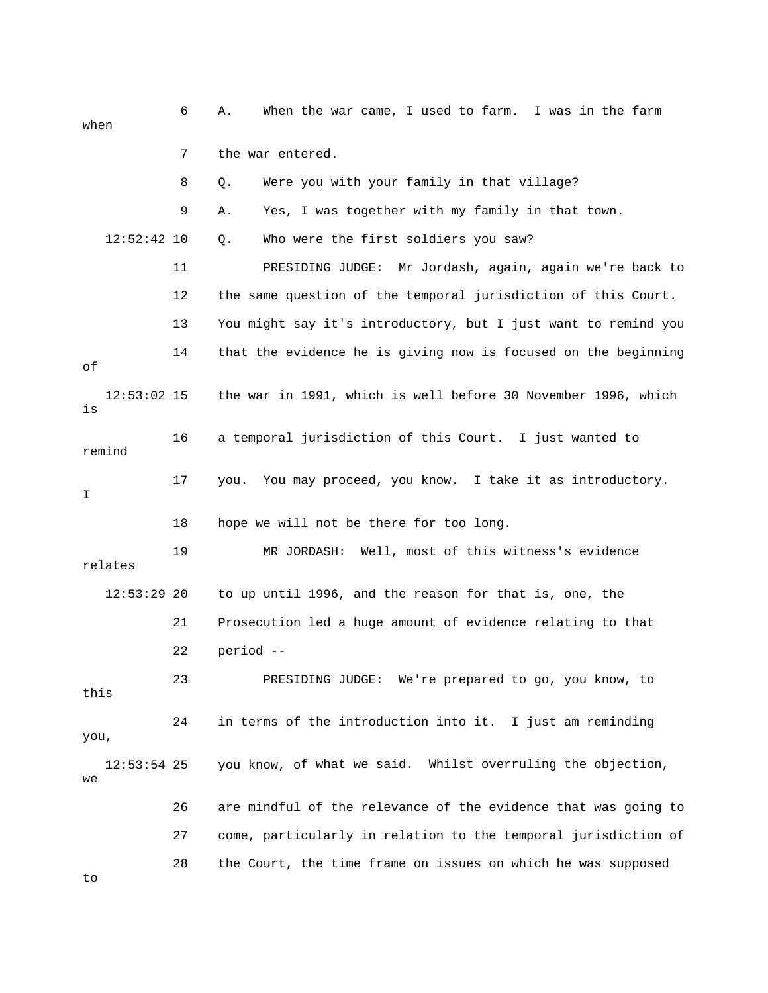6 A. When the war came, I used to farm. I was in the farm when 7 the war entered. 8 Q. Were you with your family in that village? 9 A. Yes, I was together with my family in that town. Q. Who were the first soldiers you saw? DGE: Mr Jordash, again, again we're back to 11 PRESIDING JU 12 the same question of the temporal jurisdiction of this Court. 13 You might say it's introductory, but I just want to remind you 14 that the evidence he is giving now is focused on the beginning 12:53:02 15 the war in 1991, which is well before 30 November 1996, which 17 you. You may proceed, you know. I take it as introductory. 18 hope we will not be there for too long. 21 Prosecution led a huge amount of evidence relating to that 22 period -- 23 PRESIDING JUDGE: We're prepared to go, you know, to this 24 in terms of the introduction into it. I just am reminding 12:53:54 25 you know, of what we said. Whilst overruling the objection, 26 are mindful of the relevance of the evidence that was going to 27 come, particularly in relation to the temporal jurisdiction of 28 the Court, the time frame on issues on which he was supposed  $12:52:42$  10 of is 16 a temporal jurisdiction of this Court. I just wanted to remind I 19 MR JORDASH: Well, most of this witness's evidence relates 12:53:29 20 to up until 1996, and the reason for that is, one, the you, we to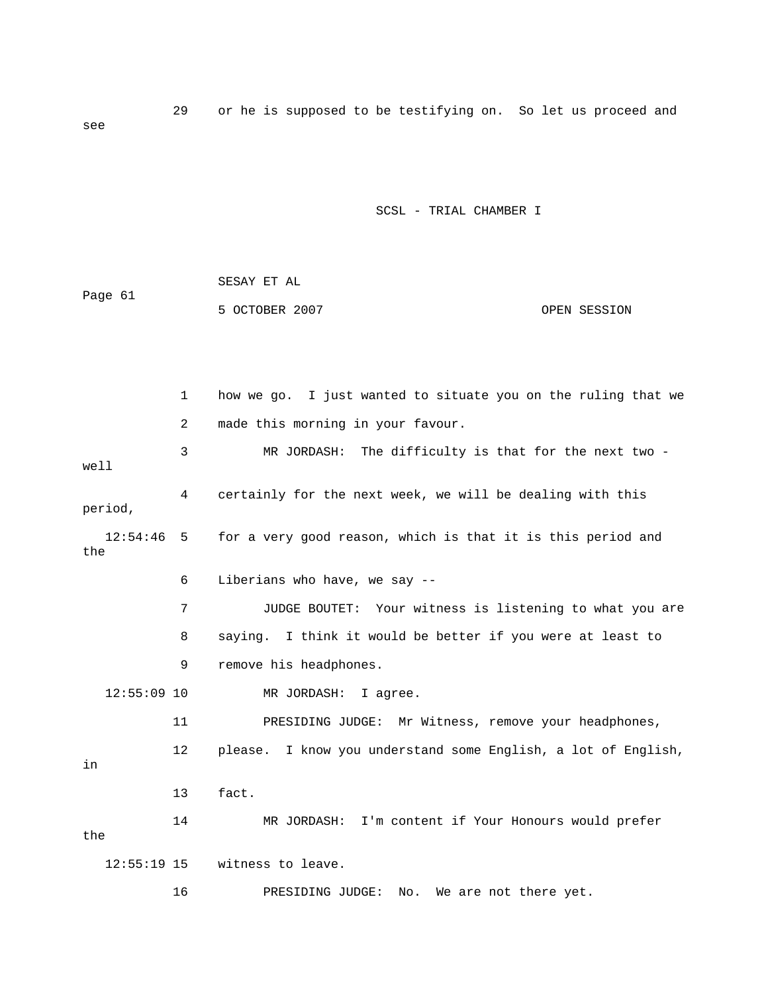29 or he is supposed to be testifying on. So let us proceed and see

SCSL - TRIAL CHAMBER I

|         | SESAY ET AL    |              |
|---------|----------------|--------------|
| Page 61 |                |              |
|         | 5 OCTOBER 2007 | OPEN SESSION |

e 1 how we go. I just wanted to situate you on the ruling that w 3 MR JORDASH: The difficulty is that for the next two well 4 certainly for the next week, we will be dealing with this 12:54:46 5 for a very good reason, which is that it is this period and the 7 JUDGE BOUTET: Your witness is listening to what you are 8 saying. I think it would be better if you were at least to 12 please. I know you understand some English, a lot of English, 14 MR JORDASH: I'm content if Your Honours would prefer 16 PRESIDING JUDGE: No. We are not there yet. 2 made this morning in your favour. period, 6 Liberians who have, we say -- 9 remove his headphones. 12:55:09 10 MR JORDASH: I agree. 11 PRESIDING JUDGE: Mr Witness, remove your headphones, in 13 fact. the 12:55:19 15 witness to leave.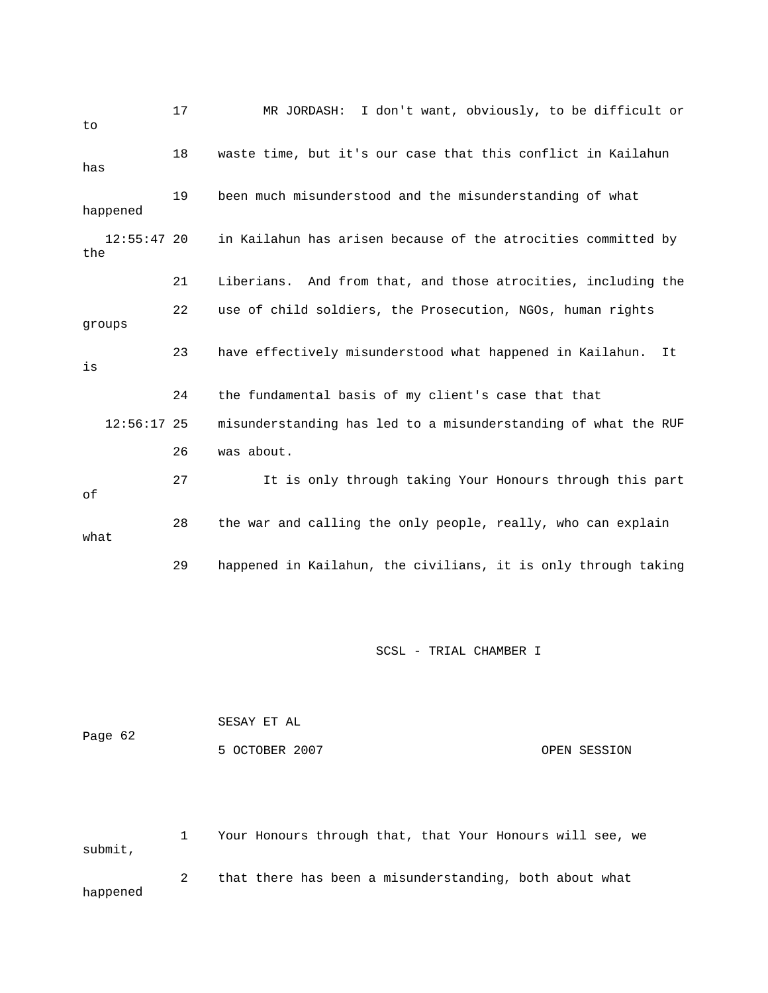| to                   | 17                                                                 | I don't want, obviously, to be difficult or<br>MR JORDASH:      |  |  |  |  |
|----------------------|--------------------------------------------------------------------|-----------------------------------------------------------------|--|--|--|--|
| has                  | waste time, but it's our case that this conflict in Kailahun<br>18 |                                                                 |  |  |  |  |
| happened             | 19                                                                 | been much misunderstood and the misunderstanding of what        |  |  |  |  |
| $12:55:47$ 20<br>the |                                                                    | in Kailahun has arisen because of the atrocities committed by   |  |  |  |  |
|                      | 21                                                                 | Liberians. And from that, and those atrocities, including the   |  |  |  |  |
| groups               | 22                                                                 | use of child soldiers, the Prosecution, NGOs, human rights      |  |  |  |  |
| is                   | 23                                                                 | have effectively misunderstood what happened in Kailahun.<br>It |  |  |  |  |
|                      | 24                                                                 | the fundamental basis of my client's case that that             |  |  |  |  |
| $12:56:17$ 25        |                                                                    | misunderstanding has led to a misunderstanding of what the RUF  |  |  |  |  |
|                      | 26                                                                 | was about.                                                      |  |  |  |  |
| оf                   | 27                                                                 | It is only through taking Your Honours through this part        |  |  |  |  |
| what                 | 28                                                                 | the war and calling the only people, really, who can explain    |  |  |  |  |
|                      | 29                                                                 | happened in Kailahun, the civilians, it is only through taking  |  |  |  |  |
|                      |                                                                    |                                                                 |  |  |  |  |

|         | SESAY ET AL    |              |
|---------|----------------|--------------|
| Page 62 |                |              |
|         | 5 OCTOBER 2007 | OPEN SESSION |

happened 1 Your Honours through that, that Your Honours will see, we submit, 2 that there has been a misunderstanding, both about what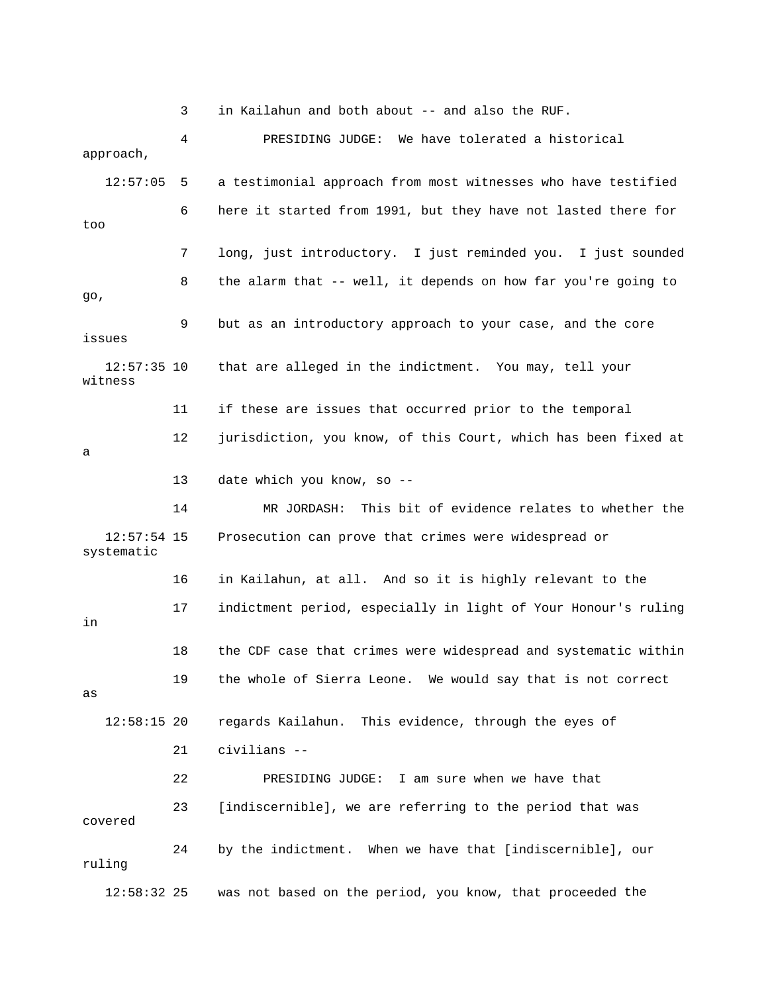3 in Kailahun and both about -- and also the RUF.

12:57:05 5 a testimonial approach from most witnesses who have testified 6 here it started from 1991, but they have not lasted there for 7 long, just introductory. I just reminded you. I just sounded issues witness 11 if these are issues that occurred prior to the temporal 12 jurisdiction, you know, of this Court, which has been fixed at 14 MR JORDASH: This bit of evidence relates to whether the 16 in Kailahun, at all. And so it is highly relevant to the 17 indictment period, especially in light of Your Honour's ruling 18 the CDF case that crimes were widespread and systematic within 19 the whole of Sierra Leone. We would say that is not correct 21 civilians -- 22 PRESIDING JUDGE: I am sure when we have that 23 [indiscernible], we are referring to the period that was covered 24 by the indictment. When we have that [indiscernible], our 12:58:32 25 was not based on the period, you know, that proceeded the 4 PRESIDING JUDGE: We have tolerated a historical approach, too 8 the alarm that -- well, it depends on how far you're going to go, 9 but as an introductory approach to your case, and the core 12:57:35 10 that are alleged in the indictment. You may, tell your a 13 date which you know, so -- 12:57:54 15 Prosecution can prove that crimes were widespread or systematic in as 12:58:15 20 regards Kailahun. This evidence, through the eyes of ruling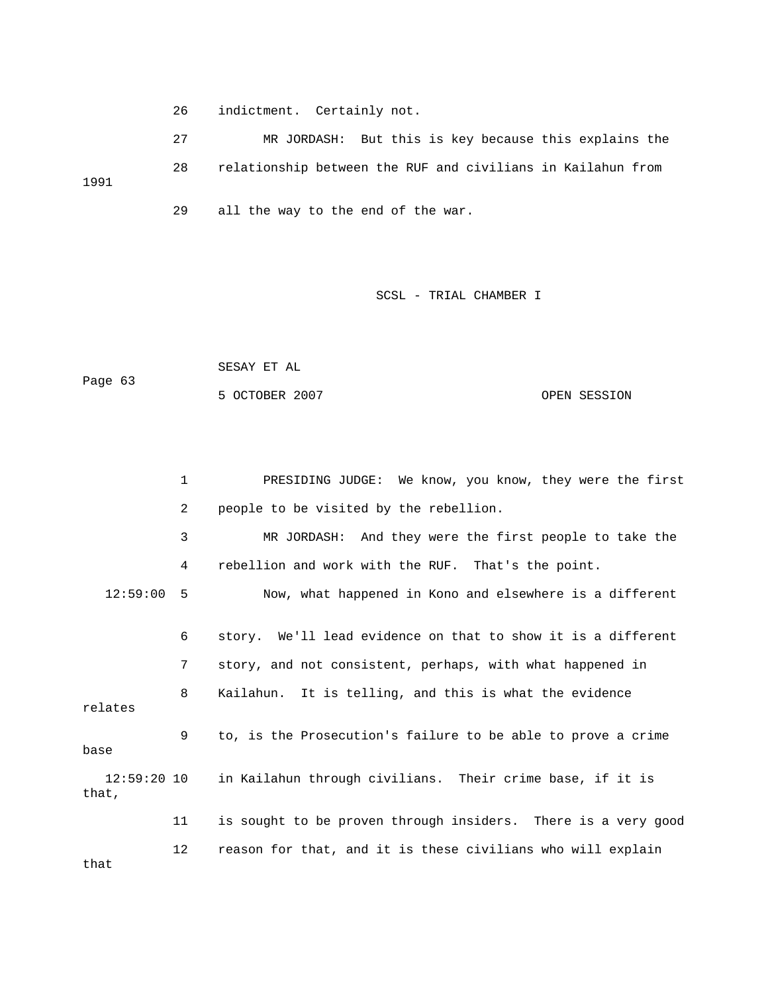26 indictment. Certainly not.

 27 MR JORDASH: But this is key because this explains the 28 relationship between the RUF and civilians in Kailahun from 1991 29 all the way to the end of the war.

SCSL - TRIAL CHAMBER I

|         | SESAY ET AL    |              |
|---------|----------------|--------------|
| Page 63 |                |              |
|         | 5 OCTOBER 2007 | OPEN SESSION |

1 PRESIDING JUDGE: We know, you know, they were the first 3 MR JORDASH: And they were the first people to take the 4 rebellion and work with the RUF. That's the point. 6 story. We'll lead evidence on that to show it is a different 8 Kailahun. It is telling, and this is what the evidence 9 to, is the Prosecution's failure to be able to prove a crime 11 is sought to be proven through insiders. There is a very good 2 people to be visited by the rebellion. 12:59:00 5 Now, what happened in Kono and elsewhere is a different 7 story, and not consistent, perhaps, with what happened in relates base 12:59:20 10 in Kailahun through civilians. Their crime base, if it is that, 12 reason for that, and it is these civilians who will explain

that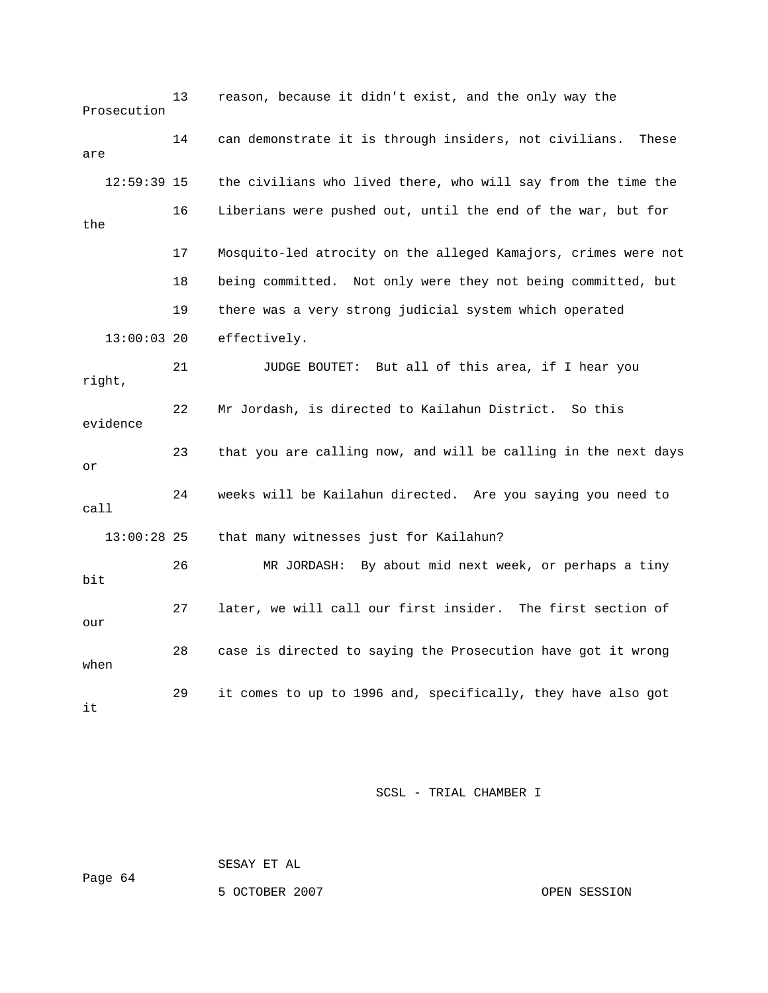13 reason, because it didn't exist, and the only way the Prosecution the civilians who lived there, who will say from the time the 16 Liberians were pushed out, until the end of the war, but for 19 there was a very strong judicial system which operated effectively. right, 23 that you are calling now, and will be calling in the next days 24 weeks will be Kailahun directed. Are you saying you need to call 28 case is directed to saying the Prosecution have got it wrong 29 it comes to up to 1996 and, specifically, they have also got 14 can demonstrate it is through insiders, not civilians. These are  $12:59:39$  15 the 17 Mosquito-led atrocity on the alleged Kamajors, crimes were not 18 being committed. Not only were they not being committed, but  $13:00:03$  20 21 JUDGE BOUTET: But all of this area, if I hear you 22 Mr Jordash, is directed to Kailahun District. So this evidence or 13:00:28 25 that many witnesses just for Kailahun? 26 MR JORDASH: By about mid next week, or perhaps a tiny bit 27 later, we will call our first insider. The first section of our when it

SCSL - TRIAL CHAMBER I

SESAY ET AL

Page 64

5 OCTOBER 2007 OPEN SESSION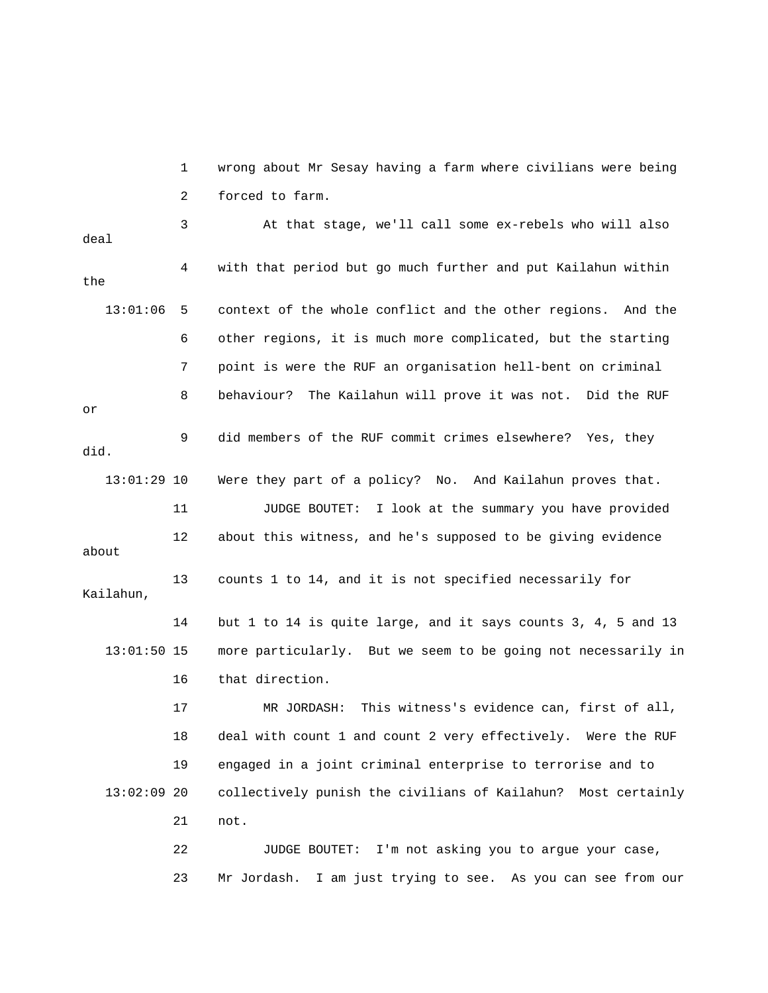1 wrong about Mr Sesay having a farm where civilians were being 3 At that stage, we'll call some ex-rebels who will also deal 4 with that period but go much further and put Kailahun within 13:01:06 5 context of the whole conflict and the other regions. And the 8 behaviour? The Kailahun will prove it was not. Did the RUF 9 did members of the RUF commit crimes elsewhere? Yes, they 12 about this witness, and he's supposed to be giving evidence 13 counts 1 to 14, and it is not specified necessarily for 13:01:50 15 more particularly. But we seem to be going not necessarily in 16 that direction. 17 MR JORDASH: This witness's evidence can, first of all, 13:02:09 20 collectively punish the civilians of Kailahun? Most certainly 2 forced to farm. the 6 other regions, it is much more complicated, but the starting 7 point is were the RUF an organisation hell-bent on criminal or did. 13:01:29 10 Were they part of a policy? No. And Kailahun proves that. 11 JUDGE BOUTET: I look at the summary you have provided about Kailahun, 14 but 1 to 14 is quite large, and it says counts 3, 4, 5 and 13 18 deal with count 1 and count 2 very effectively. Were the RUF 19 engaged in a joint criminal enterprise to terrorise and to 21 not. 22 JUDGE BOUTET: I'm not asking you to argue your case,

23 Mr Jordash. I am just trying to see. As you can see from our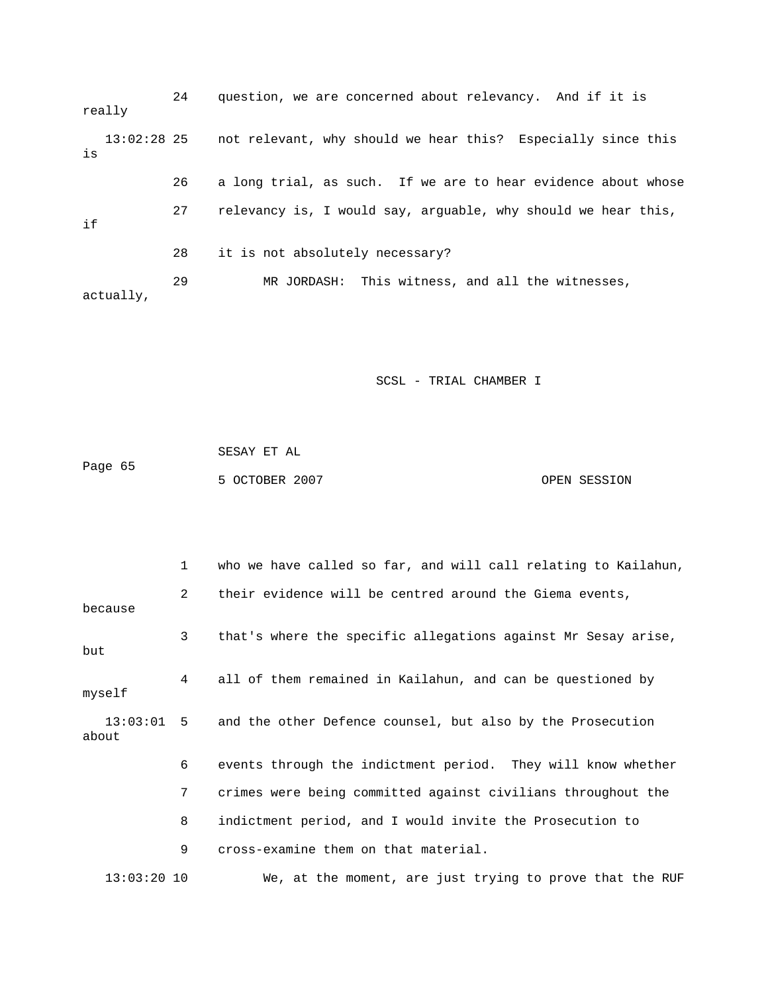24 question, we are concerned about relevancy. And if it is not relevant, why should we hear this? Especially since this 26 a long trial, as such. If we are to hear evidence about whose 27 relevancy is, I would say, arguable, why should we hear this, 28 it is not absolutely necessary? 29 MR JORDASH: This witness, and all the witnesses, actually, really  $13:02:28$  25 is if

SCSL - TRIAL CHAMBER I

|         | SESAY ET AL    |              |
|---------|----------------|--------------|
| Page 65 |                |              |
|         | 5 OCTOBER 2007 | OPEN SESSION |

 1 who we have called so far, and will call relating to Kailahun, 2 their evidence will be centred around the Giema events, 3 that's where the specific allegations against Mr Sesay arise, but 4 all of them remained in Kailahun, and can be questioned by 13:03:01 5 and the other Defence counsel, but also by the Prosecution 7 crimes were being committed against civilians throughout the 8 indictment period, and I would invite the Prosecution to We, at the moment, are just trying to prove that the RUF because myself about 6 events through the indictment period. They will know whether 9 cross-examine them on that material. 13:03:20 10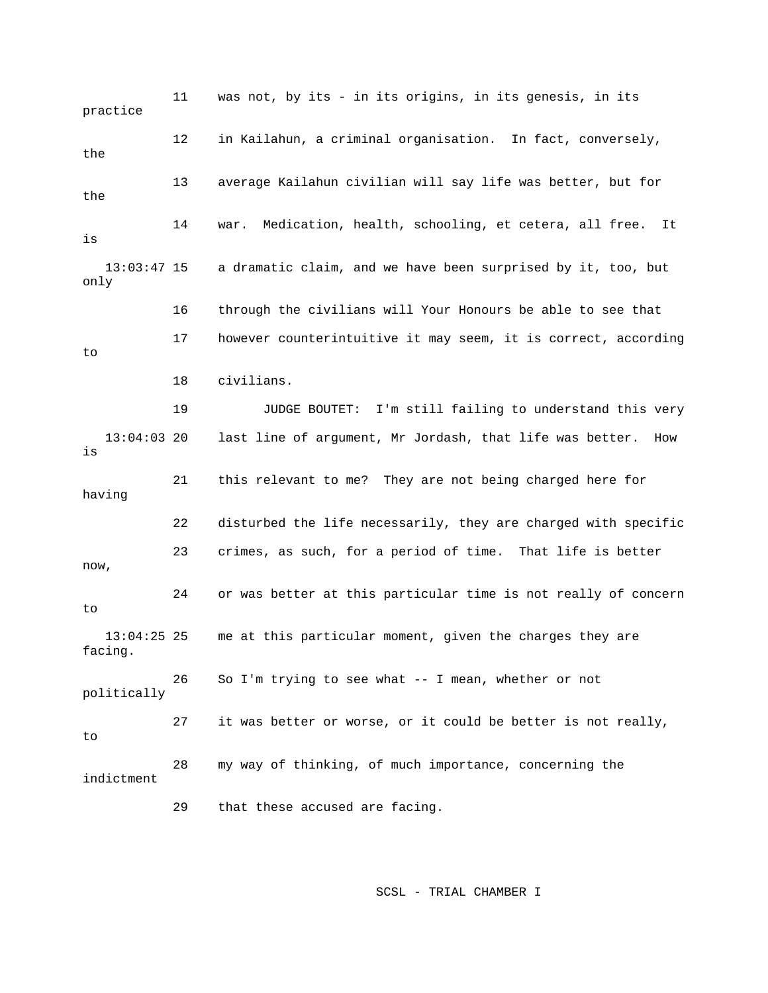11 was not, by its - in its origins, in its genesis, in its 12 in Kailahun, a criminal organisation. In fact, conversely, 13 average Kailahun civilian will say life was better, but for 14 war. Medication, health, schooling, et cetera, all free. It 17 however counterintuitive it may seem, it is correct, according 18 civilians. 19 JUDGE BOUTET: I'm still failing to understand this very 21 this relevant to me? They are not being charged here for having 22 disturbed the life necessarily, they are charged with specific 23 crimes, as such, for a period of time. That life is better 24 or was better at this particular time is not really of concern 13:04:25 25 me at this particular moment, given the charges they are politically indictment practice the the is 13:03:47 15 a dramatic claim, and we have been surprised by it, too, but only 16 through the civilians will Your Honours be able to see that to 13:04:03 20 last line of argument, Mr Jordash, that life was better. How is now, to facing. 26 So I'm trying to see what -- I mean, whether or not 27 it was better or worse, or it could be better is not really, to 28 my way of thinking, of much importance, concerning the 29 that these accused are facing.

SCSL - TRIAL CHAMBER I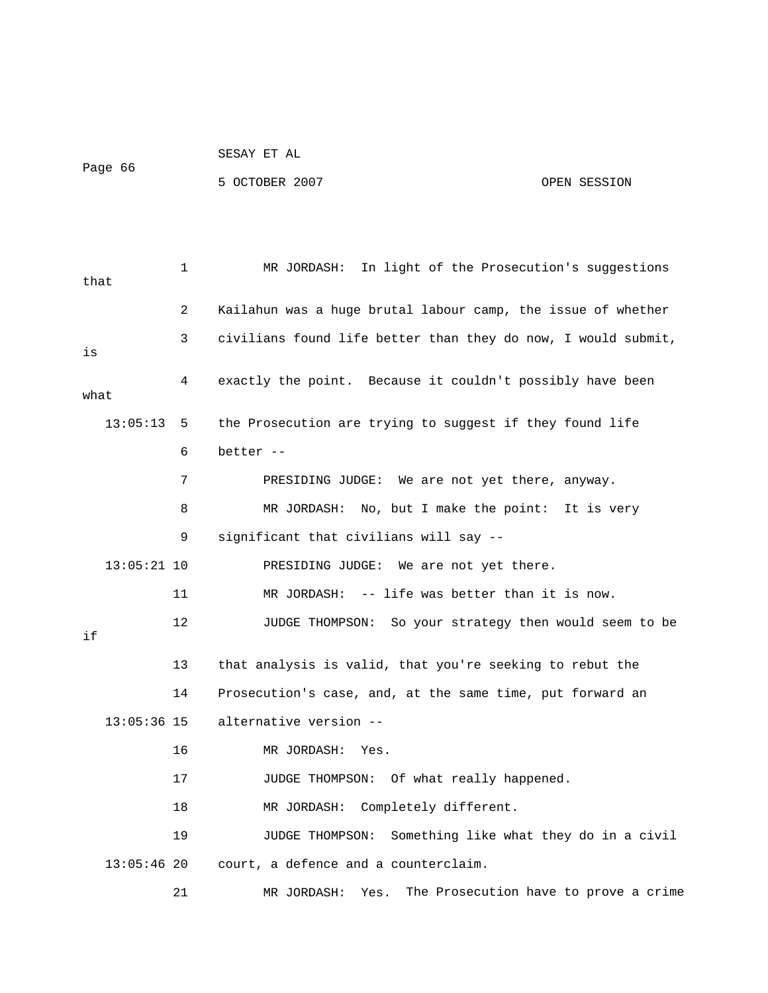| Page 66 | SESAY ET AL    |              |
|---------|----------------|--------------|
|         | 5 OCTOBER 2007 | OPEN SESSION |
|         |                |              |

| that |               | $\mathbf 1$    | In light of the Prosecution's suggestions<br>MR JORDASH:      |
|------|---------------|----------------|---------------------------------------------------------------|
|      |               | $\overline{2}$ | Kailahun was a huge brutal labour camp, the issue of whether  |
| is   |               | 3              | civilians found life better than they do now, I would submit, |
| what |               | 4              | exactly the point. Because it couldn't possibly have been     |
|      | 13:05:13      | 5              | the Prosecution are trying to suggest if they found life      |
|      |               | 6              | better $-$                                                    |
|      |               | 7              | PRESIDING JUDGE: We are not yet there, anyway.                |
|      |               | 8              | No, but I make the point: It is very<br>MR JORDASH:           |
|      |               | 9              | significant that civilians will say --                        |
|      | $13:05:21$ 10 |                | PRESIDING JUDGE: We are not yet there.                        |
|      |               | 11             | MR JORDASH: $-$ - life was better than it is now.             |
| if   |               | $12 \,$        | JUDGE THOMPSON: So your strategy then would seem to be        |
|      |               | 13             | that analysis is valid, that you're seeking to rebut the      |
|      |               | 14             | Prosecution's case, and, at the same time, put forward an     |
|      | $13:05:36$ 15 |                | alternative version --                                        |
|      |               | 16             | MR JORDASH:<br>Yes.                                           |
|      |               | 17             | JUDGE THOMPSON: Of what really happened.                      |
|      |               | 18             | MR JORDASH: Completely different.                             |
|      |               | 19             | JUDGE THOMPSON: Something like what they do in a civil        |
|      | $13:05:46$ 20 |                | court, a defence and a counterclaim.                          |
|      |               | 21             | The Prosecution have to prove a crime<br>MR JORDASH:<br>Yes.  |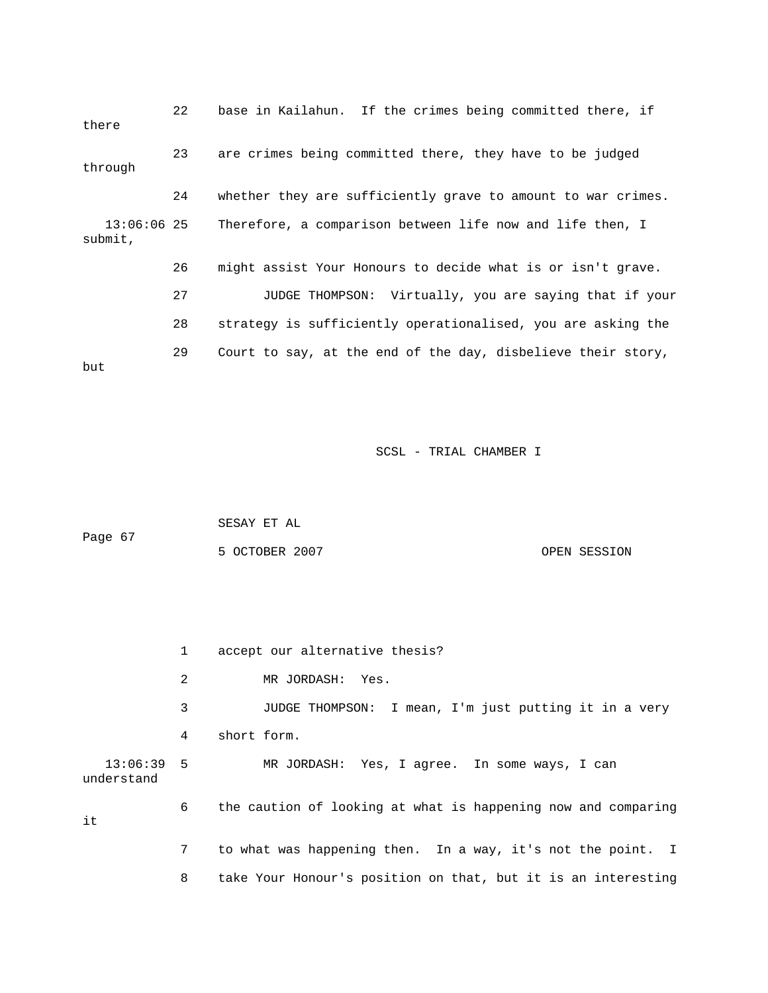22 base in Kailahun. If the crimes being committed there, if there 24 whether they are sufficiently grave to amount to war crimes. 26 might assist Your Honours to decide what is or isn't grave. 27 JUDGE THOMPSON: Virtually, you are saying that if your 29 Court to say, at the end of the day, disbelieve their story, 23 are crimes being committed there, they have to be judged through 13:06:06 25 Therefore, a comparison between life now and life then, I submit, 28 strategy is sufficiently operationalised, you are asking the but

SCSL - TRIAL CHAMBER I

|         | SESAY ET AL    |  |  |  |  |  |  |              |  |
|---------|----------------|--|--|--|--|--|--|--------------|--|
| Page 67 |                |  |  |  |  |  |  |              |  |
|         | 5 OCTOBER 2007 |  |  |  |  |  |  | OPEN SESSION |  |

 1 accept our alternative thesis? 2 MR JORDASH: Yes. 3 3 JUDGE THOMPSON: I mean, I'm just putting it in a very 4 short form. 13:06:39 5 MR JORDASH: Yes, I agree. In some ways, I can understand 6 the caution of looking at what is happening now and comparing 8 take Your Honour's position on that, but it is an interesting it 7 to what was happening then. In a way, it's not the point. I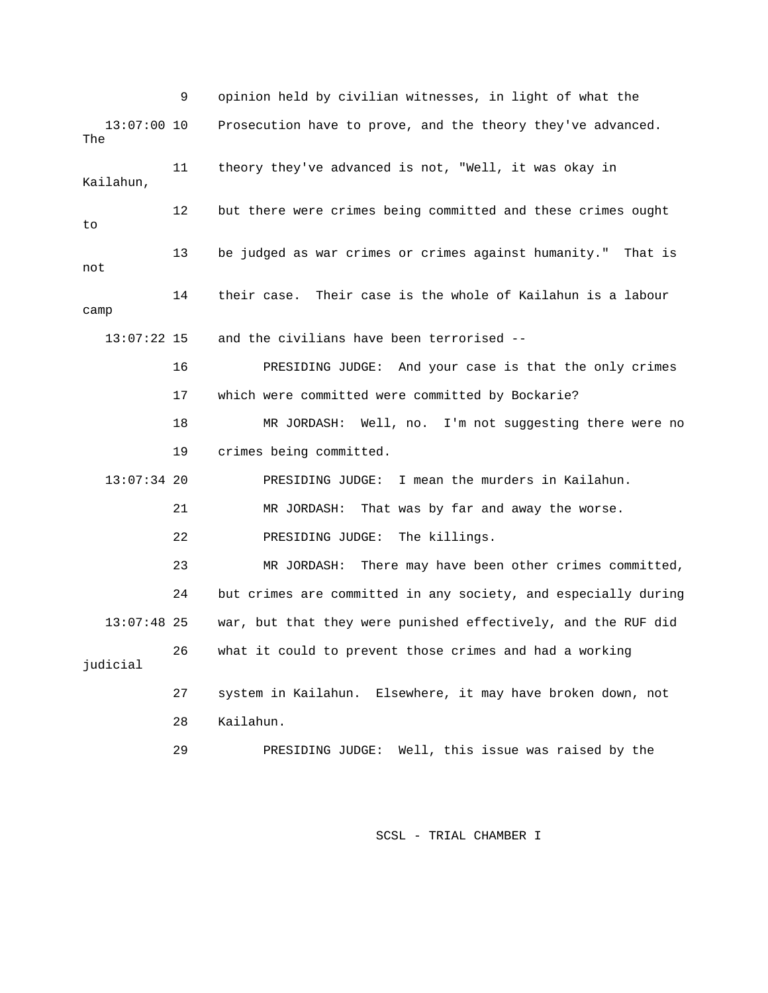|                      | 9  | opinion held by civilian witnesses, in light of what the       |
|----------------------|----|----------------------------------------------------------------|
| $13:07:00$ 10<br>The |    | Prosecution have to prove, and the theory they've advanced.    |
| Kailahun,            | 11 | theory they've advanced is not, "Well, it was okay in          |
| to                   | 12 | but there were crimes being committed and these crimes ought   |
| not                  | 13 | be judged as war crimes or crimes against humanity." That is   |
| camp                 | 14 | Their case is the whole of Kailahun is a labour<br>their case. |
| $13:07:22$ 15        |    | and the civilians have been terrorised --                      |
|                      | 16 | PRESIDING JUDGE: And your case is that the only crimes         |
|                      | 17 | which were committed were committed by Bockarie?               |
|                      | 18 | MR JORDASH: Well, no. I'm not suggesting there were no         |
|                      | 19 | crimes being committed.                                        |
| $13:07:34$ 20        |    | PRESIDING JUDGE: I mean the murders in Kailahun.               |
|                      | 21 | MR JORDASH:<br>That was by far and away the worse.             |
|                      | 22 | PRESIDING JUDGE:<br>The killings.                              |
|                      | 23 | There may have been other crimes committed,<br>MR JORDASH:     |
|                      | 24 | but crimes are committed in any society, and especially during |
| $13:07:48$ 25        |    | war, but that they were punished effectively, and the RUF did  |
| judicial             | 26 | what it could to prevent those crimes and had a working        |
|                      | 27 | system in Kailahun. Elsewhere, it may have broken down, not    |
|                      | 28 | Kailahun.                                                      |
|                      | 29 | Well, this issue was raised by the<br>PRESIDING JUDGE:         |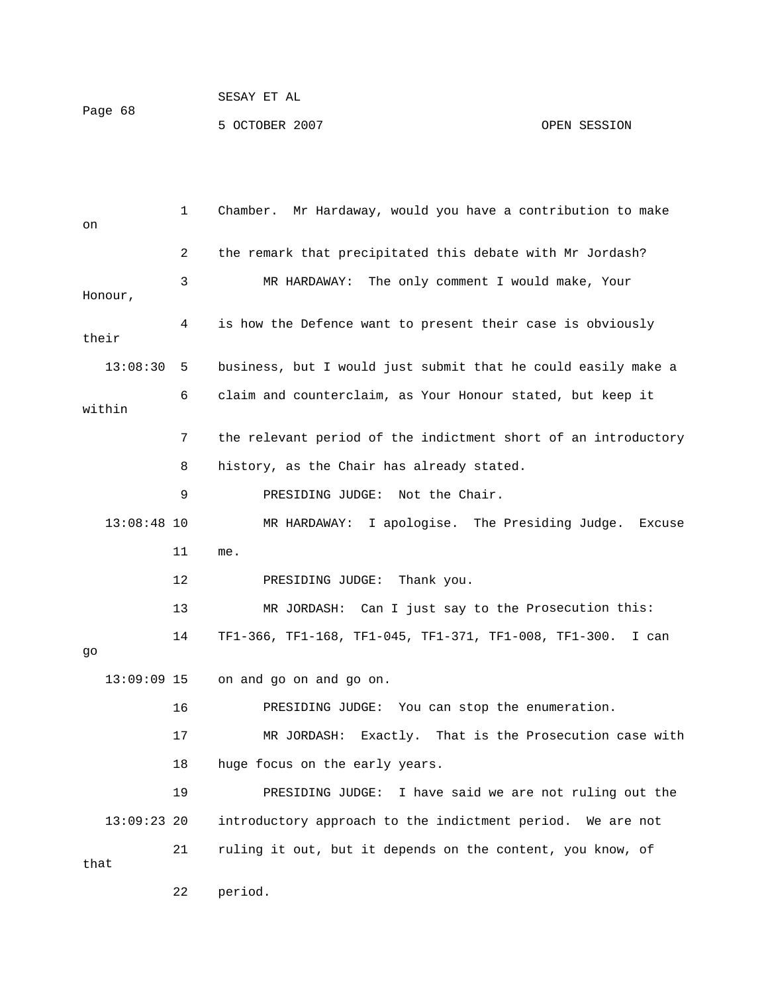| on            | $\mathbf{1}$ | Chamber. Mr Hardaway, would you have a contribution to make    |
|---------------|--------------|----------------------------------------------------------------|
|               | 2            | the remark that precipitated this debate with Mr Jordash?      |
|               | 3            | MR HARDAWAY: The only comment I would make, Your               |
| Honour,       |              |                                                                |
| their         | 4            | is how the Defence want to present their case is obviously     |
| 13:08:30      | 5            | business, but I would just submit that he could easily make a  |
| within        | 6            | claim and counterclaim, as Your Honour stated, but keep it     |
|               | 7            | the relevant period of the indictment short of an introductory |
|               | 8            | history, as the Chair has already stated.                      |
|               | 9            | PRESIDING JUDGE: Not the Chair.                                |
| $13:08:48$ 10 |              | MR HARDAWAY: I apologise. The Presiding Judge.<br>Excuse       |
|               | 11           | me.                                                            |
|               | 12           | PRESIDING JUDGE:<br>Thank you.                                 |
|               | 13           | MR JORDASH: Can I just say to the Prosecution this:            |
| go            | 14           | TF1-366, TF1-168, TF1-045, TF1-371, TF1-008, TF1-300. I can    |
| $13:09:09$ 15 |              | on and go on and go on.                                        |
|               | 16           | PRESIDING JUDGE: You can stop the enumeration.                 |
|               | 17           | Exactly. That is the Prosecution case with<br>MR JORDASH:      |
|               | 18           | huge focus on the early years.                                 |
|               | 19           | I have said we are not ruling out the<br>PRESIDING JUDGE:      |
| $13:09:23$ 20 |              | introductory approach to the indictment period. We are not     |
| that          | 21           | ruling it out, but it depends on the content, you know, of     |

22 period.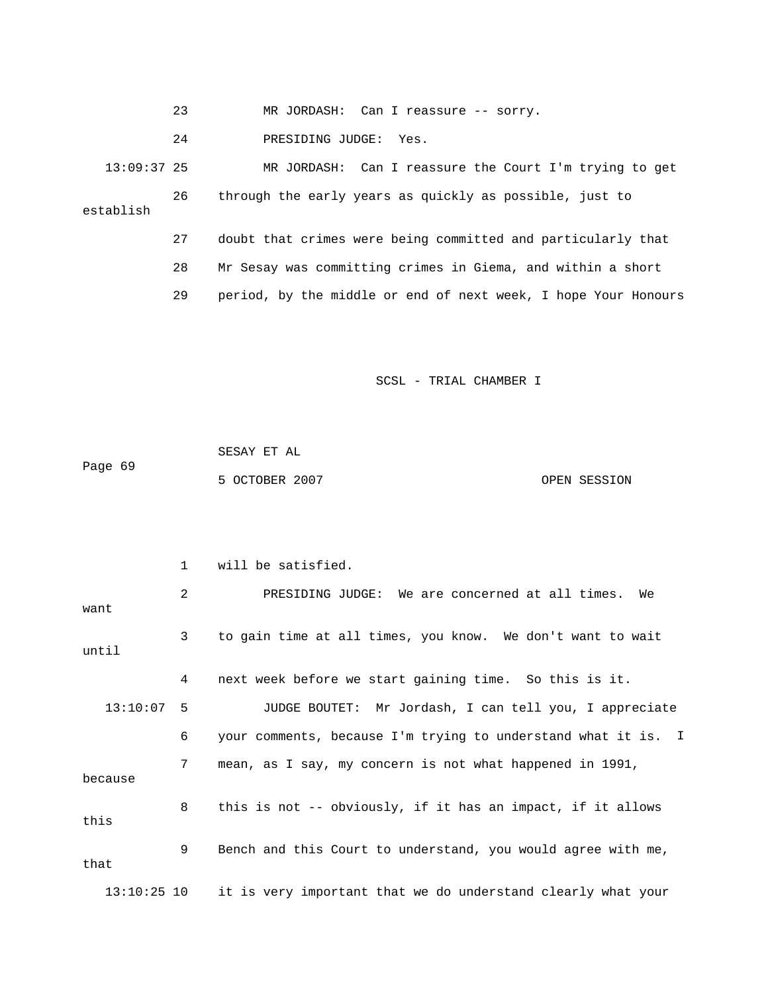23 MR JORDASH: Can I reassure -- sorry.

24 PRESIDING JUDGE: Yes.

 13:09:37 25 MR JORDASH: Can I reassure the Court I'm trying to get 26 through the early years as quickly as possible, just to establish 27 doubt that crimes were being committed and particularly that 28 Mr Sesay was committing crimes in Giema, and within a short

29 period, by the middle or end of next week, I hope Your Honours

SCSL - TRIAL CHAMBER I

|         | SESAY ET AL    |  |              |
|---------|----------------|--|--------------|
| Page 69 |                |  |              |
|         | 5 OCTOBER 2007 |  | OPEN SESSION |

|               | $\mathbf{1}$ | will be satisfied.                                            |
|---------------|--------------|---------------------------------------------------------------|
| want          | 2            | PRESIDING JUDGE: We are concerned at all times. We            |
| until         | $\mathbf{3}$ | to gain time at all times, you know. We don't want to wait    |
|               | 4            | next week before we start gaining time. So this is it.        |
| $13:10:07$ 5  |              | JUDGE BOUTET: Mr Jordash, I can tell you, I appreciate        |
|               | 6            | your comments, because I'm trying to understand what it is. I |
| because       | 7            | mean, as I say, my concern is not what happened in 1991,      |
| this          | 8            | this is not -- obviously, if it has an impact, if it allows   |
| that          | 9            | Bench and this Court to understand, you would agree with me,  |
| $13:10:25$ 10 |              | it is very important that we do understand clearly what your  |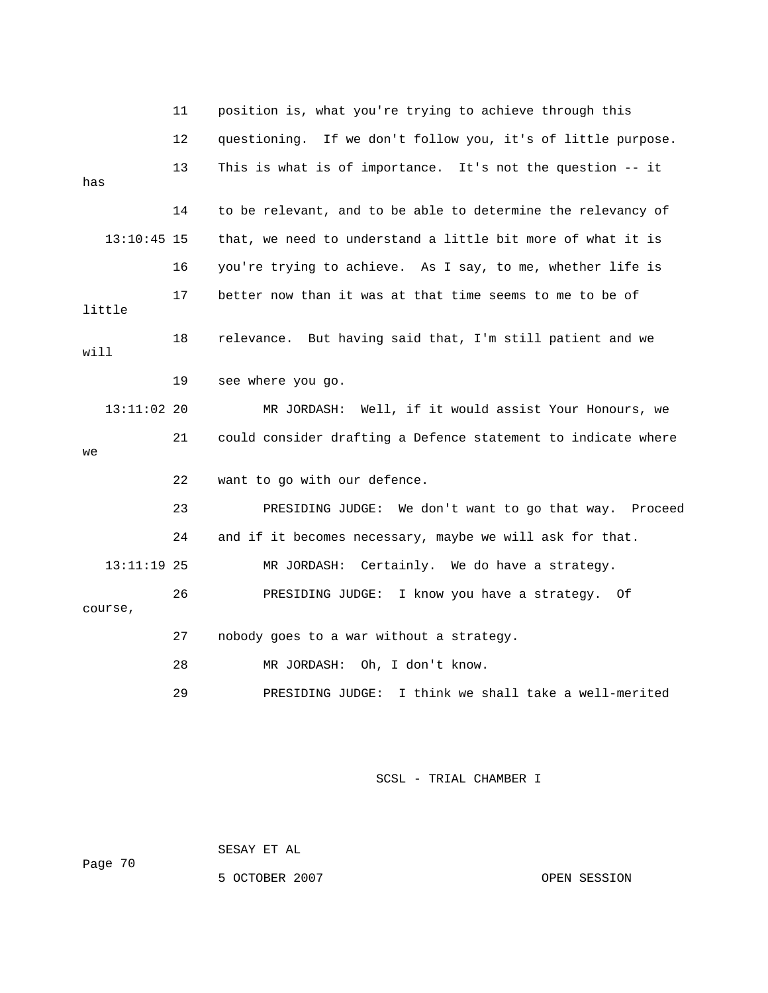|      |               | 11 | position is, what you're trying to achieve through this       |
|------|---------------|----|---------------------------------------------------------------|
|      |               | 12 | questioning. If we don't follow you, it's of little purpose.  |
| has  |               | 13 | This is what is of importance. It's not the question -- it    |
|      |               | 14 | to be relevant, and to be able to determine the relevancy of  |
|      | $13:10:45$ 15 |    | that, we need to understand a little bit more of what it is   |
|      |               | 16 | you're trying to achieve. As I say, to me, whether life is    |
|      | little        | 17 | better now than it was at that time seems to me to be of      |
| will |               | 18 | relevance. But having said that, I'm still patient and we     |
|      |               | 19 | see where you go.                                             |
|      | 13:11:02 20   |    | MR JORDASH: Well, if it would assist Your Honours, we         |
| we   |               | 21 | could consider drafting a Defence statement to indicate where |
|      |               | 22 | want to go with our defence.                                  |
|      |               | 23 | PRESIDING JUDGE: We don't want to go that way. Proceed        |
|      |               | 24 | and if it becomes necessary, maybe we will ask for that.      |
|      | $13:11:19$ 25 |    | MR JORDASH: Certainly. We do have a strategy.                 |
|      | course,       | 26 | PRESIDING JUDGE: I know you have a strategy. Of               |
|      |               | 27 | nobody goes to a war without a strategy.                      |
|      |               | 28 | MR JORDASH:<br>Oh, I don't know.                              |
|      |               | 29 | PRESIDING JUDGE: I think we shall take a well-merited         |
|      |               |    |                                                               |

SESAY ET AL

5 OCTOBER 2007 CONSIDER SESSION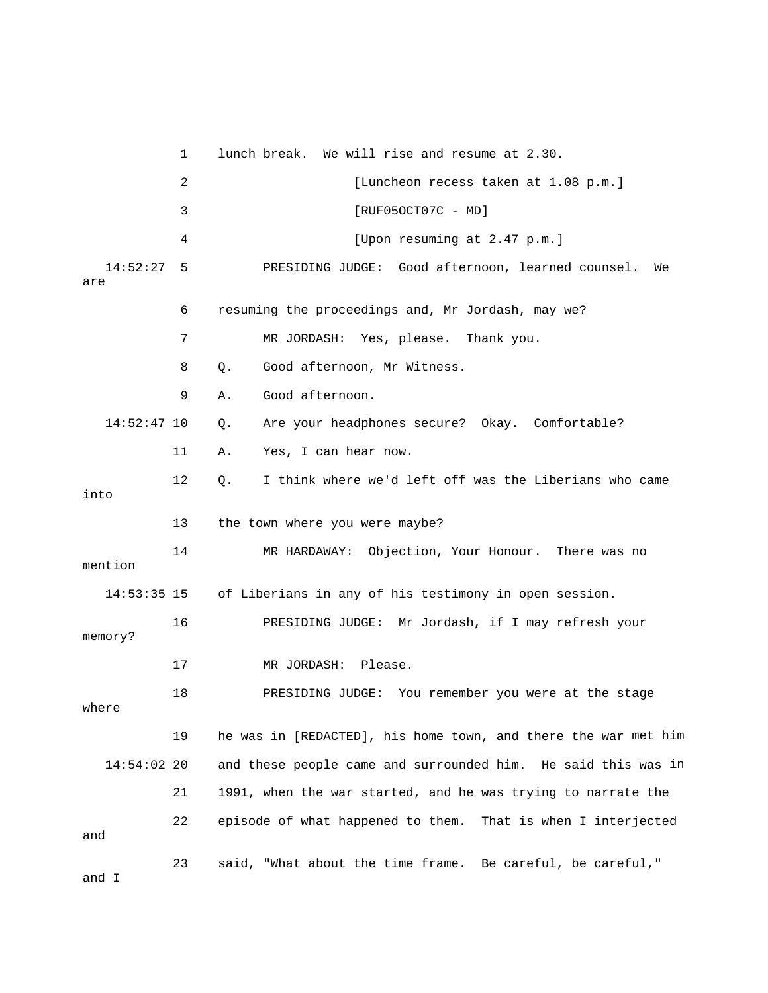1 lunch break. We will rise and resume at 2.30. 4 [Upon resuming at 2.47 p.m.] 14:52:27 5 PRESIDING JUDGE: Good afternoon, learned counsel. We 6 resuming the proceedings and, Mr Jordash, may we? 7 MR JORDASH: Yes, please. Thank you. 9 A. Good afternoon. Q. Are your headphones secure? Okay. Comfortable? 12 Q. I think where we'd left off was the Liberians who came 13 the town where you were maybe? 14 MR HARDAWAY: Objection, Your Honour. There was no 14:53:35 15 of Liberians in any of his testimony in open session. ? memory 19 he was in [REDACTED], his home town, and there the war met him 14:54:02 20 and these people came and surrounded him. He said this was in 21 1991, when the war started, and he was trying to narrate the 22 episode of what happened to them. That is when I interjected 23 said, "What about the time frame. Be careful, be careful," 2 [Luncheon recess taken at 1.08 p.m.] 3 [RUF05OCT07C - MD] are 8 Q. Good afternoon, Mr Witness.  $14:52:47$  10 11 A. Yes, I can hear now. into mention 16 PRESIDING JUDGE: Mr Jordash, if I may refresh your 17 MR JORDASH: Please. 18 PRESIDING JUDGE: You remember you were at the stage where and and I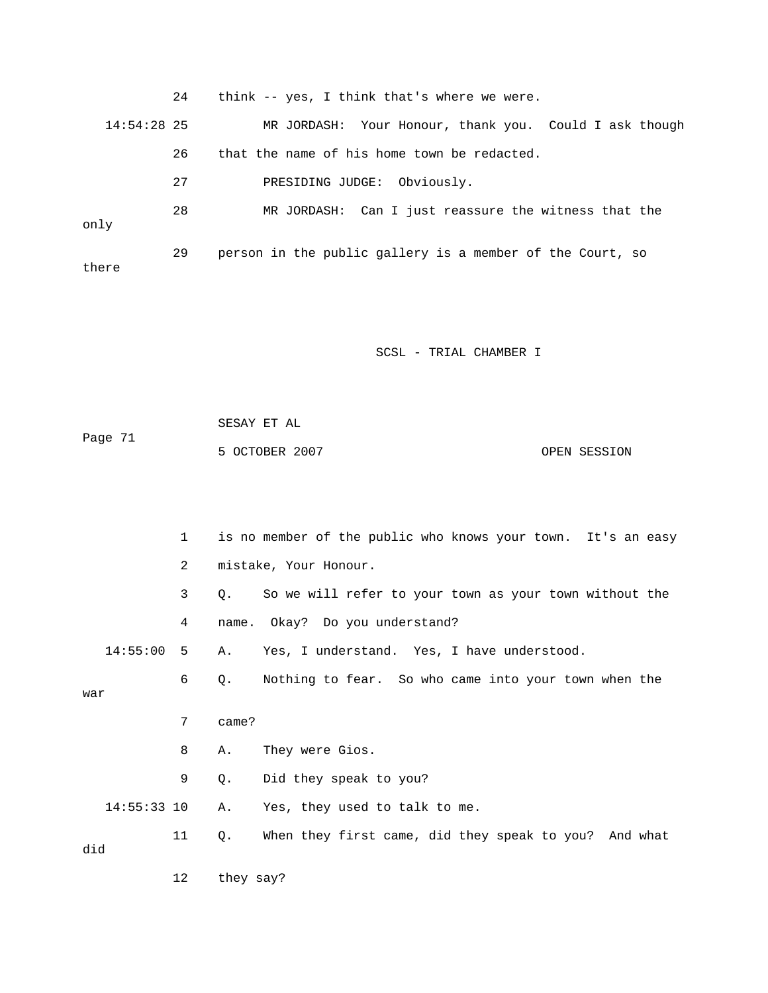|               | 24 | think -- yes, I think that's where we were.               |
|---------------|----|-----------------------------------------------------------|
| $14:54:28$ 25 |    | MR JORDASH: Your Honour, thank you. Could I ask though    |
|               | 26 | that the name of his home town be redacted.               |
|               | 27 | PRESIDING JUDGE: Obviously.                               |
| only          | 28 | MR JORDASH: Can I just reassure the witness that the      |
| there         | 29 | person in the public gallery is a member of the Court, so |

 SESAY ET AL ge 71 5 OCTOBER 2007 CPEN SESSION Pa

|     |               | $\mathbf{1}$ |           | is no member of the public who knows your town. It's an easy |
|-----|---------------|--------------|-----------|--------------------------------------------------------------|
|     |               | 2            |           | mistake, Your Honour.                                        |
|     |               | 3            | 0.        | So we will refer to your town as your town without the       |
|     |               | 4            |           | name. Okay? Do you understand?                               |
|     | 14:55:00      | 5            | Α.        | Yes, I understand. Yes, I have understood.                   |
| war |               | 6            | Q.        | Nothing to fear. So who came into your town when the         |
|     |               | 7            | came?     |                                                              |
|     |               | 8            | Α.        | They were Gios.                                              |
|     |               | 9            | Q.        | Did they speak to you?                                       |
|     | $14:55:33$ 10 |              | Α.        | Yes, they used to talk to me.                                |
| did |               | 11           | $Q$ .     | When they first came, did they speak to you? And what        |
|     |               | 12           | they say? |                                                              |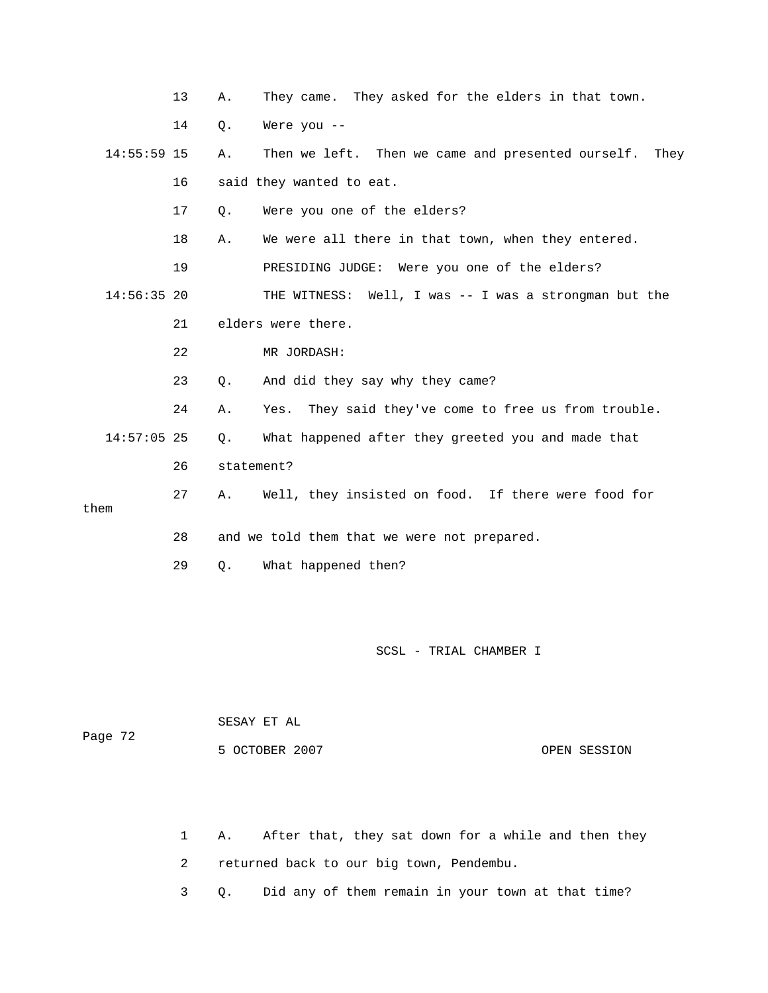|               | 13 | Α.         | They came. They asked for the elders in that town.      |
|---------------|----|------------|---------------------------------------------------------|
|               | 14 | Q.         | Were you $--$                                           |
| $14:55:59$ 15 |    | Α.         | Then we left. Then we came and presented ourself. They  |
|               | 16 |            | said they wanted to eat.                                |
|               | 17 | $Q$ .      | Were you one of the elders?                             |
|               | 18 | Α.         | We were all there in that town, when they entered.      |
|               | 19 |            | PRESIDING JUDGE: Were you one of the elders?            |
| $14:56:35$ 20 |    |            | THE WITNESS: Well, I was -- I was a strongman but the   |
|               | 21 |            | elders were there.                                      |
|               | 22 |            | MR JORDASH:                                             |
|               | 23 | $Q$ .      | And did they say why they came?                         |
|               | 24 | Α.         | They said they've come to free us from trouble.<br>Yes. |
| $14:57:05$ 25 |    | $Q$ .      | What happened after they greeted you and made that      |
|               | 26 | statement? |                                                         |
| them          | 27 | Α.         | Well, they insisted on food. If there were food for     |
|               |    |            |                                                         |
|               | 28 |            | and we told them that we were not prepared.             |
|               | 29 | $Q$ .      | What happened then?                                     |
|               |    |            |                                                         |

| Page 72 | SESAY ET AL    |              |
|---------|----------------|--------------|
|         | 5 OCTOBER 2007 | OPEN SESSION |

1 A. After that, they sat down for a while and then they 2 returned back to our big town, Pendembu.

3 Q. Did any of them remain in your town at that time?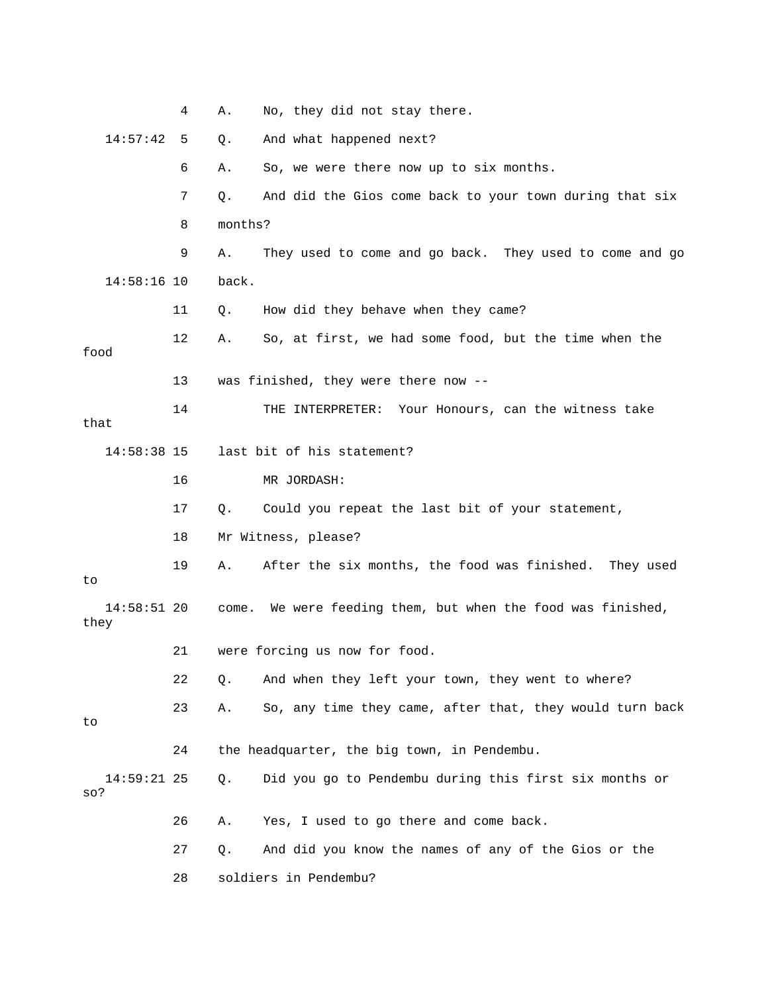|                       | 4  | No, they did not stay there.<br>Α.                             |
|-----------------------|----|----------------------------------------------------------------|
| 14:57:42              | 5  | And what happened next?<br>Q.                                  |
|                       | 6  | So, we were there now up to six months.<br>Α.                  |
|                       | 7  | And did the Gios come back to your town during that six<br>Q.  |
|                       | 8  | months?                                                        |
|                       | 9  | They used to come and go back. They used to come and go<br>Α.  |
| $14:58:16$ 10         |    | back.                                                          |
|                       | 11 | How did they behave when they came?<br>Q.                      |
| food                  | 12 | So, at first, we had some food, but the time when the<br>Α.    |
|                       | 13 | was finished, they were there now --                           |
| that                  | 14 | Your Honours, can the witness take<br>THE INTERPRETER:         |
| $14:58:38$ 15         |    | last bit of his statement?                                     |
|                       | 16 | MR JORDASH:                                                    |
|                       | 17 | Could you repeat the last bit of your statement,<br>Q.         |
|                       | 18 | Mr Witness, please?                                            |
| to                    | 19 | After the six months, the food was finished. They used<br>Α.   |
| $14:58:51$ 20<br>they |    | We were feeding them, but when the food was finished,<br>come. |
|                       | 21 | were forcing us now for food.                                  |
|                       | 22 | And when they left your town, they went to where?<br>Q.        |
| to                    | 23 | So, any time they came, after that, they would turn back<br>Α. |
|                       | 24 | the headquarter, the big town, in Pendembu.                    |
| $14:59:21$ 25<br>so?  |    | Did you go to Pendembu during this first six months or<br>Q.   |
|                       | 26 | Yes, I used to go there and come back.<br>Α.                   |
|                       | 27 | And did you know the names of any of the Gios or the<br>Q.     |
|                       | 28 | soldiers in Pendembu?                                          |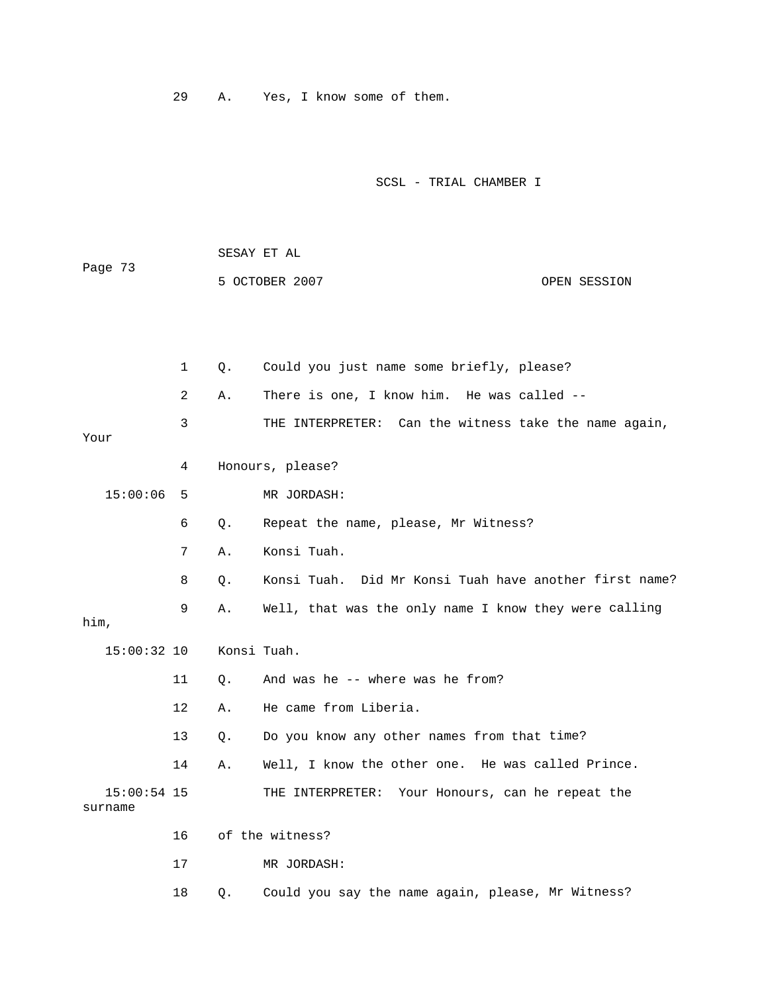29 A. Yes, I know some of them.

SCSL - TRIAL CHAMBER I

| Page 73                  |              | SESAY ET AL |                                                        |  |  |
|--------------------------|--------------|-------------|--------------------------------------------------------|--|--|
|                          |              |             | 5 OCTOBER 2007<br>OPEN SESSION                         |  |  |
|                          |              |             |                                                        |  |  |
|                          |              |             |                                                        |  |  |
|                          | $\mathbf{1}$ | Q.          | Could you just name some briefly, please?              |  |  |
|                          | 2            | Α.          | There is one, I know him. He was called --             |  |  |
| Your                     | 3            |             | THE INTERPRETER: Can the witness take the name again,  |  |  |
|                          | 4            |             | Honours, please?                                       |  |  |
| 15:00:06                 | 5            |             | MR JORDASH:                                            |  |  |
|                          | 6            | Q.          | Repeat the name, please, Mr Witness?                   |  |  |
|                          | 7            | Α.          | Konsi Tuah.                                            |  |  |
|                          | 8            | О.          | Konsi Tuah. Did Mr Konsi Tuah have another first name? |  |  |
| him,                     | 9            | Α.          | Well, that was the only name I know they were calling  |  |  |
| 15:00:32 10              |              | Konsi Tuah. |                                                        |  |  |
|                          | 11           | Ο.          | And was he -- where was he from?                       |  |  |
|                          | 12           | Α.          | He came from Liberia.                                  |  |  |
|                          | 13           | О.          | Do you know any other names from that time?            |  |  |
|                          | 14           | Α.          | Well, I know the other one. He was called Prince.      |  |  |
| $15:00:54$ 15<br>surname |              |             | THE INTERPRETER: Your Honours, can he repeat the       |  |  |
|                          | 16           |             | of the witness?                                        |  |  |
|                          | 17           |             | MR JORDASH:                                            |  |  |
|                          |              |             |                                                        |  |  |

18 Q. Could you say the name again, please, Mr Witness?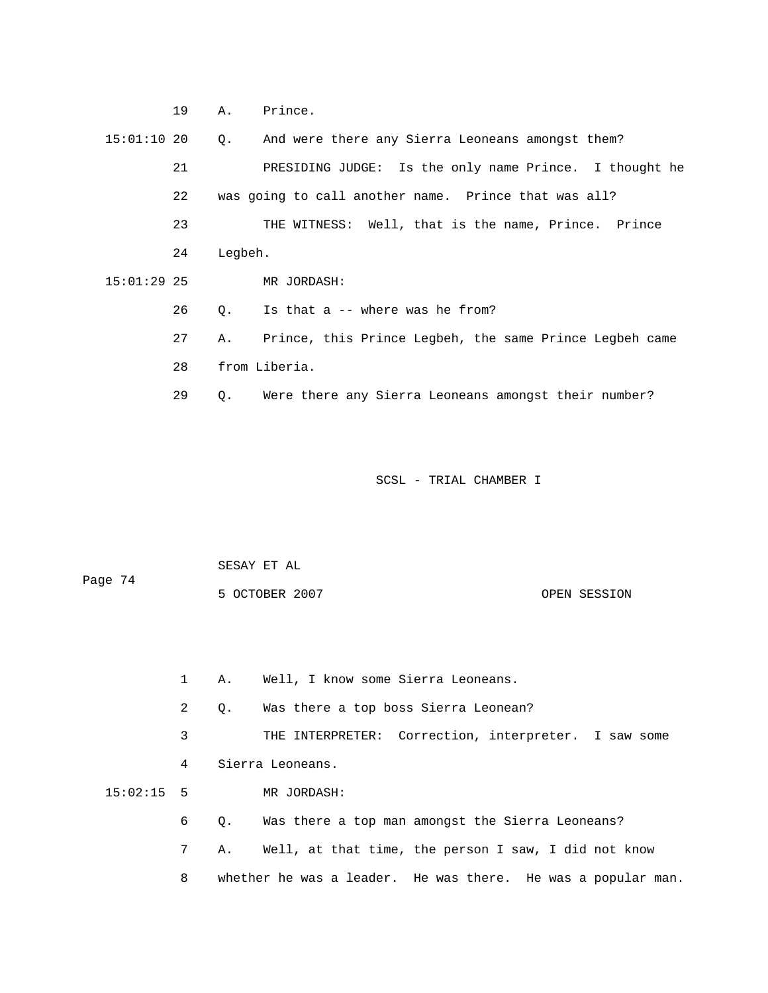19 A. Prince.

 15:01:10 20 Q. And were there any Sierra Leoneans amongst them? 21 PRESIDING JUDGE: Is the only name Prince. I thought he 23 THE WITNESS: Well, that is the name, Prince. Prince 24 Legbeh. 26 Q. Is that a -- where was he from? 27 A. Prince, this Prince Legbeh, the same Prince Legbeh came 29 Q. Were there any Sierra Leoneans amongst their number? 22 was going to call another name. Prince that was all? 15:01:29 25 MR JORDASH: 28 from Liberia.

SCSL - TRIAL CHAMBER I

| Page 74 | SESAY ET AL    |              |
|---------|----------------|--------------|
|         | 5 OCTOBER 2007 | OPEN SESSION |

1 A. Well, I know some Sierra Leoneans.

2 Q. Was there a top boss Sierra Leonean?

 3 THE INTERPRETER: Correction, interpreter. I saw some 4 Sierra Leoneans. 15:02:15 5 MR JORDASH:

6 Q. Was there a top man amongst the Sierra Leoneans?

7 A. Well, at that time, the person I saw, I did not know

8 whether he was a leader. He was there. He was a popular man.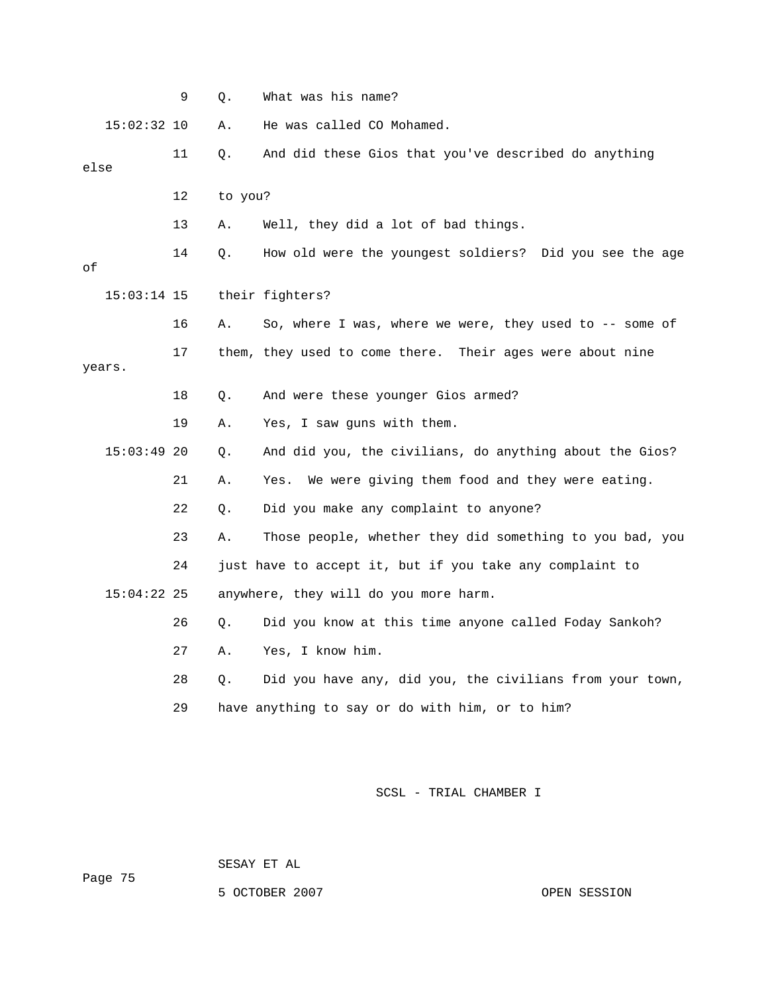|      |               | 9  | Q.      | What was his name?                                        |
|------|---------------|----|---------|-----------------------------------------------------------|
|      | $15:02:32$ 10 |    | Α.      | He was called CO Mohamed.                                 |
| else |               | 11 | Q.      | And did these Gios that you've described do anything      |
|      |               | 12 | to you? |                                                           |
|      |               | 13 | Α.      | Well, they did a lot of bad things.                       |
| οf   |               | 14 | Q.      | How old were the youngest soldiers? Did you see the age   |
|      | $15:03:14$ 15 |    |         | their fighters?                                           |
|      |               | 16 | Α.      | So, where I was, where we were, they used to -- some of   |
|      | years.        | 17 |         | them, they used to come there. Their ages were about nine |
|      |               | 18 | Q.      | And were these younger Gios armed?                        |
|      |               | 19 | Α.      | Yes, I saw guns with them.                                |
|      | $15:03:49$ 20 |    | Q.      | And did you, the civilians, do anything about the Gios?   |
|      |               | 21 | Α.      | We were giving them food and they were eating.<br>Yes.    |
|      |               | 22 | Q.      | Did you make any complaint to anyone?                     |
|      |               | 23 | Α.      | Those people, whether they did something to you bad, you  |
|      |               | 24 |         | just have to accept it, but if you take any complaint to  |
|      | $15:04:22$ 25 |    |         | anywhere, they will do you more harm.                     |
|      |               | 26 | Q.      | Did you know at this time anyone called Foday Sankoh?     |
|      |               | 27 | Α.      | Yes, I know him.                                          |
|      |               | 28 | Q.      | Did you have any, did you, the civilians from your town,  |
|      |               | 29 |         | have anything to say or do with him, or to him?           |
|      |               |    |         |                                                           |

SESAY ET AL

5 OCTOBER 2007 CPEN SESSION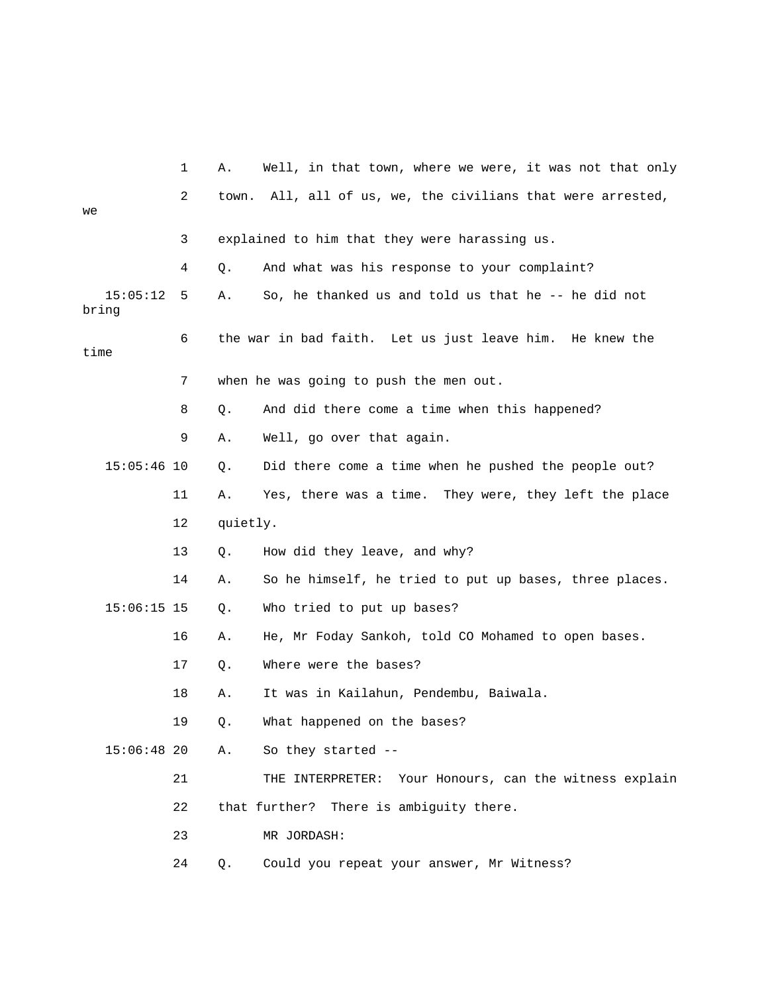|                   | 1  | Α.       | Well, in that town, where we were, it was not that only   |
|-------------------|----|----------|-----------------------------------------------------------|
| we                | 2  | town.    | All, all of us, we, the civilians that were arrested,     |
|                   | 3  |          | explained to him that they were harassing us.             |
|                   |    |          |                                                           |
|                   | 4  | Q.       | And what was his response to your complaint?              |
| 15:05:12<br>bring | 5  | Α.       | So, he thanked us and told us that he -- he did not       |
| time              | 6  |          | the war in bad faith. Let us just leave him. He knew the  |
|                   | 7  |          | when he was going to push the men out.                    |
|                   | 8  | Q.       | And did there come a time when this happened?             |
|                   | 9  | Α.       | Well, go over that again.                                 |
| $15:05:46$ 10     |    | Q.       | Did there come a time when he pushed the people out?      |
|                   | 11 | Α.       | Yes, there was a time. They were, they left the place     |
|                   | 12 | quietly. |                                                           |
|                   | 13 | Q.       | How did they leave, and why?                              |
|                   | 14 | Α.       | So he himself, he tried to put up bases, three places.    |
| $15:06:15$ 15     |    | Q.       | Who tried to put up bases?                                |
|                   | 16 | Α.       | He, Mr Foday Sankoh, told CO Mohamed to open bases.       |
|                   | 17 | Q.       | Where were the bases?                                     |
|                   | 18 | Α.       | It was in Kailahun, Pendembu, Baiwala.                    |
|                   | 19 | Q.       | What happened on the bases?                               |
| $15:06:48$ 20     |    | Α.       | So they started --                                        |
|                   | 21 |          | Your Honours, can the witness explain<br>THE INTERPRETER: |
|                   | 22 |          | that further? There is ambiguity there.                   |
|                   | 23 |          | MR JORDASH:                                               |
|                   | 24 | Q.       | Could you repeat your answer, Mr Witness?                 |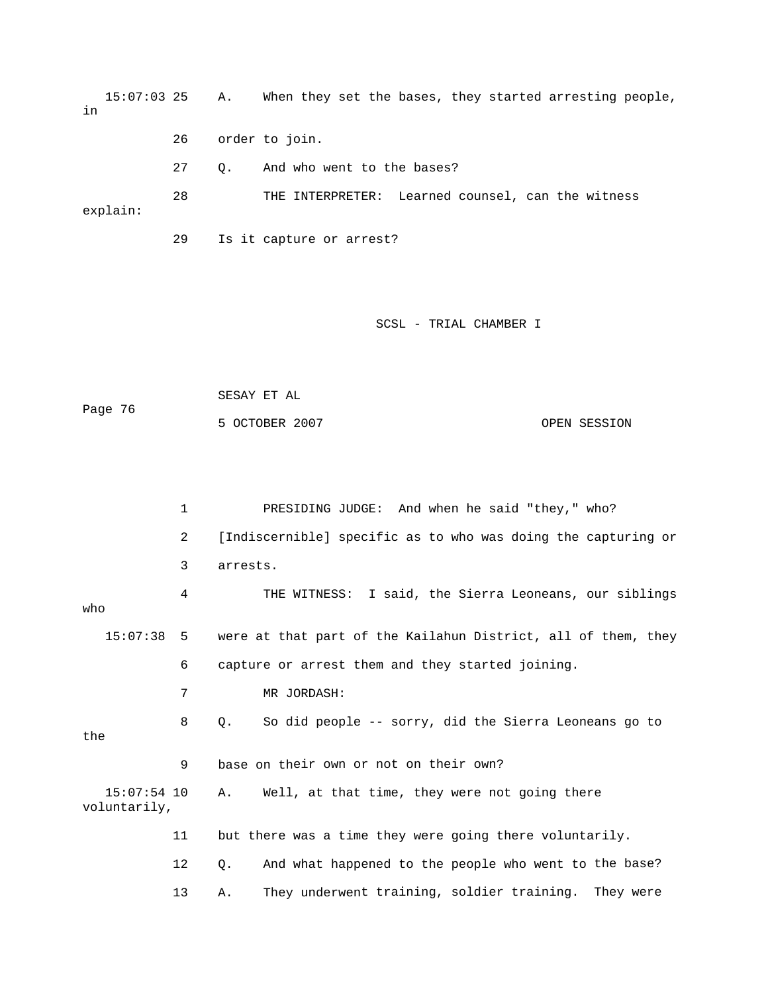15:07:03 25 A. When they set the bases, they started arresting people, 27 Q. And who went to the bases? 28 THE INTERPRETER: Learned counsel, can the witness 29 Is it capture or arrest? in 26 order to join. explain:

## SCSL - TRIAL CHAMBER I

|         | SESAY ET AL    |              |
|---------|----------------|--------------|
| Page 76 |                |              |
|         | 5 OCTOBER 2007 | OPEN SESSION |

 1 PRESIDING JUDGE: And when he said "they," who? 2 Indiscernible] specific as to who was doing the capturing or 3 arrests. 15:07:38 5 were at that part of the Kailahun District, all of them, they 6 capture or arrest them and they started joining. 7 MR JORDASH: 8 Q. So did people -- sorry, did the Sierra Leoneans go to 9 base on their own or not on their own? voluntarily, 12 Q. And what happened to the people who went to the base? 13 A. They underwent training, soldier training. They were 4 THE WITNESS: I said, the Sierra Leoneans, our siblings who the 15:07:54 10 A. Well, at that time, they were not going there 11 but there was a time they were going there voluntarily.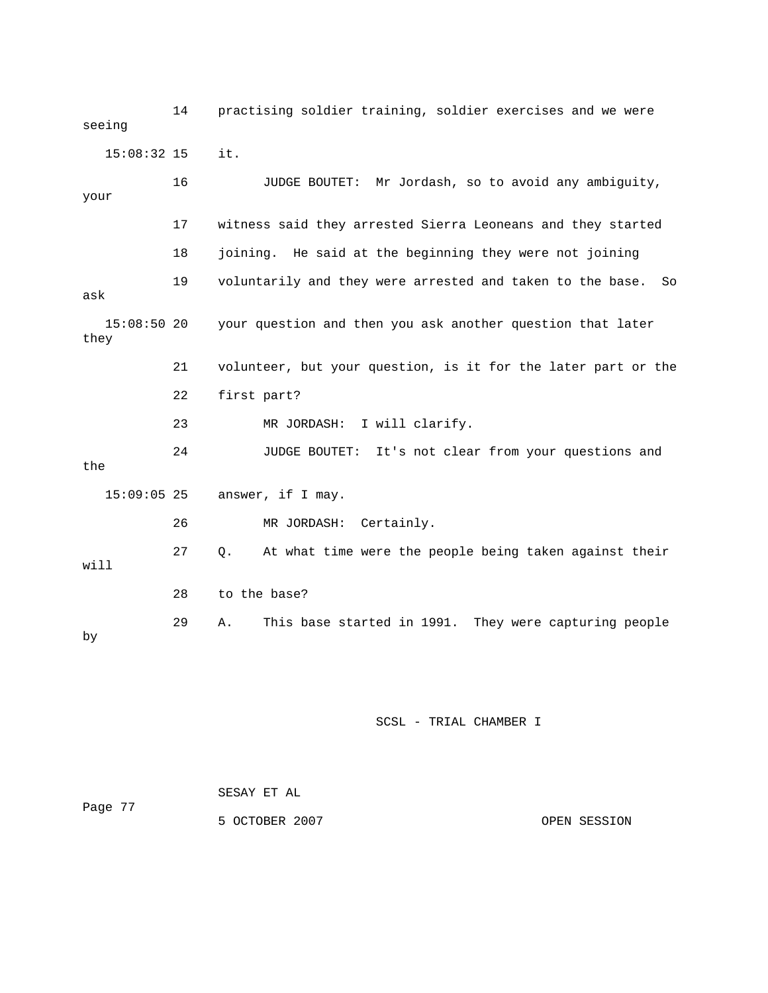14 practising soldier training, soldier exercises and we were seeing 16 JUDGE BOUTET: Mr Jordash, so to avoid any ambiguity, 17 witness said they arrested Sierra Leoneans and they started ask your question and then you ask another question that later they 21 volunteer, but your question, is it for the later part or the 22 first part? 24 JUDGE BOUTET: It's not clear from your questions and the 27 Q. At what time were the people being taken against their 29 A. This base started in 1991. They were capturing people 15:08:32 15 it. your 18 joining. He said at the beginning they were not joining 19 voluntarily and they were arrested and taken to the base. So 15:08 23 MR JORDASH: I will clarify. 15:09:05 25 answer, if I may. 26 MR JORDASH: Certainly. will 28 to the base? by

SCSL - TRIAL CHAMBER I

|         | SESAY ET AL    |              |
|---------|----------------|--------------|
| Page 77 |                |              |
|         | 5 OCTOBER 2007 | OPEN SESSION |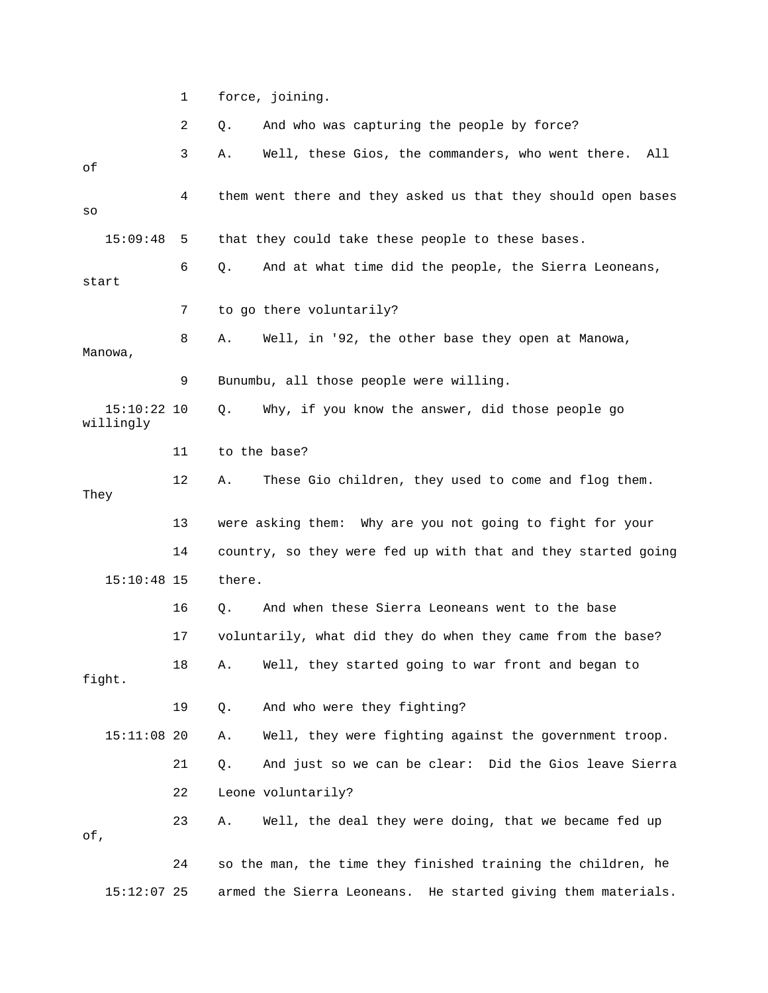1 force, joining.

 2 Q. And who was capturing the people by force? 3 A. Well, these Gios, the commanders, who went there. All 4 them went there and they asked us that they should open bases 15:09:48 5 that they could take these people to these bases. 6 Q. And at what time did the people, the Sierra Leoneans, 7 to go there voluntarily? 8 A. Well, in '92, the other base they open at Manowa, 9 Bunumbu, all those people were willing. Q. Why, if you know the answer, did those people go willingly 12 A. These Gio children, they used to come and flog them. 13 were asking them: Why are you not going to fight for your 14 country, so they were fed up with that and they started going 17 voluntarily, what did they do when they came from the base? 18 A. Well, they started going to war front and began to 19 Q. And who were they fighting? 15:11:08 20 A. Well, they were fighting against the government troop. 21 Q. And just so we can be clear: Did the Gios leave Sierra 22 Leone voluntarily? 23 A. Well, the deal they were doing, that we became fed up 24 so the man, the time they finished training the children, he 15:12:07 25 armed the Sierra Leoneans. He started giving them materials. of so start Manowa,  $15:10:22$  10 11 to the base? They 15:10:48 15 there. 16 Q. And when these Sierra Leoneans went to the base fight. of,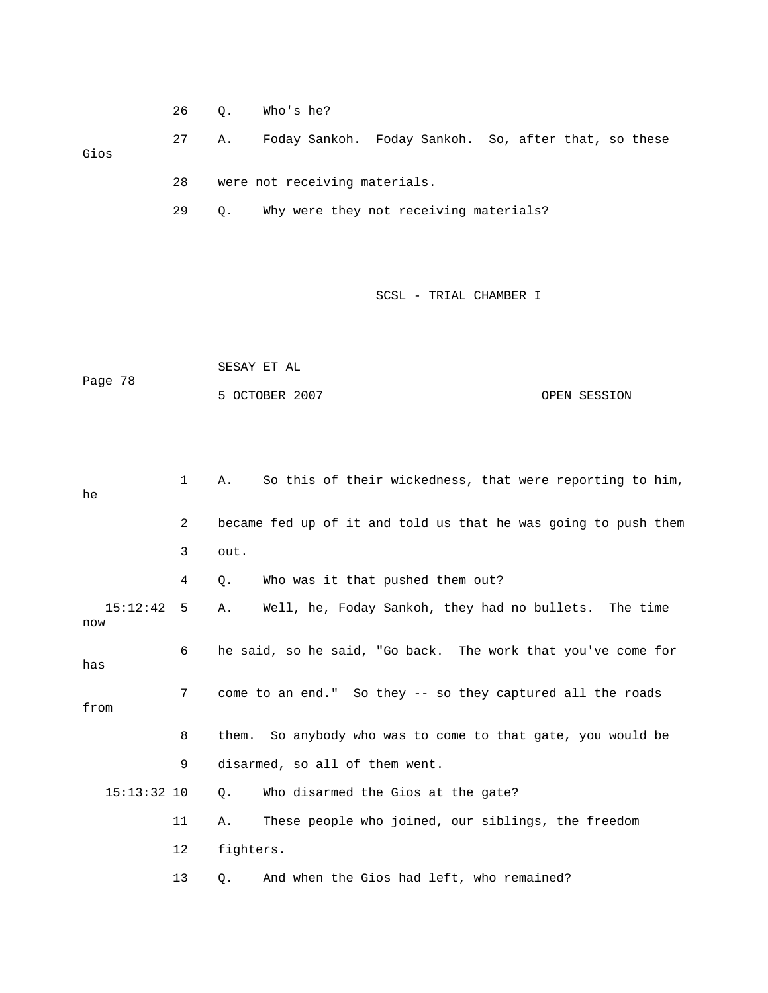| 26 |  | Who's he? |
|----|--|-----------|
|----|--|-----------|

 27 A. Foday Sankoh. Foday Sankoh. So, after that, so these Gios

28 were not receiving materials.

29 Q. Why were they not receiving materials?

SCSL - TRIAL CHAMBER I

|         | SESAY ET AL    |              |
|---------|----------------|--------------|
| Page 78 |                |              |
|         | 5 OCTOBER 2007 | OPEN SESSION |

| he                | $\mathbf{1}$    | So this of their wickedness, that were reporting to him,<br>Α. |
|-------------------|-----------------|----------------------------------------------------------------|
|                   | $\overline{2}$  | became fed up of it and told us that he was going to push them |
|                   | 3               | out.                                                           |
|                   | 4               | Who was it that pushed them out?<br>Q.                         |
| 15:12:42 5<br>now |                 | Well, he, Foday Sankoh, they had no bullets. The time<br>Α.    |
| has               | 6               | he said, so he said, "Go back. The work that you've come for   |
| from              | $7\overline{ }$ | come to an end." So they -- so they captured all the roads     |
|                   | 8               | them. So anybody who was to come to that gate, you would be    |
|                   | 9               | disarmed, so all of them went.                                 |
| $15:13:32$ 10     |                 | Who disarmed the Gios at the gate?<br>Ο.                       |
|                   | 11              | These people who joined, our siblings, the freedom<br>Α.       |
|                   | 12              | fighters.                                                      |
|                   | 13              | And when the Gios had left, who remained?<br>Q.                |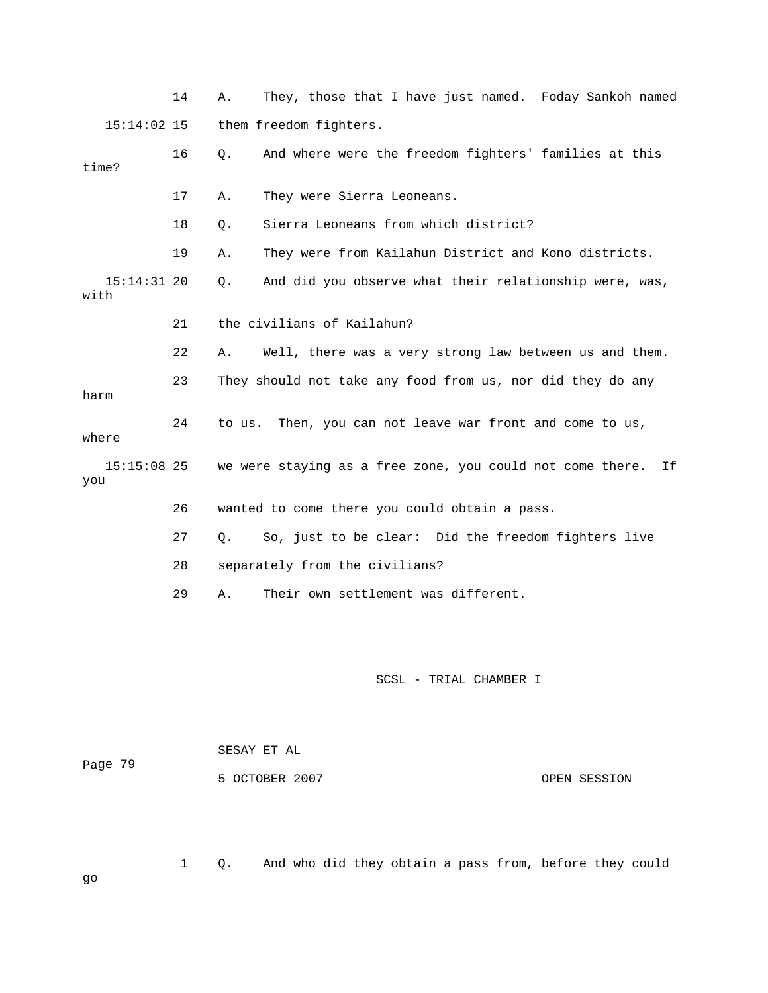|       |               | 14 | They, those that I have just named. Foday Sankoh named<br>Α.    |
|-------|---------------|----|-----------------------------------------------------------------|
|       | $15:14:02$ 15 |    | them freedom fighters.                                          |
| time? |               | 16 | And where were the freedom fighters' families at this<br>$Q$ .  |
|       |               | 17 | They were Sierra Leoneans.<br>Α.                                |
|       |               | 18 | Sierra Leoneans from which district?<br>Q.                      |
|       |               | 19 | They were from Kailahun District and Kono districts.<br>Α.      |
| with  | $15:14:31$ 20 |    | And did you observe what their relationship were, was,<br>Q.    |
|       |               | 21 | the civilians of Kailahun?                                      |
|       |               | 22 | Well, there was a very strong law between us and them.<br>Α.    |
| harm  |               | 23 | They should not take any food from us, nor did they do any      |
| where |               | 24 | Then, you can not leave war front and come to us,<br>to us.     |
| you   | $15:15:08$ 25 |    | we were staying as a free zone, you could not come there.<br>If |
|       |               | 26 | wanted to come there you could obtain a pass.                   |
|       |               | 27 | So, just to be clear: Did the freedom fighters live<br>Q.       |
|       |               | 28 | separately from the civilians?                                  |
|       |               | 29 | Their own settlement was different.<br>Α.                       |
|       |               |    |                                                                 |
|       |               |    |                                                                 |

OPEN SESSION

Page 79 SESAY ET AL 5 OCTOBER 2007

1 Q. And who did they obtain a pass from, before they could

go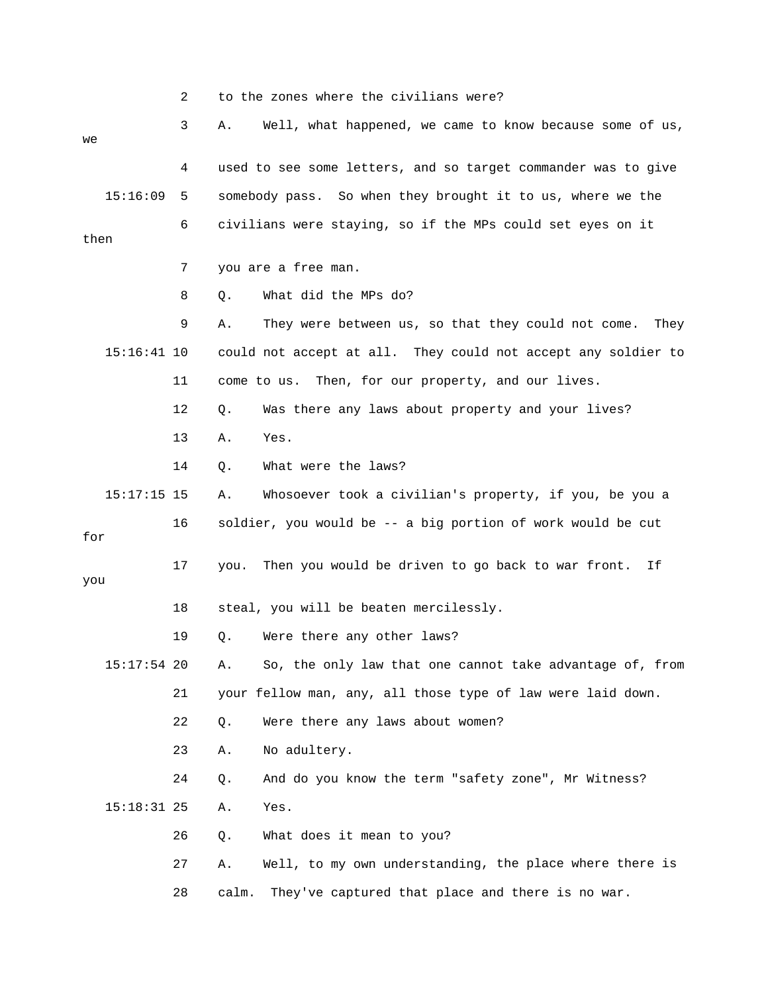2 to the zones where the civilians were?

| we   |               | 3  | Α.    | Well, what happened, we came to know because some of us,      |
|------|---------------|----|-------|---------------------------------------------------------------|
|      |               | 4  |       | used to see some letters, and so target commander was to give |
|      | 15:16:09      | 5  |       | somebody pass. So when they brought it to us, where we the    |
| then |               | 6  |       | civilians were staying, so if the MPs could set eyes on it    |
|      |               | 7  |       | you are a free man.                                           |
|      |               | 8  | Q.    | What did the MPs do?                                          |
|      |               | 9  | Α.    | They were between us, so that they could not come. They       |
|      | $15:16:41$ 10 |    |       | could not accept at all. They could not accept any soldier to |
|      |               | 11 |       | come to us. Then, for our property, and our lives.            |
|      |               | 12 | Q.    | Was there any laws about property and your lives?             |
|      |               | 13 | Α.    | Yes.                                                          |
|      |               | 14 | Q.    | What were the laws?                                           |
|      | $15:17:15$ 15 |    | Α.    | Whosoever took a civilian's property, if you, be you a        |
| for  |               | 16 |       | soldier, you would be -- a big portion of work would be cut   |
| you  |               | 17 | you.  | Then you would be driven to go back to war front.<br>Ιf       |
|      |               | 18 |       | steal, you will be beaten mercilessly.                        |
|      |               | 19 | Q.    | Were there any other laws?                                    |
|      | $15:17:54$ 20 |    | Α.    | So, the only law that one cannot take advantage of, from      |
|      |               | 21 |       | your fellow man, any, all those type of law were laid down.   |
|      |               | 22 | Q.    | Were there any laws about women?                              |
|      |               | 23 | Α.    | No adultery.                                                  |
|      |               | 24 | Q.    | And do you know the term "safety zone", Mr Witness?           |
|      | $15:18:31$ 25 |    | Α.    | Yes.                                                          |
|      |               | 26 | Q.    | What does it mean to you?                                     |
|      |               | 27 | Α.    | Well, to my own understanding, the place where there is       |
|      |               | 28 | calm. | They've captured that place and there is no war.              |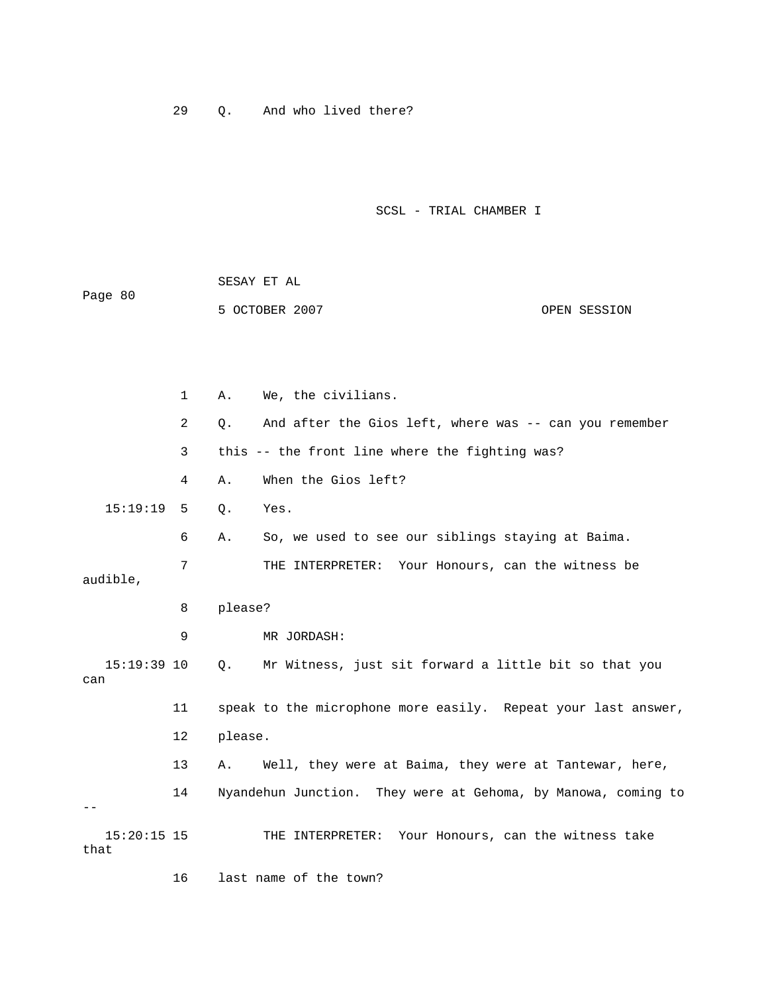29 Q. And who lived there?

SCSL - TRIAL CHAMBER I

| Page 80 | SESAY ET AL    |              |
|---------|----------------|--------------|
|         | 5 OCTOBER 2007 | OPEN SESSION |

 1 A. We, the civilians. 2 Q. And after the Gios left, where was -- can you remember 3 this -- the front line where the fighting was? 4 A. When the Gios left? 7 THE INTERPRETER: Your Honours, can the witness be audible, 8 please? 9 MR JORDASH: 11 speak to the microphone more easily. Repeat your last answer, 13 A. Well, they were at Baima, they were at Tantewar, here, 14 Nyandehun Junction. They were at Gehoma, by Manowa, coming to THE INTERPRETER: Your Honours, can the witness take 15:19:19 5 Q. Yes. 6 A. So, we used to see our siblings staying at Baima. 15:19:39 10 Q. Mr Witness, just sit forward a little bit so that you can 12 please. --  $15:20:15$  15 that

16 last name of the town?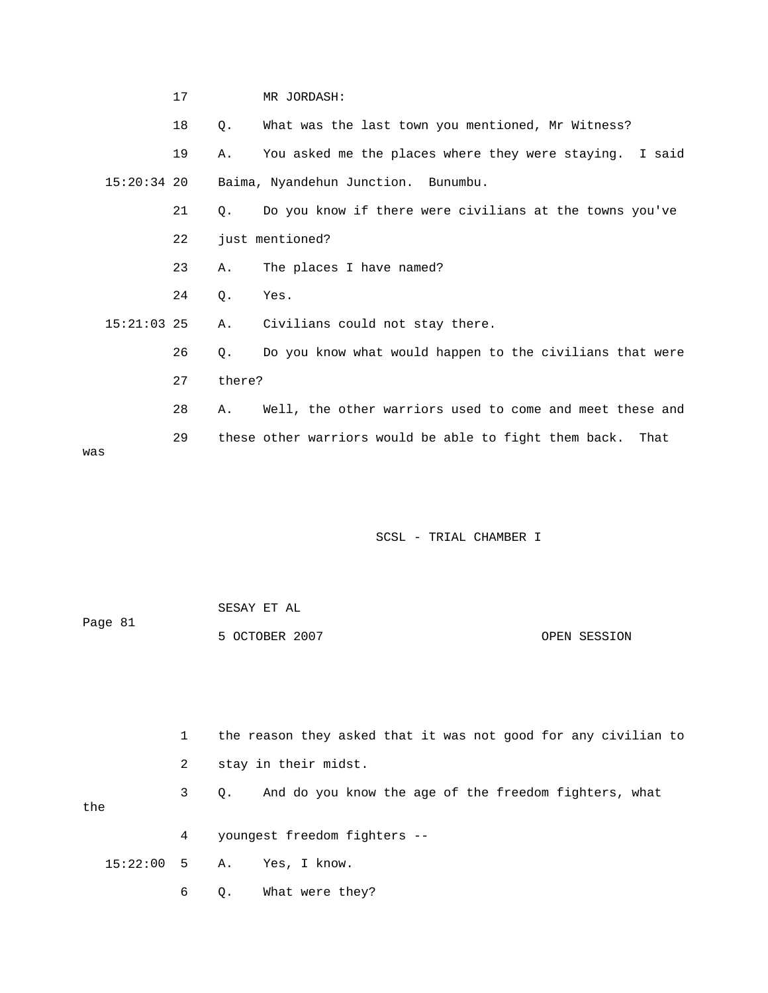|               | 17 |        | MR JORDASH:                                                    |
|---------------|----|--------|----------------------------------------------------------------|
|               | 18 | О.     | What was the last town you mentioned, Mr Witness?              |
|               | 19 | Α.     | You asked me the places where they were staying. I said        |
| $15:20:34$ 20 |    |        | Baima, Nyandehun Junction. Bunumbu.                            |
|               | 21 | О.     | Do you know if there were civilians at the towns you've        |
|               | 22 |        | just mentioned?                                                |
|               | 23 | Α.     | The places I have named?                                       |
|               | 24 | Ο.     | Yes.                                                           |
| $15:21:03$ 25 |    | Α.     | Civilians could not stay there.                                |
|               | 26 | 0.     | Do you know what would happen to the civilians that were       |
|               | 27 | there? |                                                                |
|               | 28 | Α.     | Well, the other warriors used to come and meet these and       |
| was           | 29 |        | these other warriors would be able to fight them back.<br>That |

|         | SESAY ET AL    |              |
|---------|----------------|--------------|
| Page 81 |                |              |
|         | 5 OCTOBER 2007 | OPEN SESSION |

|     | $\mathbf{1}$ | the reason they asked that it was not good for any civilian to |
|-----|--------------|----------------------------------------------------------------|
|     | $\mathbf{2}$ | stay in their midst.                                           |
| the |              | 3 Q. And do you know the age of the freedom fighters, what     |
|     | $4\degree$   | youngest freedom fighters --                                   |
|     |              | 15:22:00 5 A. Yes, I know.                                     |
|     | 6            | Q. What were they?                                             |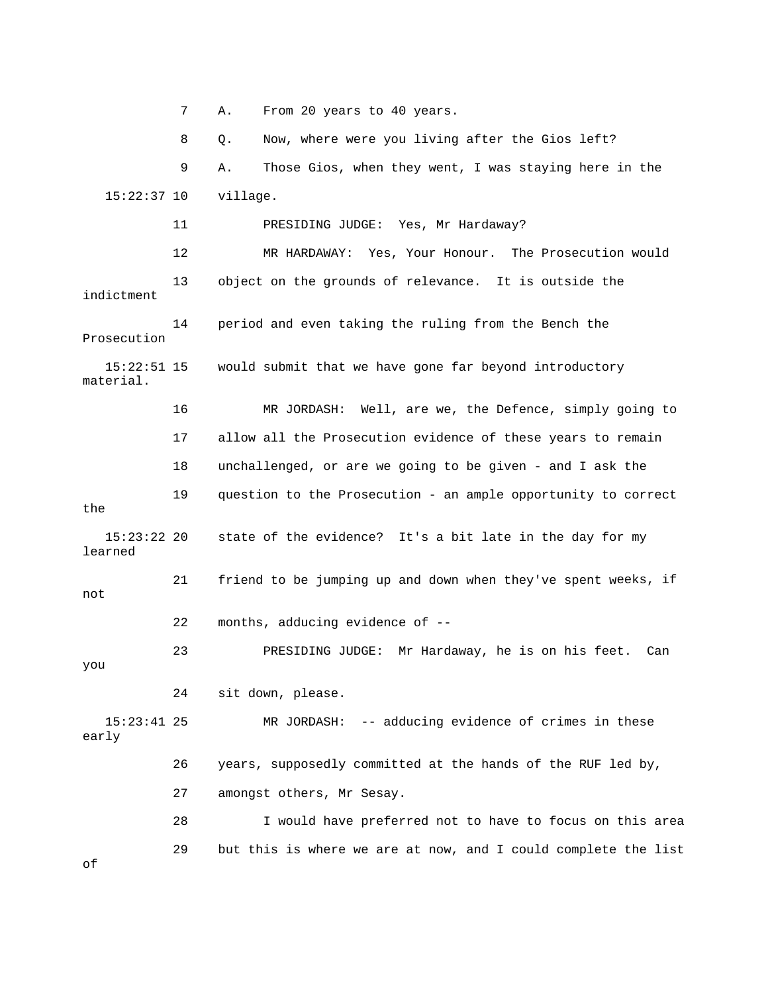7 A. From 20 years to 40 years. 8 Q. Now, where were you living after the Gios left? 12 MR HARDAWAY: Yes, Your Honour. The Prosecution would 13 object on the grounds of relevance. It is outside the 14 period and even taking the ruling from the Bench the Prosecution 17 allow all the Prosecution evidence of these years to remain 18 unchallenged, or are we going to be given - and I ask the the 15:23:22 20 state of the evidence? It's a bit late in the day for my learned 21 friend to be jumping up and down when they've spent weeks, if not 24 sit down, please. 15:23:41 25 MR JORDASH: -- adducing evidence of crimes in these 26 years, supposedly committed at the hands of the RUF led by, 29 but this is where we are at now, and I could complete the list 9 A. Those Gios, when they went, I was staying here in the 15:22:37 10 village. 11 PRESIDING JUDGE: Yes, Mr Hardaway? indictment 15:22:51 15 would submit that we have gone far beyond introductory material. 16 MR JORDASH: Well, are we, the Defence, simply going to 19 question to the Prosecution - an ample opportunity to correct 22 months, adducing evidence of -- 23 PRESIDING JUDGE: Mr Hardaway, he is on his feet. Can you early 27 amongst others, Mr Sesay. 28 I would have preferred not to have to focus on this area of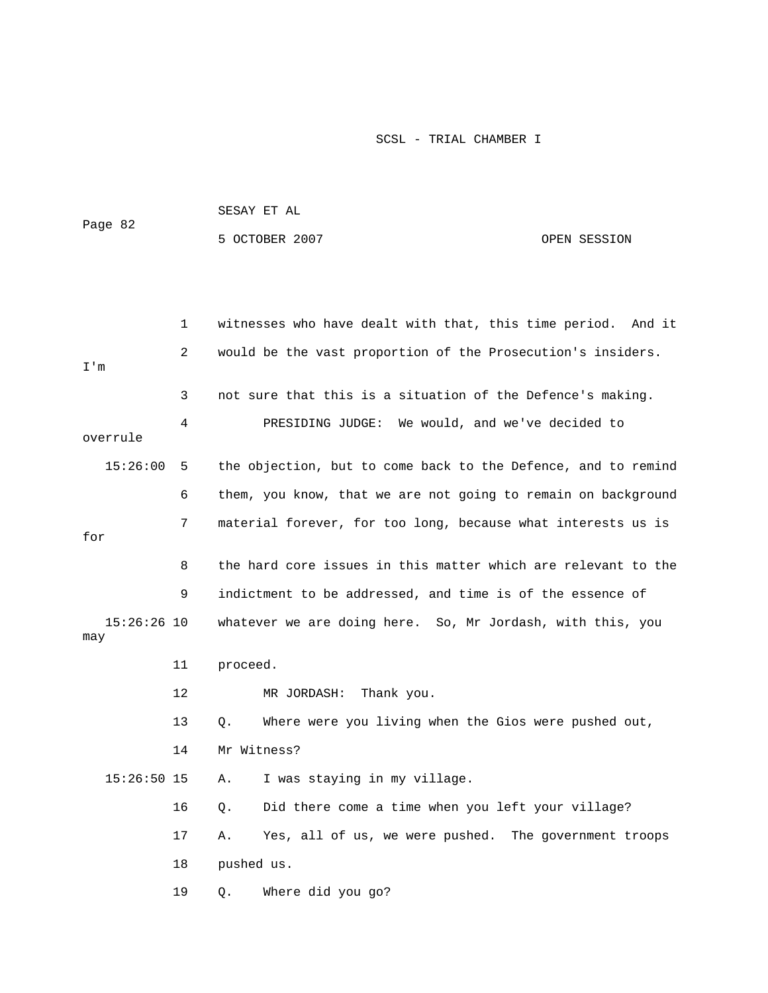|                      |    | SESAY ET AL                                                   |                                                      |                       |  |  |
|----------------------|----|---------------------------------------------------------------|------------------------------------------------------|-----------------------|--|--|
| Page 82              |    | 5 OCTOBER 2007                                                |                                                      | OPEN SESSION          |  |  |
|                      |    |                                                               |                                                      |                       |  |  |
|                      |    |                                                               |                                                      |                       |  |  |
|                      | 1  | witnesses who have dealt with that, this time period. And it  |                                                      |                       |  |  |
| I'm                  | 2  | would be the vast proportion of the Prosecution's insiders.   |                                                      |                       |  |  |
|                      | 3  | not sure that this is a situation of the Defence's making.    |                                                      |                       |  |  |
| overrule             | 4  |                                                               | PRESIDING JUDGE: We would, and we've decided to      |                       |  |  |
| 15:26:00             | 5  | the objection, but to come back to the Defence, and to remind |                                                      |                       |  |  |
|                      | 6  | them, you know, that we are not going to remain on background |                                                      |                       |  |  |
| for                  | 7  | material forever, for too long, because what interests us is  |                                                      |                       |  |  |
|                      | 8  | the hard core issues in this matter which are relevant to the |                                                      |                       |  |  |
|                      | 9  | indictment to be addressed, and time is of the essence of     |                                                      |                       |  |  |
| $15:26:26$ 10<br>may |    | whatever we are doing here. So, Mr Jordash, with this, you    |                                                      |                       |  |  |
|                      | 11 | proceed.                                                      |                                                      |                       |  |  |
|                      | 12 | MR JORDASH:<br>Thank you.                                     |                                                      |                       |  |  |
|                      | 13 | Q.                                                            | Where were you living when the Gios were pushed out, |                       |  |  |
|                      | 14 | Mr Witness?                                                   |                                                      |                       |  |  |
| $15:26:50$ 15        |    | I was staying in my village.<br>Α.                            |                                                      |                       |  |  |
|                      | 16 | Q.                                                            | Did there come a time when you left your village?    |                       |  |  |
|                      | 17 | Yes, all of us, we were pushed.<br>Α.                         |                                                      | The government troops |  |  |
|                      | 18 | pushed us.                                                    |                                                      |                       |  |  |
|                      | 19 | Where did you go?<br>Q.                                       |                                                      |                       |  |  |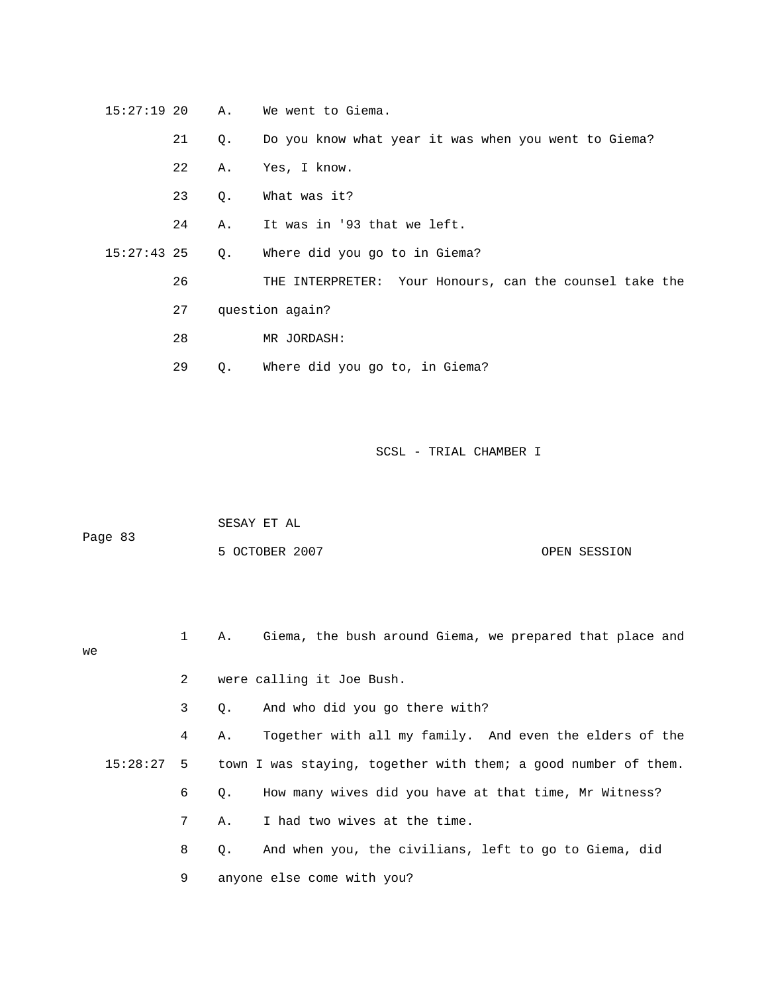15:27:19 20 A. We went to Giema.

21 Q. Do you know what year it was when you went to Giema?

- 22 A. Yes, I know.
- 23 Q. What was it?

24 A. It was in '93 that we left.

15:27:43 25 Q. Where did you go to in Giema?

26 THE INTERPRETER: Your Honours, can the counsel take the

27 question again?

- 28 MR JORDASH:
- 29 Q. Where did you go to, in Giema?

SCSL - TRIAL CHAMBER I

|         | SESAY ET AL |  |
|---------|-------------|--|
| Page 83 |             |  |

| 5 OCTOBER 2007 | OPEN SESSION |
|----------------|--------------|
|----------------|--------------|

 1 A. Giema, the bush around Giema, we prepared that place and 2 were calling it Joe Bush. we

3 Q. And who did you go there with?

 4 A. Together with all my family. And even the elders of the 15:28:27 5 town I was staying, together with them; a good number of them. 7 A. I had two wives at the time. 6 Q. How many wives did you have at that time, Mr Witness?

> 8 Q. And when you, the civilians, left to go to Giema, did 9 anyone else come with you?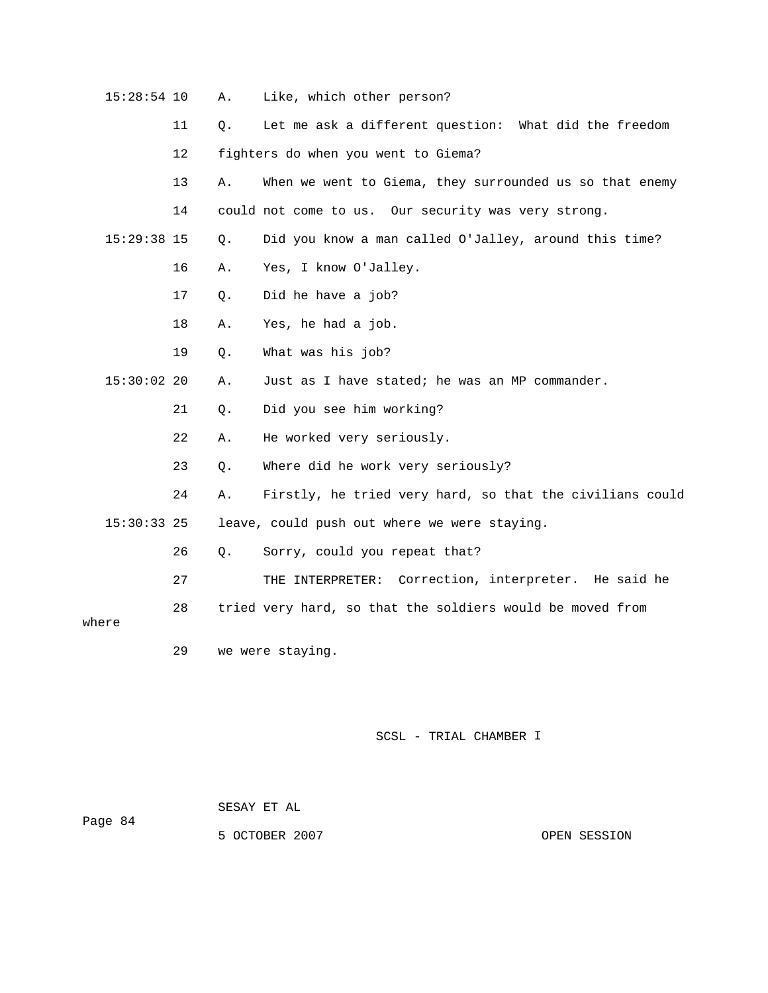| 15:28:54 10   |         | Α. | Like, which other person?                                 |
|---------------|---------|----|-----------------------------------------------------------|
|               | 11      | Q. | Let me ask a different question: What did the freedom     |
|               | $12 \,$ |    | fighters do when you went to Giema?                       |
|               | 13      | Α. | When we went to Giema, they surrounded us so that enemy   |
|               | 14      |    | could not come to us. Our security was very strong.       |
| 15:29:38 15   |         | Q. | Did you know a man called O'Jalley, around this time?     |
|               | 16      | Α. | Yes, I know O'Jalley.                                     |
|               | 17      | Q. | Did he have a job?                                        |
|               | 18      | Α. | Yes, he had a job.                                        |
|               | 19      | Q. | What was his job?                                         |
| $15:30:02$ 20 |         | Α. | Just as I have stated; he was an MP commander.            |
|               | 21      | Q. | Did you see him working?                                  |
|               | 22      | Α. | He worked very seriously.                                 |
|               | 23      | Q. | Where did he work very seriously?                         |
|               | 24      | Α. | Firstly, he tried very hard, so that the civilians could  |
| 15:30:33 25   |         |    | leave, could push out where we were staying.              |
|               | 26      | Q. | Sorry, could you repeat that?                             |
|               | 27      |    | THE INTERPRETER: Correction, interpreter. He said he      |
| where         | 28      |    | tried very hard, so that the soldiers would be moved from |
|               | 29      |    | we were staying.                                          |

| Page 84 | SESAY ET AL    |              |
|---------|----------------|--------------|
|         | 5 OCTOBER 2007 | OPEN SESSION |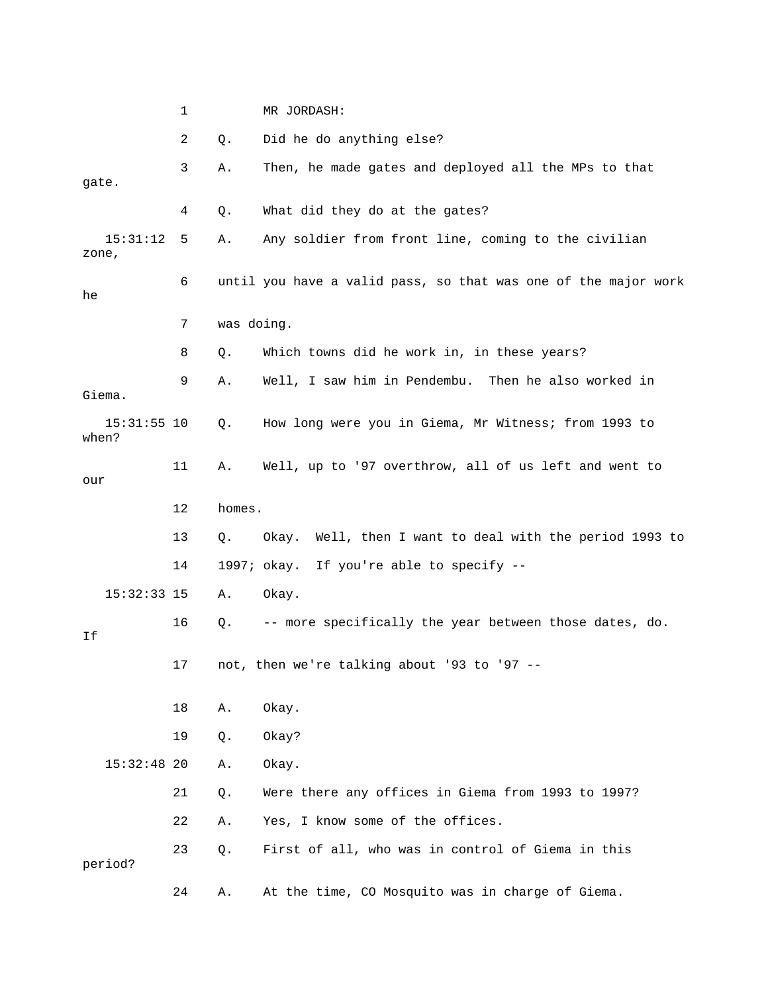|       |               | 1  |            | MR JORDASH:                                                    |
|-------|---------------|----|------------|----------------------------------------------------------------|
|       |               | 2  | Q.         | Did he do anything else?                                       |
| gate. |               | 3  | Α.         | Then, he made gates and deployed all the MPs to that           |
|       |               | 4  | Q.         | What did they do at the gates?                                 |
| zone, | 15:31:12      | 5  | Α.         | Any soldier from front line, coming to the civilian            |
| he    |               | 6  |            | until you have a valid pass, so that was one of the major work |
|       |               | 7  | was doing. |                                                                |
|       |               | 8  | Q.         | Which towns did he work in, in these years?                    |
|       | Giema.        | 9  | Α.         | Well, I saw him in Pendembu. Then he also worked in            |
| when? | $15:31:55$ 10 |    | Q.         | How long were you in Giema, Mr Witness; from 1993 to           |
| our   |               | 11 | Α.         | Well, up to '97 overthrow, all of us left and went to          |
|       |               | 12 | homes.     |                                                                |
|       |               | 13 | Q.         | Well, then I want to deal with the period 1993 to<br>Okay.     |
|       |               | 14 |            | 1997; okay. If you're able to specify --                       |
|       | $15:32:33$ 15 |    | Α.         | Okay.                                                          |
| Ιf    |               | 16 | Q.         | -- more specifically the year between those dates, do.         |
|       |               | 17 |            | not, then we're talking about '93 to '97 --                    |
|       |               | 18 | Α.         | Okay.                                                          |
|       |               | 19 | Q.         | Okay?                                                          |
|       | $15:32:48$ 20 |    | Α.         | Okay.                                                          |
|       |               | 21 | Q.         | Were there any offices in Giema from 1993 to 1997?             |
|       |               | 22 | Α.         | Yes, I know some of the offices.                               |
|       | period?       | 23 | Q.         | First of all, who was in control of Giema in this              |
|       |               | 24 | Α.         | At the time, CO Mosquito was in charge of Giema.               |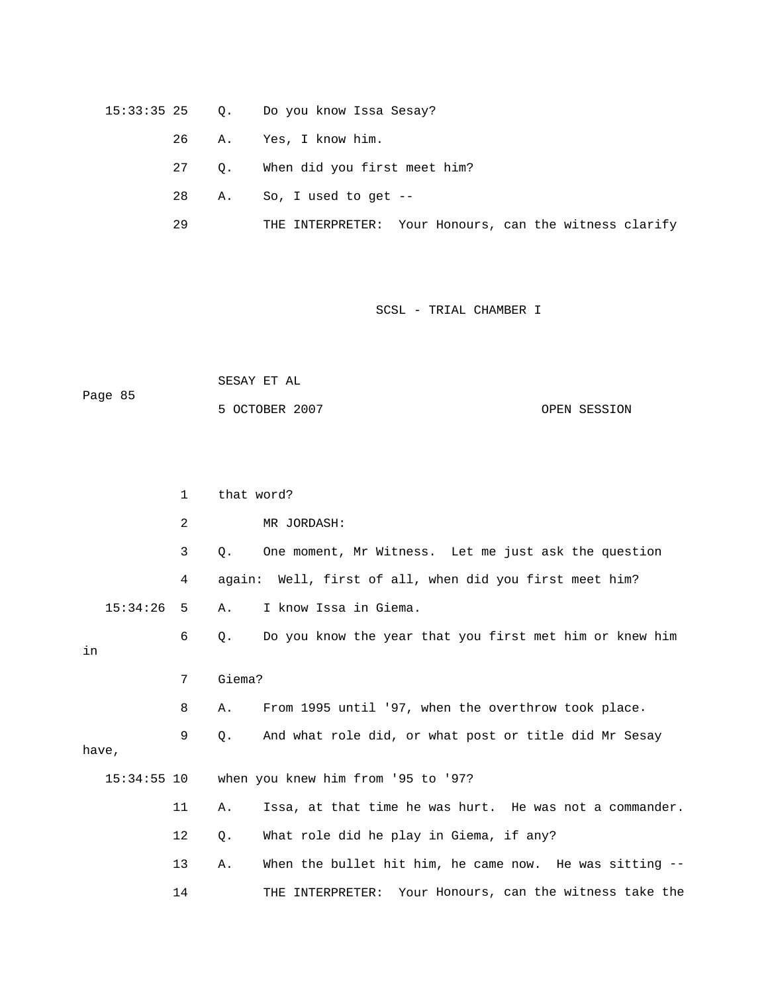- 15:33:35 25 Q. Do you know Issa Sesay?
	- 26 A. Yes, I know him.
	- 27 Q. When did you first meet him?
- 28 A. So, I used to get --
	- 29 THE INTERPRETER: Your Honours, can the witness clarify

 SESAY ET AL OPEN SESSION Page 85 5 OCTOBER 2007

|    |               | $\mathbf{1}$ | that word? |                                                            |
|----|---------------|--------------|------------|------------------------------------------------------------|
|    |               | 2            |            | MR JORDASH:                                                |
|    |               | $\mathbf{3}$ | Q.         | One moment, Mr Witness. Let me just ask the question       |
|    |               | 4            |            | again: Well, first of all, when did you first meet him?    |
|    | 15:34:26      | 5            | Α.         | I know Issa in Giema.                                      |
| in |               | 6            | Q.         | Do you know the year that you first met him or knew him    |
|    |               | 7            | Giema?     |                                                            |
|    |               | 8            | Α.         | From 1995 until '97, when the overthrow took place.        |
|    | have,         | 9            | Q.         | And what role did, or what post or title did Mr Sesay      |
|    | $15:34:55$ 10 |              |            | when you knew him from '95 to '97?                         |
|    |               | 11           | Α.         | Issa, at that time he was hurt. He was not a commander.    |
|    |               | 12           | Q.         | What role did he play in Giema, if any?                    |
|    |               | 13           | Α.         | When the bullet hit him, he came now. He was sitting --    |
|    |               | 14           |            | Your Honours, can the witness take the<br>THE INTERPRETER: |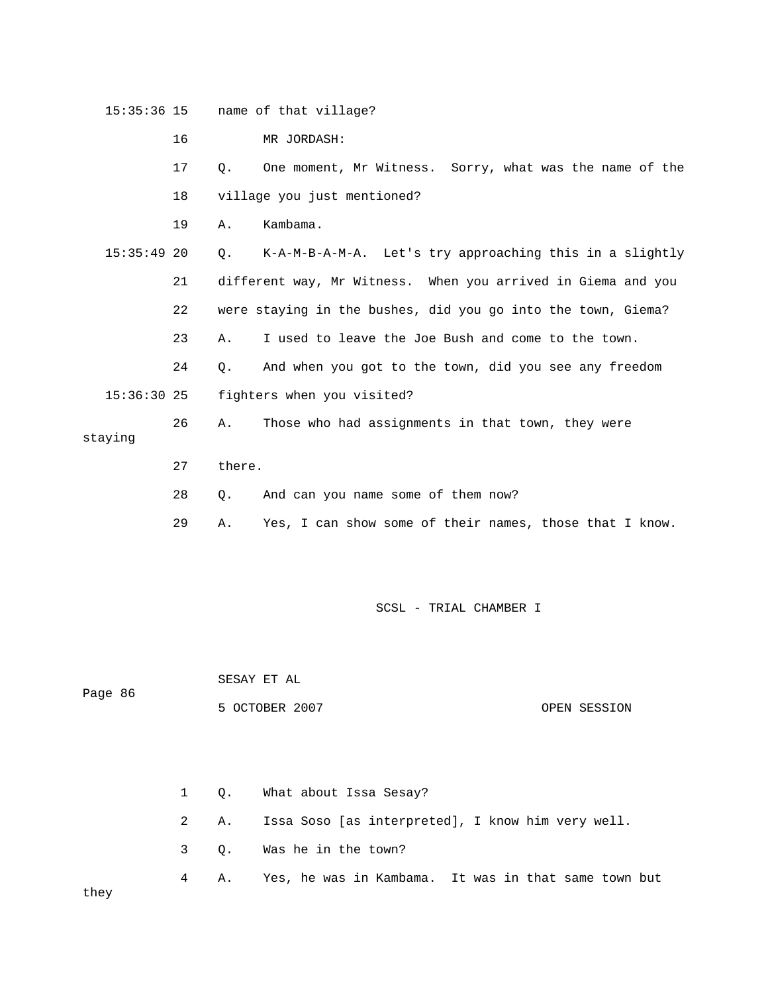|               | 16 |           | MR JORDASH:                                                  |
|---------------|----|-----------|--------------------------------------------------------------|
|               | 17 | $\circ$ . | One moment, Mr Witness. Sorry, what was the name of the      |
|               | 18 |           | village you just mentioned?                                  |
|               | 19 | Α.        | Kambama.                                                     |
| $15:35:49$ 20 |    |           | Q. K-A-M-B-A-M-A. Let's try approaching this in a slightly   |
|               | 21 |           | different way, Mr Witness. When you arrived in Giema and you |
|               | 22 |           | were staying in the bushes, did you go into the town, Giema? |
|               | 23 | Α.        | I used to leave the Joe Bush and come to the town.           |

24 Q. And when you got to the town, did you see any freedom

15:36:30 25 fighters when you visited?

15:35:36 15 name of that village?

26 A. Those who had assignments in that town, they were staying

- 27 there.
- 28 Q. And can you name some of them now?
	- 29 A. Yes, I can show some of their names, those that I know.

5 OCTOBER 2007 OPEN SESSION

SCSL - TRIAL CHAMBER I

Page 86

SESAY ET AL

 2 A. Issa Soso [as interpreted], I know him very well. 3 Q. Was he in the town? 4 A. Yes, he was in Kambama. It was in that same town but 1 Q. What about Issa Sesay? they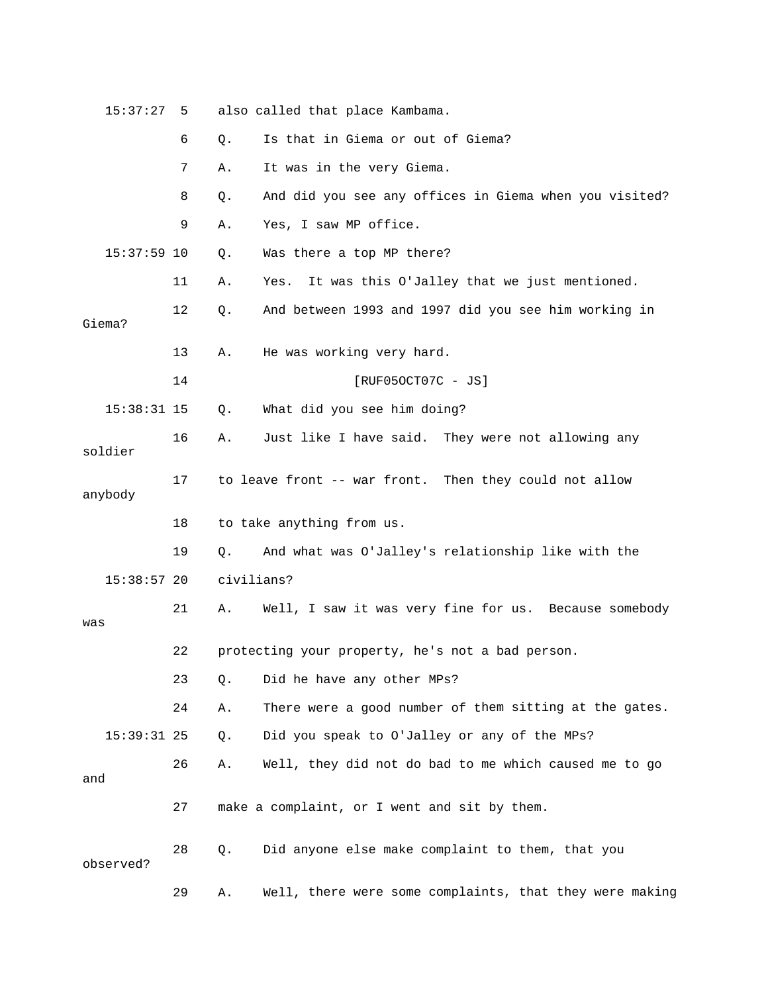| 15:37:27      | 5  |            | also called that place Kambama.                         |
|---------------|----|------------|---------------------------------------------------------|
|               | 6  | Q.         | Is that in Giema or out of Giema?                       |
|               | 7  | Α.         | It was in the very Giema.                               |
|               | 8  | Q.         | And did you see any offices in Giema when you visited?  |
|               | 9  | Α.         | Yes, I saw MP office.                                   |
| $15:37:59$ 10 |    | Q.         | Was there a top MP there?                               |
|               | 11 | Α.         | It was this O'Jalley that we just mentioned.<br>Yes.    |
| Giema?        | 12 | Q.         | And between 1993 and 1997 did you see him working in    |
|               | 13 | Α.         | He was working very hard.                               |
|               | 14 |            | $[RUF050CT07C - JS]$                                    |
| $15:38:31$ 15 |    | Q.         | What did you see him doing?                             |
| soldier       | 16 | Α.         | Just like I have said. They were not allowing any       |
| anybody       | 17 |            | to leave front -- war front. Then they could not allow  |
|               | 18 |            | to take anything from us.                               |
|               | 19 | Q.         | And what was O'Jalley's relationship like with the      |
| $15:38:57$ 20 |    | civilians? |                                                         |
| was           | 21 | Α.         | Well, I saw it was very fine for us. Because somebody   |
|               | 22 |            | protecting your property, he's not a bad person.        |
|               | 23 | Q.         | Did he have any other MPs?                              |
|               | 24 | Α.         | There were a good number of them sitting at the gates.  |
| $15:39:31$ 25 |    | Q.         | Did you speak to O'Jalley or any of the MPs?            |
| and           | 26 | Α.         | Well, they did not do bad to me which caused me to go   |
|               | 27 |            | make a complaint, or I went and sit by them.            |
| observed?     | 28 | Q.         | Did anyone else make complaint to them, that you        |
|               | 29 | Α.         | Well, there were some complaints, that they were making |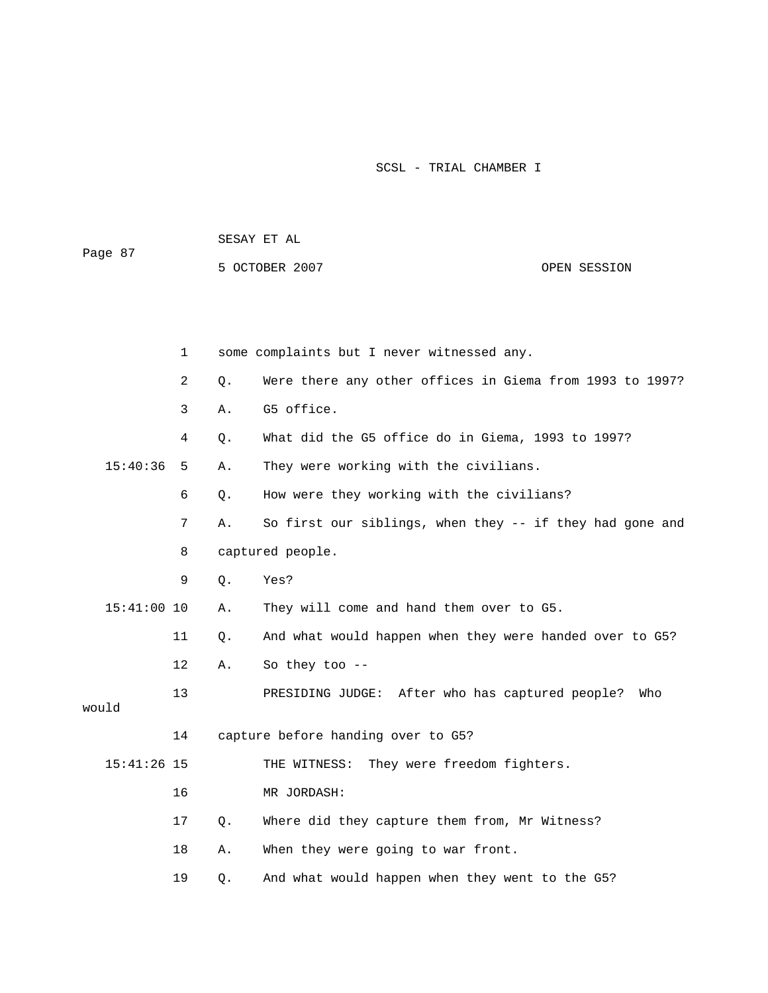|               |             | SESAY ET AL |                                                          |              |  |  |
|---------------|-------------|-------------|----------------------------------------------------------|--------------|--|--|
| Page 87       |             |             | 5 OCTOBER 2007                                           | OPEN SESSION |  |  |
|               |             |             |                                                          |              |  |  |
|               |             |             |                                                          |              |  |  |
|               | $\mathbf 1$ |             | some complaints but I never witnessed any.               |              |  |  |
|               | 2           | Q.          | Were there any other offices in Giema from 1993 to 1997? |              |  |  |
|               | 3           | Α.          | G5 office.                                               |              |  |  |
|               | 4           | Q.          | What did the G5 office do in Giema, 1993 to 1997?        |              |  |  |
| 15:40:36      | -5          | Α.          | They were working with the civilians.                    |              |  |  |
|               | 6           | Q.          | How were they working with the civilians?                |              |  |  |
|               | 7           | Α.          | So first our siblings, when they -- if they had gone and |              |  |  |
|               | 8           |             | captured people.                                         |              |  |  |
|               | 9           | Q.          | Yes?                                                     |              |  |  |
| $15:41:00$ 10 |             | Α.          | They will come and hand them over to G5.                 |              |  |  |
|               | 11          | Q.          | And what would happen when they were handed over to G5?  |              |  |  |
|               | 12          | Α.          | So they too $-$                                          |              |  |  |
| would         | 13          |             | PRESIDING JUDGE: After who has captured people?          | Who          |  |  |
|               | 14          |             | capture before handing over to G5?                       |              |  |  |
| $15:41:26$ 15 |             |             | THE WITNESS: They were freedom fighters.                 |              |  |  |
|               | 16          |             | MR JORDASH:                                              |              |  |  |
|               | 17          | Q.          | Where did they capture them from, Mr Witness?            |              |  |  |
|               | 18          | Α.          | When they were going to war front.                       |              |  |  |
|               | 19          | Q.          | And what would happen when they went to the G5?          |              |  |  |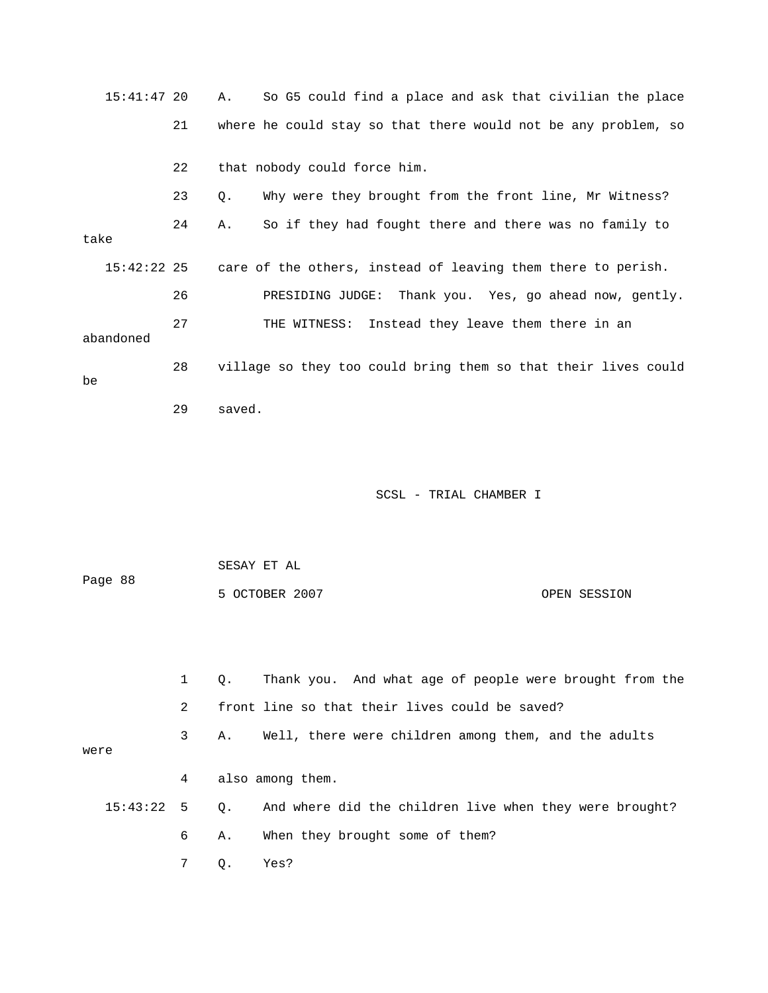15:41:47 20 A. So G5 could find a place and ask that civilian the place 21 where he could stay so that there would not be any problem, so 22 that nobody could force him. 24 A. So if they had fought there and there was no family to  $15:42:22$  25 care of the others, instead of leaving them there to perish. GE: Thank you. Yes, go ahead now, gently. 26 PRESIDING JUD an 27 THE WITNESS: Instead they leave them there in abandoned 28 village so they too could bring them so that their lives could 23 Q. Why were they brought from the front line, Mr Witness? take be 29 saved.

| Page 88 |              |                |             | SESAY ET AL                                             |              |
|---------|--------------|----------------|-------------|---------------------------------------------------------|--------------|
|         |              |                |             | 5 OCTOBER 2007                                          | OPEN SESSION |
|         |              |                |             |                                                         |              |
|         |              |                |             |                                                         |              |
|         |              | $\mathbf{1}$   | $Q_{\star}$ | Thank you. And what age of people were brought from the |              |
|         |              | $\overline{2}$ |             | front line so that their lives could be saved?          |              |
| were    |              | 3              | Α.          | Well, there were children among them, and the adults    |              |
|         |              |                |             |                                                         |              |
|         |              | 4              |             | also among them.                                        |              |
|         | $15:43:22$ 5 |                | Q.          | And where did the children live when they were brought? |              |
|         |              | 6              | Α.          | When they brought some of them?                         |              |
|         |              | 7              | Q.          | Yes?                                                    |              |
|         |              |                |             |                                                         |              |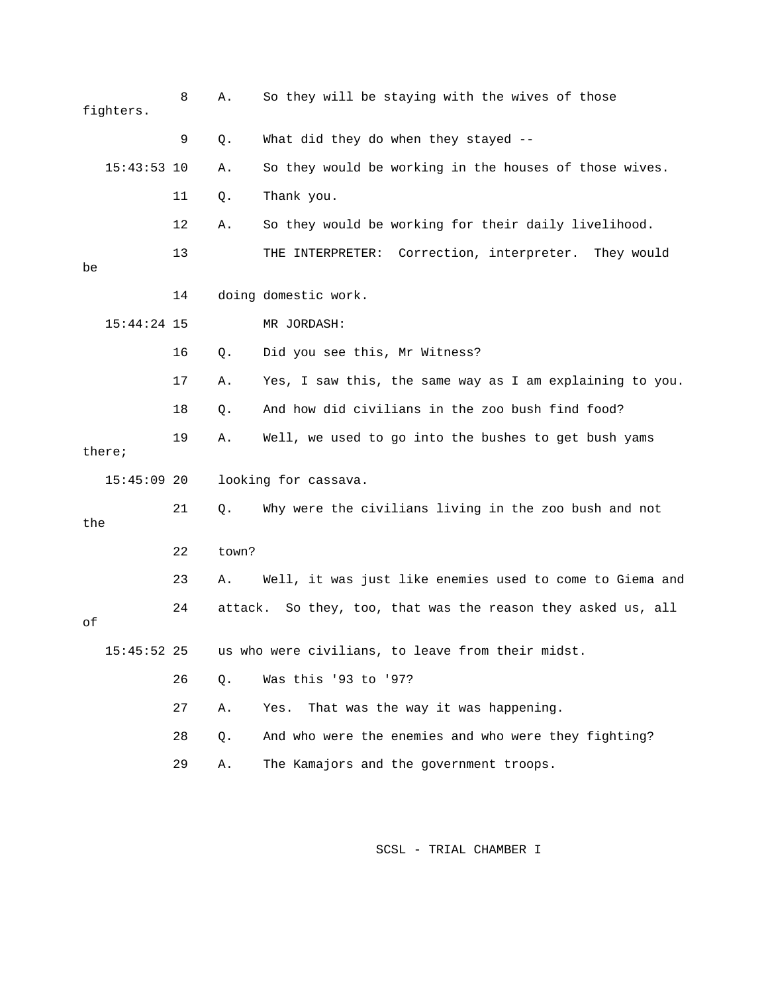|     | fighters.     | 8  | Α.      | So they will be staying with the wives of those            |
|-----|---------------|----|---------|------------------------------------------------------------|
|     |               | 9  | Q.      | What did they do when they stayed --                       |
|     | $15:43:53$ 10 |    | Α.      | So they would be working in the houses of those wives.     |
|     |               | 11 | Q.      | Thank you.                                                 |
|     |               | 12 | Α.      | So they would be working for their daily livelihood.       |
| be  |               | 13 |         | Correction, interpreter.<br>THE INTERPRETER:<br>They would |
|     |               | 14 |         | doing domestic work.                                       |
|     | $15:44:24$ 15 |    |         | MR JORDASH:                                                |
|     |               | 16 | Q.      | Did you see this, Mr Witness?                              |
|     |               | 17 | Α.      | Yes, I saw this, the same way as I am explaining to you.   |
|     |               | 18 | Q.      | And how did civilians in the zoo bush find food?           |
|     | there;        | 19 | Α.      | Well, we used to go into the bushes to get bush yams       |
|     | $15:45:09$ 20 |    |         | looking for cassava.                                       |
| the |               | 21 | Q.      | Why were the civilians living in the zoo bush and not      |
|     |               | 22 | town?   |                                                            |
|     |               | 23 | Α.      | Well, it was just like enemies used to come to Giema and   |
| οf  |               | 24 | attack. | So they, too, that was the reason they asked us, all       |
|     | $15:45:52$ 25 |    |         | us who were civilians, to leave from their midst.          |
|     |               | 26 | Q.      | Was this '93 to '97?                                       |
|     |               | 27 | Α.      | That was the way it was happening.<br>Yes.                 |
|     |               | 28 | Q.      | And who were the enemies and who were they fighting?       |
|     |               | 29 | Α.      | The Kamajors and the government troops.                    |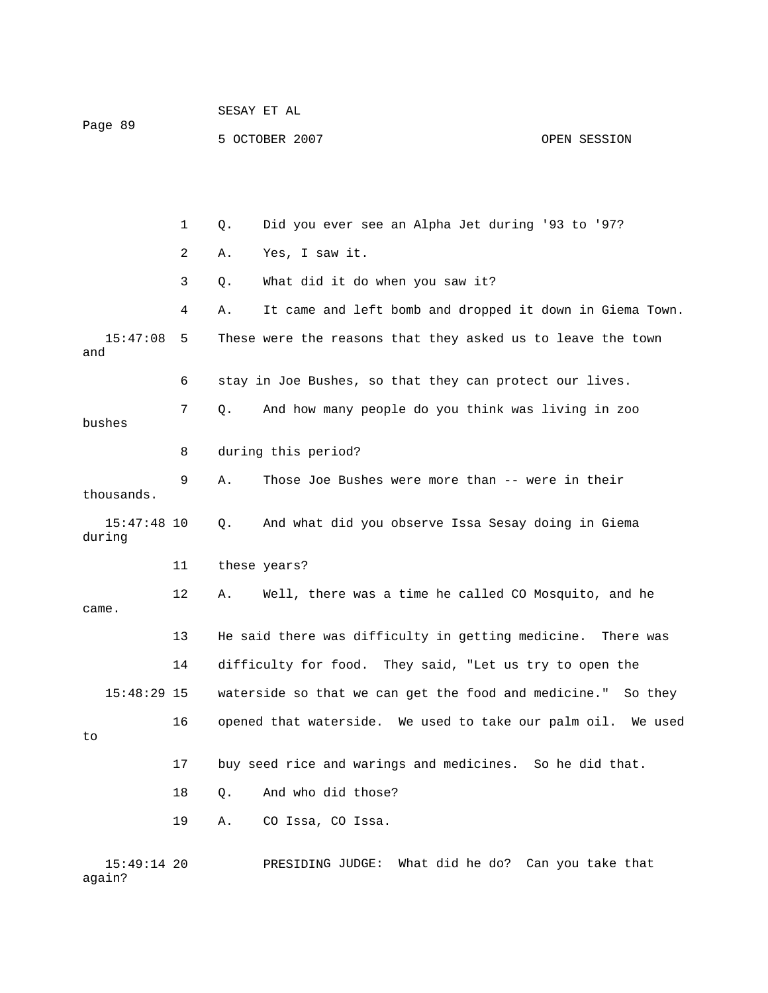|                         |    | SESAY ET AL         |                                                              |              |  |  |
|-------------------------|----|---------------------|--------------------------------------------------------------|--------------|--|--|
| Page 89                 |    |                     | 5 OCTOBER 2007                                               | OPEN SESSION |  |  |
|                         |    |                     |                                                              |              |  |  |
|                         | 1  | Q.                  | Did you ever see an Alpha Jet during '93 to '97?             |              |  |  |
|                         | 2  | Α.                  | Yes, I saw it.                                               |              |  |  |
|                         | 3  | Q.                  | What did it do when you saw it?                              |              |  |  |
|                         | 4  | Α.                  | It came and left bomb and dropped it down in Giema Town.     |              |  |  |
| 15:47:08<br>and         | 5  |                     | These were the reasons that they asked us to leave the town  |              |  |  |
|                         | 6  |                     | stay in Joe Bushes, so that they can protect our lives.      |              |  |  |
| bushes                  | 7  | Q.                  | And how many people do you think was living in zoo           |              |  |  |
|                         | 8  | during this period? |                                                              |              |  |  |
| thousands.              | 9  | Α.                  | Those Joe Bushes were more than -- were in their             |              |  |  |
| $15:47:48$ 10<br>during |    | Q.                  | And what did you observe Issa Sesay doing in Giema           |              |  |  |
|                         | 11 |                     | these years?                                                 |              |  |  |
| came.                   | 12 | Α.                  | Well, there was a time he called CO Mosquito, and he         |              |  |  |
|                         | 13 |                     | He said there was difficulty in getting medicine.            | There was    |  |  |
|                         | 14 |                     | difficulty for food. They said, "Let us try to open the      |              |  |  |
| $15:48:29$ 15           |    |                     | waterside so that we can get the food and medicine." So they |              |  |  |
| to                      | 16 |                     | opened that waterside. We used to take our palm oil. We used |              |  |  |
|                         | 17 |                     | buy seed rice and warings and medicines. So he did that.     |              |  |  |
|                         | 18 | Q.                  | And who did those?                                           |              |  |  |
|                         | 19 | Α.                  | CO Issa, CO Issa.                                            |              |  |  |
| $15:49:14$ 20           |    |                     | PRESIDING JUDGE: What did he do? Can you take that           |              |  |  |

again?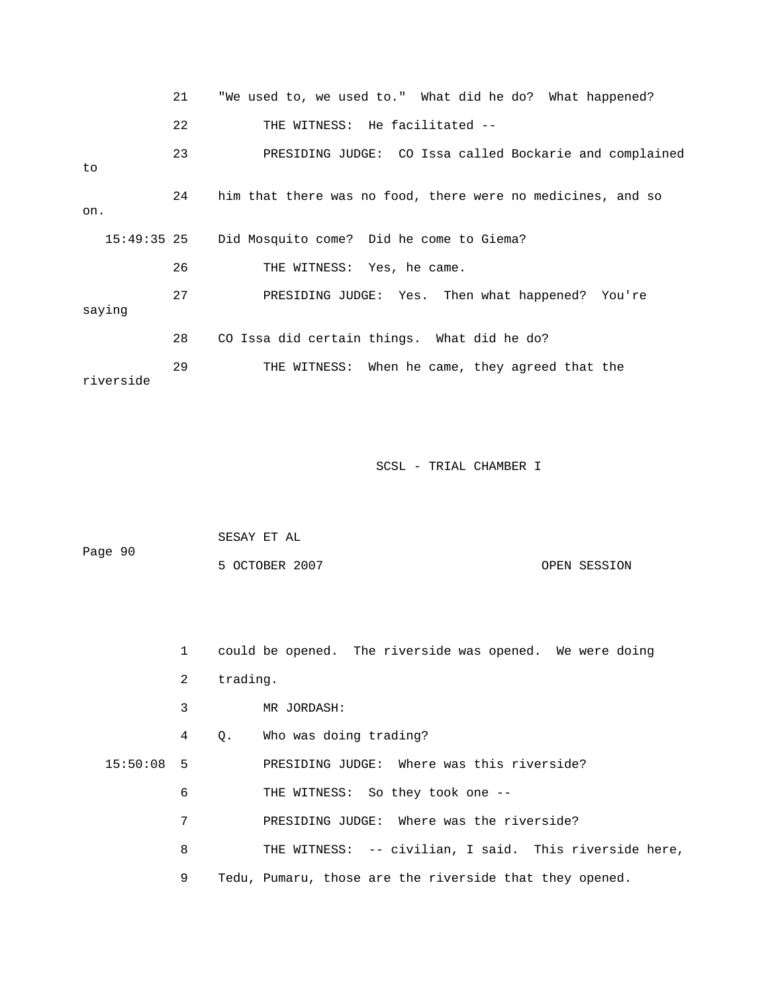|               | 21 | "We used to, we used to." What did he do? What happened?    |
|---------------|----|-------------------------------------------------------------|
|               | 22 | THE WITNESS: He facilitated --                              |
| to            | 23 | PRESIDING JUDGE: CO Issa called Bockarie and complained     |
| on.           | 24 | him that there was no food, there were no medicines, and so |
| $15:49:35$ 25 |    | Did Mosquito come? Did he come to Giema?                    |
|               | 26 | THE WITNESS: Yes, he came.                                  |
| saying        | 27 | PRESIDING JUDGE: Yes. Then what happened? You're            |
|               | 28 | CO Issa did certain things. What did he do?                 |
| riverside     | 29 | THE WITNESS: When he came, they agreed that the             |

| Page 90 | SESAY ET AL    |              |
|---------|----------------|--------------|
|         | 5 OCTOBER 2007 | OPEN SESSION |

1 could be opened. The riverside was opened. We were doing

2 trading.

3 MR JORDASH:

4 Q. Who was doing trading?

15:50:08 5 PRESIDING JUDGE: Where was this riverside?

- 6 THE WITNESS: So they took one --
- 7 PRESIDING JUDGE: Where was the riverside?
- 8 THE WITNESS: -- civilian, I said. This riverside here,
	- 9 Tedu, Pumaru, those are the riverside that they opened.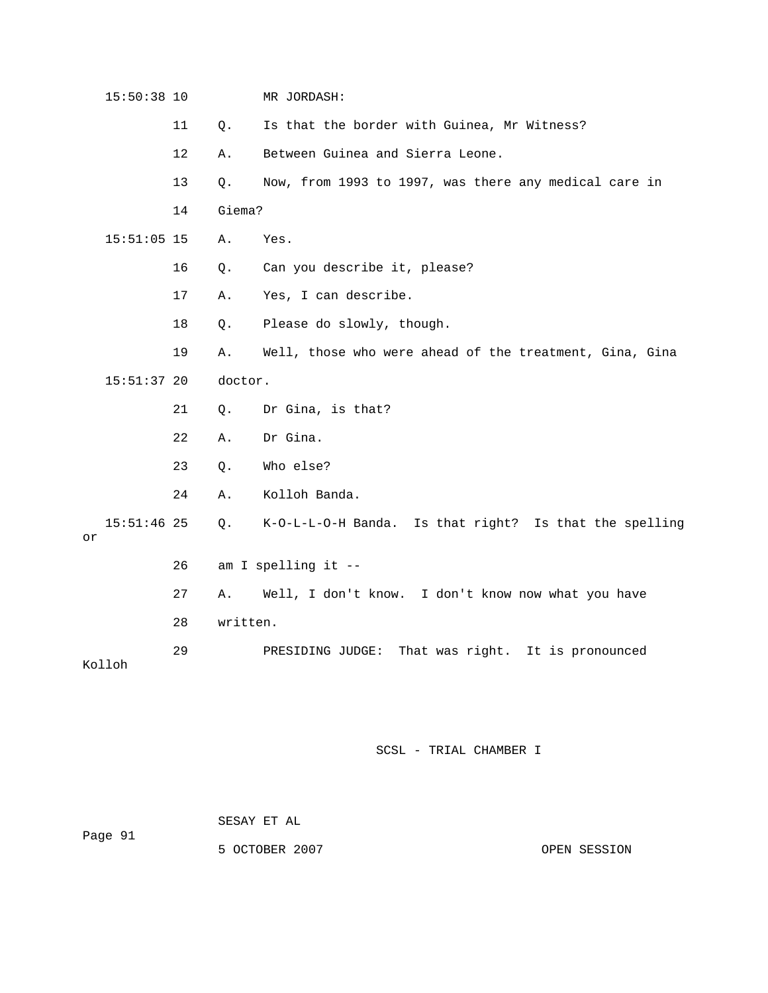| 15:50:38 10         |    |          | MR JORDASH:                                             |
|---------------------|----|----------|---------------------------------------------------------|
|                     | 11 | Q.       | Is that the border with Guinea, Mr Witness?             |
|                     | 12 | Α.       | Between Guinea and Sierra Leone.                        |
|                     | 13 | Q.       | Now, from 1993 to 1997, was there any medical care in   |
|                     | 14 | Giema?   |                                                         |
| $15:51:05$ 15       |    | Α.       | Yes.                                                    |
|                     | 16 | Q.       | Can you describe it, please?                            |
|                     | 17 | Α.       | Yes, I can describe.                                    |
|                     | 18 | Q.       | Please do slowly, though.                               |
|                     | 19 | Α.       | Well, those who were ahead of the treatment, Gina, Gina |
| $15:51:37$ 20       |    | doctor.  |                                                         |
|                     | 21 | Q.       | Dr Gina, is that?                                       |
|                     | 22 | Α.       | Dr Gina.                                                |
|                     | 23 | Q.       | Who else?                                               |
|                     | 24 | Α.       | Kolloh Banda.                                           |
| $15:51:46$ 25<br>or |    | Q.       | K-O-L-L-O-H Banda. Is that right? Is that the spelling  |
|                     | 26 |          | am I spelling it --                                     |
|                     | 27 | Α.       | Well, I don't know. I don't know now what you have      |
|                     | 28 | written. |                                                         |
| Kolloh              | 29 |          | PRESIDING JUDGE:<br>That was right. It is pronounced    |

|         | SESAY ET AL |  |
|---------|-------------|--|
| Page 91 |             |  |

5 OCTOBER 2007 CPEN SESSION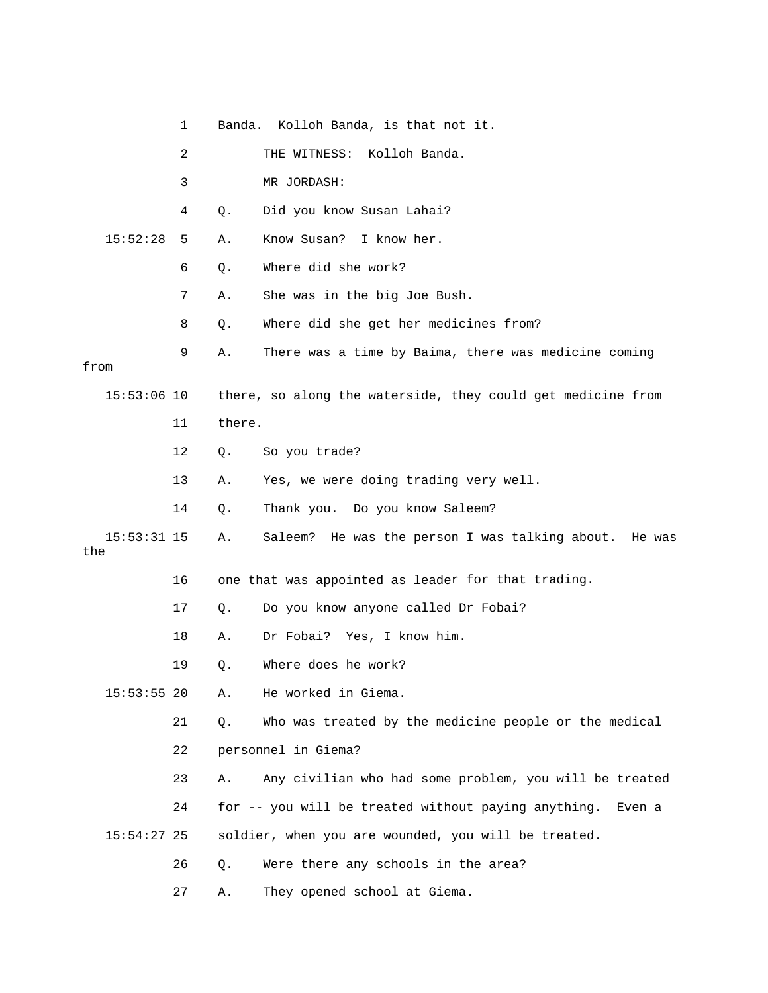|                      | 1  |        | Banda. Kolloh Banda, is that not it.                          |
|----------------------|----|--------|---------------------------------------------------------------|
|                      | 2  |        | THE WITNESS: Kolloh Banda.                                    |
|                      | 3  |        | MR JORDASH:                                                   |
|                      | 4  | Q.     | Did you know Susan Lahai?                                     |
| 15:52:28             | 5  | Α.     | Know Susan? I know her.                                       |
|                      | 6  | Q.     | Where did she work?                                           |
|                      | 7  | Α.     | She was in the big Joe Bush.                                  |
|                      | 8  | Q.     | Where did she get her medicines from?                         |
| from                 | 9  | Α.     | There was a time by Baima, there was medicine coming          |
| $15:53:06$ 10        |    |        | there, so along the waterside, they could get medicine from   |
|                      | 11 | there. |                                                               |
|                      | 12 | $Q$ .  | So you trade?                                                 |
|                      | 13 | Α.     | Yes, we were doing trading very well.                         |
|                      | 14 | Q.     | Thank you. Do you know Saleem?                                |
| $15:53:31$ 15<br>the |    | Α.     | Saleem? He was the person I was talking about. He was         |
|                      | 16 |        | one that was appointed as leader for that trading.            |
|                      | 17 | Q.     | Do you know anyone called Dr Fobai?                           |
|                      | 18 | Α.     | Dr Fobai? Yes, I know him.                                    |
|                      | 19 | Q.     | Where does he work?                                           |
| $15:53:55$ 20        |    | Α.     | He worked in Giema.                                           |
|                      | 21 | Q.     | Who was treated by the medicine people or the medical         |
|                      | 22 |        | personnel in Giema?                                           |
|                      | 23 | Α.     | Any civilian who had some problem, you will be treated        |
|                      | 24 |        | for -- you will be treated without paying anything.<br>Even a |
| $15:54:27$ 25        |    |        | soldier, when you are wounded, you will be treated.           |
|                      | 26 | Q.     | Were there any schools in the area?                           |
|                      | 27 | Α.     | They opened school at Giema.                                  |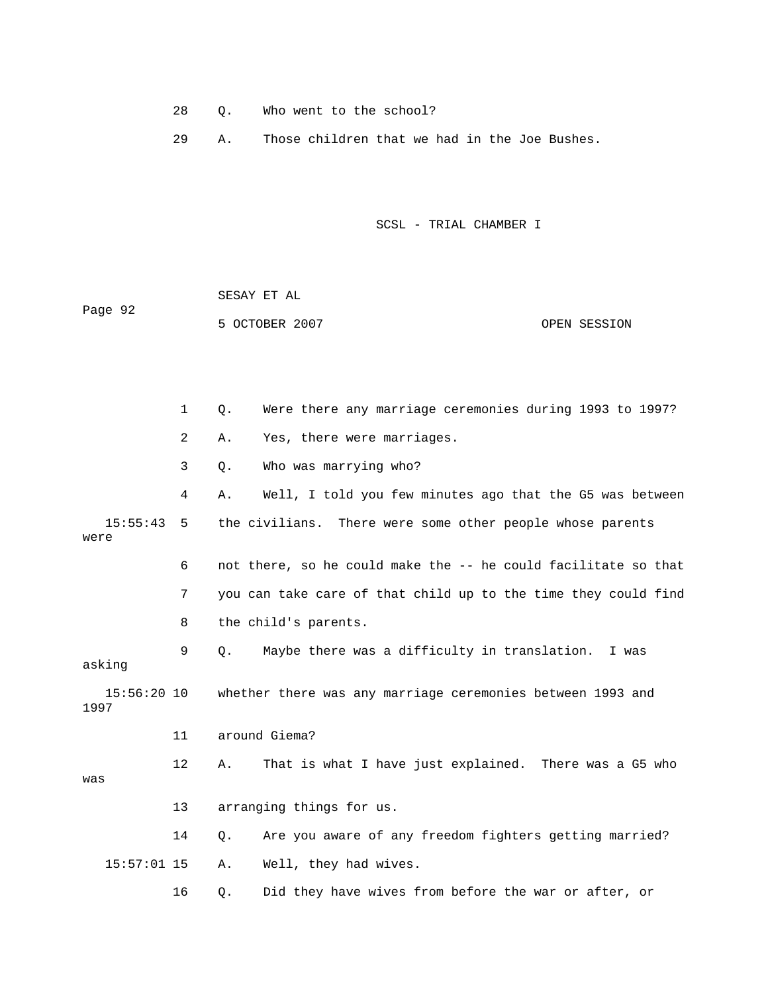28 Q. Who went to the school?

29 A. Those children that we had in the Joe Bushes.

SCSL - TRIAL CHAMBER I

 SESAY ET AL Page 92 5 OCTOBER 2007 OPEN SESSION

1 Q. Were there any marriage ceremonies during 1993 to 1997? 2 A. Yes, there were marriages. 3 Q. Who was marrying who? 4 A. Well, I told you few minutes ago that the G5 was between 15:55:43 5 the civilians. There were some other people whose parents were 6 ont there, so he could make the -- he could facilitate so that 7 you can take care of that child up to the time they could find 8 the child's parents. 9 Q. Maybe there was a difficulty in translation. I was 15:56:20 10 whether there was any marriage ceremonies between 1993 and 1997 11 around Giema? 12 A. That is what I have just explained. There was a G5 who 16 Q. Did they have wives from before the war or after, or asking was 13 arranging things for us. 14 Q. Are you aware of any freedom fighters getting married? 15:57:01 15 A. Well, they had wives.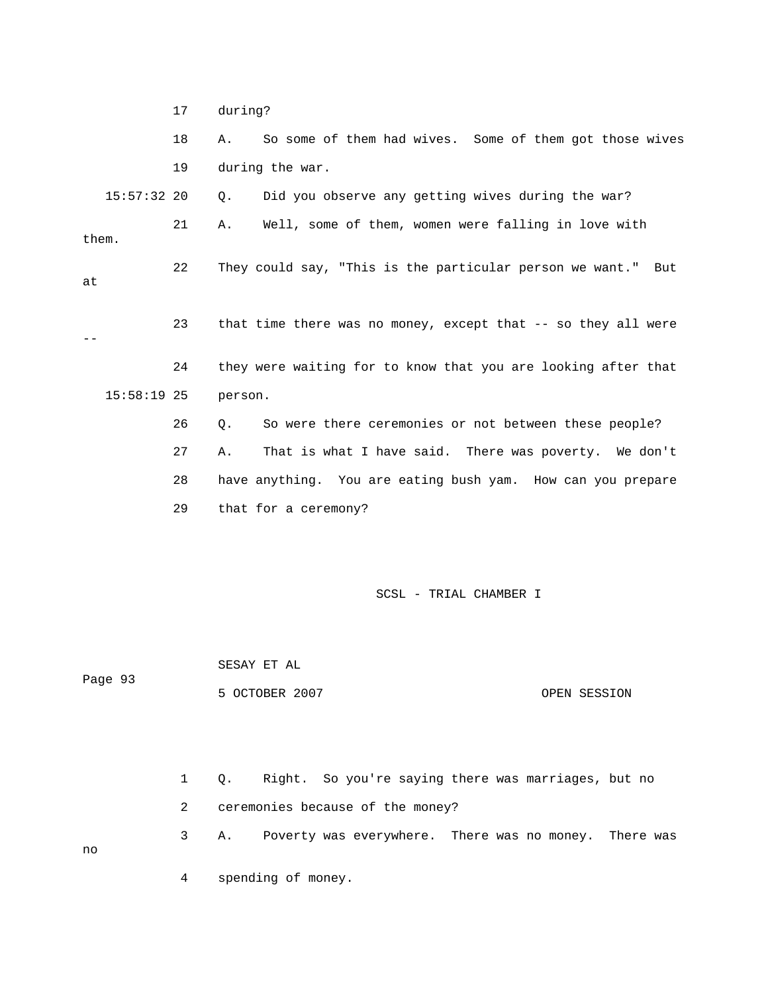|       |               | 17          | during? |                                                               |                                              |                        |  |              |  |
|-------|---------------|-------------|---------|---------------------------------------------------------------|----------------------------------------------|------------------------|--|--------------|--|
|       |               | 18          | Α.      | So some of them had wives. Some of them got those wives       |                                              |                        |  |              |  |
|       |               | 19          |         | during the war.                                               |                                              |                        |  |              |  |
|       | $15:57:32$ 20 |             | Q.      | Did you observe any getting wives during the war?             |                                              |                        |  |              |  |
| them. |               | 21          | Α.      | Well, some of them, women were falling in love with           |                                              |                        |  |              |  |
| at    |               | 22          |         | They could say, "This is the particular person we want." But  |                                              |                        |  |              |  |
| $- -$ |               | 23          |         | that time there was no money, except that -- so they all were |                                              |                        |  |              |  |
|       |               | 24          |         | they were waiting for to know that you are looking after that |                                              |                        |  |              |  |
|       | $15:58:19$ 25 |             | person. |                                                               |                                              |                        |  |              |  |
|       |               | 26          | Q.      | So were there ceremonies or not between these people?         |                                              |                        |  |              |  |
|       |               | 27          | Α.      | That is what I have said. There was poverty. We don't         |                                              |                        |  |              |  |
|       |               | 28          |         | have anything. You are eating bush yam. How can you prepare   |                                              |                        |  |              |  |
|       |               | 29          |         | that for a ceremony?                                          |                                              |                        |  |              |  |
|       |               |             |         |                                                               |                                              | SCSL - TRIAL CHAMBER I |  |              |  |
|       | Page 93       |             |         | SESAY ET AL<br>5 OCTOBER 2007                                 |                                              |                        |  | OPEN SESSION |  |
|       |               | $\mathbf 1$ | Q.      | Right.                                                        | So you're saying there was marriages, but no |                        |  |              |  |

2 ceremonies because of the money?

3 A. Poverty was everywhere. There was no money. There was

4 spending of money.

no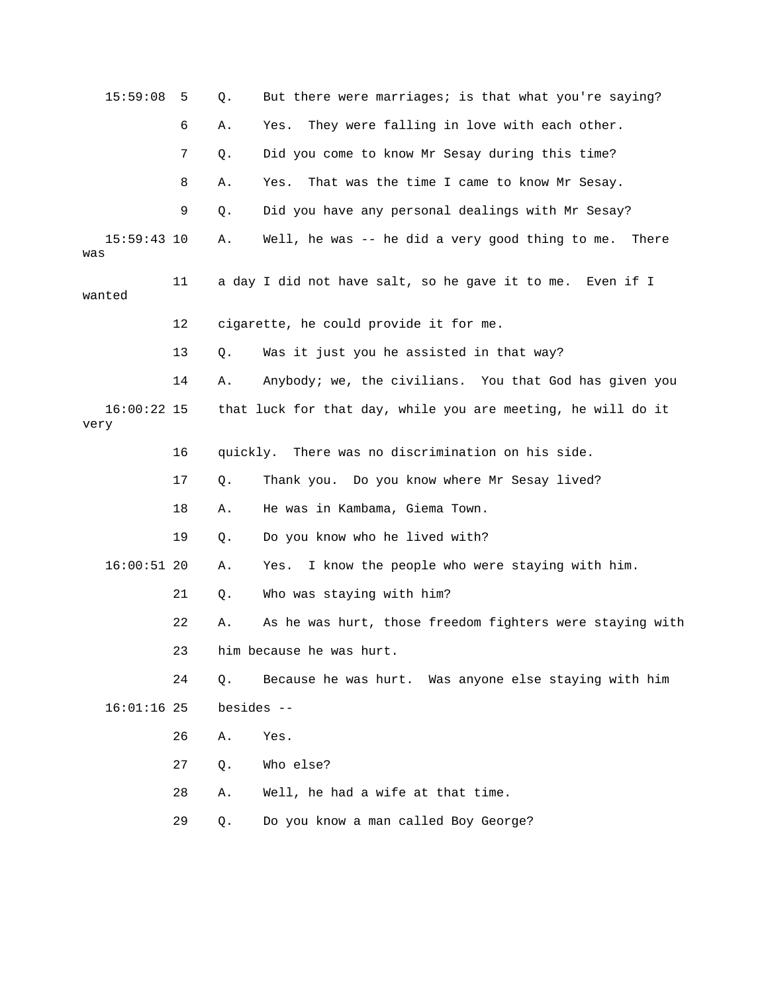| 15:59:08              | 5  | Q.         | But there were marriages; is that what you're saying?        |
|-----------------------|----|------------|--------------------------------------------------------------|
|                       | 6  | Α.         | They were falling in love with each other.<br>Yes.           |
|                       | 7  | Q.         | Did you come to know Mr Sesay during this time?              |
|                       | 8  | Α.         | That was the time I came to know Mr Sesay.<br>Yes.           |
|                       | 9  | Q.         | Did you have any personal dealings with Mr Sesay?            |
| $15:59:43$ 10<br>was  |    | Α.         | Well, he was -- he did a very good thing to me.<br>There     |
| wanted                | 11 |            | a day I did not have salt, so he gave it to me. Even if I    |
|                       | 12 |            | cigarette, he could provide it for me.                       |
|                       | 13 | Q.         | Was it just you he assisted in that way?                     |
|                       | 14 | Α.         | Anybody; we, the civilians. You that God has given you       |
| $16:00:22$ 15<br>very |    |            | that luck for that day, while you are meeting, he will do it |
|                       | 16 |            | quickly. There was no discrimination on his side.            |
|                       | 17 | Q.         | Thank you. Do you know where Mr Sesay lived?                 |
|                       | 18 | Α.         | He was in Kambama, Giema Town.                               |
|                       | 19 | Q.         | Do you know who he lived with?                               |
| $16:00:51$ 20         |    | Α.         | I know the people who were staying with him.<br>Yes.         |
|                       | 21 | Q.         | Who was staying with him?                                    |
|                       | 22 | Α.         | As he was hurt, those freedom fighters were staying with     |
|                       | 23 |            | him because he was hurt.                                     |
|                       | 24 | Q.         | Because he was hurt. Was anyone else staying with him        |
| $16:01:16$ 25         |    | besides -- |                                                              |
|                       | 26 | Α.         | Yes.                                                         |
|                       | 27 | Q.         | Who else?                                                    |
|                       | 28 | Α.         | Well, he had a wife at that time.                            |
|                       | 29 | Q.         | Do you know a man called Boy George?                         |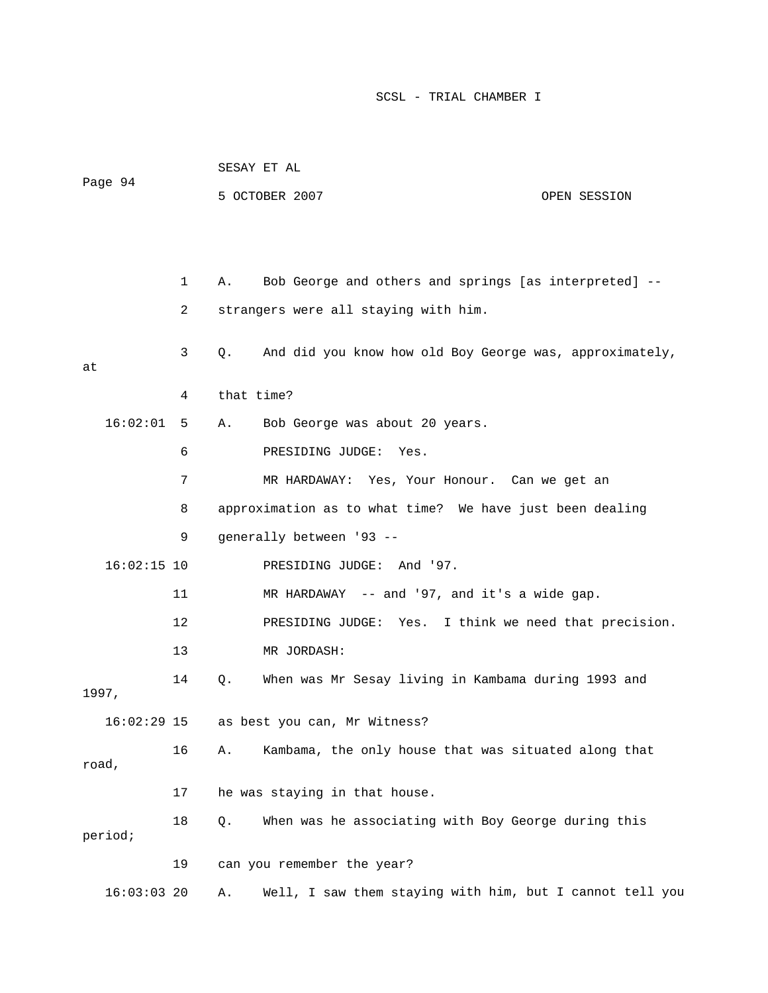| Page 94       |    | SESAY ET AL |                                                          |              |  |  |  |  |
|---------------|----|-------------|----------------------------------------------------------|--------------|--|--|--|--|
|               |    |             | 5 OCTOBER 2007                                           | OPEN SESSION |  |  |  |  |
|               |    |             |                                                          |              |  |  |  |  |
|               |    |             |                                                          |              |  |  |  |  |
|               | 1  | Α.          | Bob George and others and springs [as interpreted] --    |              |  |  |  |  |
|               | 2  |             | strangers were all staying with him.                     |              |  |  |  |  |
| at            | 3  | Q.          | And did you know how old Boy George was, approximately,  |              |  |  |  |  |
|               | 4  | that time?  |                                                          |              |  |  |  |  |
| 16:02:01      | 5  | A.          | Bob George was about 20 years.                           |              |  |  |  |  |
|               | 6  |             | PRESIDING JUDGE:<br>Yes.                                 |              |  |  |  |  |
|               | 7  |             | MR HARDAWAY: Yes, Your Honour. Can we get an             |              |  |  |  |  |
|               | 8  |             | approximation as to what time? We have just been dealing |              |  |  |  |  |
|               | 9  |             | generally between '93 --                                 |              |  |  |  |  |
| $16:02:15$ 10 |    |             | PRESIDING JUDGE: And '97.                                |              |  |  |  |  |
|               | 11 |             | MR HARDAWAY -- and '97, and it's a wide gap.             |              |  |  |  |  |
|               | 12 |             | PRESIDING JUDGE: Yes. I think we need that precision.    |              |  |  |  |  |
|               | 13 |             | MR JORDASH:                                              |              |  |  |  |  |
| 1997,         | 14 | Q.          | When was Mr Sesay living in Kambama during 1993 and      |              |  |  |  |  |
| $16:02:29$ 15 |    |             | as best you can, Mr Witness?                             |              |  |  |  |  |
| road,         | 16 | Α.          | Kambama, the only house that was situated along that     |              |  |  |  |  |
|               | 17 |             | he was staying in that house.                            |              |  |  |  |  |
| period;       | 18 | Q.          | When was he associating with Boy George during this      |              |  |  |  |  |
|               | 19 |             | can you remember the year?                               |              |  |  |  |  |
| 16:03:0320    |    | Α.          | Well, I saw them staying with him, but I cannot tell you |              |  |  |  |  |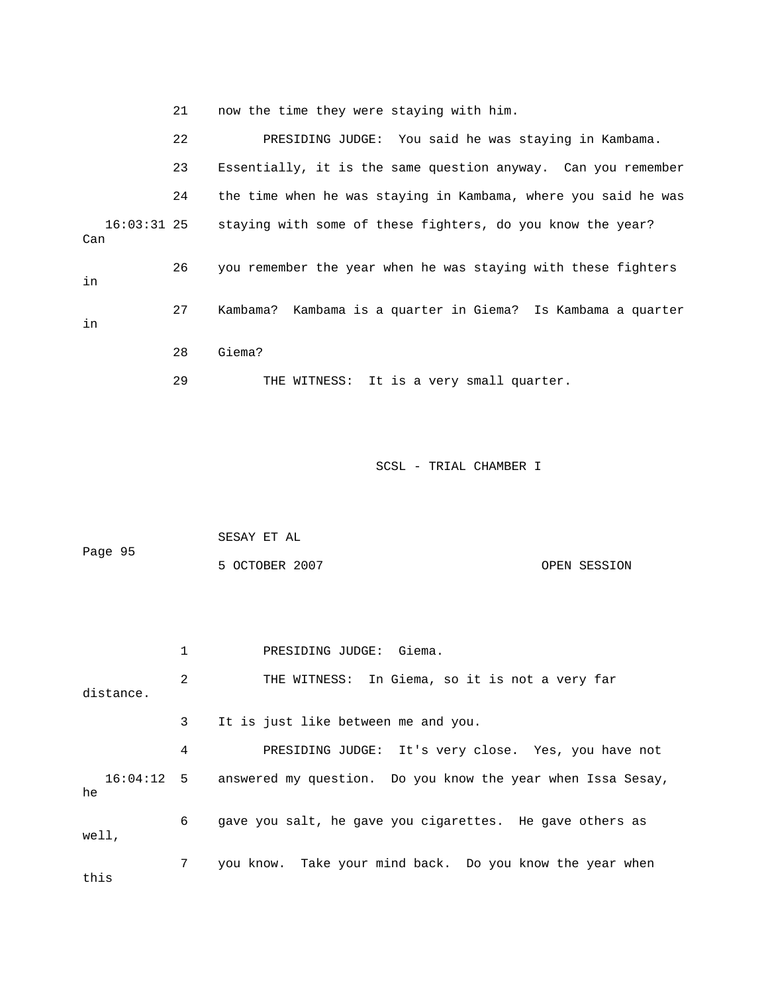21 now the time they were staying with him.

|                      | 22 | PRESIDING JUDGE: You said he was staying in Kambama.           |
|----------------------|----|----------------------------------------------------------------|
|                      | 23 | Essentially, it is the same question anyway. Can you remember  |
|                      | 24 | the time when he was staying in Kambama, where you said he was |
| $16:03:31$ 25<br>Can |    | staying with some of these fighters, do you know the year?     |
| in                   | 26 | you remember the year when he was staying with these fighters  |
| in                   | 27 | Kambama? Kambama is a quarter in Giema? Is Kambama a quarter   |
|                      | 28 | Giema?                                                         |
|                      | 29 | THE WITNESS: It is a very small quarter.                       |

|           |                | SESAY ET AL                                                            |  |  |  |  |  |  |
|-----------|----------------|------------------------------------------------------------------------|--|--|--|--|--|--|
| Page 95   |                | 5 OCTOBER 2007<br>OPEN SESSION                                         |  |  |  |  |  |  |
|           |                |                                                                        |  |  |  |  |  |  |
|           |                |                                                                        |  |  |  |  |  |  |
|           | $\mathbf{1}$   | PRESIDING JUDGE: Giema.                                                |  |  |  |  |  |  |
| distance. | $\mathfrak{D}$ | THE WITNESS: In Giema, so it is not a very far                         |  |  |  |  |  |  |
|           | 3              | It is just like between me and you.                                    |  |  |  |  |  |  |
|           | 4              | PRESIDING JUDGE: It's very close. Yes, you have not                    |  |  |  |  |  |  |
| he        |                | 16:04:12 5 answered my question. Do you know the year when Issa Sesay, |  |  |  |  |  |  |
| well,     | 6              | gave you salt, he gave you cigarettes. He gave others as               |  |  |  |  |  |  |
| this      | 7              | you know. Take your mind back. Do you know the year when               |  |  |  |  |  |  |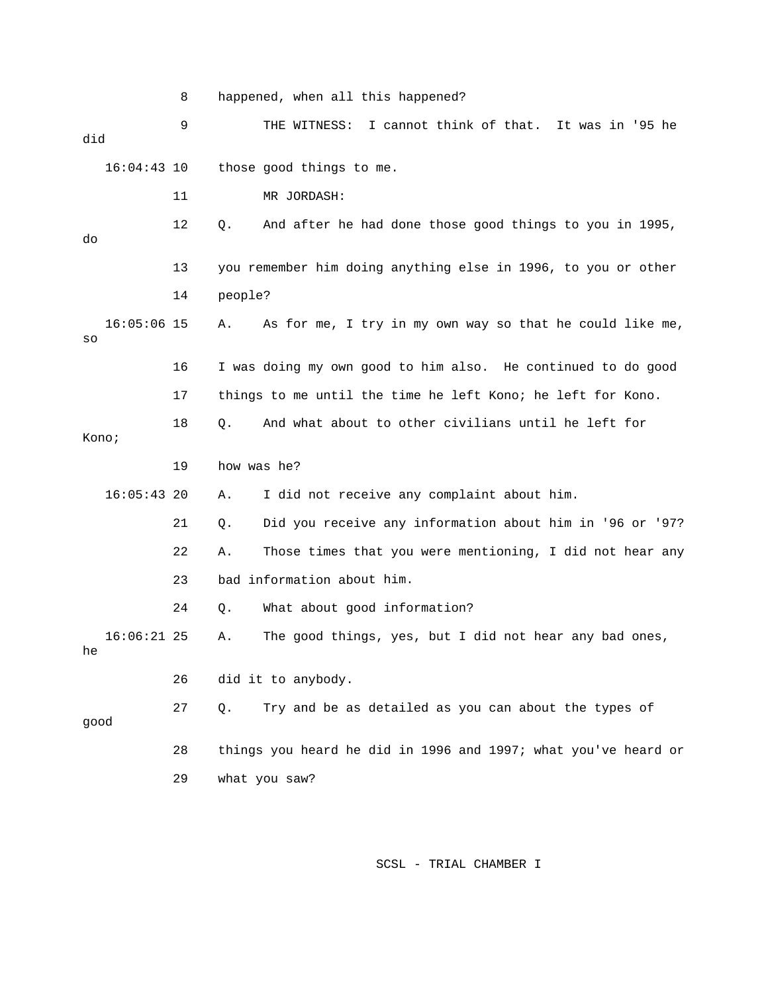8 happened, when all this happened?

 9 THE WITNESS: I cannot think of that. It was in '9 5 he did 16:04:43 10 those good things to me. 12 Q. And after he had done those good things to you in 1995, 13 you remember him doing anything else in 1996, to you or other 14 people? , 16:05:06 15 A. As for me, I try in my own way so that he could like me 16 I was doing my own good to him also. He continued to do good 17 things to me until the time he left Kono; he left for Kono. 21 Q. Did you receive any information about him in '96 or '97? 22 A. Those times that you were mentioning, I did not hear any 23 bad information about him. 24 Q. What about good information? 26 did it to anybody. good 29 what you saw? 11 MR JORDASH: do so 18 Q. And what about to other civilians until he left for Kono; 19 how was he? 16:05:43 20 A. I did not receive any complaint about him. 16:06:21 25 A. The good things, yes, but I did not hear any bad ones, he 27 Q. Try and be as detailed as you can about the types of 28 things you heard he did in 1996 and 1997; what you've heard or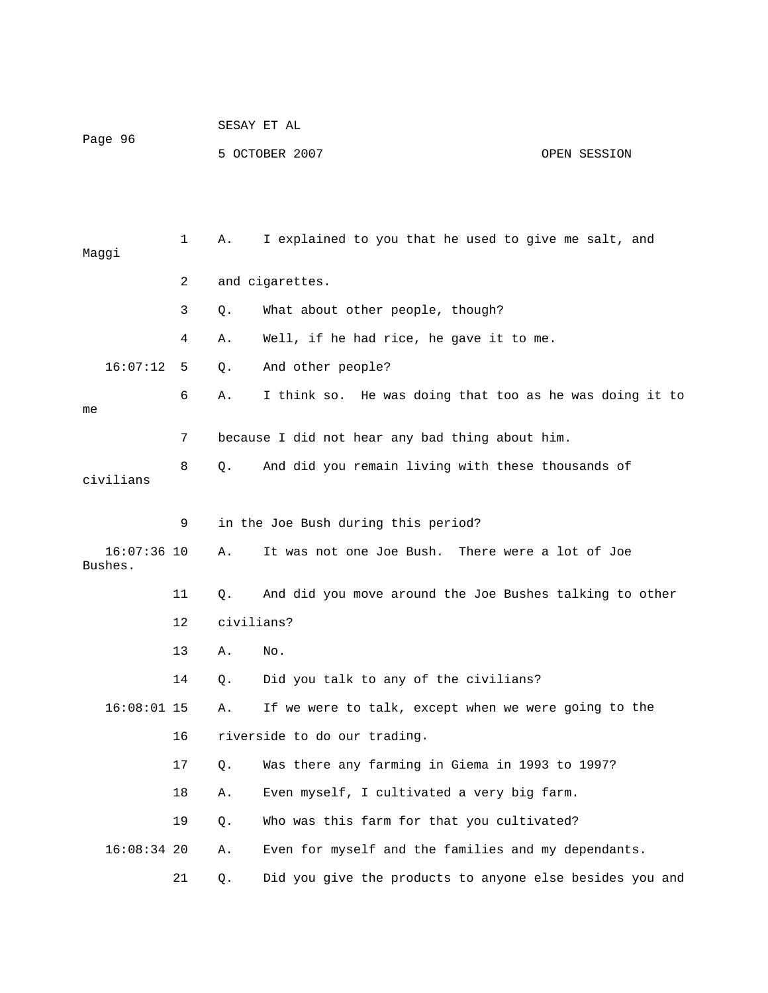|         | SESAY ET AL    |              |  |  |  |  |  |  |
|---------|----------------|--------------|--|--|--|--|--|--|
| Page 96 | 5 OCTOBER 2007 | OPEN SESSION |  |  |  |  |  |  |
|         |                |              |  |  |  |  |  |  |
|         |                |              |  |  |  |  |  |  |

| Maggi     |               | 1  | Α.         | I explained to you that he used to give me salt, and     |
|-----------|---------------|----|------------|----------------------------------------------------------|
|           |               | 2  |            | and cigarettes.                                          |
|           |               | 3  | Q.         | What about other people, though?                         |
|           |               | 4  | Α.         | Well, if he had rice, he gave it to me.                  |
|           | 16:07:12      | 5  | Q.         | And other people?                                        |
| me        |               | 6  | Α.         | I think so. He was doing that too as he was doing it to  |
|           |               | 7  |            | because I did not hear any bad thing about him.          |
| civilians |               | 8  | $Q$ .      | And did you remain living with these thousands of        |
|           |               | 9  |            | in the Joe Bush during this period?                      |
| Bushes.   | $16:07:36$ 10 |    | Α.         | It was not one Joe Bush. There were a lot of Joe         |
|           |               | 11 | Q.         | And did you move around the Joe Bushes talking to other  |
|           |               | 12 | civilians? |                                                          |
|           |               | 13 | Α.         | No.                                                      |
|           |               | 14 | Q.         | Did you talk to any of the civilians?                    |
|           | $16:08:01$ 15 |    | Α.         | If we were to talk, except when we were going to the     |
|           |               | 16 |            | riverside to do our trading.                             |
|           |               | 17 | Q.         | Was there any farming in Giema in 1993 to 1997?          |
|           |               | 18 | Α.         | Even myself, I cultivated a very big farm.               |
|           |               | 19 | Q.         | Who was this farm for that you cultivated?               |
|           | $16:08:34$ 20 |    | Α.         | Even for myself and the families and my dependants.      |
|           |               | 21 | Q.         | Did you give the products to anyone else besides you and |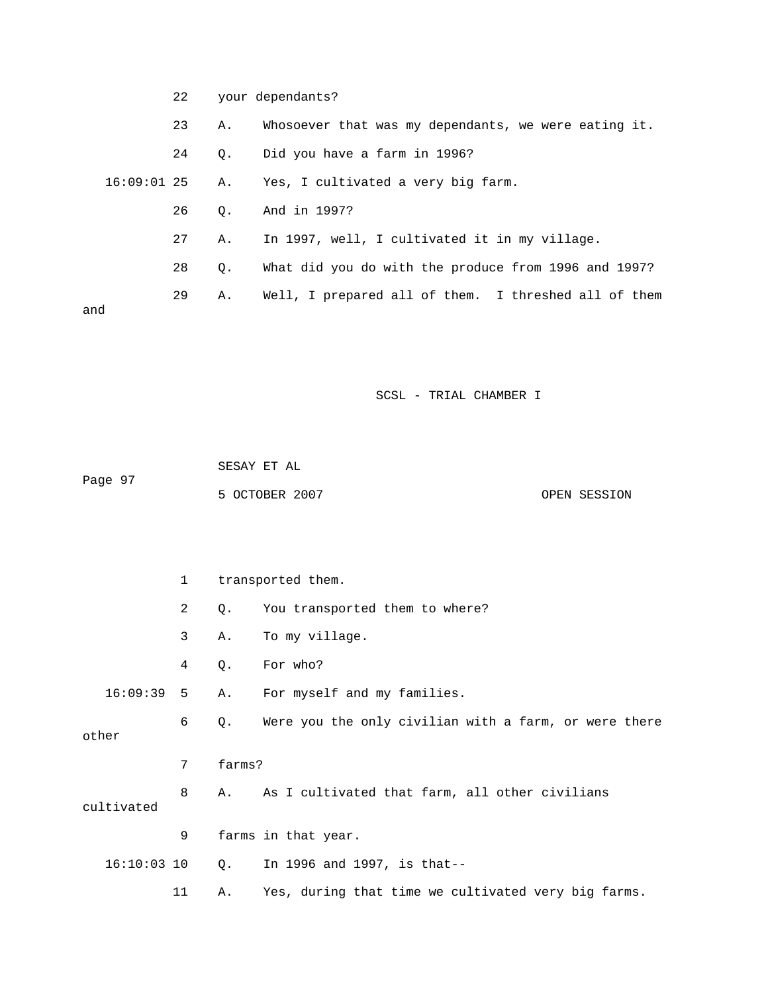|     | 22 |    | your dependants?                                     |
|-----|----|----|------------------------------------------------------|
|     | 23 | Α. | Whosoever that was my dependants, we were eating it. |
|     | 24 |    | Q. Did you have a farm in 1996?                      |
|     |    |    | 16:09:01 25 A. Yes, I cultivated a very big farm.    |
|     | 26 | 0. | And in 1997?                                         |
|     | 27 | Α. | In 1997, well, I cultivated it in my village.        |
|     | 28 | Q. | What did you do with the produce from 1996 and 1997? |
|     | 29 | Α. | Well, I prepared all of them. I threshed all of them |
| and |    |    |                                                      |

|         | SESAY ET AL    |              |
|---------|----------------|--------------|
| Page 97 |                |              |
|         | 5 OCTOBER 2007 | OPEN SESSION |

|       |               | $\mathbf 1$ |        | transported them.                                     |
|-------|---------------|-------------|--------|-------------------------------------------------------|
|       |               | 2           | Q.     | You transported them to where?                        |
|       |               | 3           | Α.     | To my village.                                        |
|       |               | 4           | Q.     | For who?                                              |
|       | 16:09:39      | 5           | Α.     | For myself and my families.                           |
| other |               | 6           | Q.     | Were you the only civilian with a farm, or were there |
|       |               | 7           | farms? |                                                       |
|       | cultivated    | 8           | Α.     | As I cultivated that farm, all other civilians        |
|       |               | 9           |        | farms in that year.                                   |
|       | $16:10:03$ 10 |             |        | $Q.$ In 1996 and 1997, is that--                      |
|       |               | 11          | Α.     | Yes, during that time we cultivated very big farms.   |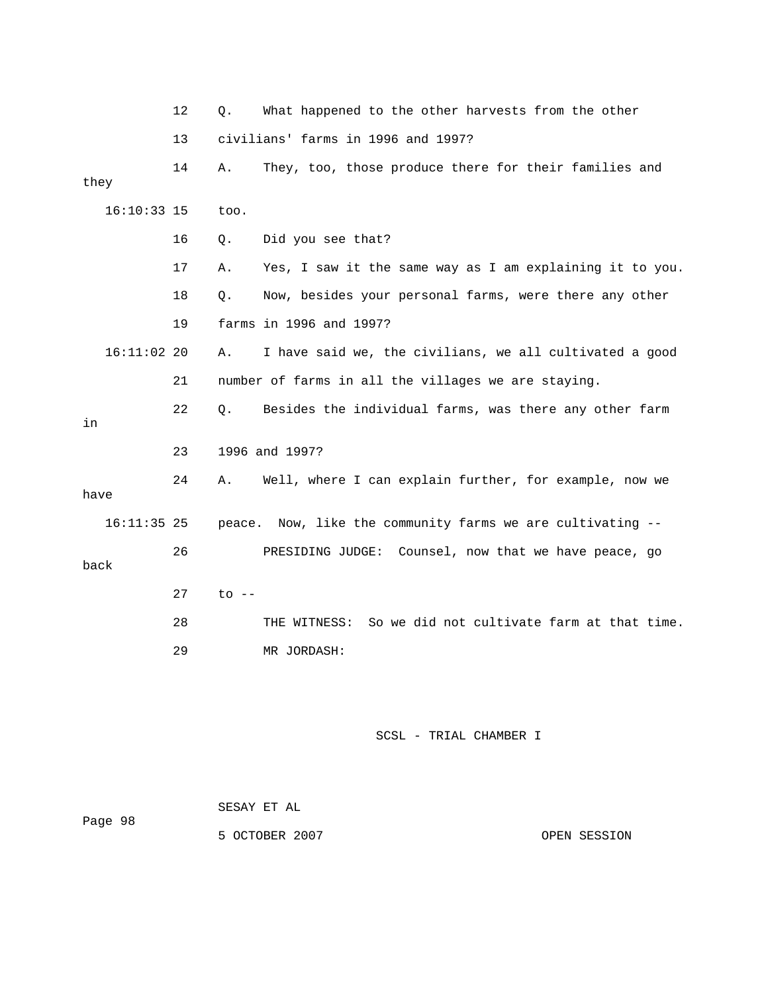|               | 12 | What happened to the other harvests from the other<br>Q.       |
|---------------|----|----------------------------------------------------------------|
|               | 13 | civilians' farms in 1996 and 1997?                             |
| they          | 14 | They, too, those produce there for their families and<br>Α.    |
| $16:10:33$ 15 |    | too.                                                           |
|               | 16 | Did you see that?<br>Q.                                        |
|               | 17 | Yes, I saw it the same way as I am explaining it to you.<br>Α. |
|               | 18 | Now, besides your personal farms, were there any other<br>Q.   |
|               | 19 | farms in 1996 and 1997?                                        |
| $16:11:02$ 20 |    | I have said we, the civilians, we all cultivated a good<br>Α.  |
|               | 21 | number of farms in all the villages we are staying.            |
| in            | 22 | Besides the individual farms, was there any other farm<br>О.   |
|               | 23 | 1996 and 1997?                                                 |
| have          | 24 | Well, where I can explain further, for example, now we<br>Α.   |
| $16:11:35$ 25 |    | Now, like the community farms we are cultivating --<br>peace.  |
| back          | 26 | PRESIDING JUDGE: Counsel, now that we have peace, go           |
|               | 27 | $\circ$ --                                                     |
|               | 28 | So we did not cultivate farm at that time.<br>THE WITNESS:     |
|               | 29 | MR JORDASH:                                                    |
|               |    |                                                                |

|         | SESAY ET AL    |              |
|---------|----------------|--------------|
| Page 98 |                |              |
|         | 5 OCTOBER 2007 | OPEN SESSION |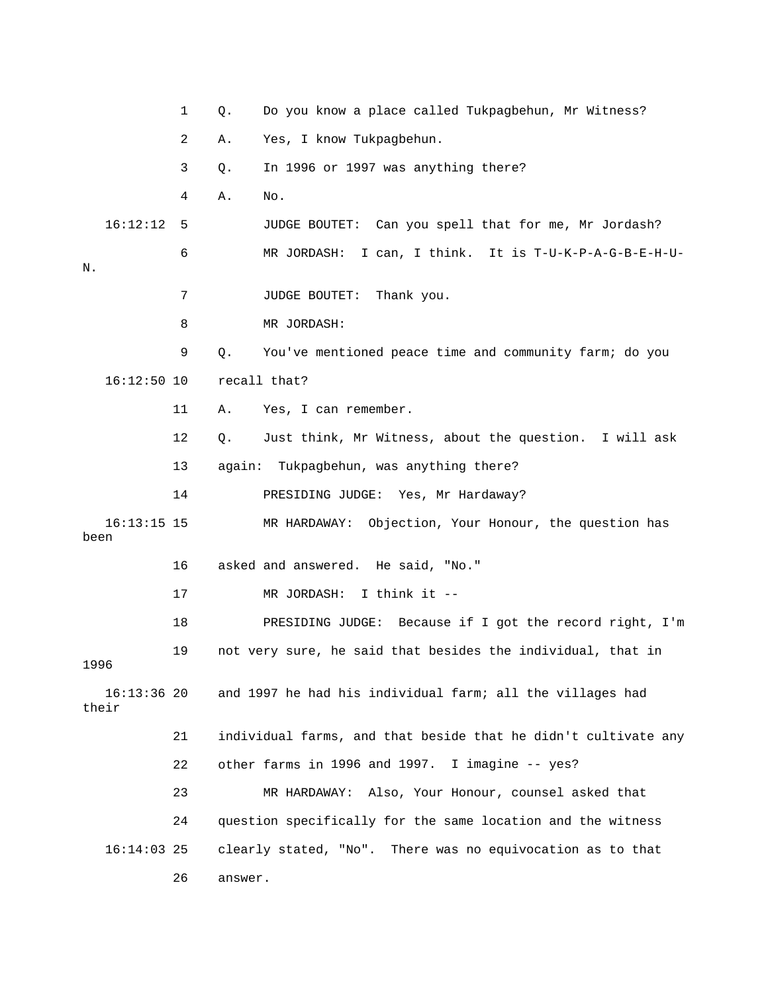1 Q. Do you know a place called Tukpagbehun, Mr Witness? 2 A. Yes, I know Tukpagbehun. 3 Q. In 1996 or 1997 was anything there? 16:12:12 5 JUDGE BOUTET: Can you spell that for me, Mr Jordash? 6 MR JORDASH: I can, I think. It is T-U-K-P-A-G-B-E-H-U- 8 MR JORDASH: 9 Q. You've mentioned peace time and community farm; do you 12 Q. Just think, Mr Witness, about the question. I will ask 13 again: Tukpagbehun, was anything there? 16:13:15 15 MR HARDAWAY: Objection, Your Honour, the question has 16 asked and answered. He said, "No." 17 MR JORDASH: I think it -- 18 PRESIDING JUDGE: Because if I got the record right, I'm 19 not very sure, he said that besides the individual, that in 1996 16:13:36 20 and 1997 he had his individual farm; all the villages had 22 other farms in 1996 and 1997. I imagine -- yes? 23 MR HARDAWAY: Also, Your Honour, counsel asked that  $16:14:03$  25 clearly stated, "No". There was no equivocation as to that 4 A. No.  $\mathbbm{N}$  . 7 JUDGE BOUTET: Thank you. 16:12:50 10 recall that? 11 A. Yes, I can remember. 14 PRESIDING JUDGE: Yes, Mr Hardaway? been their 21 individual farms, and that beside that he didn't cultivate any 24 question specifically for the same location and the witness 26 answer.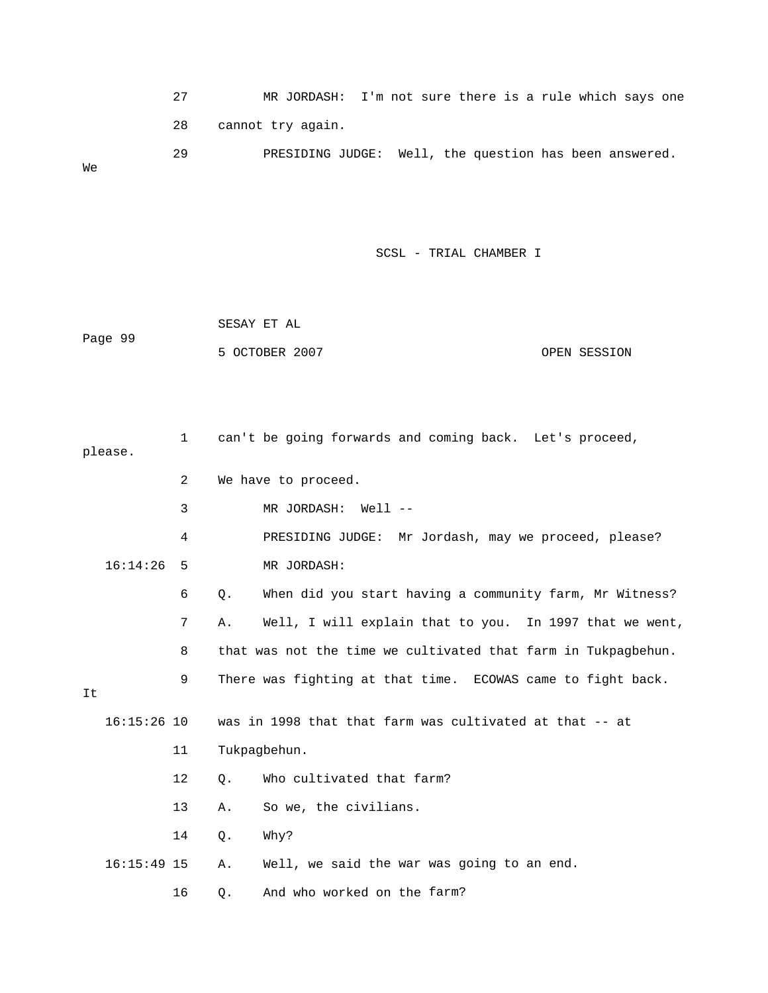27 MR JORDASH: I'm not sure there is a rule which says one 28 cannot try again. 29 PRESIDING JUDGE: Well, the question has been answered. We

|         | SESAY ET AL    |              |
|---------|----------------|--------------|
| Page 99 |                |              |
|         | 5 OCTOBER 2007 | OPEN SESSION |

|    | please.       | $\mathbf{1}$ |       | can't be going forwards and coming back. Let's proceed,       |
|----|---------------|--------------|-------|---------------------------------------------------------------|
|    |               | 2            |       | We have to proceed.                                           |
|    |               | 3            |       | MR JORDASH:<br>Well --                                        |
|    |               | 4            |       | PRESIDING JUDGE: Mr Jordash, may we proceed, please?          |
|    | 16:14:26      | 5            |       | MR JORDASH:                                                   |
|    |               | 6            | $Q$ . | When did you start having a community farm, Mr Witness?       |
|    |               | 7            | Α.    | Well, I will explain that to you. In 1997 that we went,       |
|    |               | 8            |       | that was not the time we cultivated that farm in Tukpagbehun. |
| It |               | 9            |       | There was fighting at that time. ECOWAS came to fight back.   |
|    | $16:15:26$ 10 |              |       | was in 1998 that that farm was cultivated at that -- at       |
|    |               | 11           |       | Tukpagbehun.                                                  |
|    |               | $12 \,$      | Q.    | Who cultivated that farm?                                     |
|    |               | 13           | Α.    | So we, the civilians.                                         |
|    |               | 14           | $Q$ . | Why?                                                          |
|    | $16:15:49$ 15 |              | Α.    | Well, we said the war was going to an end.                    |
|    |               | 16           | Q.    | And who worked on the farm?                                   |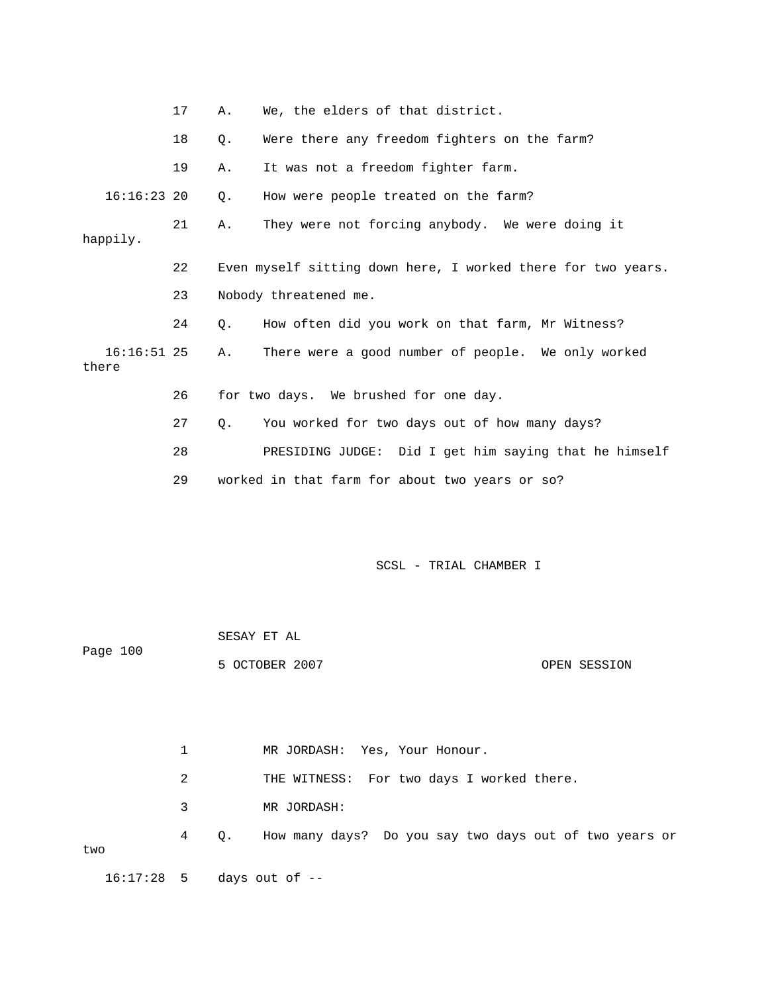|                        | 17 | Α. | We, the elders of that district.                             |
|------------------------|----|----|--------------------------------------------------------------|
|                        | 18 | Q. | Were there any freedom fighters on the farm?                 |
|                        | 19 | Α. | It was not a freedom fighter farm.                           |
| $16:16:23$ 20          |    | Q. | How were people treated on the farm?                         |
| happily.               | 21 | Α. | They were not forcing anybody. We were doing it              |
|                        | 22 |    | Even myself sitting down here, I worked there for two years. |
|                        | 23 |    | Nobody threatened me.                                        |
|                        | 24 | Q. | How often did you work on that farm, Mr Witness?             |
| $16:16:51$ 25<br>there |    | Α. | There were a good number of people. We only worked           |
|                        | 26 |    | for two days. We brushed for one day.                        |
|                        | 27 | Q. | You worked for two days out of how many days?                |
|                        | 28 |    | PRESIDING JUDGE: Did I get him saying that he himself        |
|                        | 29 |    | worked in that farm for about two years or so?               |
|                        |    |    |                                                              |
|                        |    |    |                                                              |
|                        |    |    | SCSL - TRIAL CHAMBER I                                       |
|                        |    |    |                                                              |
|                        |    |    |                                                              |

| Page 100 |                |              |
|----------|----------------|--------------|
|          | 5 OCTOBER 2007 | OPEN SESSION |

SESAY ET AL

2 THE WITNESS: For two days I worked there. 1 MR JORDASH: Yes, Your Honour. 3 MR JORDASH: 4 Q. How many days? Do you say two days out of two years or two 16:17:28 5 days out of --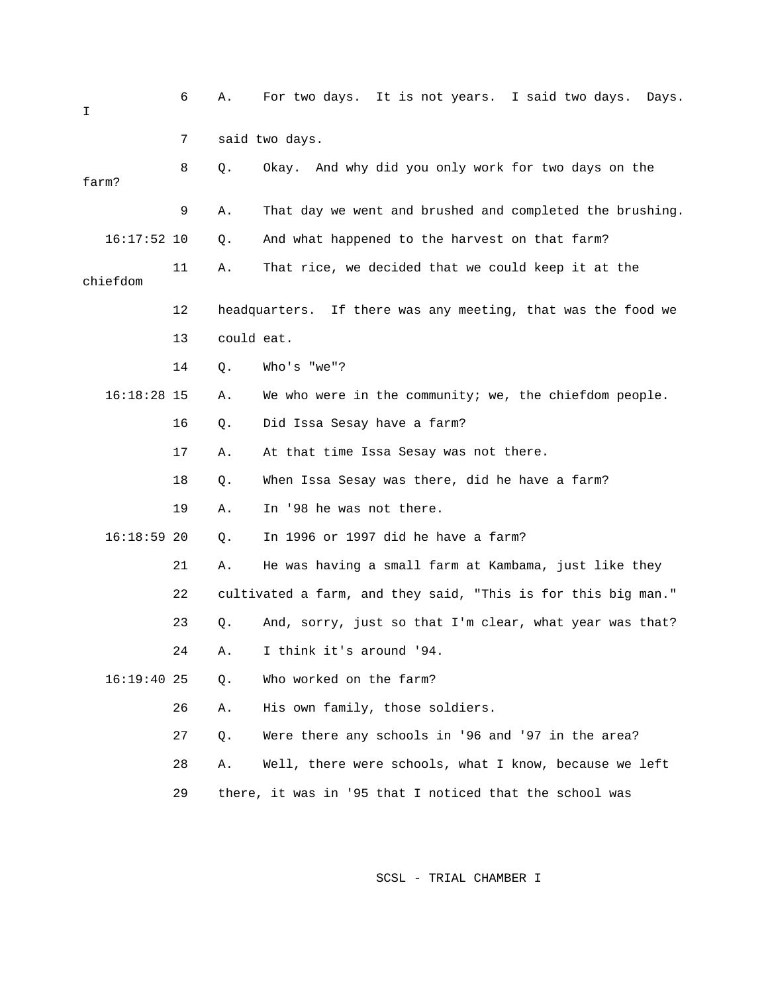| Ι             | 6  | Α.         | For two days. It is not years. I said two days.<br>Days.        |
|---------------|----|------------|-----------------------------------------------------------------|
|               | 7  |            | said two days.                                                  |
| farm?         | 8  | Q.         | Okay. And why did you only work for two days on the             |
|               | 9  | Α.         | That day we went and brushed and completed the brushing.        |
| $16:17:52$ 10 |    | Q.         | And what happened to the harvest on that farm?                  |
| chiefdom      | 11 | Α.         | That rice, we decided that we could keep it at the              |
|               | 12 |            | If there was any meeting, that was the food we<br>headquarters. |
|               | 13 | could eat. |                                                                 |
|               | 14 | $Q$ .      | Who's "we"?                                                     |
| $16:18:28$ 15 |    | Α.         | We who were in the community; we, the chiefdom people.          |
|               | 16 | Q.         | Did Issa Sesay have a farm?                                     |
|               | 17 | Α.         | At that time Issa Sesay was not there.                          |
|               | 18 | Q.         | When Issa Sesay was there, did he have a farm?                  |
|               | 19 | Α.         | In '98 he was not there.                                        |
| $16:18:59$ 20 |    | Q.         | In 1996 or 1997 did he have a farm?                             |
|               | 21 | Α.         | He was having a small farm at Kambama, just like they           |
|               | 22 |            | cultivated a farm, and they said, "This is for this big man."   |
|               | 23 | Q.         | And, sorry, just so that I'm clear, what year was that?         |
|               | 24 | Α.         | I think it's around '94.                                        |
| $16:19:40$ 25 |    | $Q$ .      | Who worked on the farm?                                         |
|               | 26 | Α.         | His own family, those soldiers.                                 |
|               | 27 | Q.         | Were there any schools in '96 and '97 in the area?              |
|               | 28 | Α.         | Well, there were schools, what I know, because we left          |
|               | 29 |            | there, it was in '95 that I noticed that the school was         |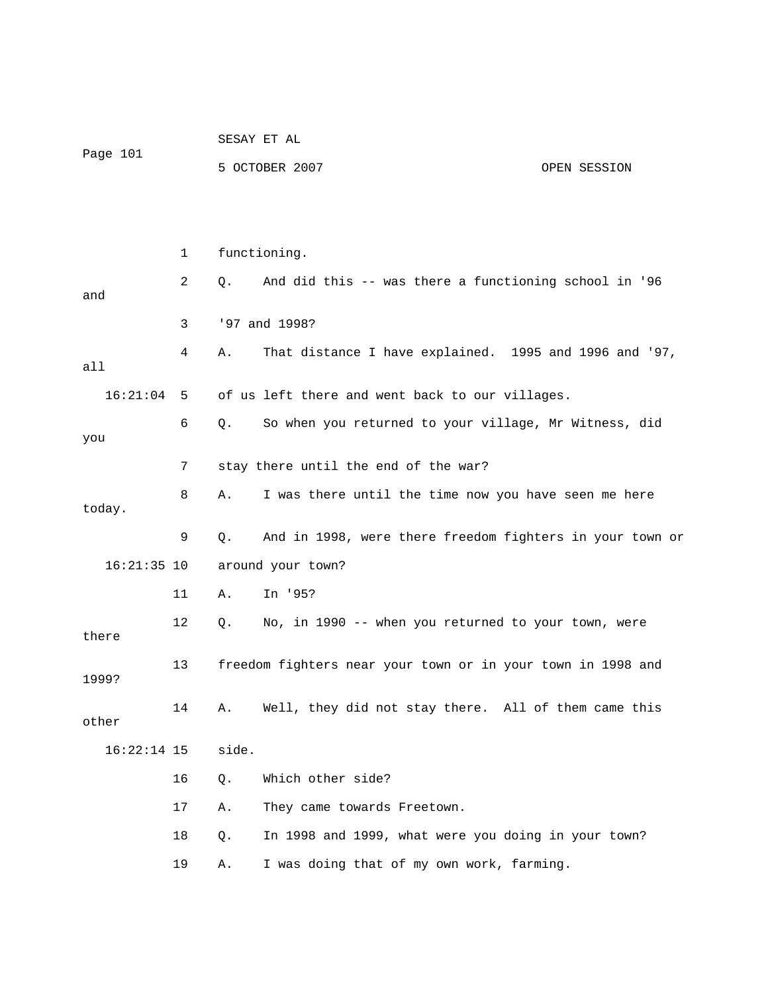|               |    | SESAY ET AL       |                                                             |              |  |
|---------------|----|-------------------|-------------------------------------------------------------|--------------|--|
| Page 101      |    |                   | 5 OCTOBER 2007                                              | OPEN SESSION |  |
|               |    |                   |                                                             |              |  |
|               |    |                   |                                                             |              |  |
|               | 1  |                   | functioning.                                                |              |  |
| and           | 2  | Q.                | And did this -- was there a functioning school in '96       |              |  |
|               | 3  | '97 and 1998?     |                                                             |              |  |
| all           | 4  | Α.                | That distance I have explained. 1995 and 1996 and '97,      |              |  |
| $16:21:04$ 5  |    |                   | of us left there and went back to our villages.             |              |  |
| you           | 6  | Q.                | So when you returned to your village, Mr Witness, did       |              |  |
|               | 7  |                   | stay there until the end of the war?                        |              |  |
| today.        | 8  | Α.                | I was there until the time now you have seen me here        |              |  |
|               | 9  | Q.                | And in 1998, were there freedom fighters in your town or    |              |  |
| $16:21:35$ 10 |    | around your town? |                                                             |              |  |
|               | 11 | Α.                | In '95?                                                     |              |  |
| there         | 12 | Q.                | No, in 1990 -- when you returned to your town, were         |              |  |
| 1999?         | 13 |                   | freedom fighters near your town or in your town in 1998 and |              |  |
| other         | 14 | Α.                | Well, they did not stay there. All of them came this        |              |  |
| $16:22:14$ 15 |    | side.             |                                                             |              |  |
|               | 16 | Q.                | Which other side?                                           |              |  |
|               | 17 | Α.                | They came towards Freetown.                                 |              |  |
|               | 18 | Q.                | In 1998 and 1999, what were you doing in your town?         |              |  |
|               | 19 | Α.                | I was doing that of my own work, farming.                   |              |  |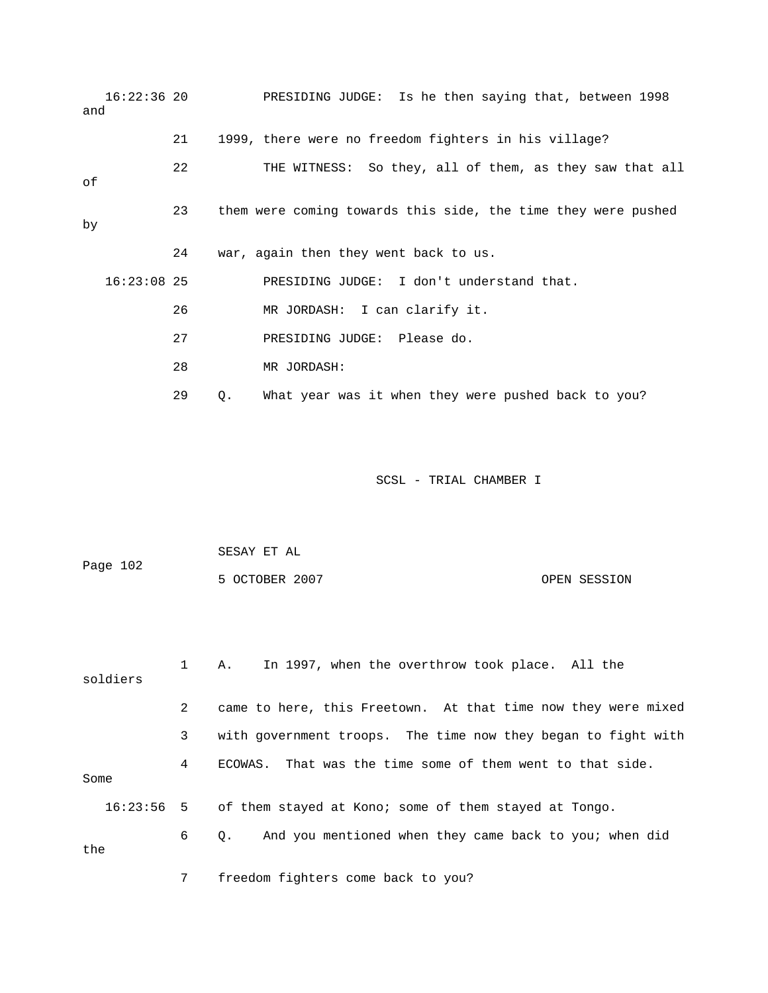16:22:36 20 PRESIDING JUDGE: Is he then saying that, between 1998 21 1999, there were no freedom fighters in his village? SS: So they, all of them, as they saw that all 22 THE WITNE 23 them were coming towards this side, the time they were pushed 24 war, again then they went back to us. 26 MR JORDASH: I can clarify it. RESIDING JUDGE: Please do. 29 Q. What year was it when they were pushed back to you? and of by 16:23:08 25 PRESIDING JUDGE: I don't understand that. 27 P 28 MR JORDASH:

|              |              | SESAY ET AL                                                   |              |  |  |
|--------------|--------------|---------------------------------------------------------------|--------------|--|--|
| Page 102     |              | 5 OCTOBER 2007                                                | OPEN SESSION |  |  |
|              |              |                                                               |              |  |  |
|              |              |                                                               |              |  |  |
| soldiers     | $\mathbf{1}$ | In 1997, when the overthrow took place. All the<br>A.         |              |  |  |
|              | 2            | came to here, this Freetown. At that time now they were mixed |              |  |  |
|              | 3            | with government troops. The time now they began to fight with |              |  |  |
| Some         | 4            | ECOWAS. That was the time some of them went to that side.     |              |  |  |
| $16:23:56$ 5 |              | of them stayed at Kono; some of them stayed at Tongo.         |              |  |  |
| the          | 6            | And you mentioned when they came back to you; when did<br>Q.  |              |  |  |
|              | 7            | freedom fighters come back to you?                            |              |  |  |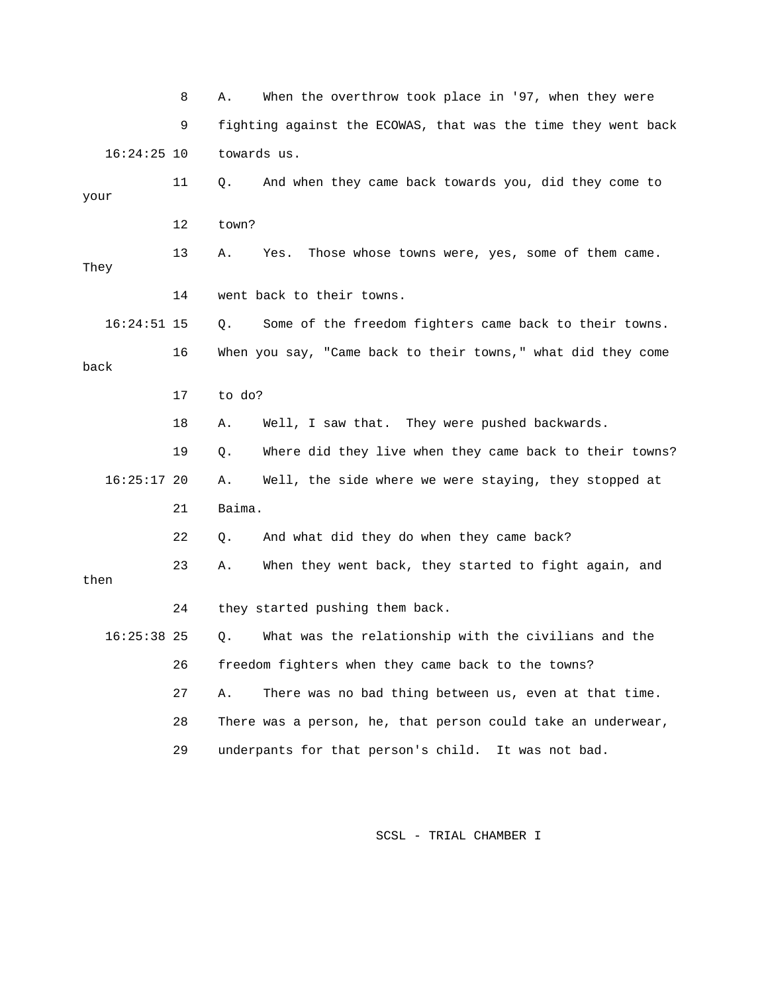8 A. When the overthrow took place in '97, when they were 9 fighting against the ECOWAS, that was the time they went back 11 Q. And when they came back towards you, did they come to your 12 town? 13 A. Yes. Those whose towns were, yes, some of them came. They 14 went back to their towns. 16 When you say, "Came back to their towns," what did they come 17 to do? 18 A. Well, I saw that. They were pushed backwards. 19 Q. Where did they live when they came back to their towns? 22 Q. And what did they do when they came back? 24 they started pushing them back. 26 freedom fighters when they came back to the towns? 27 A. There was no bad thing between us, even at that time. 28 There was a person, he, that person could take an underwear, 16:24:25 10 towards us. 16:24:51 15 Q. Some of the freedom fighters came back to their towns. back 16:25:17 20 A. Well, the side where we were staying, they stopped at 21 Baima. 23 A. When they went back, they started to fight again, and then 16:25:38 25 Q. What was the relationship with the civilians and the 29 underpants for that person's child. It was not bad.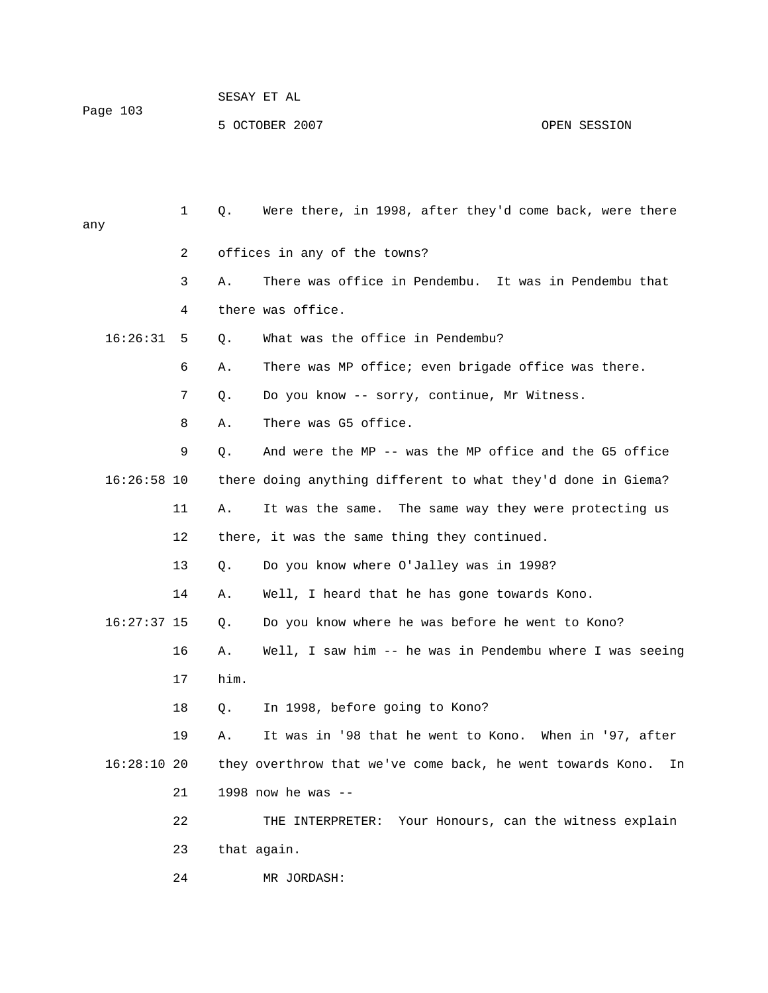| Page 103 | SESAY ET AL    |              |
|----------|----------------|--------------|
|          | 5 OCTOBER 2007 | OPEN SESSION |

| any |               | $\mathbf 1$ | Q.   | Were there, in 1998, after they'd come back, were there          |
|-----|---------------|-------------|------|------------------------------------------------------------------|
|     |               | 2           |      | offices in any of the towns?                                     |
|     |               | 3           | Α.   | There was office in Pendembu. It was in Pendembu that            |
|     |               | 4           |      | there was office.                                                |
|     | 16:26:31      | 5           | Q.   | What was the office in Pendembu?                                 |
|     |               | 6           | Α.   | There was MP office; even brigade office was there.              |
|     |               | 7           | Q.   | Do you know -- sorry, continue, Mr Witness.                      |
|     |               | 8           | Α.   | There was G5 office.                                             |
|     |               | 9           | Q.   | And were the MP -- was the MP office and the G5 office           |
|     | $16:26:58$ 10 |             |      | there doing anything different to what they'd done in Giema?     |
|     |               | 11          | Α.   | It was the same.<br>The same way they were protecting us         |
|     |               | 12          |      | there, it was the same thing they continued.                     |
|     |               | 13          | Q.   | Do you know where O'Jalley was in 1998?                          |
|     |               | 14          | Α.   | Well, I heard that he has gone towards Kono.                     |
|     | $16:27:37$ 15 |             | Q.   | Do you know where he was before he went to Kono?                 |
|     |               | 16          | Α.   | Well, I saw him -- he was in Pendembu where I was seeing         |
|     |               | 17          | him. |                                                                  |
|     |               | 18          | Q.   | In 1998, before going to Kono?                                   |
|     |               | 19          | Α.   | It was in '98 that he went to Kono. When in '97, after           |
|     | 16:28:1020    |             |      | they overthrow that we've come back, he went towards Kono.<br>In |
|     |               | 21          |      | 1998 now he was $-$                                              |
|     |               | 22          |      | THE INTERPRETER: Your Honours, can the witness explain           |
|     |               | 23          |      | that again.                                                      |
|     |               | 24          |      | MR JORDASH:                                                      |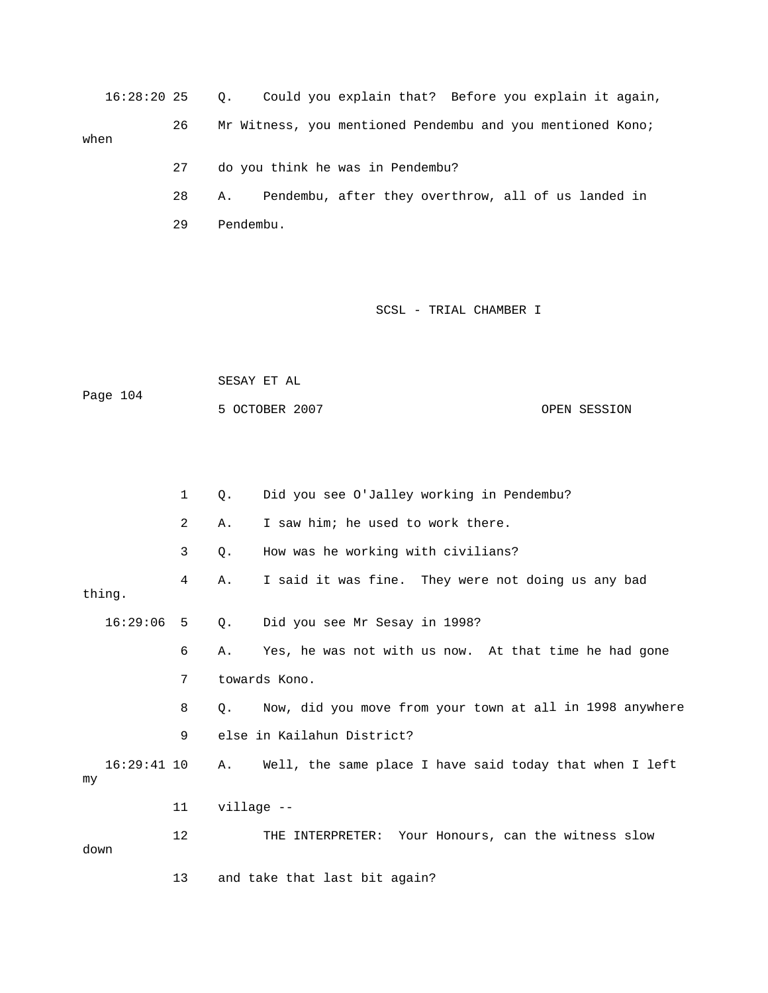16:28:20 25 Q. Could you explain that? Before you explain it again, 26 Mr Witness, you mentioned Pendembu and you mentioned Kono; when 27 do you think he was in Pendembu?

28 A. Pendembu, after they overthrow, all of us landed in 29 Pendembu.

SCSL - TRIAL CHAMBER I

 SESAY ET AL OPEN SESSION Page 104 5 OCTOBER 20

|                     | 1  | Q.         | Did you see O'Jalley working in Pendembu?                |
|---------------------|----|------------|----------------------------------------------------------|
|                     | 2  | Α.         | I saw him; he used to work there.                        |
|                     | 3  | Q.         | How was he working with civilians?                       |
| thing.              | 4  | Α.         | I said it was fine. They were not doing us any bad       |
| 16:29:06            | 5  | 0.         | Did you see Mr Sesay in 1998?                            |
|                     | 6  | Α.         | Yes, he was not with us now. At that time he had gone    |
|                     | 7  |            | towards Kono.                                            |
|                     | 8  | Q.         | Now, did you move from your town at all in 1998 anywhere |
|                     | 9  |            | else in Kailahun District?                               |
| $16:29:41$ 10<br>my |    | A.         | Well, the same place I have said today that when I left  |
|                     | 11 | village -- |                                                          |
| down                | 12 |            | THE INTERPRETER: Your Honours, can the witness slow      |
|                     | 13 |            | and take that last bit again?                            |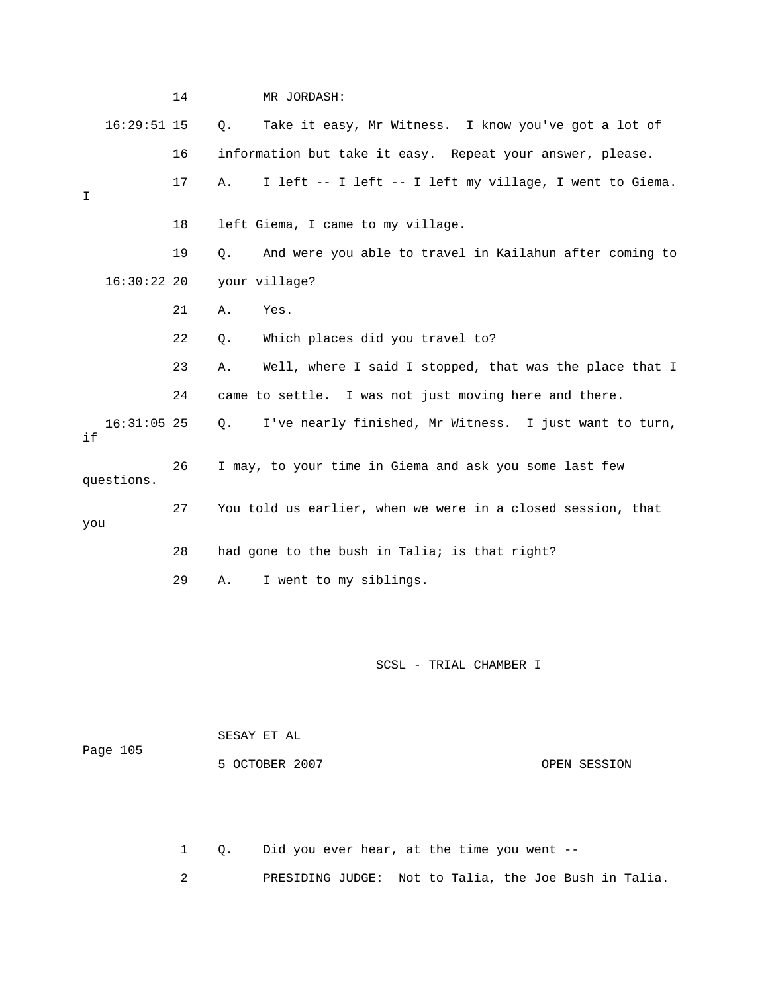|     |               | 14 |       | MR JORDASH:                                                 |
|-----|---------------|----|-------|-------------------------------------------------------------|
|     | $16:29:51$ 15 |    | $Q$ . | Take it easy, Mr Witness. I know you've got a lot of        |
|     |               | 16 |       | information but take it easy. Repeat your answer, please.   |
| I   |               | 17 | Α.    | I left -- I left -- I left my village, I went to Giema.     |
|     |               | 18 |       | left Giema, I came to my village.                           |
|     |               | 19 | 0.    | And were you able to travel in Kailahun after coming to     |
|     | $16:30:22$ 20 |    |       | your village?                                               |
|     |               | 21 | Α.    | Yes.                                                        |
|     |               | 22 | $Q$ . | Which places did you travel to?                             |
|     |               | 23 | Α.    | Well, where I said I stopped, that was the place that I     |
|     |               | 24 |       | came to settle. I was not just moving here and there.       |
| if  | $16:31:05$ 25 |    | Q.    | I've nearly finished, Mr Witness. I just want to turn,      |
|     | questions.    | 26 |       | I may, to your time in Giema and ask you some last few      |
| you |               | 27 |       | You told us earlier, when we were in a closed session, that |
|     |               | 28 |       | had gone to the bush in Talia; is that right?               |
|     |               | 29 | Α.    | I went to my siblings.                                      |

 SESAY ET AL 5 OCTOBER 2007 CPEN SESSION Page 105

1 Q. Did you ever hear, at the time you went --

2 PRESIDING JUDGE: Not to Talia, the Joe Bush in Talia.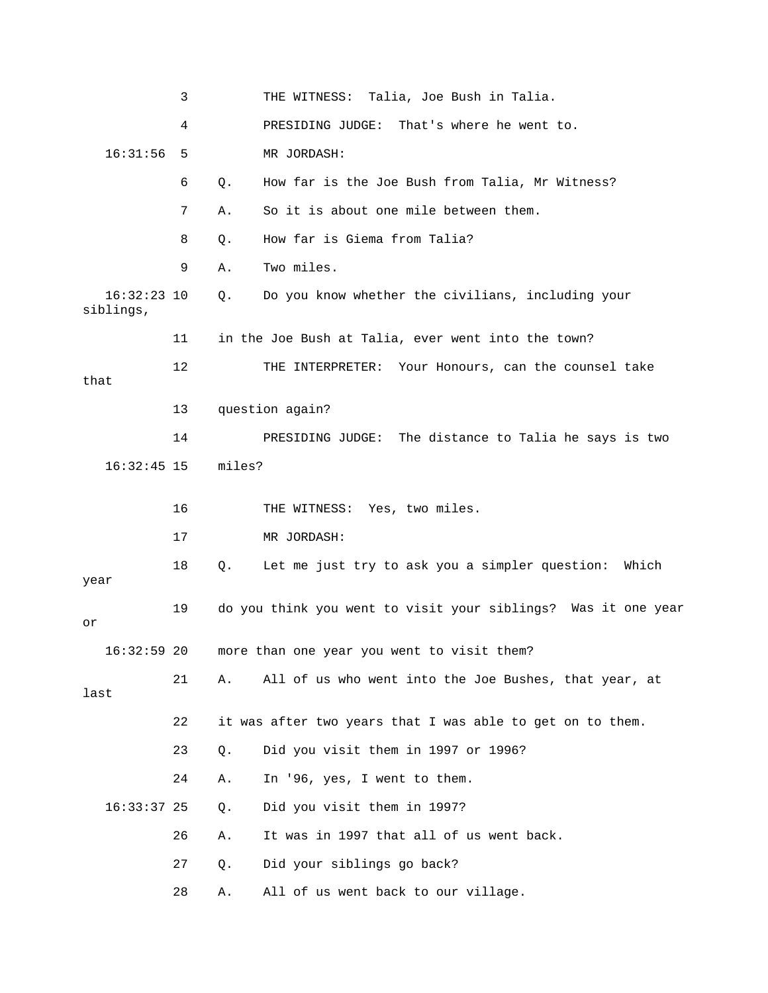3 THE WITNESS: Talia, Joe Bush in Talia. 4 PRESIDING JUDGE: That's where he went to. 6 Q. How far is the Joe Bush from Talia, Mr Witness? 7 A. So it is about one mile between them. 9 A. Two miles. 16:32:23 10 Q. Do you know whether the civilians, including your siblings, 11 in the Joe Bush at Talia, ever went into the town? 12 THE INTERPRETER: Your Honours, can the counsel take that 13 question again? 14 PRESIDING JUDGE: The distance to Talia he says is two 16 THE WITNESS: Yes, two miles. 18 Q. Let me just try to ask you a simpler question: Which 19 do you think you went to visit your siblings? Was it one year 16:32:59 20 more than one year you went to visit them? 21 A. All of us who went into the Joe Bushes, that year, at 22 it was after two years that I was able to get on to them. 24 A. In '96, yes, I went to them. Did you visit them in 1997? Did your siblings go back? 28 A. All of us went back to our village. 16:31:56 5 MR JORDASH: 8 0. How far is Giema from Talia? 16:32:45 15 miles? 17 MR JORDASH: year or last 23 Q. Did you visit them in 1997 or 1996?  $16:33:37$  25 Q. 26 A. It was in 1997 that all of us went back. 27 Q. Di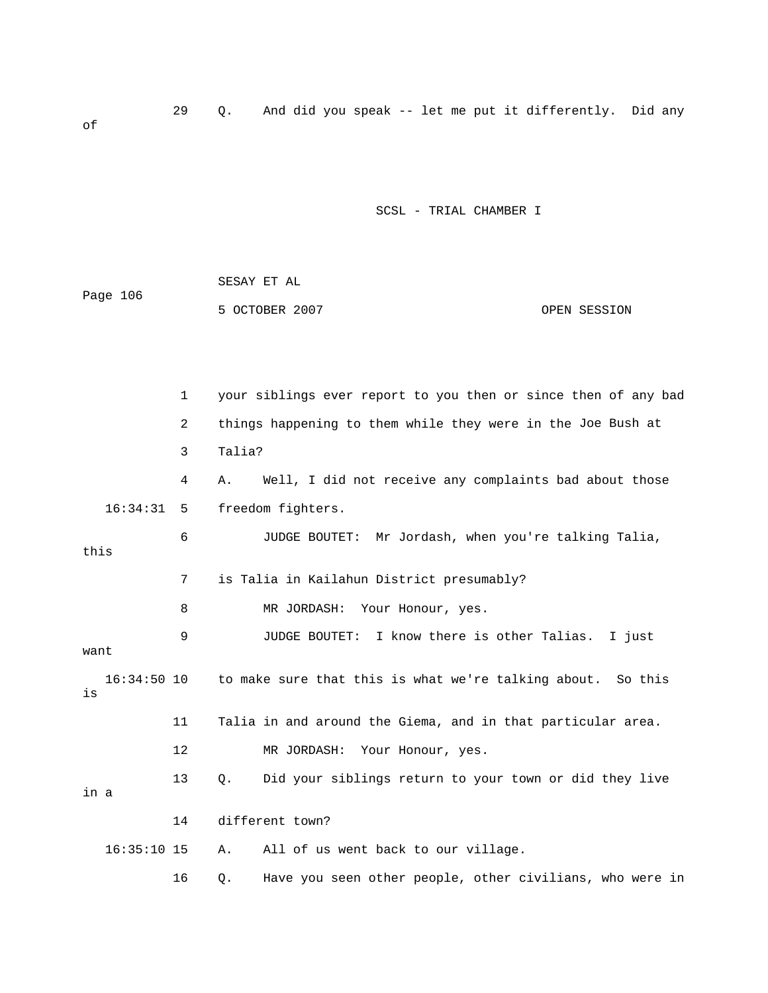29 Q. And did you speak -- let me put it differently. Did any of

SCSL - TRIAL CHAMBER I

|          | SESAY ET AL    |              |
|----------|----------------|--------------|
| Page 106 |                |              |
|          | 5 OCTOBER 2007 | OPEN SESSION |

1 your siblings ever report to you then or since then of any bad 2 things happening to them while they were in the Joe Bush at 4 A. Well, I did not receive any complaints bad about those 6 JUDGE BOUTET: Mr Jordash, when you're talking Talia, this 7 is Talia in Kailahun District presumably? 9 JUDGE BOUTET: I know there is other Talias. I just want 11 Talia in and around the Giema, and in that particular area. 12 MR JORDASH: Your Honour, yes. 13 Q. Did your siblings return to your town or did they live All of us went back to our village. 3 Talia? 16:34:31 5 freedom fighters. 8 MR JORDASH: Your Honour, yes. 16:34:50 10 to make sure that this is what we're talking about. So this is in a 14 different town? 16:35:10 15 A. Al

16 Q. Have you seen other people, other civilians, who were in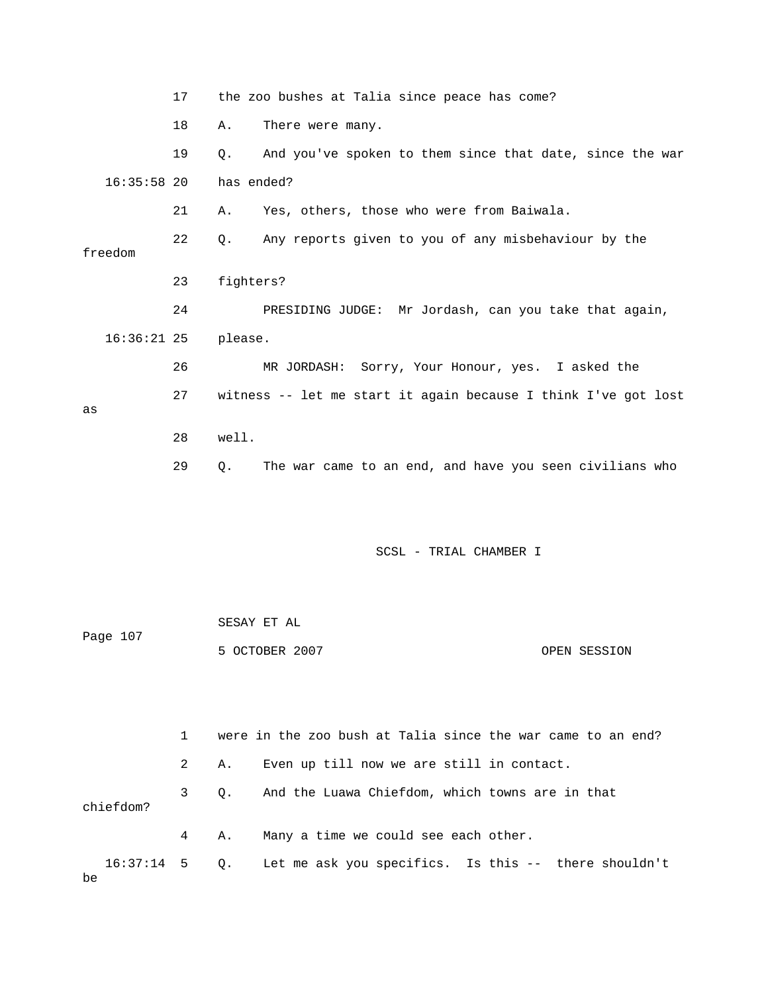|               | 17 | the zoo bushes at Talia since peace has come?                  |
|---------------|----|----------------------------------------------------------------|
|               | 18 | There were many.<br>Α.                                         |
|               | 19 | And you've spoken to them since that date, since the war<br>0. |
| $16:35:58$ 20 |    | has ended?                                                     |
|               | 21 | Yes, others, those who were from Baiwala.<br>Α.                |
| freedom       | 22 | Any reports given to you of any misbehaviour by the<br>0.      |
|               | 23 | fighters?                                                      |
|               | 24 | PRESIDING JUDGE: Mr Jordash, can you take that again,          |
| $16:36:21$ 25 |    | please.                                                        |
|               | 26 | MR JORDASH: Sorry, Your Honour, yes. I asked the               |
|               | 27 | witness -- let me start it again because I think I've got lost |
| as            |    |                                                                |
|               | 28 | well.                                                          |
|               | 29 | The war came to an end, and have you seen civilians who<br>Q.  |

| Page 107 | SESAY ET AL    |              |
|----------|----------------|--------------|
|          | 5 OCTOBER 2007 | OPEN SESSION |

|           | $1 \quad$ |    | were in the zoo bush at Talia since the war came to an end?        |
|-----------|-----------|----|--------------------------------------------------------------------|
|           | 2         |    | A. Even up till now we are still in contact.                       |
| chiefdom? | 3         |    | Q. And the Luawa Chiefdom, which towns are in that                 |
|           | $4 \quad$ | Α. | Many a time we could see each other.                               |
| be        |           |    | 16:37:14 5 Q. Let me ask you specifics. Is this -- there shouldn't |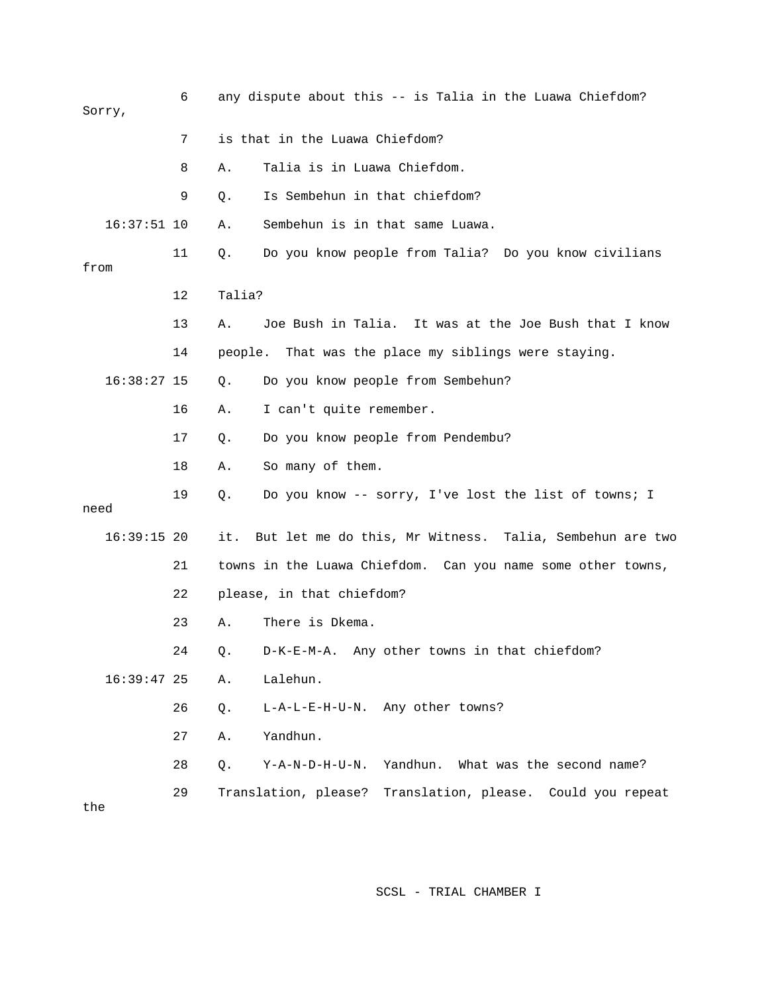| Sorry,        | 6  | any dispute about this -- is Talia in the Luawa Chiefdom?                 |
|---------------|----|---------------------------------------------------------------------------|
|               | 7  | is that in the Luawa Chiefdom?                                            |
|               | 8  | Talia is in Luawa Chiefdom.<br>Α.                                         |
|               | 9  | Is Sembehun in that chiefdom?<br>Q.                                       |
| $16:37:51$ 10 |    | Sembehun is in that same Luawa.<br>Α.                                     |
| from          | 11 | Do you know people from Talia? Do you know civilians<br>Q.                |
|               | 12 | Talia?                                                                    |
|               | 13 | Joe Bush in Talia. It was at the Joe Bush that I know<br>Α.               |
|               | 14 | people. That was the place my siblings were staying.                      |
| $16:38:27$ 15 |    | Do you know people from Sembehun?<br>Q.                                   |
|               | 16 | I can't quite remember.<br>Α.                                             |
|               | 17 | Do you know people from Pendembu?<br>Q.                                   |
|               | 18 | So many of them.<br>Α.                                                    |
| need          | 19 | Do you know -- sorry, I've lost the list of towns; I<br>Q.                |
| $16:39:15$ 20 |    | But let me do this, Mr Witness. Talia, Sembehun are two<br>it.            |
|               | 21 | towns in the Luawa Chiefdom. Can you name some other towns,               |
|               | 22 | please, in that chiefdom?                                                 |
|               | 23 | There is Dkema.<br>Α.                                                     |
|               | 24 | D-K-E-M-A. Any other towns in that chiefdom?<br>Q.                        |
| $16:39:47$ 25 |    | Lalehun.<br>Α.                                                            |
|               | 26 | L-A-L-E-H-U-N. Any other towns?<br>Q.                                     |
|               | 27 | Yandhun.<br>Α.                                                            |
|               | 28 | Yandhun. What was the second name?<br>$Y - A - N - D - H - U - N$ .<br>Q. |
| the           | 29 | Translation, please?<br>Translation, please. Could you repeat             |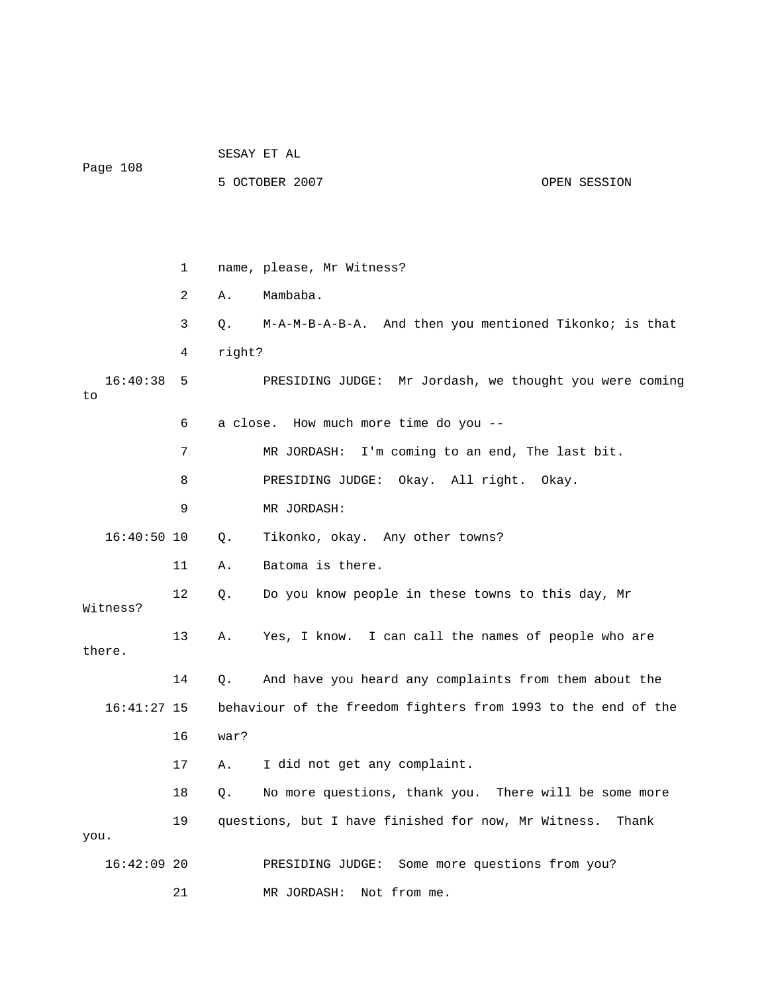| Page 108       |    |        | 5 OCTOBER 2007                                                | OPEN SESSION |  |
|----------------|----|--------|---------------------------------------------------------------|--------------|--|
|                |    |        |                                                               |              |  |
|                | 1  |        | name, please, Mr Witness?                                     |              |  |
|                | 2  | Α.     | Mambaba.                                                      |              |  |
|                | 3  | Q.     | M-A-M-B-A-B-A. And then you mentioned Tikonko; is that        |              |  |
|                | 4  | right? |                                                               |              |  |
| 16:40:38<br>to | 5  |        | PRESIDING JUDGE: Mr Jordash, we thought you were coming       |              |  |
|                | 6  |        | a close. How much more time do you --                         |              |  |
|                | 7  |        | MR JORDASH: I'm coming to an end, The last bit.               |              |  |
|                | 8  |        | PRESIDING JUDGE: Okay. All right. Okay.                       |              |  |
|                | 9  |        | MR JORDASH:                                                   |              |  |
| $16:40:50$ 10  |    | Q.     | Tikonko, okay. Any other towns?                               |              |  |
|                | 11 | Α.     | Batoma is there.                                              |              |  |
| Witness?       | 12 | Q.     | Do you know people in these towns to this day, Mr             |              |  |
| there.         | 13 | Α.     | Yes, I know. I can call the names of people who are           |              |  |
|                | 14 | Q.     | And have you heard any complaints from them about the         |              |  |
| $16:41:27$ 15  |    |        | behaviour of the freedom fighters from 1993 to the end of the |              |  |
|                | 16 | war?   |                                                               |              |  |
|                | 17 | Α.     | I did not get any complaint.                                  |              |  |
|                | 18 | Q.     | No more questions, thank you. There will be some more         |              |  |
| you.           | 19 |        | questions, but I have finished for now, Mr Witness.           | Thank        |  |
| $16:42:09$ 20  |    |        | PRESIDING JUDGE: Some more questions from you?                |              |  |
|                | 21 |        | Not from me.<br>MR JORDASH:                                   |              |  |

SESAY ET AL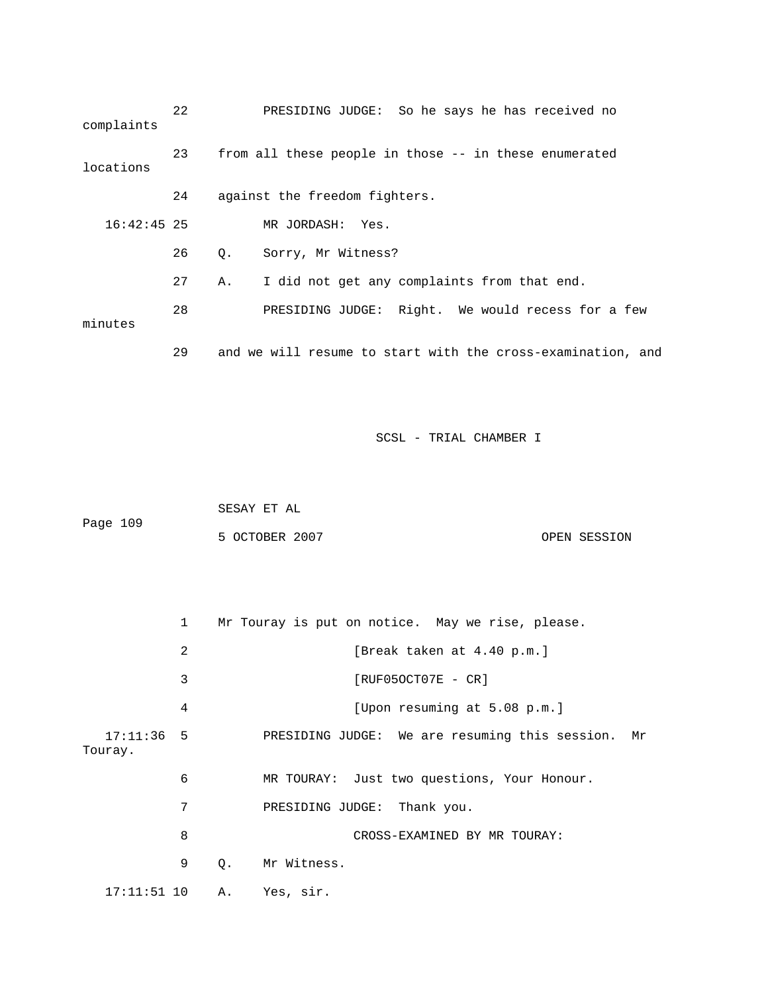| complaints    | 22 |    | PRESIDING JUDGE: So he says he has received no              |
|---------------|----|----|-------------------------------------------------------------|
| locations     | 23 |    | from all these people in those -- in these enumerated       |
|               | 24 |    | against the freedom fighters.                               |
| $16:42:45$ 25 |    |    | MR JORDASH: Yes.                                            |
|               | 26 | Q. | Sorry, Mr Witness?                                          |
|               | 27 | Α. | I did not get any complaints from that end.                 |
| minutes       | 28 |    | PRESIDING JUDGE: Right. We would recess for a few           |
|               | 29 |    | and we will resume to start with the cross-examination, and |

| Page 109 | SESAY ET AL    |              |
|----------|----------------|--------------|
|          | 5 OCTOBER 2007 | OPEN SESSION |

|                         | $\mathbf{1}$   |    | Mr Touray is put on notice. May we rise, please.     |  |
|-------------------------|----------------|----|------------------------------------------------------|--|
|                         | $\overline{2}$ |    | [Break taken at 4.40 p.m.]                           |  |
|                         | 3              |    | $[RUF050CT07E - CR]$                                 |  |
|                         | 4              |    | [Upon resuming at 5.08 p.m.]                         |  |
| $17:11:36$ 5<br>Touray. |                |    | PRESIDING JUDGE: We are resuming this session.<br>Mr |  |
|                         | 6              |    | MR TOURAY: Just two questions, Your Honour.          |  |
|                         | 7              |    | PRESIDING JUDGE: Thank you.                          |  |
|                         | 8              |    | CROSS-EXAMINED BY MR TOURAY:                         |  |
|                         | 9              | 0. | Mr Witness.                                          |  |
| $17:11:51$ 10           |                | Α. | Yes, sir.                                            |  |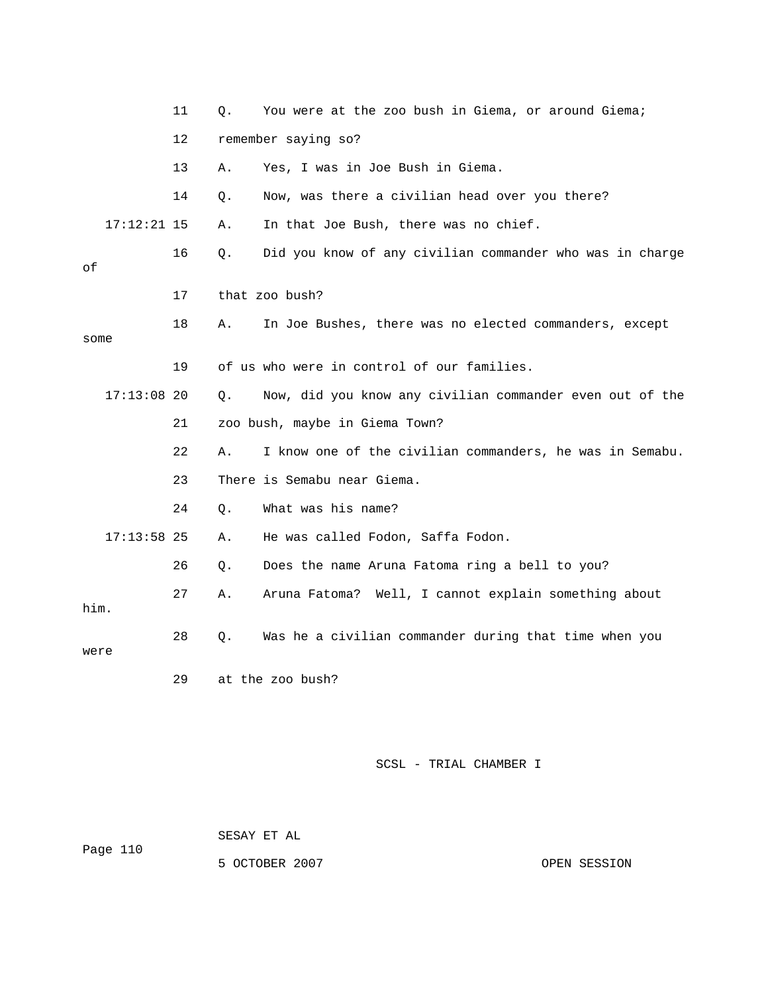|      |               | 11 | Q. | You were at the zoo bush in Giema, or around Giema;      |
|------|---------------|----|----|----------------------------------------------------------|
|      |               | 12 |    | remember saying so?                                      |
|      |               | 13 | Α. | Yes, I was in Joe Bush in Giema.                         |
|      |               | 14 | Q. | Now, was there a civilian head over you there?           |
|      | $17:12:21$ 15 |    | Α. | In that Joe Bush, there was no chief.                    |
| οf   |               | 16 | Q. | Did you know of any civilian commander who was in charge |
|      |               | 17 |    | that zoo bush?                                           |
| some |               | 18 | Α. | In Joe Bushes, there was no elected commanders, except   |
|      |               | 19 |    | of us who were in control of our families.               |
|      | $17:13:08$ 20 |    | Ο. | Now, did you know any civilian commander even out of the |
|      |               | 21 |    | zoo bush, maybe in Giema Town?                           |
|      |               | 22 | Α. | I know one of the civilian commanders, he was in Semabu. |
|      |               | 23 |    | There is Semabu near Giema.                              |
|      |               | 24 | Q. | What was his name?                                       |
|      | $17:13:58$ 25 |    | Α. | He was called Fodon, Saffa Fodon.                        |
|      |               | 26 | Q. | Does the name Aruna Fatoma ring a bell to you?           |
| him. |               | 27 | Α. | Aruna Fatoma? Well, I cannot explain something about     |
| were |               | 28 | Q. | Was he a civilian commander during that time when you    |
|      |               | 29 |    | at the zoo bush?                                         |

 SESAY ET AL Page 110

5 OCTOBER 2007 CPEN SESSION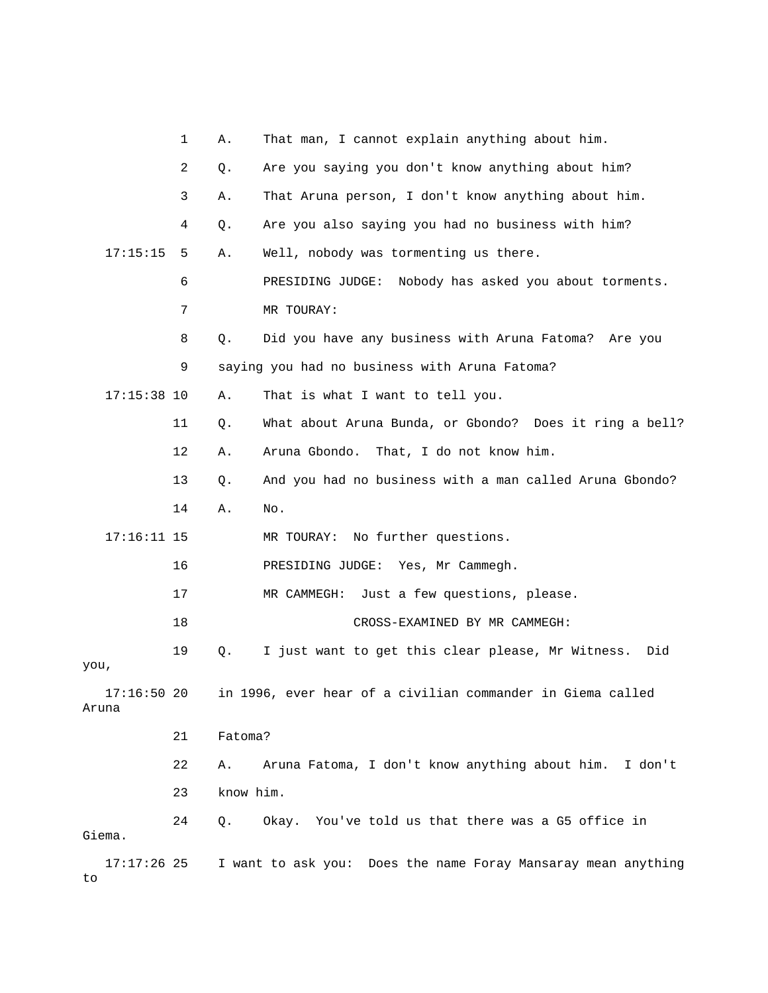|                        | 1  | Α.        | That man, I cannot explain anything about him.                |
|------------------------|----|-----------|---------------------------------------------------------------|
|                        | 2  | Q.        | Are you saying you don't know anything about him?             |
|                        | 3  | Α.        | That Aruna person, I don't know anything about him.           |
|                        | 4  | Q.        | Are you also saying you had no business with him?             |
| 17:15:15               | 5  | Α.        | Well, nobody was tormenting us there.                         |
|                        | 6  |           | Nobody has asked you about torments.<br>PRESIDING JUDGE:      |
|                        | 7  |           | MR TOURAY:                                                    |
|                        | 8  | Q.        | Did you have any business with Aruna Fatoma? Are you          |
|                        | 9  |           | saying you had no business with Aruna Fatoma?                 |
| $17:15:38$ 10          |    | Α.        | That is what I want to tell you.                              |
|                        | 11 | Q.        | What about Aruna Bunda, or Gbondo? Does it ring a bell?       |
|                        | 12 | Α.        | Aruna Gbondo. That, I do not know him.                        |
|                        | 13 | Q.        | And you had no business with a man called Aruna Gbondo?       |
|                        | 14 | Α.        | No.                                                           |
| $17:16:11$ 15          |    |           | No further questions.<br>MR TOURAY:                           |
|                        | 16 |           | PRESIDING JUDGE: Yes, Mr Cammegh.                             |
|                        | 17 |           | Just a few questions, please.<br>MR CAMMEGH:                  |
|                        | 18 |           | CROSS-EXAMINED BY MR CAMMEGH:                                 |
| you,                   | 19 | Q.        | I just want to get this clear please, Mr Witness.<br>Did      |
| $17:16:50$ 20<br>Aruna |    |           | in 1996, ever hear of a civilian commander in Giema called    |
|                        | 21 | Fatoma?   |                                                               |
|                        | 22 | Α.        | Aruna Fatoma, I don't know anything about him. I don't        |
|                        | 23 | know him. |                                                               |
| Giema.                 | 24 | Q.        | Okay. You've told us that there was a G5 office in            |
| $17:17:26$ 25<br>to    |    |           | I want to ask you: Does the name Foray Mansaray mean anything |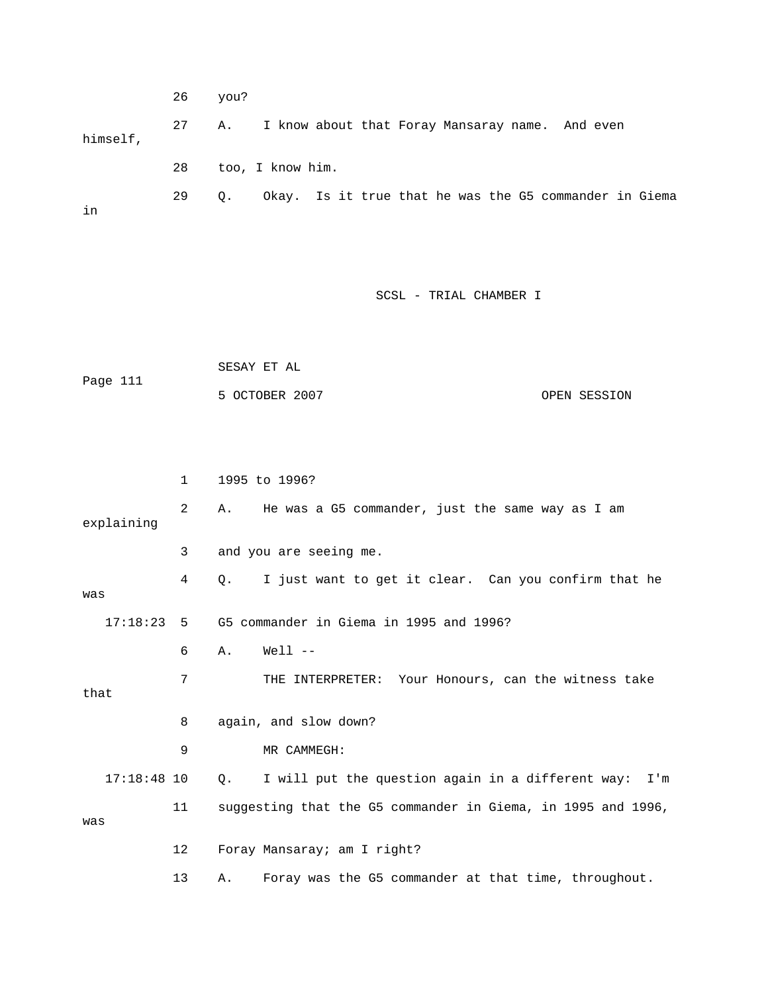|          | 26 | you?      |                                                        |  |  |  |  |  |
|----------|----|-----------|--------------------------------------------------------|--|--|--|--|--|
| himself, | 27 | Α.        | I know about that Foray Mansaray name. And even        |  |  |  |  |  |
|          | 28 |           | too, I know him.                                       |  |  |  |  |  |
| in       | 29 | $\circ$ . | Okay. Is it true that he was the G5 commander in Giema |  |  |  |  |  |

|          | SESAY ET AL    |              |  |
|----------|----------------|--------------|--|
| Page 111 |                |              |  |
|          | 5 OCTOBER 2007 | OPEN SESSION |  |

|               | $\mathbf{1}$ | 1995 to 1996?                                                        |
|---------------|--------------|----------------------------------------------------------------------|
| explaining    | 2            | He was a G5 commander, just the same way as I am<br>Α.               |
|               | 3            | and you are seeing me.                                               |
| was           | 4            | I just want to get it clear. Can you confirm that he<br>О.           |
| $17:18:23$ 5  |              | G5 commander in Giema in 1995 and 1996?                              |
|               | 6            | $Well1$ --<br>Α.                                                     |
| that          | 7            | THE INTERPRETER: Your Honours, can the witness take                  |
|               | 8            | again, and slow down?                                                |
|               | 9            | MR CAMMEGH:                                                          |
| $17:18:48$ 10 |              | I will put the question again in a different way: I'm<br>$Q_{\star}$ |
| was           | 11           | suggesting that the G5 commander in Giema, in 1995 and 1996,         |
|               | 12           | Foray Mansaray; am I right?                                          |
|               | 13           | Foray was the G5 commander at that time, throughout.<br>Α.           |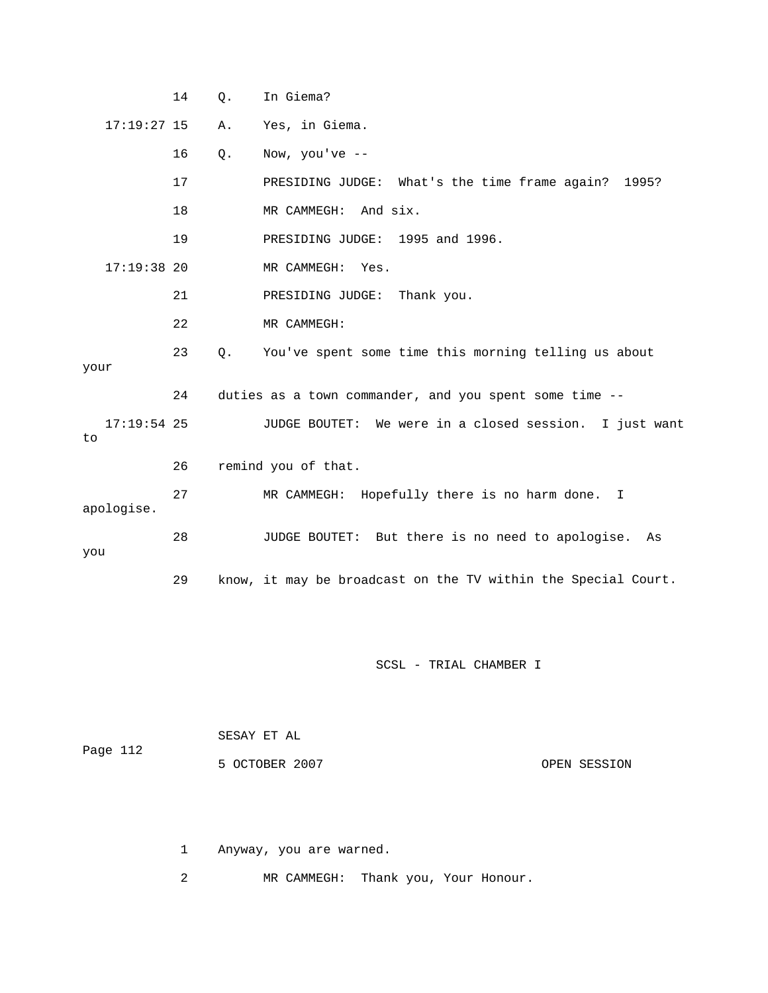|     |               | 14 | Q. | In Giema?                                                     |
|-----|---------------|----|----|---------------------------------------------------------------|
|     | $17:19:27$ 15 |    | Α. | Yes, in Giema.                                                |
|     |               | 16 | Q. | Now, you've $--$                                              |
|     |               | 17 |    | PRESIDING JUDGE: What's the time frame again? 1995?           |
|     |               | 18 |    | MR CAMMEGH: And six.                                          |
|     |               | 19 |    | PRESIDING JUDGE: 1995 and 1996.                               |
|     | $17:19:38$ 20 |    |    | MR CAMMEGH:<br>Yes.                                           |
|     |               | 21 |    | Thank you.<br>PRESIDING JUDGE:                                |
|     |               | 22 |    | MR CAMMEGH:                                                   |
|     |               | 23 | Q. | You've spent some time this morning telling us about          |
|     | your          |    |    |                                                               |
|     |               | 24 |    | duties as a town commander, and you spent some time --        |
| to  | $17:19:54$ 25 |    |    | JUDGE BOUTET: We were in a closed session. I just want        |
|     |               | 26 |    | remind you of that.                                           |
|     | apologise.    | 27 |    | MR CAMMEGH: Hopefully there is no harm done. I                |
| you |               | 28 |    | JUDGE BOUTET: But there is no need to apologise.<br>As        |
|     |               | 29 |    | know, it may be broadcast on the TV within the Special Court. |

| Page 112 | SESAY ET AL    |              |
|----------|----------------|--------------|
|          | 5 OCTOBER 2007 | OPEN SESSION |

1 Anyway, you are warned.

2 MR CAMMEGH: Thank you, Your Honour.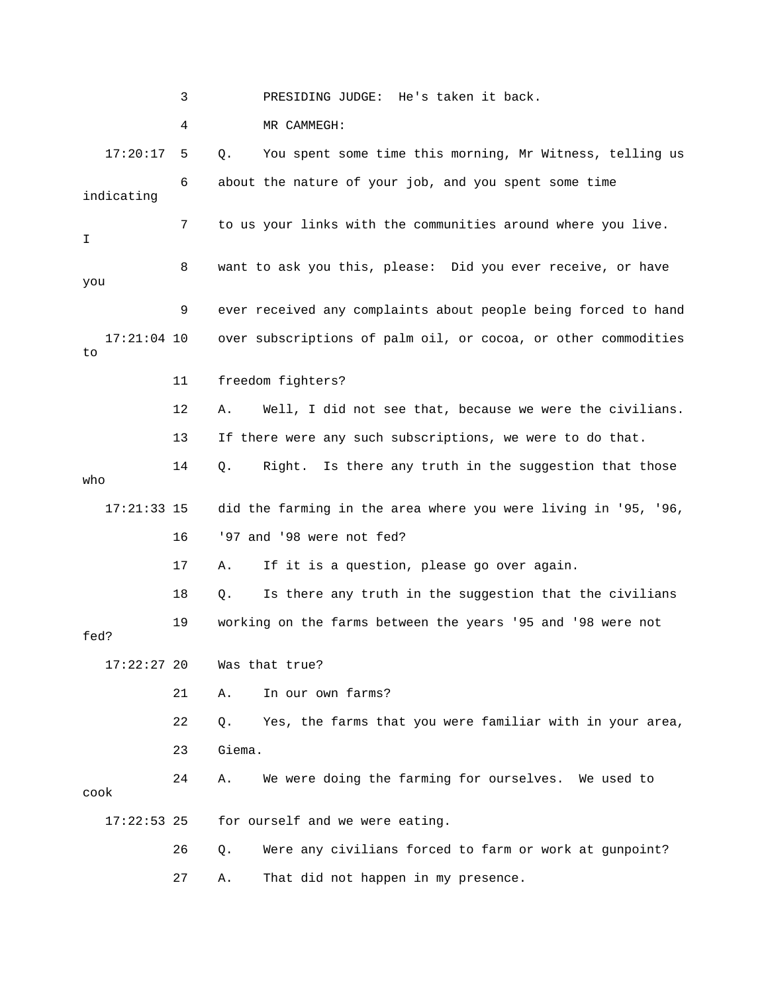3 PRESIDING JUDGE: He's taken it back.

4 MR CAMMEGH:

17:20:17 5 Q. You spent some time this morning, Mr Witness, telling us 6 about the nature of your job, and you spent some time 7 to us your links with the communities around where you live. 8 want to ask you this, please: Did you ever receive, or have 9 ever received any complaints about people being forced to hand 17:21:04 10 over subscriptions of palm oil, or cocoa, or other commodities 12 A. Well, I did not see that, because we were the civilians. 13 If there were any such subscriptions, we were to do that. 14 Q. Right. Is there any truth in the suggestion that those o wh 17:21:33 15 did the farming in the area where you were living in '95, '96, 17 A. If it is a question, please go over again. 18 Q. Is there any truth in the suggestion that the civilians 19 working on the farms between the years '95 and '98 were not fed? 22 Q. Yes, the farms that you were familiar with in your area, 24 A. We were doing the farming for ourselves. We used to cook 17:22:53 25 for ourself and we were eating. 26 Q. Were any civilians forced to farm or work at gunpoint? indicating I you to 11 freedom fighters? 16 '97 and '98 were not fed? 17:22:27 20 Was that true? 21 A. In our own farms? 23 Giema. 27 A. That did not happen in my presence.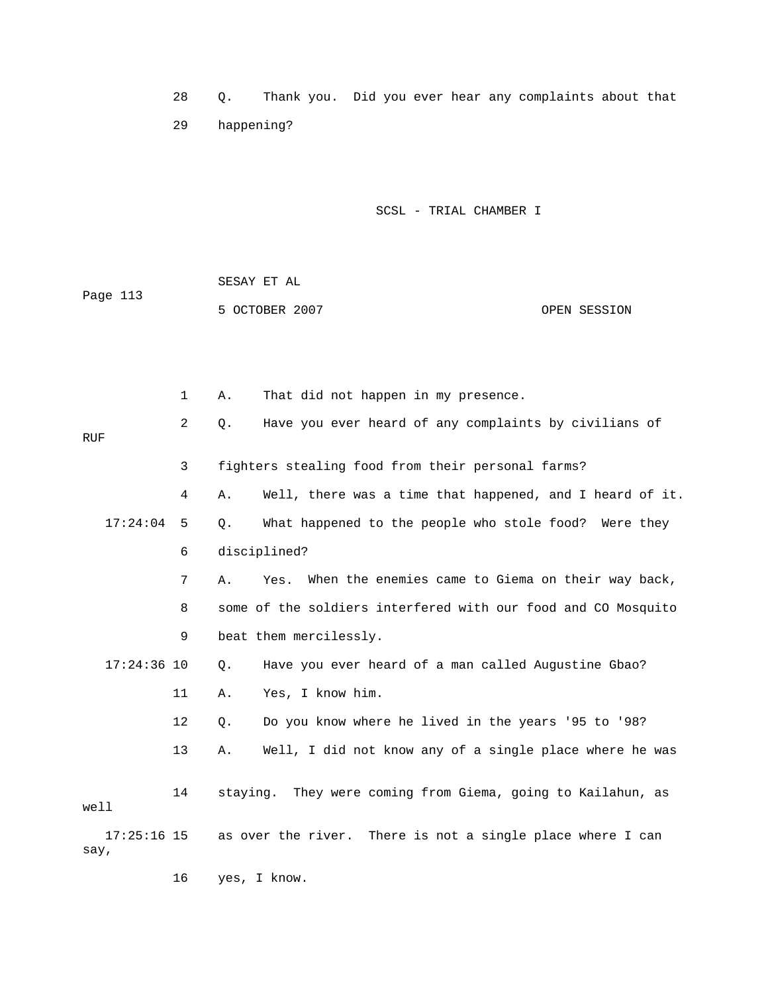28 Q. Thank you. Did you ever hear any complaints about that 29 happening?

| Page 113 | SESAY ET AL    |              |
|----------|----------------|--------------|
|          | 5 OCTOBER 2007 | OPEN SESSION |

|                       | $\mathbf 1$ | That did not happen in my presence.<br>Α.                       |
|-----------------------|-------------|-----------------------------------------------------------------|
| <b>RUF</b>            | 2           | Have you ever heard of any complaints by civilians of<br>$Q$ .  |
|                       | 3           | fighters stealing food from their personal farms?               |
|                       | 4           | Well, there was a time that happened, and I heard of it.<br>Α.  |
| 17:24:04              | 5           | What happened to the people who stole food? Were they<br>$Q$ .  |
|                       | 6           | disciplined?                                                    |
|                       | 7           | When the enemies came to Giema on their way back,<br>Α.<br>Yes. |
|                       | 8           | some of the soldiers interfered with our food and CO Mosquito   |
|                       | 9           | beat them mercilessly.                                          |
| $17:24:36$ 10         |             | Have you ever heard of a man called Augustine Gbao?<br>Q.       |
|                       | 11          | Yes, I know him.<br>Α.                                          |
|                       | 12          | Do you know where he lived in the years '95 to '98?<br>$Q$ .    |
|                       | 13          | Well, I did not know any of a single place where he was<br>Α.   |
| well                  | 14          | They were coming from Giema, going to Kailahun, as<br>staying.  |
| $17:25:16$ 15<br>say, |             | as over the river. There is not a single place where I can      |
|                       | 16          | yes, I know.                                                    |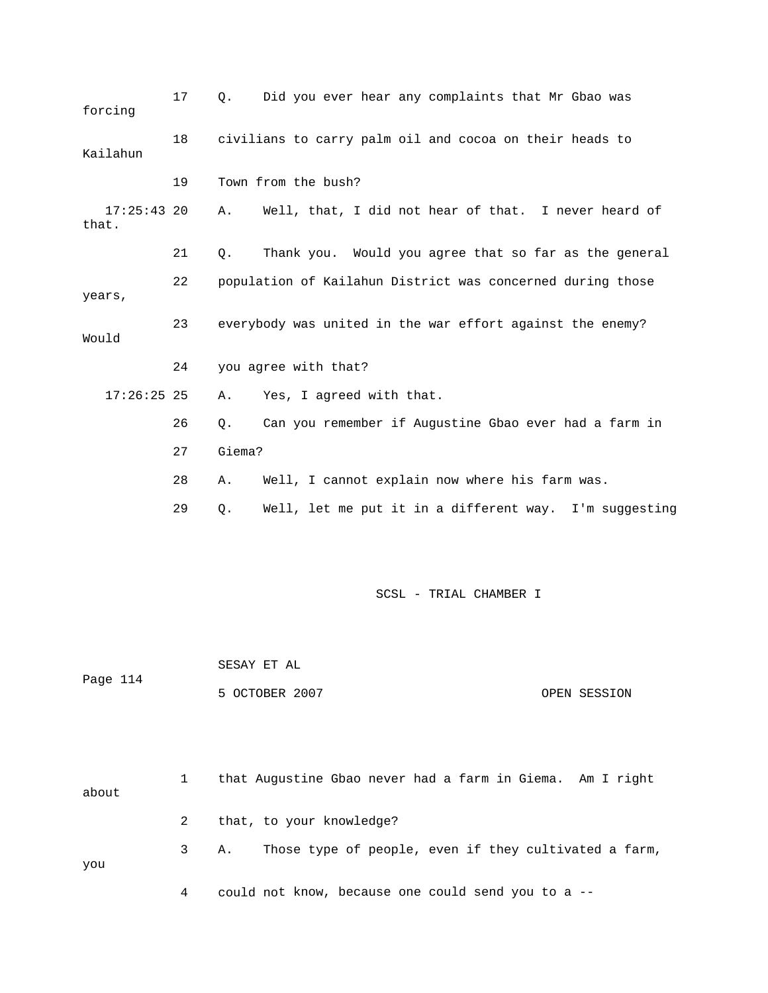| forcing                | 17 | $\circ$ . | Did you ever hear any complaints that Mr Gbao was          |
|------------------------|----|-----------|------------------------------------------------------------|
| Kailahun               | 18 |           | civilians to carry palm oil and cocoa on their heads to    |
|                        | 19 |           | Town from the bush?                                        |
| $17:25:43$ 20<br>that. |    | Α.        | Well, that, I did not hear of that. I never heard of       |
|                        | 21 | $Q$ .     | Thank you. Would you agree that so far as the general      |
| years,                 | 22 |           | population of Kailahun District was concerned during those |
| Would                  | 23 |           | everybody was united in the war effort against the enemy?  |
|                        | 24 |           | you agree with that?                                       |
| $17:26:25$ 25          |    | Α.        | Yes, I agreed with that.                                   |
|                        | 26 | Q.        | Can you remember if Augustine Gbao ever had a farm in      |
|                        | 27 | Giema?    |                                                            |
|                        | 28 | Α.        | Well, I cannot explain now where his farm was.             |
|                        | 29 | Q.        | Well, let me put it in a different way. I'm suggesting     |
|                        |    |           |                                                            |
|                        |    |           | SCSL - TRIAL CHAMBER I                                     |

| Page 114 | SESAY ET AL    |              |
|----------|----------------|--------------|
|          | 5 OCTOBER 2007 | OPEN SESSION |

| about |  | that Augustine Gbao never had a farm in Giema. Am I right  |
|-------|--|------------------------------------------------------------|
|       |  | 2 that, to your knowledge?                                 |
| you   |  | 3 A. Those type of people, even if they cultivated a farm, |

4 could not know, because one could send you to a --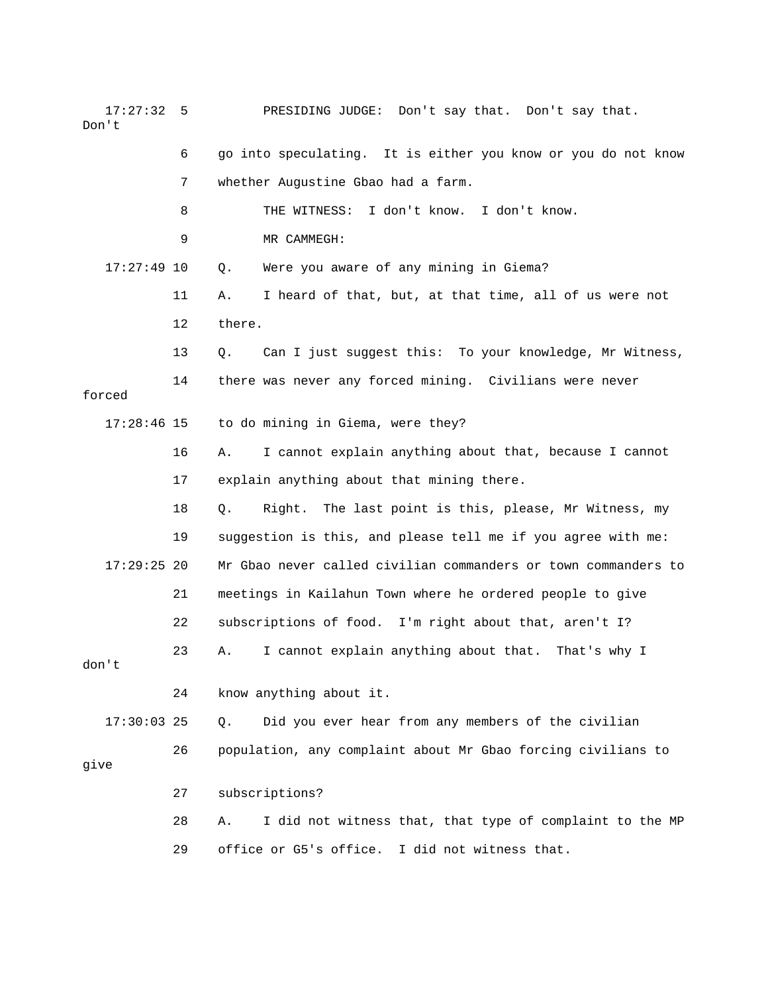17:27:32 5 PRESIDING JUDGE: Don't say that. Don't say that. Don't

|               | 6  | go into speculating. It is either you know or you do not know  |
|---------------|----|----------------------------------------------------------------|
|               | 7  | whether Augustine Gbao had a farm.                             |
|               | 8  | I don't know. I don't know.<br>THE WITNESS:                    |
|               | 9  | MR CAMMEGH:                                                    |
| $17:27:49$ 10 |    | Were you aware of any mining in Giema?<br>$Q$ .                |
|               | 11 | I heard of that, but, at that time, all of us were not<br>Α.   |
|               | 12 | there.                                                         |
|               | 13 | Can I just suggest this: To your knowledge, Mr Witness,<br>Q.  |
| forced        | 14 | there was never any forced mining. Civilians were never        |
| $17:28:46$ 15 |    | to do mining in Giema, were they?                              |
|               | 16 | I cannot explain anything about that, because I cannot<br>Α.   |
|               | 17 | explain anything about that mining there.                      |
|               | 18 | Right.<br>The last point is this, please, Mr Witness, my<br>Q. |
|               | 19 | suggestion is this, and please tell me if you agree with me:   |
| $17:29:25$ 20 |    | Mr Gbao never called civilian commanders or town commanders to |
|               | 21 | meetings in Kailahun Town where he ordered people to give      |
|               | 22 | subscriptions of food. I'm right about that, aren't I?         |
| don't         | 23 | I cannot explain anything about that. That's why I<br>Α.       |
|               | 24 | know anything about it.                                        |
| $17:30:03$ 25 |    | Did you ever hear from any members of the civilian<br>$Q$ .    |
| qive          | 26 | population, any complaint about Mr Gbao forcing civilians to   |
|               | 27 | subscriptions?                                                 |
|               | 28 | I did not witness that, that type of complaint to the MP<br>Α. |
|               | 29 | office or G5's office.<br>I did not witness that.              |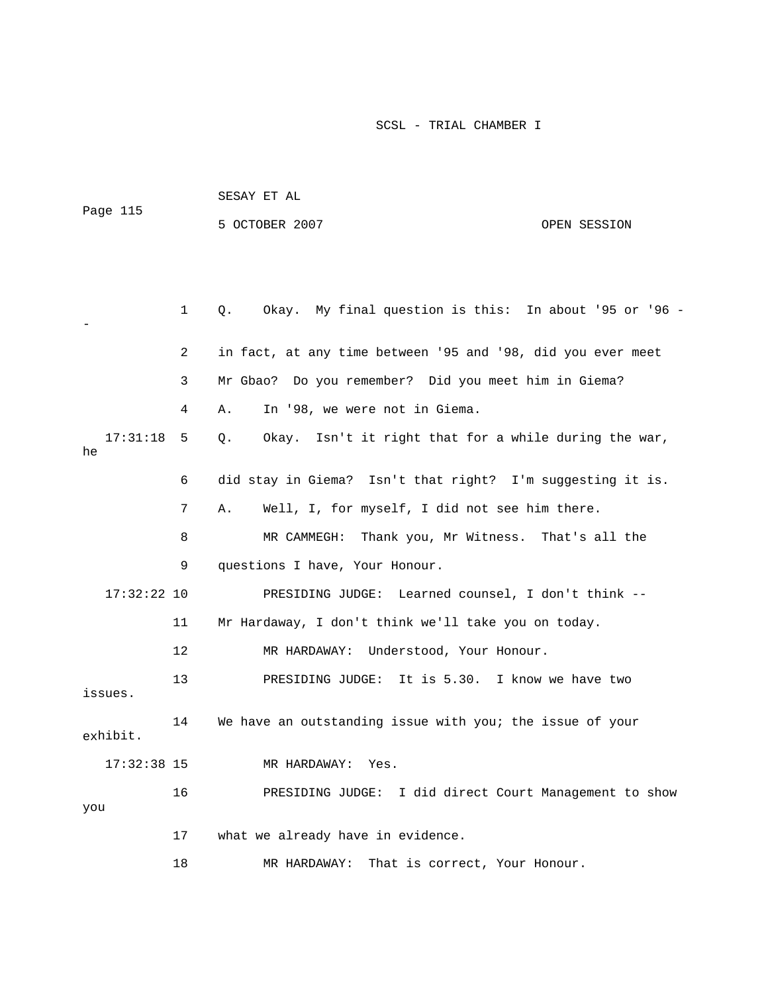| Page 115       |              | SESAY ET AL                                                  |              |  |  |
|----------------|--------------|--------------------------------------------------------------|--------------|--|--|
|                |              | 5 OCTOBER 2007                                               | OPEN SESSION |  |  |
|                |              |                                                              |              |  |  |
|                |              |                                                              |              |  |  |
|                | $\mathbf{1}$ | Okay. My final question is this: In about '95 or '96 -<br>Q. |              |  |  |
|                | 2            | in fact, at any time between '95 and '98, did you ever meet  |              |  |  |
|                | 3            | Mr Gbao? Do you remember? Did you meet him in Giema?         |              |  |  |
|                | 4            | In '98, we were not in Giema.<br>Α.                          |              |  |  |
| 17:31:18<br>he | 5            | Okay. Isn't it right that for a while during the war,<br>Q.  |              |  |  |
|                | 6            | did stay in Giema? Isn't that right? I'm suggesting it is.   |              |  |  |
|                | 7            | Well, I, for myself, I did not see him there.<br>Α.          |              |  |  |
|                | 8            | MR CAMMEGH: Thank you, Mr Witness. That's all the            |              |  |  |
|                | 9            | questions I have, Your Honour.                               |              |  |  |
| $17:32:22$ 10  |              | PRESIDING JUDGE: Learned counsel, I don't think --           |              |  |  |
|                | 11           | Mr Hardaway, I don't think we'll take you on today.          |              |  |  |
|                | 12           | Understood, Your Honour.<br>MR HARDAWAY:                     |              |  |  |
| issues.        | 13           | PRESIDING JUDGE: It is 5.30. I know we have two              |              |  |  |
| exhibit.       | 14           | We have an outstanding issue with you; the issue of your     |              |  |  |
| $17:32:38$ 15  |              | MR HARDAWAY:<br>Yes.                                         |              |  |  |
| you            | 16           | PRESIDING JUDGE: I did direct Court Management to show       |              |  |  |
|                | 17           | what we already have in evidence.                            |              |  |  |
|                | 18           | MR HARDAWAY:<br>That is correct, Your Honour.                |              |  |  |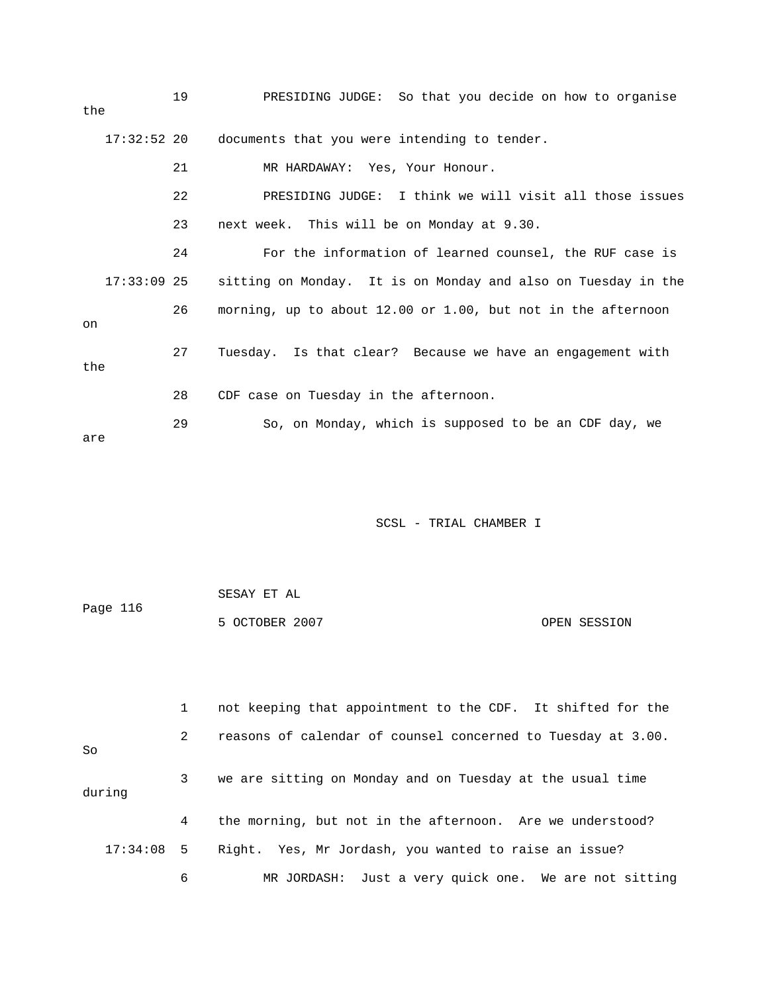| the | 19            | PRESIDING JUDGE: So that you decide on how to organise        |
|-----|---------------|---------------------------------------------------------------|
|     | $17:32:52$ 20 | documents that you were intending to tender.                  |
|     | 21            | MR HARDAWAY: Yes, Your Honour.                                |
|     | 22            | PRESIDING JUDGE: I think we will visit all those issues       |
|     | 23            | next week. This will be on Monday at 9.30.                    |
|     | 24            | For the information of learned counsel, the RUF case is       |
|     | $17:33:09$ 25 | sitting on Monday. It is on Monday and also on Tuesday in the |
| on  | 26            | morning, up to about 12.00 or 1.00, but not in the afternoon  |
| the | 27            | Tuesday. Is that clear? Because we have an engagement with    |
|     | 28            | CDF case on Tuesday in the afternoon.                         |
| are | 29            | So, on Monday, which is supposed to be an CDF day, we         |

|          | SESAY ET AL    |              |
|----------|----------------|--------------|
| Page 116 |                |              |
|          | 5 OCTOBER 2007 | OPEN SESSION |

 3 we are sitting on Monday and on Tuesday at the usual time during 4 the morning, but not in the afternoon. Are we understood? 17:34:08 5 Right. Yes, Mr Jordash, you wanted to raise an issue? 1 not keeping that appointment to the CDF. It shifted for the 2 reasons of calendar of counsel concerned to Tuesday at 3.00. So 6 MR JORDASH: Just a very quick one. We are not sitting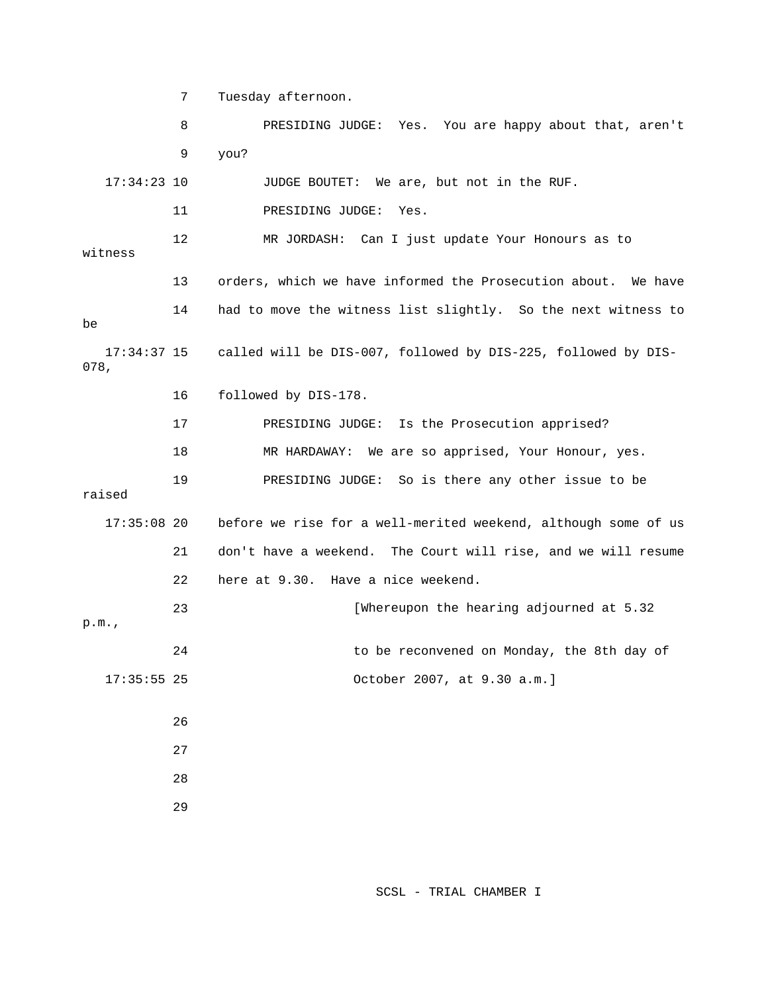7 Tuesday afternoon.

 8 PRESIDING JUDGE: Yes. You are happy about that, aren't 17:34:23 10 JUDGE BOUTET: We are, but not in the RUF. 11 PRESIDING JUDGE: Yes. 13 orders, which we have informed the Prosecution about. We have 14 had to move the witness list slightly. So the next witness to 16 followed by DIS-178. 19 PRESIDING JUDGE: So is there any other issue to be 21 don't have a weekend. The Court will rise, and we will resume [Whereupon the hearing adjourned at 5.32 24 to be reconvened on Monday, the 8th day of 17:35:55 25 October 2007, at 9.30 a.m.] 26 28 9 you? 12 MR JORDASH: Can I just update Your Honours as to witness be 17:34:37 15 called will be DIS-007, followed by DIS-225, followed by DIS-078, 17 PRESIDING JUDGE: Is the Prosecution apprised? 18 MR HARDAWAY: We are so apprised, Your Honour, yes. raised 17:35:08 20 before we rise for a well-merited weekend, although some of us 22 here at 9.30. Have a nice weekend. 23 p.m., 27 29